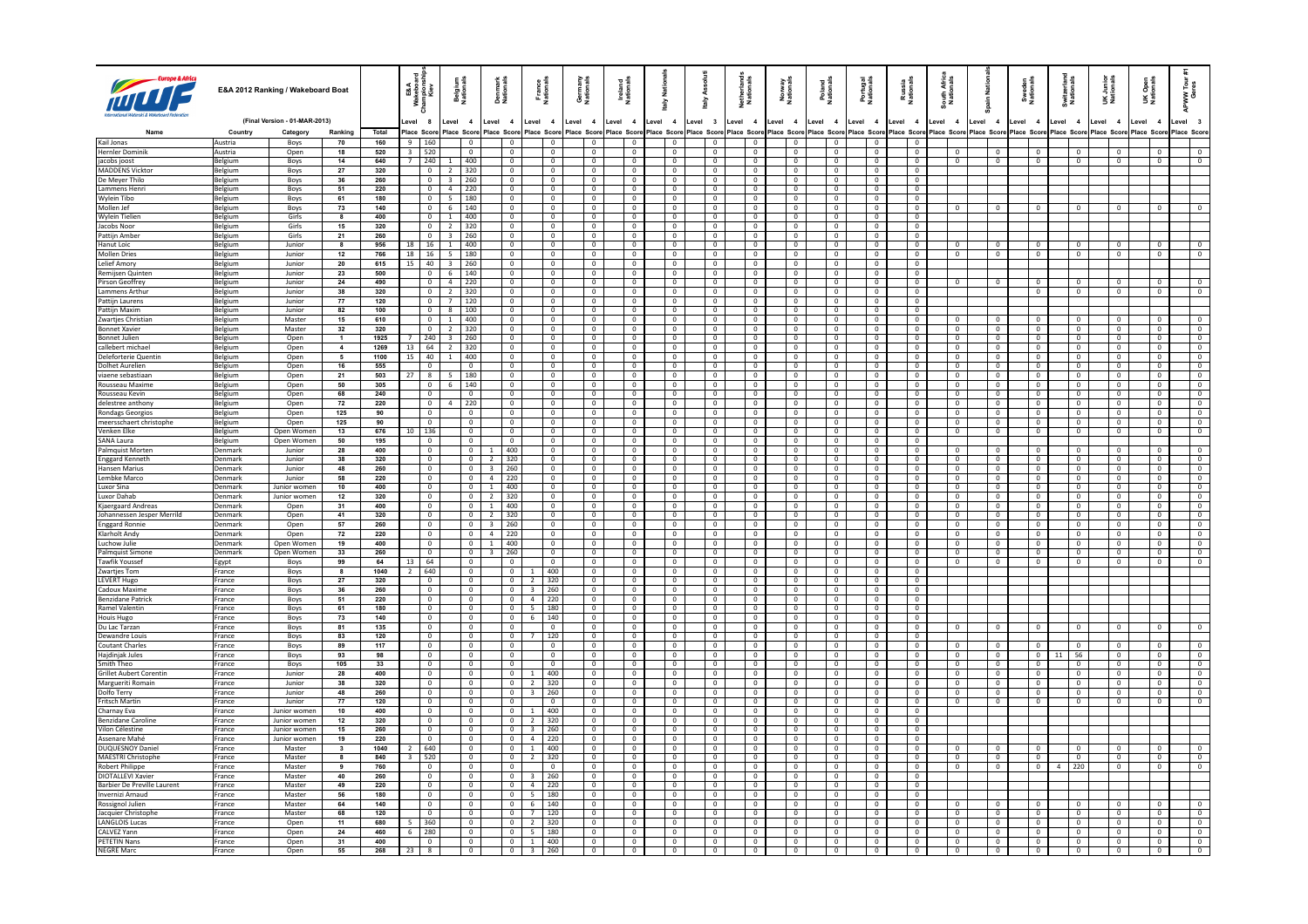| 而                                                   |                    | E&A 2012 Ranking / Wakeboard Boat |                                  |                     | E&A<br>keba<br>Kiev                       |                                                     | <b>Belgium</b><br>Nationals                            | Denmark<br>Nationals             | France<br>Nationals                       |                                            | Germany<br>Nationals             | Ireland<br>Nationals |                                            | 18<br>Z<br>즐                     | <b>Ass</b><br>alv                                  | Netherland<br>Nationals          | Norway<br>Nationals                                 | Poland<br>Nationals              | Portugal<br>Nationals                               | Russia<br>Nationals              | Äfi<br>S<br>South.<br>Natio               | ain Nati   |                                           | Sweden<br>Nationals                        | Switzerlan<br>Nationals |                                  | UK Junior<br>Nationals           |       | <b>UK Open</b><br>Nationals      | APWW <sup>-</sup>                          |
|-----------------------------------------------------|--------------------|-----------------------------------|----------------------------------|---------------------|-------------------------------------------|-----------------------------------------------------|--------------------------------------------------------|----------------------------------|-------------------------------------------|--------------------------------------------|----------------------------------|----------------------|--------------------------------------------|----------------------------------|----------------------------------------------------|----------------------------------|-----------------------------------------------------|----------------------------------|-----------------------------------------------------|----------------------------------|-------------------------------------------|------------|-------------------------------------------|--------------------------------------------|-------------------------|----------------------------------|----------------------------------|-------|----------------------------------|--------------------------------------------|
|                                                     |                    | (Final Version - 01-MAR-2013)     |                                  |                     | evel 8                                    |                                                     | Level<br>$\overline{\mathbf{4}}$                       | Level 4                          | Level 4                                   |                                            | Level<br>$\overline{4}$          | evel.                | $\overline{4}$                             | Level 4                          | Level 3                                            | Level 4                          | Level 4                                             | Level 4                          | Level 4                                             | Level 4                          | evel 4                                    | Level 4    |                                           | Level 4                                    | Level 4                 |                                  | Level 4                          | Level | $\overline{\mathbf{4}}$          | evel 3                                     |
| Kail Jonas                                          | Country<br>Austria | Category<br>Boys                  | Ranking<br>70                    | <b>Total</b><br>160 | Place Scor<br>9   160                     |                                                     | Place Sco<br>$\overline{0}$                            | Place Scon<br>$\Omega$           | Place Scor                                | $\Omega$                                   | Place Scor<br>$\Omega$           | Place                | Scor<br>$\overline{0}$                     | lace Scor<br>$\overline{0}$      | Place Sco<br>$\overline{\mathbf{0}}$               | lace Score<br>$\Omega$           | Place Scor<br>$\overline{0}$                        | Place Scon<br>$\Omega$           | lace Scor<br>$\Omega$                               | Place Scor<br>$\Omega$           | Place Scon                                | Place Scor |                                           | Place Scon                                 | Place Scor              |                                  | Place Score                      |       | Place Sco                        | Place Score                                |
| <b>Hernler Dominik</b>                              | Austria            | Open                              | 18                               | 520                 | 3   520                                   |                                                     | $\overline{0}$                                         | $\overline{0}$                   |                                           | $\overline{0}$                             | $\overline{0}$                   |                      | $\overline{0}$                             | $\overline{0}$                   | $\overline{0}$                                     | $\mathbf{0}$                     | $\mathbf{0}$                                        | $\mathbf{0}$                     | $\overline{0}$                                      | $\overline{0}$                   | $\overline{0}$                            |            | $\,0\,$                                   | $\overline{0}$                             |                         | $\mathbf{0}$                     | $\mathbf{0}$                     |       | $^{\circ}$                       | $\mathbf{0}$                               |
| jacobs joost                                        | Belgium            | Boys                              | 14                               | 640                 | 7 240                                     |                                                     | 1   400                                                | $\mathbf{0}$                     |                                           | $\overline{0}$                             | $\mathbf{0}$                     |                      | $\overline{0}$                             | $\mathbf 0$                      | $\overline{\mathbf{0}}$                            | $\mathbf{0}$                     | $\overline{0}$                                      | $\mathbf{0}$                     | $\overline{0}$                                      | $\overline{0}$                   | $\overline{0}$                            |            | $\overline{0}$                            | $\mathbf 0$                                |                         | $\mathbf{0}$                     | $\mathbf 0$                      |       | $^{\circ}$                       | $\mathbf{0}$                               |
| <b>MADDENS Vicktor</b>                              | Belgium            | Boys                              | 27                               | 320                 |                                           | $\overline{0}$                                      | 320<br>$\overline{2}$                                  | $\mathbf 0$                      |                                           | $\,0\,$                                    | $\mathbf 0$                      |                      | $\overline{0}$                             | $\mathbf 0$                      | $\overline{0}$                                     | $\mathbb O$                      | $\,0\,$                                             | $\mathbf 0$                      | $\,0\,$                                             | $\overline{0}$                   |                                           |            |                                           |                                            |                         |                                  |                                  |       |                                  |                                            |
| De Meyer Thilo                                      | Belgium            | Boys                              | 36                               | 260                 |                                           | $\overline{0}$                                      | 3<br> 260                                              | $\mathbf{0}$                     |                                           | $\Omega$                                   | $\Omega$                         |                      | $\overline{0}$                             | $\,$ 0                           | $\mathbf 0$                                        | $\Omega$                         | $\overline{0}$                                      | $\Omega$                         | $\mathbf 0$                                         | $\Omega$                         |                                           |            |                                           |                                            |                         |                                  |                                  |       |                                  |                                            |
| Lammens Henri                                       | Belgium            | Boys                              | 51                               | 220<br>180          |                                           | $\overline{0}$<br>$\overline{0}$                    | $4 \mid 220$                                           | $\overline{0}$<br>$\overline{0}$ |                                           | $\overline{0}$<br>$\overline{0}$           | $\overline{0}$<br>$\Omega$       |                      | $\overline{\phantom{0}}$<br>$\overline{0}$ | $\overline{0}$                   | $\overline{0}$<br>$\overline{0}$                   | $\overline{0}$<br>$\mathbf{0}$   | $\overline{0}$<br>$\overline{0}$                    | $\overline{0}$<br>$\overline{0}$ | $\overline{0}$<br>$\overline{0}$                    | $\overline{0}$<br>$\overline{0}$ |                                           |            |                                           |                                            |                         |                                  |                                  |       |                                  |                                            |
| Wylein Tibo<br>Mollen Jef                           | Belgium<br>Belgium | Boys<br>Boys                      | 61<br>73                         | 140                 |                                           | $\overline{0}$                                      | 5   180<br>$6 \mid 140$                                | $\mathbf{0}$                     |                                           | $\overline{0}$                             | $\mathbf{0}$                     |                      | $\overline{0}$                             | $\overline{0}$<br>$\mathbf{0}$   | $\overline{0}$                                     | $\mathbf{0}$                     | $\mathbf{0}$                                        | $\mathbf{0}$                     | $\overline{0}$                                      | $\overline{0}$                   | $^{\circ}$                                |            | $\mathbf{0}$                              | $\Omega$                                   |                         | $\Omega$                         |                                  |       | $^{\circ}$                       |                                            |
| Wylein Tielier                                      | Belgium            | Girls                             | 8                                | 400                 |                                           | $\overline{0}$                                      | $\mathbf{1}$<br>400                                    | $\mathbf{0}$                     |                                           | $\overline{0}$                             | $\mathbf{0}$                     |                      | $\overline{0}$                             | $\overline{0}$                   | $\mathbf 0$                                        | $\mathbf{0}$                     | $\,0\,$                                             | $\mathbf{0}$                     | $\mathbb O$                                         | $\overline{0}$                   |                                           |            |                                           |                                            |                         |                                  |                                  |       |                                  |                                            |
| Jacobs Noor                                         | Belgium            | Girls                             | 15                               | 320                 |                                           | $\overline{0}$                                      | $\overline{2}$<br>320                                  | $\mathbf{0}$                     |                                           | $\overline{0}$                             | $\overline{0}$                   |                      | $\overline{0}$                             | $\overline{0}$                   | $\overline{0}$                                     | $\overline{0}$                   | $\overline{0}$                                      | $\overline{0}$                   | $\overline{0}$                                      | $\overline{0}$                   |                                           |            |                                           |                                            |                         |                                  |                                  |       |                                  |                                            |
| Pattijn Ambe                                        | Belgium            | Girls                             | 21                               | 260                 |                                           | $\overline{0}$                                      | $3 \mid 260$                                           | $\mathbf{0}$                     |                                           | $\overline{0}$                             | $\mathbf{0}$                     |                      | $\overline{0}$                             | $\overline{0}$                   | $\mathbf 0$                                        | $\mathbf{0}$                     | $\mathbf{0}$                                        | $\circ$                          | $\overline{0}$                                      | $\overline{0}$                   |                                           |            |                                           |                                            |                         |                                  |                                  |       |                                  |                                            |
| Hanut Loic                                          | Belgium            | Junior                            | $\overline{\mathbf{8}}$          | 956                 | $18$ 16                                   |                                                     | 400<br>$\mathbf{1}$                                    | $\mathbf{0}$                     |                                           | $\overline{0}$                             | $^{\circ}$                       |                      | $\overline{0}$                             | $^{\circ}$                       | $\overline{0}$                                     | $\mathbf{0}$                     | $\overline{0}$                                      | $\overline{0}$                   | $\overline{0}$                                      | $\overline{0}$                   | $^{\circ}$                                |            | $^{\circ}$                                | $^{\circ}$                                 |                         | $^{\circ}$                       | $^{\circ}$                       |       | $^{\circ}$                       | $^{\circ}$                                 |
| <b>Mollen Dries</b><br>I elief Amory                | Belgium            | Junio<br>Junior                   | 12<br>20                         | 766<br>615          | 18<br>15                                  | 16<br>40                                            | 180<br>5<br>$3 \mid 260$                               | $\circ$<br>$\overline{0}$        |                                           | $\,$ 0<br>$\Omega$                         | $\mathbf 0$<br>$\Omega$          |                      | $\overline{0}$<br>$\Omega$                 | $\,0\,$<br>$\overline{0}$        | $\mathbf 0$<br>$\Omega$                            | $\mathbb O$<br>$\overline{0}$    | $\,0\,$<br>$\overline{0}$                           | $\mathbf 0$<br>$\overline{0}$    | $\mathbf 0$<br>$\Omega$                             | $\overline{0}$<br>$\Omega$       | $\mathbf 0$                               |            | $\,$ 0                                    | $\mathbf 0$                                |                         | $\mathbb O$                      | $\mathbf 0$                      |       | $\mathbf 0$                      | $\circ$                                    |
| Remijsen Quinten                                    | Belgium<br>Belgium | Junior                            | 23                               | 500                 |                                           | $\mathbf{0}$                                        | 140<br>$6\overline{6}$                                 | $\mathbf{0}$                     |                                           | $\overline{0}$                             | $\mathbf{0}$                     |                      | $\overline{0}$                             | $\overline{0}$                   | $\overline{0}$                                     | $\mathbf{0}$                     | $\mathbf{0}$                                        | $\mathbf{0}$                     | $\overline{0}$                                      | $\overline{0}$                   |                                           |            |                                           |                                            |                         |                                  |                                  |       |                                  |                                            |
| Pirson Geoffrey                                     | Belgium            | lunior                            | 24                               | 490                 |                                           | $\Omega$                                            | 4 220                                                  | $\Omega$                         |                                           | $\Omega$                                   | $\Omega$                         |                      | $\Omega$                                   | $\Omega$                         | $\Omega$                                           | $\Omega$                         | $\Omega$                                            | $\Omega$                         | $\Omega$                                            | $\Omega$                         | $\Omega$                                  |            | $\Omega$                                  | $\Omega$                                   |                         | $\Omega$                         | $\Omega$                         |       | $\Omega$                         | $\Omega$                                   |
| Lammens Arthur                                      | Belgium            | Junior                            | 38                               | 320                 |                                           | $\mathbf{0}$                                        | $\overline{2}$<br>320                                  | $\mathbf 0$                      |                                           | $\overline{0}$                             | $\mathbf 0$                      |                      | $\overline{0}$                             | $\mathbf 0$                      | $\overline{0}$                                     | $\mathbf{0}$                     | $\mathbf 0$                                         | $\mathbf{0}$                     | $\mathbf 0$                                         | $\mathbf{0}$                     |                                           |            |                                           | $\mathbf 0$                                |                         | $\mathbf 0$                      | $\mathbf{0}$                     |       | $\mathbf 0$                      | $\mathbf{0}$                               |
| Pattijn Laurens                                     | Belgium            | Junior                            | 77                               | 120                 |                                           | $\Omega$                                            | $\overline{7}$<br>120                                  | $\Omega$                         |                                           | $\Omega$                                   | $\Omega$                         |                      | $\Omega$                                   | $\Omega$                         | $\overline{0}$                                     | $\Omega$                         | $\Omega$                                            | $\Omega$                         | $\Omega$                                            | $\Omega$                         |                                           |            |                                           |                                            |                         |                                  |                                  |       |                                  |                                            |
| Pattijn Maxim                                       | Belgium            | Junior                            | 82                               | 100                 |                                           | $\overline{0}$                                      | 8<br>100                                               | $\mathbf 0$                      |                                           | $\overline{0}$                             | $\mathbf 0$                      |                      | $\overline{0}$                             | $\mathbf{0}$                     | $\overline{0}$                                     | $\mathbf{0}$                     | $\mathbf{0}$                                        | $\mathbf{0}$                     | $\mathbf 0$                                         | $\overline{0}$                   |                                           |            |                                           |                                            |                         |                                  |                                  |       |                                  |                                            |
| Zwartjes Christian                                  | Belgium            | Master                            | 15                               | 610                 |                                           | $\overline{0}$                                      | 400<br>$\overline{1}$                                  | $\Omega$                         |                                           | $\Omega$                                   | $\Omega$                         |                      | $\Omega$                                   | $\overline{0}$                   | $\overline{0}$                                     | $\mathbf{0}$                     | $\Omega$                                            | $\Omega$                         | $\overline{0}$                                      | $\Omega$                         | $\Omega$                                  |            | $\overline{0}$                            | $\overline{0}$                             |                         | $\Omega$                         | $\Omega$                         |       | $\Omega$                         | $\Omega$                                   |
| <b>Bonnet Xavier</b>                                | Belgium            | Master                            | 32                               | 320                 |                                           | $\overline{0}$                                      | $\overline{2}$<br>320                                  | $\overline{0}$                   |                                           | $\overline{0}$                             | $\mathbf 0$                      |                      | $\overline{\mathbf{0}}$                    | $\overline{0}$                   | $\overline{0}$                                     | $\overline{0}$                   | $\overline{0}$                                      | $\mathbf 0$                      | $\overline{0}$                                      | $\overline{0}$                   | $\overline{0}$                            |            | $\overline{0}$                            | $\overline{0}$                             |                         | $\overline{0}$                   | $\mathbf{0}$                     |       | $\mathbf 0$                      | $\mathbf{0}$                               |
| <b>Bonnet Julier</b><br>callebert michael           | Belgium            | Open<br>Open                      | $\overline{1}$<br>$\overline{4}$ | 1925<br>1269        | $\overline{7}$<br>$13 \mid 64$            | 1240                                                | $\overline{3}$<br>$\vert$ 260<br>$\overline{2}$<br>320 | $\overline{0}$<br>$\overline{0}$ |                                           | $\overline{0}$<br>$\overline{0}$           | $\Omega$<br>$\overline{0}$       |                      | $\overline{0}$<br>$\overline{\phantom{a}}$ | $\overline{0}$<br>$\overline{0}$ | $\overline{\mathbf{0}}$<br>$\overline{\mathbf{0}}$ | $\overline{0}$<br>$\overline{0}$ | $\overline{\mathbf{0}}$<br>$\overline{\phantom{a}}$ | $\Omega$<br>$\overline{0}$       | $\overline{0}$<br>$\overline{\mathbf{0}}$           | $\Omega$<br>$\overline{0}$       | $\overline{0}$<br>$\overline{\mathbf{0}}$ |            | $\overline{0}$<br>$\overline{0}$          | $\overline{0}$<br>$\overline{\phantom{a}}$ |                         | $\overline{0}$<br>$\overline{0}$ | $\Omega$<br>$\overline{0}$       |       | $\Omega$<br>$\mathbf 0$          | $\Omega$<br>$\overline{0}$                 |
| Deleforterie Quentir                                | Belgium<br>Belgium | Open                              | 5                                | 1100                | $15 \mid 40$                              |                                                     | $\overline{1}$<br>400                                  | $\Omega$                         |                                           | $\Omega$                                   | $\Omega$                         |                      | $\overline{0}$                             | $\overline{0}$                   | $\overline{0}$                                     | $\Omega$                         | $\Omega$                                            | $\Omega$                         | $\Omega$                                            | $\Omega$                         | $\overline{0}$                            |            | $\overline{0}$                            | $\overline{0}$                             |                         | $\overline{0}$                   | $\Omega$                         |       | $\Omega$                         | $\Omega$                                   |
| Dolhet Aurelien                                     | Belgium            | Open                              | 16                               | 555                 |                                           | $\overline{0}$                                      | $\overline{0}$                                         | $\mathbf{0}$                     |                                           | $\overline{0}$                             | $\mathbf{0}$                     |                      | $\overline{0}$                             | $\overline{0}$                   | $\overline{0}$                                     | $\mathbf{0}$                     | $\mathbf{0}$                                        | $\mathbf{0}$                     | $\mathbf{0}$                                        | $\overline{0}$                   | $\mathbf{0}$                              |            | $\overline{\mathbf{0}}$                   | $\overline{0}$                             |                         | $\overline{0}$                   | $\mathbf{0}$                     |       | $\overline{0}$                   | $\mathbf{0}$                               |
| viaene sebastiaan                                   | Belgium            | Open                              | 21                               | 503                 | $27 \mid 8$                               |                                                     | -5<br>180                                              | $\mathbf{0}$                     |                                           | $\overline{0}$                             | $\mathbf{0}$                     |                      | $\overline{0}$                             | $\overline{0}$                   | $\overline{0}$                                     | $\Omega$                         | $\mathbf{0}$                                        | $\Omega$                         | $\overline{0}$                                      | $\overline{0}$                   | $\overline{0}$                            |            | $\,0\,$                                   | $\overline{0}$                             |                         | $\overline{0}$                   | $\mathbf{0}$                     |       | $\overline{0}$                   | $\overline{0}$                             |
| Rousseau Maxime                                     | Belgium            | Open                              | 50                               | 305                 |                                           | $\overline{0}$                                      | 140<br>6                                               | $\mathbf{0}$                     |                                           | $\overline{0}$                             | $\overline{0}$                   |                      | $\overline{\phantom{a}}$                   | $\overline{0}$                   | $\overline{0}$                                     | $\overline{0}$                   | $\overline{0}$                                      | $\overline{0}$                   | $\overline{0}$                                      | $\overline{0}$                   | $\overline{0}$                            |            | $\overline{0}$                            | $\overline{0}$                             |                         | $\overline{0}$                   | $\overline{0}$                   |       | $\overline{0}$                   | $\overline{0}$                             |
| Rousseau Kevin                                      | Belgium            | Open                              | 68                               | 240                 |                                           | $\overline{0}$                                      | $\overline{0}$                                         | $\overline{0}$                   |                                           | $\overline{0}$                             | $\mathbf{0}$                     |                      | $\overline{0}$                             | $\overline{0}$                   | $\overline{0}$                                     | $\overline{0}$                   | $\mathbf{0}$                                        | $\overline{0}$                   | $\overline{0}$                                      | $\overline{0}$                   | $\overline{0}$                            |            | $\overline{0}$                            | $\overline{0}$                             |                         | $\overline{0}$                   | $\overline{0}$                   |       | $\overline{0}$                   | $\mathbf{0}$                               |
| delestree anthony                                   | Belgium            | Open                              | 72                               | 220                 |                                           | $\overline{0}$                                      | 220<br>4                                               | $\mathbf{0}$                     |                                           | $\overline{0}$                             | $^{\circ}$                       |                      | $\overline{0}$                             | $\overline{0}$                   | $\overline{0}$                                     | $\mathbf{0}$                     | $\mathbf{0}$                                        | $\overline{0}$                   | $\overline{0}$                                      | $\overline{0}$                   | $\mathbf{0}$                              |            | $\overline{0}$                            | $\overline{0}$                             |                         | $\mathbf{0}$                     | $\mathbf{0}$                     |       | $\overline{0}$                   | $\overline{0}$                             |
| Rondags Georgios                                    | Belgium            | Open                              | 125                              | 90                  |                                           | $\overline{0}$                                      | $\overline{0}$                                         | $\overline{0}$                   |                                           | $\mathbf{0}$                               | 0                                |                      | $\overline{0}$                             | $\overline{0}$                   | $\mathbf 0$                                        | $\mathbf 0$                      | $\mathbf 0$                                         | $\mathbf{0}$                     | $\mathbf{0}$                                        | $\overline{0}$                   | $\mathbf{0}$                              |            | $\mathbf{0}$                              | $\mathbf{0}$                               |                         | $\mathbf 0$                      | $\mathbf{0}$                     |       | $\mathbf 0$                      | $\mathbf{0}$                               |
| meersschaert christophe<br>Venken Elke              | Belgium<br>Belgium | Open<br>Open Women                | 125<br>13                        | 90<br>676           | 10   136                                  | $\overline{0}$                                      | $\overline{0}$<br>$\overline{0}$                       | $\overline{0}$<br>$\mathbf{0}$   |                                           | $\overline{0}$<br>$\overline{\mathbf{0}}$  | $\mathbf{0}$<br>$\mathbf 0$      |                      | $\overline{0}$<br>$\overline{0}$           | $\overline{0}$<br>$\overline{0}$ | $\overline{0}$<br>$\mathbf 0$                      | $\overline{0}$<br>$\mathbf 0$    | $\overline{0}$<br>$\overline{0}$                    | $\overline{0}$<br>$\overline{0}$ | $\overline{0}$<br>$\overline{0}$                    | $\overline{0}$<br>$\overline{0}$ | $\overline{0}$<br>$\overline{0}$          |            | $\overline{0}$<br>$\overline{0}$          | $\overline{0}$<br>$\overline{0}$           |                         | $\overline{0}$<br>$\overline{0}$ | $\overline{0}$<br>$\overline{0}$ |       | $\overline{0}$<br>$\overline{0}$ | $\overline{0}$<br>$\overline{0}$           |
| SANA Laura                                          | Belgium            | Onen Women                        | 50                               | 195                 |                                           | $\Omega$                                            | $\Omega$                                               | $\Omega$                         |                                           | $\Omega$                                   | $\Omega$                         |                      | $\Omega$                                   | $\Omega$                         | $\Omega$                                           | $\Omega$                         | $\overline{0}$                                      | $\Omega$                         | $\Omega$                                            | $\Omega$                         |                                           |            |                                           |                                            |                         |                                  |                                  |       |                                  |                                            |
| Palmquist Morten                                    | Denmark            | Junior                            | 28                               | 400                 |                                           | $\mathbf 0$                                         | $\overline{0}$                                         | 400                              |                                           | $\overline{0}$                             | $\overline{0}$                   |                      | $\overline{0}$                             | $\mathbf 0$                      | $\overline{0}$                                     | $\mathbf{0}$                     | $\mathbf{0}$                                        | $\Omega$                         | $\mathbf 0$                                         | $\mathbf{0}$                     | $\mathbf 0$                               |            | $\overline{0}$                            | $\overline{0}$                             |                         | $\mathbf 0$                      |                                  |       |                                  | $\mathbf{0}$                               |
| <b>Enggard Kenneth</b>                              | Denmark            | Junior                            | 38                               | 320                 |                                           | $\sqrt{2}$                                          | $\Omega$                                               | 320<br>$\overline{z}$            |                                           | $\Omega$                                   | $\Omega$                         |                      | $\Omega$                                   | $\Omega$                         | $\overline{0}$                                     | $\Omega$                         | $\Omega$                                            | $\Omega$                         | $\Omega$                                            | $\Omega$                         | $\Omega$                                  |            | $\overline{0}$                            | $\Omega$                                   |                         | $\Omega$                         | $\Omega$                         |       | $\Omega$                         | $\Omega$                                   |
| <b>Hansen Marius</b>                                | Denmark            | Junior                            | 48                               | 260                 |                                           | $\overline{0}$                                      | $\overline{0}$                                         | $\overline{\mathbf{3}}$<br>260   |                                           | $\overline{0}$                             | $\overline{0}$                   |                      | $\overline{0}$                             | $\overline{0}$                   | $\overline{0}$                                     | $\mathbf{0}$                     | $\overline{0}$                                      | $\mathbf{0}$                     | $\overline{0}$                                      | $\overline{0}$                   | $\mathbf{0}$                              |            | $\overline{0}$                            | $\overline{0}$                             |                         | $\mathbf{0}$                     | $\overline{0}$                   |       | $\overline{0}$                   | $\overline{0}$                             |
| Lembke Marco                                        | Denmark            | lunior                            | 58                               | 220                 |                                           | $\overline{0}$                                      | $\Omega$                                               | 4 220                            |                                           | $\Omega$                                   | $\Omega$                         |                      | $\Omega$                                   | $\overline{0}$                   | $\overline{0}$                                     | $\mathbf{0}$                     | $\Omega$                                            | $\Omega$                         | $\overline{0}$                                      | $\Omega$                         | $\mathbf{0}$                              |            | $\overline{0}$                            | $\overline{0}$                             |                         | $\Omega$                         | $^{\circ}$                       |       | $\Omega$                         | $\overline{0}$                             |
| Luxor Sina                                          | Denmark            | Junior women                      | 10                               | 400                 |                                           | $\circ$                                             | $\mathbf{0}$                                           | 400<br>1                         |                                           | $\overline{0}$                             | $\mathbf 0$                      |                      | $\overline{0}$                             | $\mathsf 0$                      | $\mathbf 0$                                        | $\mathbf 0$                      | $\,0\,$                                             | $\mathbf 0$                      | $\mathbf 0$                                         | $\overline{0}$                   | $\mathbf 0$                               |            | $\,$ 0                                    | $\mathbf 0$                                |                         | $\mathbf 0$                      | $\mathbf 0$                      |       | 0                                | $\overline{0}$                             |
| Luxor Dahab                                         | Denmark            | lunior women                      | 12                               | 320                 |                                           | $\overline{0}$                                      | $\overline{0}$                                         | 2<br>320                         |                                           | $\overline{0}$                             | $\Omega$                         |                      | $\overline{0}$                             | $\overline{0}$                   | $\mathbf 0$                                        | $\Omega$                         | $\overline{0}$                                      | $\Omega$                         | $\overline{0}$                                      | $\Omega$                         | $\overline{0}$                            |            | $\overline{\mathbf{0}}$                   | $\overline{0}$                             |                         | $\overline{0}$                   | $\Omega$                         |       | $\Omega$                         | $\mathbf{0}$                               |
| Kjaergaard Andreas                                  | Denmark<br>Denmark | Open                              | 31<br>41                         | 400<br>320          |                                           | $\overline{\phantom{0}}$<br>$\overline{\mathbf{0}}$ | $\overline{0}$<br>$\circ$                              | $1 \quad 400$<br>2 320           |                                           | $\overline{\phantom{a}}$<br>$\overline{0}$ | $\overline{0}$<br>$\overline{0}$ |                      | $\overline{0}$<br>$\overline{0}$           | $\overline{0}$<br>$\overline{0}$ | $\overline{0}$<br>$\overline{\mathbf{0}}$          | $\overline{0}$<br>$\overline{0}$ | $\overline{0}$<br>$\overline{0}$                    | $\mathbf 0$<br>$\mathbf 0$       | $\overline{\phantom{a}}$<br>$\overline{\mathbf{0}}$ | $\overline{0}$<br>$\overline{0}$ | $\overline{0}$<br>$\overline{0}$          |            | $\overline{\mathbf{0}}$<br>$\overline{0}$ | $\overline{\phantom{a}}$<br>$\overline{0}$ |                         | $\overline{0}$<br>$\overline{0}$ | $\overline{0}$<br>$\overline{0}$ |       | $\overline{0}$<br>$\overline{0}$ | $\overline{\phantom{0}}$<br>$\overline{0}$ |
| Johannessen Jesper Merrild<br><b>Enggard Ronnie</b> | Denmark            | Open<br>Open                      | 57                               | 260                 |                                           | $\overline{0}$                                      | $\overline{0}$                                         | 260<br>$3-1$                     |                                           | $\overline{0}$                             | $\mathbf 0$                      |                      | $\overline{0}$                             | $\mathbf{0}$                     | $\overline{0}$                                     | $\mathbf 0$                      | $\mathbf 0$                                         | $\mathbf 0$                      | $\mathbf 0$                                         | $\overline{0}$                   | $\mathbf 0$                               |            | $\overline{0}$                            | $\mathbf 0$                                |                         | $\overline{0}$                   | $\overline{0}$                   |       | $\mathbf 0$                      | $\overline{0}$                             |
| Klarholt Andy                                       | Denmark            | Open                              | 72                               | 220                 |                                           | $\overline{0}$                                      | $\overline{0}$                                         | 4 220                            |                                           | $\overline{0}$                             | $\overline{0}$                   |                      | $\overline{0}$                             | $\overline{0}$                   | $\mathbf 0$                                        | $\overline{0}$                   | $\overline{0}$                                      | $\Omega$                         | $\overline{0}$                                      | $\overline{0}$                   | $\overline{0}$                            |            | $\mathbf 0$                               | $\overline{0}$                             |                         | $\overline{0}$                   | $\overline{0}$                   |       | $\overline{0}$                   | $\overline{0}$                             |
| Luchow Julie                                        | Denmark            | Open Women                        | 19                               | 400                 |                                           | $\overline{0}$                                      | $\overline{0}$                                         | 1<br>400                         |                                           | $\overline{0}$                             | $\overline{0}$                   |                      | $\overline{0}$                             | $\overline{0}$                   | $\overline{0}$                                     | $\overline{0}$                   | $\overline{0}$                                      | $\overline{0}$                   | $\overline{0}$                                      | $\overline{0}$                   | $\overline{0}$                            |            | $\overline{0}$                            | $\overline{\phantom{0}}$                   |                         | $\overline{0}$                   | $\overline{0}$                   |       | $\overline{0}$                   | $\overline{0}$                             |
| Palmquist Simone                                    | Denmark            | Open Women                        | 33                               | 260                 |                                           | $\overline{0}$                                      | $\circ$                                                | $3 \mid 260$                     |                                           | $\overline{0}$                             | $\mathbf{0}$                     |                      | $\overline{0}$                             | $\overline{0}$                   | $\overline{0}$                                     | $\overline{0}$                   | $\overline{0}$                                      | $\mathbf{0}$                     | $\overline{0}$                                      | $\Omega$                         | $\overline{0}$                            |            | $\overline{0}$                            | $\overline{0}$                             |                         | $\Omega$                         | $\mathbf{0}$                     |       | $\overline{0}$                   | $\overline{0}$                             |
| <b>Tawfik Yousset</b>                               | Egypt              | Boys                              | 99                               | 64                  | $13-1$                                    | 64                                                  | $\overline{0}$                                         | $\overline{0}$                   |                                           | $\overline{0}$                             | $\mathbf{0}$                     |                      | $\overline{0}$                             | $\overline{0}$                   | $\overline{0}$                                     | $\overline{0}$                   | $\overline{0}$                                      | $\overline{0}$                   | $\overline{0}$                                      | $\overline{0}$                   | $\overline{0}$                            |            | $\overline{0}$                            | $\mathbf{0}$                               |                         | $\overline{0}$                   | $\overline{0}$                   |       | $\overline{0}$                   | $\mathbf{0}$                               |
| Zwartjes Tom                                        | France             | Boys                              | 8                                | 1040                | 2   640                                   |                                                     | $\overline{0}$                                         | $\overline{0}$                   |                                           | 400                                        | $\mathbf{0}$                     |                      | $\overline{0}$                             | $\mathbf 0$                      | $\mathbf 0$                                        | $\overline{0}$                   | $\mathbf 0$                                         | $\Omega$                         | $\mathbb O$                                         | $\overline{0}$                   |                                           |            |                                           |                                            |                         |                                  |                                  |       |                                  |                                            |
| LEVERT Hugo<br>Cadoux Maxime                        | France<br>France   | Boys<br>Boys                      | 27<br>36                         | 320<br>260          |                                           | $\overline{0}$<br>$\overline{0}$                    | $\overline{0}$<br>$\overline{0}$                       | $\overline{0}$<br>$\overline{0}$ | $\overline{2}$<br>$\overline{\mathbf{3}}$ | 320<br>260                                 | $\overline{0}$<br>$\overline{0}$ |                      | $\overline{0}$<br>$\overline{0}$           | $\overline{0}$<br>$\overline{0}$ | $\overline{0}$<br>$\overline{\mathbf{0}}$          | $\overline{0}$<br>$\mathbf 0$    | $\overline{0}$<br>$\overline{0}$                    | $\overline{0}$<br>$\overline{0}$ | $\overline{0}$<br>$\overline{0}$                    | $\overline{0}$<br>$\overline{0}$ |                                           |            |                                           |                                            |                         |                                  |                                  |       |                                  |                                            |
| Benzidane Patrick                                   | France             | Boys                              | 51                               | 220                 |                                           | $\overline{0}$                                      | $\overline{0}$                                         | $\mathbf{0}$                     |                                           | $4 \mid 220$                               | $^{\circ}$                       |                      | $\overline{0}$                             | $\overline{0}$                   | $\overline{0}$                                     | $\mathbf{0}$                     | $\overline{0}$                                      | $\mathbf{0}$                     | $\overline{0}$                                      | $\overline{0}$                   |                                           |            |                                           |                                            |                         |                                  |                                  |       |                                  |                                            |
| Ramel Valentin                                      | France             | Boys                              | 61                               | 180                 |                                           | $\circ$                                             | $\overline{0}$                                         | $\circ$                          | 5                                         | 180                                        | $\mathbf 0$                      |                      | $\overline{0}$                             | $\circ$                          | $\overline{0}$                                     | $\overline{0}$                   | $\mathbf 0$                                         | $\mathbf 0$                      | $\mathbf 0$                                         | $\overline{0}$                   |                                           |            |                                           |                                            |                         |                                  |                                  |       |                                  |                                            |
| <b>Houis Hugo</b>                                   | France             | Boys                              | 73                               | 140                 |                                           | $\sqrt{2}$                                          | $\sqrt{a}$                                             | $\overline{0}$                   | 6 <sup>5</sup>                            | 140                                        | $\Omega$                         |                      | $\Omega$                                   | $\overline{0}$                   | $\Omega$                                           | $\sqrt{2}$                       | $\overline{0}$                                      | $\overline{0}$                   | $\Omega$                                            | $\sqrt{2}$                       |                                           |            |                                           |                                            |                         |                                  |                                  |       |                                  |                                            |
| Du Lac Tarzan                                       | France             | Boys                              | 81                               | 135                 |                                           | $\overline{0}$                                      | $\overline{0}$                                         | $\overline{0}$                   |                                           | $\overline{0}$                             | $\overline{0}$                   |                      | $\overline{0}$                             | $\overline{0}$                   | $\overline{0}$                                     | $\overline{0}$                   | $\overline{0}$                                      | $\overline{0}$                   | $\overline{0}$                                      | $\overline{0}$                   | $\overline{0}$                            |            | $\overline{0}$                            | $\overline{0}$                             |                         | $\overline{0}$                   |                                  |       |                                  |                                            |
| Dewandre Louis                                      | France             | Boys                              | 83                               | 120                 |                                           | $\Omega$                                            | $\sqrt{2}$                                             | $\Omega$                         | 7                                         | 120                                        | $\Omega$                         |                      | $\Omega$                                   | $\Omega$                         | $\Omega$                                           | $\Omega$                         | $\Omega$                                            | $\Omega$                         | $\Omega$                                            | $\Omega$                         |                                           |            |                                           |                                            |                         |                                  |                                  |       |                                  |                                            |
| <b>Coutant Charles</b>                              | France             | Boys                              | 89                               | 117                 |                                           | $\mathbf 0$                                         | $\overline{0}$                                         | $\overline{0}$                   |                                           | $\overline{0}$                             | $\overline{0}$                   |                      | $\overline{0}$                             | $\mathsf 0$                      | $\overline{0}$                                     | $\overline{0}$                   | $\overline{0}$                                      | $\overline{0}$                   | $\mathbf 0$                                         | $\overline{0}$                   | $\mathbf 0$                               |            | $\overline{0}$                            | $\overline{0}$                             |                         | $\mathbf 0$                      |                                  |       |                                  | $\mathbf{0}$                               |
| Haidiniak Jules                                     | France             | Boys                              | 93                               | 98                  |                                           | $\sqrt{2}$                                          | $\sqrt{2}$                                             | $\Omega$<br>$\overline{0}$       |                                           | $\Omega$<br>$\overline{0}$                 | $\Omega$<br>$\overline{0}$       |                      | $\sqrt{0}$                                 | $\Omega$                         | $\overline{0}$<br>$\overline{0}$                   | $\sqrt{2}$                       | $\overline{0}$<br>$\overline{0}$                    | $\Omega$<br>$\overline{0}$       | $\Omega$<br>$\overline{0}$                          | $\sqrt{2}$<br>$\overline{0}$     | $\Omega$<br>$\overline{0}$                |            | $\overline{0}$<br>$\overline{0}$          | $\Omega$<br>$\overline{0}$                 | 11                      | 56<br>$\overline{0}$             | $\Omega$<br>$\overline{0}$       |       | $\Omega$<br>$\overline{0}$       | $\Omega$<br>$\overline{0}$                 |
| Smith Theo<br>Grillet Aubert Corentin               | France<br>France   | Boys<br>Junior                    | 105<br>28                        | 33<br>400           |                                           | $\overline{0}$<br>$\overline{0}$                    | $\overline{0}$<br>$\overline{0}$                       | $^{\circ}$                       | $\overline{1}$                            | 400                                        | $\Omega$                         |                      | $\overline{0}$<br>$\overline{0}$           | $\overline{0}$<br>$\overline{0}$ | $\overline{0}$                                     | $\mathbf 0$<br>$\mathbf{0}$      | $\overline{0}$                                      | $\Omega$                         | $\overline{0}$                                      | $\Omega$                         | $\overline{0}$                            |            | $\overline{0}$                            | $\overline{0}$                             |                         | $\overline{0}$                   | $^{\circ}$                       |       | $\overline{0}$                   | $\overline{0}$                             |
| Margueriti Romain                                   | France             | Junior                            | 38                               | 320                 |                                           | $\mathbf 0$                                         | $\overline{0}$                                         | $\overline{\mathbf{0}}$          | $\overline{2}$                            | 320                                        | $^{\circ}$                       |                      | $\overline{0}$                             | $\overline{0}$                   | $\mathbf 0$                                        | $\mathbf 0$                      | $\overline{0}$                                      | $\mathbf{0}$                     | $\mathbf 0$                                         | $\overline{0}$                   | $\mathbf 0$                               |            | $\overline{0}$                            | $\mathbf 0$                                |                         | $\overline{0}$                   | $\mathbf 0$                      |       | $\mathbf 0$                      | $\mathbf{0}$                               |
| Dolfo Terry                                         | France             | lunion                            | 48                               | 260                 |                                           | $\overline{\mathbf{0}}$                             | $\overline{0}$                                         | $\Omega$                         | $\overline{\mathbf{3}}$                   | 260                                        | $\overline{0}$                   |                      | $\overline{0}$                             | $\overline{0}$                   | $\overline{\mathbf{0}}$                            | $\sqrt{2}$                       | $\Omega$                                            | $\sqrt{2}$                       | $\overline{0}$                                      | $\Omega$                         | $\overline{0}$                            |            | $\overline{0}$                            | $\overline{0}$                             |                         | $\sqrt{2}$                       | $\Omega$                         |       | $\overline{0}$                   | $\Omega$                                   |
| Fritsch Martir                                      | France             | Junior                            | 77                               | 120                 |                                           | $\overline{0}$                                      | $\overline{0}$                                         | $\Omega$                         |                                           | $\overline{\phantom{0}}$                   | $\overline{0}$                   |                      | $\overline{0}$                             | $\overline{0}$                   | $\overline{\mathbf{0}}$                            | $\overline{0}$                   | $\overline{0}$                                      | $\overline{0}$                   | $\overline{\phantom{0}}$                            | $\overline{0}$                   | $\overline{0}$                            |            | $\overline{0}$                            | $\Omega$                                   |                         | $\Omega$                         | $\overline{0}$                   |       | $\overline{0}$                   | $\Omega$                                   |
| Charnay Eva                                         | France             | Junior women                      | 10                               | 400                 |                                           | $\overline{0}$                                      | $\overline{0}$                                         | $\Omega$                         | 1                                         | 400                                        | $\Omega$                         |                      | $\overline{0}$                             | $\overline{0}$                   | $\overline{0}$                                     | $\sqrt{2}$                       | $\Omega$                                            | $\Omega$                         | $\overline{0}$                                      | $\Omega$                         |                                           |            |                                           |                                            |                         |                                  |                                  |       |                                  |                                            |
| Benzidane Caroline                                  | France             | Junior women                      | 12                               | 320                 |                                           | $\overline{0}$                                      | $\overline{0}$                                         | $\overline{0}$                   | 2                                         | 320                                        | $\overline{0}$                   |                      | $\overline{0}$                             | $\overline{0}$                   | $\overline{0}$                                     | $\overline{0}$                   | $\overline{0}$                                      | $\mathbf{0}$                     | $\overline{0}$                                      | $\overline{0}$                   |                                           |            |                                           |                                            |                         |                                  |                                  |       |                                  |                                            |
| Vilon Célestine                                     | France             | Junior women                      | 15                               | 260                 |                                           | $\overline{0}$                                      | $\overline{0}$                                         | $\overline{0}$                   | $\overline{\mathbf{3}}$                   | 260                                        | $\overline{0}$                   |                      | $\overline{0}$                             | $\overline{0}$                   | $\overline{0}$                                     | $\overline{0}$                   | $\,0\,$                                             | $\Omega$                         | $\overline{0}$                                      | $\overline{0}$                   |                                           |            |                                           |                                            |                         |                                  |                                  |       |                                  |                                            |
| Assenare Mahé<br><b>DUQUESNOY Daniel</b>            | France             | Junior women                      | 19                               | 220<br>1040         |                                           | $\overline{0}$<br>640                               | $\overline{0}$                                         | $\overline{0}$<br>$\overline{0}$ |                                           | $4$   220                                  | $\overline{0}$<br>$\overline{0}$ |                      | $\overline{0}$                             | $\overline{0}$                   | $\overline{0}$                                     | $\overline{0}$<br>$\overline{0}$ | $\overline{0}$                                      | $\overline{0}$                   | $\overline{0}$<br>$\overline{0}$                    | $\overline{0}$<br>$\overline{0}$ |                                           |            |                                           |                                            |                         |                                  |                                  |       |                                  | $\sqrt{2}$                                 |
| MAESTRI Christophe                                  | France<br>France   | Master<br>Master                  | $\mathbf{3}$<br>8                | 840                 | $\overline{2}$<br>$\overline{\mathbf{3}}$ | 520                                                 | $\overline{0}$<br>$\overline{0}$                       | $\mathbf{0}$                     |                                           | $1 \mid 400$<br>$2 \mid 320$               | $^{\circ}$                       |                      | $\overline{0}$<br>$\overline{0}$           | $\overline{0}$<br>$\mathbf{0}$   | $\overline{0}$<br>$\overline{0}$                   | $\mathbf{0}$                     | $\overline{0}$<br>$\overline{0}$                    | $\overline{0}$<br>$\mathbf{0}$   | $\overline{0}$                                      | $\overline{0}$                   | $\overline{0}$<br>$\mathbf{0}$            |            | $\overline{0}$<br>$\overline{0}$          | $\overline{0}$<br>$\mathbf{0}$             |                         | $\mathbf{0}$<br>$\mathbf{0}$     | $^{\circ}$<br>$^{\circ}$         |       | $^{\circ}$<br>$^{\circ}$         | $\mathbf{0}$                               |
| <b>Robert Philippe</b>                              | France             | Master                            | 9                                | 760                 |                                           | $\mathbf 0$                                         | $\overline{0}$                                         | $\mathbf 0$                      |                                           | $\overline{0}$                             | 0                                |                      | $\overline{0}$                             | $\mathbf 0$                      | $\mathbf 0$                                        | $\mathbf 0$                      | $\mathbf 0$                                         | $\mathbf{0}$                     | $\mathbf 0$                                         | $\mathbf 0$                      | $\mathbf 0$                               |            | $\overline{0}$                            | $\mathbf 0$                                | $\overline{4}$          | 220                              | $\mathbf 0$                      |       | $\mathbf 0$                      | $\mathbf{0}$                               |
| <b>DIOTALLEVI Xavier</b>                            | France             | Master                            | 40                               | 260                 |                                           | $\overline{0}$                                      | $\overline{0}$                                         | $\overline{0}$                   | $\overline{3}$                            | 260                                        | $\overline{0}$                   |                      | $\overline{0}$                             | $\overline{0}$                   | $\overline{0}$                                     | $\overline{0}$                   | $\overline{0}$                                      | $\overline{0}$                   | $\overline{0}$                                      | $\overline{0}$                   |                                           |            |                                           |                                            |                         |                                  |                                  |       |                                  |                                            |
| <b>Barbier De Preville Laurent</b>                  | France             | Master                            | 49                               | 220                 |                                           | $\overline{0}$                                      | $\overline{0}$                                         | $\overline{0}$                   | 4                                         | 220                                        | $\Omega$                         |                      | $\overline{0}$                             | $\overline{0}$                   | $\overline{0}$                                     | $\overline{0}$                   | $\overline{0}$                                      | $\overline{0}$                   | $\overline{0}$                                      | $\overline{0}$                   |                                           |            |                                           |                                            |                         |                                  |                                  |       |                                  |                                            |
| Invernizi Arnaud                                    | France             | Master                            | 56                               | 180                 |                                           | $\overline{0}$                                      | $\Omega$                                               | $\Omega$                         | 5                                         | 180                                        | $\Omega$                         |                      | $\overline{0}$                             | $\Omega$                         | $\Omega$                                           | $\Omega$                         | $\Omega$                                            | $\Omega$                         | $\Omega$                                            | $\Omega$                         |                                           |            |                                           |                                            |                         |                                  |                                  |       |                                  |                                            |
| Rossignol Julien                                    | France             | Master                            | 64                               | 140                 |                                           | $\overline{0}$                                      | $\overline{0}$                                         | $\overline{0}$                   | 6                                         | 140                                        |                                  |                      | $\overline{0}$                             | $\overline{0}$                   | $\overline{0}$                                     | $\overline{0}$                   | $\overline{0}$                                      | $\Omega$                         | $\overline{0}$                                      | $\overline{0}$                   |                                           |            |                                           |                                            |                         |                                  |                                  |       |                                  |                                            |
| Jacquier Christophe                                 | France             | Master                            | 68                               | 120                 |                                           | $\overline{0}$                                      | $\Omega$                                               | $\Omega$                         | $7$ 120                                   |                                            | $\Omega$                         |                      | $\Omega$                                   | $\sqrt{0}$                       | $\overline{0}$                                     | $\sqrt{2}$                       | $\overline{0}$                                      | $\Omega$                         | $\Omega$                                            | $\Omega$                         | $\Omega$                                  |            | $\overline{0}$                            | $\Omega$                                   |                         | $\Omega$                         | $\Omega$                         |       | $\Omega$                         | $\Omega$                                   |
| <b>LANGLOIS Lucas</b>                               | France             | Open                              | 11                               | 680<br>460          |                                           | 360                                                 | $\overline{0}$                                         | $\overline{0}$                   | 2                                         | 320                                        | $\overline{0}$                   |                      | $\overline{0}$                             | $\overline{0}$                   | $\overline{0}$                                     | $\overline{0}$                   | $\overline{0}$                                      | $\overline{0}$                   | $\overline{0}$                                      | $\overline{0}$                   | $\overline{0}$                            |            | $\overline{0}$                            | $\overline{0}$                             |                         | $\overline{0}$                   | $\overline{0}$                   |       | $\overline{0}$                   | $\overline{0}$                             |
| CALVEZ Yann<br>PETETIN Nans                         | France<br>France   | Open<br>Open                      | 24<br>31                         | 400                 | $\overline{6}$                            | 280<br>0                                            | $\overline{0}$<br>$\overline{0}$                       | $^{\circ}$<br>$\mathbf 0$        | $5 \mid 180$<br>$\mathbf{1}$              | 400                                        | $\Omega$<br>$\mathbf 0$          |                      | $\overline{0}$<br>$\overline{0}$           | $\mathbf 0$<br>$\overline{0}$    | $\overline{0}$<br>$\overline{0}$                   | $\mathbf{0}$<br>$\overline{0}$   | $^{\circ}$<br>$\overline{0}$                        | $\mathbf{0}$<br>$\overline{0}$   | $^{\circ}$<br>$\overline{0}$                        | $\overline{0}$<br>$\overline{0}$ | $\overline{0}$<br>$\mathbf 0$             |            | $\overline{0}$<br>$\overline{0}$          | $\mathbf 0$<br>$\overline{0}$              |                         | $\overline{0}$<br>$\overline{0}$ | $^{\circ}$<br>$\mathbf 0$        |       | $^{\circ}$<br>0                  | $\mathbf{0}$<br>$\mathbf{0}$               |
| <b>NEGRE Marc</b>                                   | France             | Open                              | 55                               | 268                 | $23 \mid 8$                               |                                                     | $\overline{0}$                                         | $\overline{0}$                   | $\overline{3}$                            | 260                                        | $\overline{0}$                   |                      | $\overline{0}$                             | $\overline{0}$                   | $\overline{\mathbf{0}}$                            | $\overline{0}$                   | $\overline{0}$                                      | $\mathbf{0}$                     | $\overline{0}$                                      | $\overline{0}$                   | $\overline{0}$                            |            | $\overline{0}$                            | $\overline{0}$                             |                         | $\overline{0}$                   | $\overline{0}$                   |       | $\overline{0}$                   | $\Omega$                                   |
|                                                     |                    |                                   |                                  |                     |                                           |                                                     |                                                        |                                  |                                           |                                            |                                  |                      |                                            |                                  |                                                    |                                  |                                                     |                                  |                                                     |                                  |                                           |            |                                           |                                            |                         |                                  |                                  |       |                                  |                                            |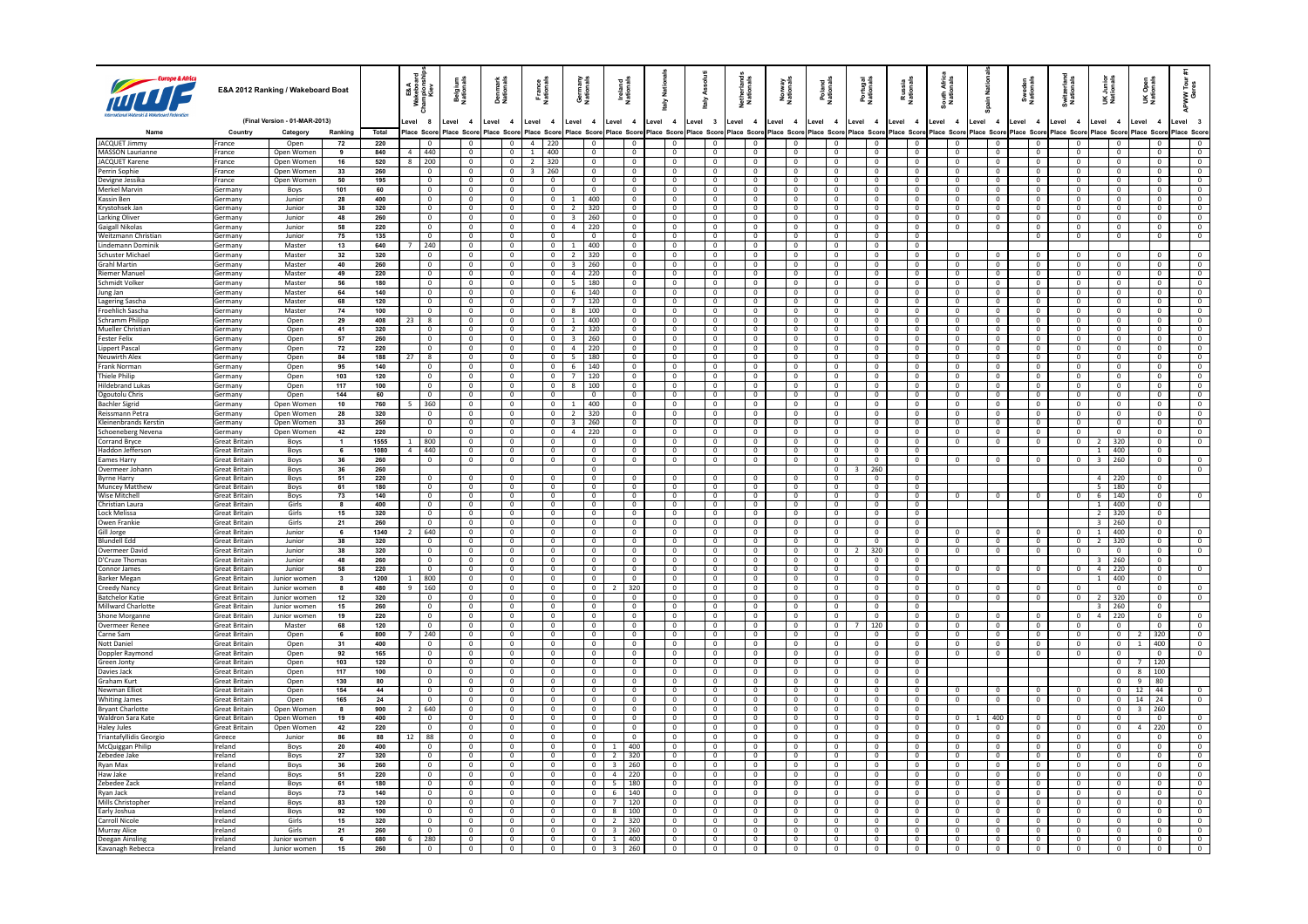|                                               |                                              | E&A 2012 Ranking / Wakeboard Boat |                               |             | 요요<br>보호들을<br>ya ≋                      | Belgium<br>Nationals | Denmark<br>Nationals             |                                  | France<br>Nationals                       | Germany<br>Nationals                      |                                                | Ireland<br>National              | taly Nati                                 | š<br>aiv                                  | Netherland<br>Nationals          | Norway<br>Nationals |                                  | Poland<br>Nationals                  | Portugal<br>Nationals                | Russia<br>Nationals              | South Afric<br>Nationals         | ain Nati                         | Sweden<br>Nationals |                                  | Switzerlan<br>Nationals          | UK Junior<br>Nationals       |                                  | Open<br>ionals<br>ŠË                       | APWW Tour<br>Geres               |
|-----------------------------------------------|----------------------------------------------|-----------------------------------|-------------------------------|-------------|-----------------------------------------|----------------------|----------------------------------|----------------------------------|-------------------------------------------|-------------------------------------------|------------------------------------------------|----------------------------------|-------------------------------------------|-------------------------------------------|----------------------------------|---------------------|----------------------------------|--------------------------------------|--------------------------------------|----------------------------------|----------------------------------|----------------------------------|---------------------|----------------------------------|----------------------------------|------------------------------|----------------------------------|--------------------------------------------|----------------------------------|
|                                               |                                              | (Final Version - 01-MAR-2013)     |                               |             | evel 8                                  | Level 4              | Level 4                          |                                  | Level 4                                   | Level 4                                   |                                                | Level 4                          | Level 4                                   | Level 3                                   | Level 4                          | Level 4             |                                  | Level 4                              | Level 4                              | Level 4                          | Level 4                          | Level 4                          | Level 4             |                                  | Level 4                          | Level 4                      |                                  | Level<br>$\overline{\mathbf{4}}$           | Level 3                          |
|                                               | Country                                      | Category                          | Ranking                       | Total       | lace Score                              | Place Score          | lace Score                       |                                  | Place Score                               | Place Score                               |                                                | Place Score                      | lace Score                                | Place Score                               | lace Score                       | Place Score         |                                  | Place Score                          | Place Score                          | Place Score                      | Place Score                      | Place Score                      |                     | lace Score                       | lace Scor                        |                              | lace Score                       | lace Scon                                  | Place Score                      |
| JACQUET Jimmy                                 | France                                       | Open                              | 72                            | 220         |                                         |                      | $^{\circ}$                       | $\mathbf 0$                      | $4 \mid 220$                              |                                           |                                                | $\overline{0}$                   |                                           |                                           |                                  |                     |                                  |                                      |                                      |                                  |                                  | $\mathbf{0}$                     |                     |                                  |                                  |                              |                                  |                                            | $\overline{0}$                   |
| MASSON Laurianne<br>JACQUET Karene            | France<br>France                             | Open Women<br>Open Women          | 9<br>16                       | 840<br>520  | $\overline{a}$<br>1440<br>200<br>8      |                      | $\overline{0}$<br>$\overline{0}$ | $\overline{0}$<br>$\overline{0}$ | 1 400<br>$2 \mid 320$                     |                                           | $\Omega$<br>$\overline{\phantom{0}}$           | $\overline{0}$<br>$\overline{0}$ | $\overline{0}$<br>$\overline{\mathbf{0}}$ | $\overline{0}$<br>$\overline{0}$          | $\Omega$<br>$\overline{0}$       |                     | $\mathbf{0}$<br>$\mathbf{0}$     | $\Omega$<br>$\overline{0}$           | $\Omega$<br>$\overline{0}$           | $\Omega$<br>$\overline{0}$       | $\overline{0}$<br>$\overline{0}$ | $\overline{0}$<br>$\overline{0}$ |                     | $\overline{0}$<br>$\overline{0}$ | $\overline{0}$<br>$\overline{0}$ |                              | $\Omega$<br>$\overline{0}$       | $\Omega$<br>$^{\circ}$                     | $\overline{0}$<br>$\overline{0}$ |
| Perrin Sophie                                 | France                                       | Open Women                        | 33                            | 260         | $\overline{0}$                          |                      | $\mathbf{0}$                     | $\overline{0}$                   | $3 \mid 260$                              |                                           | $\Omega$                                       | $\Omega$                         | $\overline{0}$                            | $\mathbf 0$                               | $\Omega$                         |                     | $\Omega$                         | $\Omega$                             | $\Omega$                             | $\Omega$                         | $\overline{0}$                   | $\overline{\mathbf{0}}$          |                     | $\mathbf 0$                      | $\Omega$                         |                              | $\overline{0}$                   | $\Omega$                                   | $\overline{0}$                   |
| Devigne Jessika                               | France                                       | Open Women                        | 50                            | 195         | $\overline{0}$                          |                      | $\overline{0}$                   | $\mathbf{0}$                     | $\overline{0}$                            |                                           | $\mathbf{0}$                                   | $\overline{0}$                   | $\overline{0}$                            | $\overline{0}$                            | $\overline{0}$                   |                     | $\mathbf{0}$                     | $\overline{0}$                       | $^{\circ}$                           | $\overline{0}$                   | $\mathbf{0}$                     | $\overline{\mathbf{0}}$          |                     | $\overline{0}$                   | $\mathbf{0}$                     |                              | $\mathbf{0}$                     | $^{\circ}$                                 | $\mathbf{0}$                     |
| Merkel Marvin                                 | Germany                                      | Boys                              | 101                           | 60          | $\overline{0}$                          |                      | $\overline{0}$                   | $\overline{0}$                   | $\overline{\mathbf{0}}$                   |                                           | $\overline{0}$                                 | $\overline{0}$                   | $\overline{0}$                            | $\mathbf 0$                               | $\Omega$                         |                     | $\mathbf{0}$                     | $\Omega$                             | $\mathbf{0}$                         | $\overline{0}$                   | $\overline{0}$                   | $\overline{\mathbf{0}}$          |                     | $\overline{0}$                   | $\overline{0}$                   |                              | $\mathbf{0}$                     | $\mathbf{0}$                               | $\overline{0}$                   |
| Kassin Ben                                    | Germany                                      | Junior                            | 28                            | 400         | $\overline{\phantom{0}}$                |                      | $\overline{0}$                   | $\overline{0}$                   | $\overline{0}$                            | -1                                        | 400                                            | $\overline{0}$                   | $\overline{0}$                            | $\overline{0}$                            | $\overline{\phantom{a}}$         |                     | $\overline{0}$                   | $\overline{0}$                       | $\overline{0}$                       | $\overline{0}$                   | $\overline{0}$                   | $\overline{0}$                   |                     | $\overline{0}$                   | $\overline{0}$                   |                              | $\overline{\phantom{0}}$         | $\overline{0}$                             | $\overline{\phantom{a}}$         |
| Krystohsek Jan<br>Larking Oliver              | Germany<br>Germany                           | Junior<br>Junior                  | 38<br>48                      | 320<br>260  | $\overline{0}$<br>$\mathbf{0}$          |                      | $\mathbf{0}$<br>$\overline{0}$   | $\overline{0}$<br>$\overline{0}$ | $\overline{0}$<br>$\overline{0}$          | $\overline{2}$<br>$\overline{\mathbf{3}}$ | 320<br>260                                     | $\overline{0}$<br>$\overline{0}$ | $\overline{0}$<br>$\overline{0}$          | $\overline{0}$<br>$\overline{0}$          | $\Omega$<br>$\mathbf{0}$         |                     | $\mathbf{0}$<br>$\mathbf{0}$     | $\overline{0}$<br>$\overline{0}$     | $\mathbf{0}$<br>$^{\circ}$           | $\overline{0}$<br>$\overline{0}$ | $\overline{0}$<br>$\mathbf{0}$   | $\overline{0}$<br>$\overline{0}$ |                     | $\overline{0}$<br>$\mathbf{0}$   | $\overline{0}$<br>$\overline{0}$ |                              | $\overline{0}$<br>$\overline{0}$ | $\overline{0}$<br>$\overline{0}$           | $\overline{0}$<br>$\overline{0}$ |
| <b>Gaigall Nikolas</b>                        | Germany                                      | Junior                            | 58                            | 220         | $\overline{0}$                          |                      | $\overline{0}$                   | $\overline{0}$                   | $\overline{0}$                            | $\overline{4}$                            | 220                                            | $\overline{0}$                   | $\overline{0}$                            | $\mathbf 0$                               | $\circ$                          |                     | $\mathbf 0$                      | $\overline{0}$                       | $\mathbb O$                          | $\overline{0}$                   | $\mathbf{0}$                     | $\mathbf 0$                      |                     | $\mathbf 0$                      | $\circ$                          |                              | $\mathbf{0}$                     | $\mathbf 0$                                | $\overline{0}$                   |
| Weitzmann Christian                           | Germany                                      | Junior                            | 75                            | 135         | $\overline{0}$                          |                      | $\overline{0}$                   | $\overline{0}$                   | $\overline{0}$                            |                                           | $\overline{0}$                                 | $\overline{0}$                   | $\overline{0}$                            | $\overline{0}$                            | $\overline{0}$                   |                     | $\overline{0}$                   | $\overline{0}$                       | $\overline{0}$                       | $\overline{0}$                   |                                  |                                  |                     | $\overline{0}$                   | $\overline{0}$                   |                              | $\overline{0}$                   | $\overline{0}$                             | $\overline{0}$                   |
| Lindemann Dominik                             | Germany                                      | Master                            | 13                            | 640         | 240                                     |                      | $\overline{0}$                   | $\overline{0}$                   | $\overline{0}$                            | $\mathbf{1}$                              | 1400                                           | $\overline{0}$                   | $\overline{0}$                            | $\mathbf 0$                               | $\circ$                          |                     | $\mathbf{0}$                     | $\mathbf{0}$                         | $\mathbf 0$                          | $\overline{0}$                   |                                  |                                  |                     |                                  |                                  |                              |                                  |                                            |                                  |
| Schuster Michael                              | Germany                                      | Master                            | 32                            | 320         | $\Omega$                                |                      | $\Omega$                         | $\Omega$                         | $\sqrt{2}$                                | $2 \times 320$                            |                                                | $\Omega$                         | $\Omega$                                  | $\Omega$                                  | $\Omega$                         |                     | $\Omega$                         | $\Omega$                             | $\Omega$                             | $\Omega$                         | $\Omega$                         | $\Omega$                         |                     | $\Omega$                         | $\Omega$                         |                              | $\Omega$                         | $\Omega$                                   | $\Omega$                         |
| <b>Grahl Martin</b><br><b>Riemer Manuel</b>   | Germany                                      | Master<br>Master                  | 40<br>49                      | 260<br>220  | $\mathbf 0$<br>$\Omega$                 |                      | $\mathbf{0}$<br>$\overline{0}$   | $\overline{0}$                   | $\overline{0}$<br>$\Omega$                | $\overline{\mathbf{3}}$<br>4 220          | 260                                            | $\overline{0}$<br>$\overline{0}$ | $\overline{0}$<br>$\overline{0}$          | $\mathbf 0$                               | $\overline{0}$<br>$\Omega$       |                     | $\mathbf 0$<br>$\overline{0}$    | $\mathbf{0}$<br>$\Omega$             | $\mathbf 0$<br>$\Omega$              | $\overline{0}$<br>$\Omega$       | $\mathbf{0}$                     | $\mathbf 0$                      |                     | $\mathbf 0$<br>$\Omega$          | $\mathbf 0$<br>$\Omega$          |                              | $\overline{0}$<br>$\Omega$       | $\mathbf{0}$<br>$\Omega$                   | $\overline{0}$<br>$\Omega$       |
| Schmidt Volker                                | Germany<br>Germany                           | Master                            | 56                            | 180         | $\overline{0}$                          |                      | $\overline{0}$                   | $\overline{0}$<br>$\overline{0}$ | $\overline{0}$                            | 5 180                                     |                                                | $\overline{0}$                   | $\overline{0}$                            | $\overline{0}$<br>$\overline{0}$          | $\overline{0}$                   |                     | $\overline{0}$                   | $\mathbf{0}$                         | $\mathbf{0}$                         | $\overline{0}$                   | $\overline{0}$<br>$\mathbf{0}$   | $\overline{0}$<br>$\overline{0}$ |                     | $\overline{0}$                   | $\circ$                          |                              | $\overline{0}$                   | $\overline{0}$                             | $\overline{0}$                   |
| Jung Jan                                      | Germany                                      | Master                            | 64                            | 140         | $\overline{0}$                          |                      | $\overline{0}$                   | $\overline{0}$                   | $\overline{0}$                            | 6 140                                     |                                                | $\overline{0}$                   | $\mathbf{0}$                              | $\overline{0}$                            | $\Omega$                         |                     | $\mathbf{0}$                     | $\Omega$                             | $^{\circ}$                           | $\Omega$                         | $\mathbf{0}$                     | $\overline{0}$                   |                     | $\mathbf{0}$                     | $\overline{0}$                   |                              | $\overline{0}$                   | $\Omega$                                   | $\Omega$                         |
| Lagering Sascha                               | Germany                                      | Master                            | 68                            | 120         | $\overline{0}$                          |                      | $\overline{0}$                   | $\mathbf 0$                      | $\overline{0}$                            | $7\overline{ }$                           | 120                                            | $\overline{0}$                   | $\overline{0}$                            | $\mathbf 0$                               | $\mathbf 0$                      |                     | $\mathbf 0$                      | $^{\circ}$                           | $\mathbf 0$                          | $\mathbf{0}$                     | $\mathbf{0}$                     | $\overline{\mathbf{0}}$          |                     | $\mathbf 0$                      | $\mathbf 0$                      |                              | $\mathbf 0$                      | $\mathbf 0$                                | $\mathbf{0}$                     |
| Froehlich Sascha                              | Germany                                      | Master                            | 74                            | 100         | $\overline{0}$                          |                      | $\mathbf{0}$                     | $\overline{0}$                   | $\overline{0}$                            | 8 100                                     |                                                | $\mathbf{0}$                     | $\overline{0}$                            | $\mathbf 0$                               | $\Omega$                         |                     | $\mathbf{0}$                     | $\Omega$                             | $\overline{0}$                       | $\overline{0}$                   | $\mathbf{0}$                     | $\overline{\mathbf{0}}$          |                     | $\overline{0}$                   | $\overline{0}$                   |                              | $\Omega$                         | $\overline{0}$                             | $\overline{0}$                   |
| <b>Schramm Philipp</b>                        | Germany                                      | Open                              | 29                            | 408         | $\overline{\mathbf{8}}$<br>23           |                      | $\overline{0}$                   | $\overline{0}$                   | $\overline{0}$                            | $1 400$                                   |                                                | $\overline{0}$                   | $\overline{0}$                            | $\mathbf 0$                               | $\overline{0}$                   |                     | $\mathbf 0$                      | $\overline{0}$                       | $\mathbf 0$                          | $\overline{0}$                   | $\overline{0}$                   | $\overline{0}$                   |                     | $\overline{0}$                   | $\overline{0}$                   |                              | $\overline{0}$                   | $\Omega$                                   | $\overline{\phantom{0}}$         |
| Mueller Christian<br><b>Fester Felix</b>      | Germany<br>Germany                           | Open<br>Open                      | 41<br>57                      | 320<br>260  | $\overline{0}$<br>$\overline{0}$        |                      | $\overline{0}$<br>$\overline{0}$ | $\overline{0}$<br>$\mathbf{0}$   | $\overline{0}$<br>$\overline{0}$          | 2 320<br>$3-1$                            | 260                                            | $\overline{0}$<br>$\overline{0}$ | $\overline{0}$<br>$\overline{0}$          | $\overline{0}$<br>$\overline{0}$          | $\Omega$<br>$\overline{0}$       |                     | $\Omega$<br>$\overline{0}$       | $\Omega$<br>$\mathbf{0}$             | $\Omega$<br>$^{\circ}$               | $\Omega$<br>$\overline{0}$       | $\overline{0}$<br>$\mathbf{0}$   | $\overline{0}$<br>$\overline{0}$ |                     | $\mathbf{0}$<br>$\overline{0}$   | $\Omega$<br>$\overline{0}$       |                              | $\overline{0}$<br>$\overline{0}$ | $\Omega$<br>$\overline{0}$                 | $\Omega$<br>$\overline{0}$       |
| <b>Lippert Pasca</b>                          | Germany                                      | Oper                              | 72                            | 220         | $\overline{0}$                          |                      | $\overline{0}$                   | $\overline{0}$                   | $\overline{0}$                            | $\overline{a}$                            | 1220                                           | $\overline{0}$                   | $\overline{0}$                            | $\mathbf 0$                               | $\overline{0}$                   |                     | $\mathbf 0$                      | $\Omega$                             | $^{\circ}$                           | $\overline{0}$                   | $\mathbf{0}$                     | $\overline{0}$                   |                     | $\overline{0}$                   | $\overline{0}$                   |                              | $^{\circ}$                       | $\mathbf 0$                                | $\Omega$                         |
| Neuwirth Alex                                 | Germany                                      | Open                              | 84                            | 188         | $\overline{\mathbf{8}}$<br>27           |                      | $\overline{0}$                   | $\overline{0}$                   | $\overline{0}$                            | $5 - 180$                                 |                                                | $\overline{0}$                   | $\overline{0}$                            | $\overline{0}$                            | $\overline{\phantom{0}}$         |                     | $\overline{0}$                   | $\overline{0}$                       | $\overline{0}$                       | $\overline{0}$                   | $\overline{0}$                   | $\overline{0}$                   |                     | $\overline{0}$                   | $\overline{0}$                   |                              | $\overline{0}$                   | $\overline{0}$                             | $\overline{0}$                   |
| Frank Norman                                  | Germany                                      | Open                              | 95                            | 140         | $\overline{0}$                          |                      | $\overline{0}$                   | $\overline{0}$                   | $\overline{0}$                            | 6 140                                     |                                                | $\overline{0}$                   | $\overline{0}$                            | $\mathbf 0$                               | $\overline{0}$                   |                     | $\mathbf{0}$                     | $\mathbf{0}$                         | $\overline{0}$                       | $\overline{0}$                   | $\overline{0}$                   | $\overline{0}$                   |                     | $\overline{0}$                   | $\overline{0}$                   |                              | $\overline{0}$                   | $\overline{0}$                             | $\overline{0}$                   |
| Thiele Philip                                 | Germany                                      | Open                              | 103                           | 120         | $\circ$                                 |                      | $\overline{0}$                   | $\overline{0}$                   | $\overline{0}$                            | $7^{\circ}$                               | 120                                            | $\overline{0}$                   | $\overline{0}$                            | $\overline{0}$                            | $\mathbf{0}$                     |                     | $\mathbf{0}$                     | $\mathbf{0}$                         | $^{\circ}$                           | $\overline{0}$                   | $\mathbf{0}$                     | $\overline{0}$                   |                     | $\mathbf{0}$                     | $\overline{0}$                   |                              | $^{\circ}$                       | $\mathbf{0}$                               | $\mathbf{0}$                     |
| <b>Hildebrand Lukas</b><br>Ogoutolu Chris     | Germany<br>Germany                           | Open<br>Open                      | 117<br>144                    | 100<br>60   | $\mathbf 0$<br>$\overline{0}$           |                      | $\overline{0}$<br>$\Omega$       | $\mathbf{0}$<br>$\overline{0}$   | $\overline{0}$<br>$\sqrt{2}$              | 8                                         | 100<br>$\Omega$                                | $\overline{0}$<br>$\sqrt{2}$     | $\overline{0}$<br>$\overline{0}$          | $\mathbf 0$<br>$\Omega$                   | $\mathbf 0$<br>$\sqrt{2}$        |                     | $\mathsf 0$<br>$\overline{0}$    | $\mathbf 0$<br>$\overline{0}$        | $\overline{0}$<br>$\Omega$           | $\overline{0}$<br>$\sqrt{2}$     | $\mathsf 0$<br>$\sqrt{2}$        | $\overline{0}$<br>$\sqrt{2}$     |                     | $\mathbf 0$<br>$\Omega$          | $\mathbf 0$<br>$\Omega$          |                              | $\overline{0}$<br>$\overline{0}$ | $\mathbf 0$<br>$\Omega$                    | $\overline{0}$<br>$\Omega$       |
| <b>Bachler Sigrid</b>                         | Germany                                      | Open Women                        | 10                            | 760         | 360                                     |                      | $\overline{0}$                   | $\overline{0}$                   | $\overline{0}$                            | $\mathbf{1}$                              | 400                                            | $\overline{0}$                   | $\overline{0}$                            | $\overline{0}$                            | $\overline{0}$                   |                     | $\mathbf{0}$                     | $\overline{0}$                       | $\overline{0}$                       | $\mathbf{0}$                     | $\overline{0}$                   | $\overline{0}$                   |                     | $\overline{0}$                   | $\overline{0}$                   |                              | $\overline{0}$                   | $\Omega$                                   | $\overline{0}$                   |
| <b>Reissmann Petra</b>                        | Germany                                      | Onen Women                        | 28                            | 320         | $\overline{0}$                          |                      | $\Omega$                         | $\Omega$                         | $\sqrt{2}$                                | $\overline{z}$                            | 320                                            | $\Omega$                         | $\overline{0}$                            | $\Omega$                                  | $\Omega$                         |                     | $\Omega$                         | $\Omega$                             | $\Omega$                             | $\Omega$                         | $\Omega$                         | $\Omega$                         |                     | $\mathbf{0}$                     | $\Omega$                         |                              | $\Omega$                         | $\Omega$                                   | $\Omega$                         |
| Kleinenbrands Kerstin                         | Germany                                      | Open Women                        | 33                            | 260         | $\mathbf 0$                             |                      | $\mathbf 0$                      | $\mathbf 0$                      | $\overline{0}$                            | $\overline{\mathbf{3}}$                   | 260                                            | $\overline{0}$                   | $\overline{0}$                            | $^{\circ}$                                | $\overline{0}$                   |                     | $\mathbf{0}$                     |                                      | $\mathbf 0$                          | $\overline{0}$                   | $\mathbf 0$                      | $\overline{0}$                   |                     | $\overline{0}$                   | $\overline{0}$                   |                              | $\overline{0}$                   | $\mathbf 0$                                | $\overline{0}$                   |
| Schoeneberg Nevena                            | Germany                                      | Open Women                        | 42                            | 220         | $\sqrt{2}$                              |                      | $\overline{0}$                   | $\overline{0}$                   | $\overline{0}$                            | $\overline{a}$                            | 220                                            | $\mathbf{0}$                     | $\overline{0}$                            | $\overline{0}$                            | $\Omega$                         |                     | $\mathbf{0}$                     | $\Omega$                             | $\Omega$                             | $\Omega$                         | $\overline{0}$                   | $\overline{0}$                   |                     | $\Omega$                         | $\Omega$                         |                              | $\Omega$                         | $\Omega$                                   | $\Omega$                         |
| <b>Corrand Bryce</b>                          | <b>Great Britain</b>                         | Boys                              | $\mathbf{1}$                  | 1555        | 800                                     |                      | $\overline{0}$                   | $\overline{0}$                   | $\overline{0}$                            |                                           | $\overline{0}$                                 | $\overline{0}$                   | $\overline{0}$                            | $\overline{0}$                            | $\overline{0}$                   |                     | $\overline{0}$                   | $\overline{0}$                       | $\overline{0}$                       | $\overline{0}$                   | $\circ$                          | $\overline{0}$                   |                     | $\circ$                          | $\mathbf 0$                      | $2^{\circ}$<br>$1 \mid 400$  | 320                              | $\overline{0}$                             | $\overline{0}$                   |
| Haddon Jeffersor<br>Eames Harry               | <b>Great Britain</b><br>Great Britain        | Boys<br>Boys                      | 6<br>36                       | 1080<br>260 | 440<br>$\overline{a}$<br>$\overline{0}$ |                      | $\overline{0}$<br>$\overline{0}$ | $\overline{0}$<br>$\overline{0}$ | $\overline{0}$<br>$\overline{\mathbf{0}}$ |                                           | $\overline{0}$<br>$\mathbf 0$                  | $\mathbf{0}$<br>$\overline{0}$   | $\mathbf{0}$<br>$\overline{0}$            | $\overline{0}$<br>$\overline{0}$          | $\mathbf{0}$<br>$\overline{0}$   |                     | $\mathbf{0}$<br>$\overline{0}$   | $\mathbf{0}$<br>$\overline{0}$       | $\mathbf{0}$<br>$\mathbf 0$          | $\overline{0}$<br>$\overline{0}$ | $\mathbf 0$                      | $\overline{0}$                   |                     | $\overline{0}$                   | $\overline{0}$                   |                              | $3 \mid 260$                     | $\overline{0}$<br>$\mathbf 0$              | $\overline{0}$                   |
| Overmeer Johan                                | <b>Great Britain</b>                         | Boys                              | 36                            | 260         |                                         |                      |                                  |                                  |                                           |                                           | $\sqrt{2}$                                     |                                  |                                           |                                           |                                  |                     |                                  | $\overline{0}$                       | 260                                  |                                  |                                  |                                  |                     |                                  |                                  |                              |                                  |                                            | $\circ$                          |
| <b>Byrne Harry</b>                            | <b>Great Britain</b>                         | Boys                              | 51                            | 220         | $\overline{0}$                          |                      | $\overline{0}$                   | $\overline{0}$                   | $\overline{0}$                            |                                           | $\overline{0}$                                 | $\overline{0}$                   | $\overline{0}$                            | $\overline{0}$                            | $\overline{0}$                   |                     | $\overline{0}$                   | $\overline{0}$                       | $\overline{0}$                       |                                  |                                  |                                  |                     |                                  |                                  | $4 \mid 220$                 |                                  |                                            |                                  |
| <b>Muncey Matthew</b>                         | Great Britain                                | Boys                              | 61                            | 180         | $\overline{0}$                          |                      | $\overline{0}$                   | $\overline{0}$                   | $\overline{0}$                            |                                           | $\overline{0}$                                 | $\overline{0}$                   | $\overline{0}$                            | $\overline{0}$                            | $\overline{0}$                   |                     | $\overline{0}$                   | $\mathbf{0}$                         | $^{\circ}$                           | $\Omega$                         |                                  |                                  |                     |                                  |                                  | $5 \mid 180$                 |                                  | $\overline{0}$                             |                                  |
| Wise Mitchell<br>Christian Laura              | <b>Great Britain</b><br><b>Great Britain</b> | Boys<br>Girls                     | 73<br>$\overline{\mathbf{8}}$ | 140<br>400  | $\Omega$<br>$\overline{0}$              |                      | $\overline{0}$<br>$\overline{0}$ | $\overline{0}$<br>$\overline{0}$ | $\overline{0}$<br>$\overline{0}$          |                                           | $\Omega$<br>$\overline{0}$                     | $\overline{0}$<br>$\overline{0}$ | $\overline{0}$<br>$\overline{0}$          | $\overline{0}$<br>$\overline{\mathbf{0}}$ | $\Omega$<br>$\overline{0}$       |                     | $\overline{0}$<br>$\overline{0}$ | $\Omega$<br>$\overline{\phantom{a}}$ | $\Omega$<br>$\overline{\phantom{a}}$ | $\Omega$<br>$\overline{0}$       | $\mathbf 0$                      | $\mathbf{0}$                     |                     | $\overline{0}$                   | $\Omega$                         | 6   140<br>$1 \mid 400$      |                                  | $\overline{0}$<br>$\overline{\phantom{a}}$ |                                  |
| Lock Melissa                                  | <b>Great Britain</b>                         | Girls                             | 15                            | 320         | $\mathbf{0}$                            |                      | $\Omega$                         | $\Omega$                         | $\Omega$                                  |                                           | $\Omega$                                       | $\Omega$                         | $\overline{0}$                            | $\Omega$                                  | $\Omega$                         |                     | $\Omega$                         | $\Omega$                             | $\Omega$                             | $\Omega$                         |                                  |                                  |                     |                                  |                                  | $2 \overline{320}$           |                                  | $\Omega$                                   |                                  |
| Owen Franki                                   | reat Britain                                 | Girls                             | 21                            | 260         | $\mathbf{0}$                            |                      | $\mathbf{0}$                     | $\mathbf{0}$                     | $\overline{0}$                            |                                           | $\mathbf 0$                                    | $\mathbf{0}$                     | $\mathbf 0$                               | $\mathbf 0$                               | $\mathbf 0$                      |                     | $\mathbf 0$                      | $\mathbf{0}$                         | $\mathbf 0$                          | $\mathbf{0}$                     |                                  |                                  |                     |                                  |                                  | $\overline{3}$               | 260                              | $\mathbf 0$                                |                                  |
| Gill Jorge                                    | <b>Great Britain</b>                         | Junior                            | 6                             | 1340        | 640                                     |                      | $\overline{0}$                   | $\overline{0}$                   | $\overline{0}$                            |                                           | $\Omega$                                       | $\mathbf{0}$                     | $\overline{0}$                            | $\Omega$                                  | $\Omega$                         |                     | $\Omega$                         | $\Omega$                             | $\Omega$                             | $\Omega$                         | $\Omega$                         | $\overline{0}$                   |                     | $\Omega$                         | $\Omega$                         | $1 \t 400$                   |                                  | $\Omega$                                   |                                  |
| <b>Blundell Edd</b>                           | Great Britain                                | Junior                            | 38                            | 320         | $\overline{0}$                          |                      | $\mathbf{0}$                     | $\overline{0}$                   | $\overline{0}$                            |                                           | $\mathbf 0$                                    | $\mathbf{0}$                     | $\overline{0}$                            | $\overline{0}$                            | $\overline{0}$                   |                     | $\mathbf 0$                      | $\mathbf{0}$                         | $\overline{0}$                       | $\overline{0}$                   | $\mathbf 0$                      | $\overline{0}$                   |                     | $\overline{0}$                   | $\mathbf{0}$                     | 2   320                      |                                  | $\overline{0}$                             | $\mathbf{0}$                     |
| Overmeer Davic<br>D'Cruze Thomas              | <b>Great Britain</b><br>ireat Britain        | Junior<br>Junior                  | 38<br>48                      | 320<br>260  | $\mathbf{0}$<br>$\overline{0}$          |                      | $\overline{0}$<br>$\overline{0}$ | $\overline{0}$<br>$\overline{0}$ | $\overline{0}$<br>$\overline{0}$          |                                           | $\Omega$<br>0                                  | $\mathbf{0}$<br>$\overline{0}$   | $\mathbf 0$<br>$\overline{0}$             | $\overline{0}$<br>$\mathbf 0$             | $\Omega$<br>$\overline{0}$       |                     | $\mathbf{0}$<br>$\overline{0}$   | $\mathbf{0}$<br>$^{\circ}$           | 320<br>0                             | $\Omega$<br>$\overline{0}$       | $\mathbf 0$                      | $\overline{0}$                   |                     | $\mathbf 0$                      | $\overline{0}$                   | $\overline{\mathbf{3}}$      | $\Omega$<br> 260                 | $\overline{0}$<br>$\mathbf 0$              | $\mathbf{0}$                     |
| Connor James                                  | <b>Great Britain</b>                         | Junior                            | 58                            | 220         | $\overline{0}$                          |                      | $\overline{0}$                   | $\mathbf 0$                      | $\overline{\mathbf{0}}$                   |                                           | $\mathbf{0}$                                   | $\overline{0}$                   | $\overline{0}$                            | $\mathbf 0$                               | $\Omega$                         |                     | $\,0\,$                          | $\Omega$                             | $\mathbf{0}$                         | $\overline{0}$                   | $\mathbf 0$                      | $\overline{\mathbf{0}}$          |                     | $\mathbf 0$                      | $\,$ 0                           | $4 \mid 220$                 |                                  | $\mathbf{0}$                               | $\mathbf 0$                      |
| <b>Barker Megan</b>                           | <b>Great Britain</b>                         | Junior women                      | $\mathbf{3}$                  | 1200        | 800                                     |                      | $\overline{0}$                   | $\overline{0}$                   | $\overline{0}$                            |                                           | $\overline{0}$                                 | $\overline{0}$                   | $\overline{0}$                            | $\mathbf 0$                               | $\overline{\phantom{0}}$         |                     | $\mathbf 0$                      | $\overline{0}$                       | $\overline{\mathbf{0}}$              | $\overline{0}$                   |                                  |                                  |                     |                                  |                                  |                              | $1 \mid 400$                     | $\mathbf 0$                                |                                  |
| Creedy Nancy                                  | <b>Great Britain</b>                         | Junior women                      | 8                             | 480         | 160<br>-9                               |                      | $\mathbf{0}$                     | $\overline{0}$                   | $\overline{\mathbf{0}}$                   |                                           | $\overline{0}$<br>$\overline{z}$               | 320                              | $\overline{0}$                            | $\overline{0}$                            | $\Omega$                         |                     | $\mathbf{0}$                     | $\overline{0}$                       | $\overline{0}$                       | $\overline{0}$                   | $\overline{0}$                   | $\overline{0}$                   |                     | $\overline{0}$                   | $\Omega$                         |                              | $\overline{0}$                   | $\overline{0}$                             | $\mathbf{0}$                     |
| <b>Batchelor Katie</b>                        | Great Britain                                | Junior women                      | 12                            | 320         | $\mathbf{0}$                            |                      | $\mathbf{0}$                     | $\mathbf{0}$                     | $\overline{0}$                            |                                           | $\mathbf 0$                                    | $\mathbf{0}$                     | $\overline{0}$                            | $\overline{0}$                            | $\mathbf{0}$                     |                     | $\mathbf{0}$                     | $\overline{0}$                       | $^{\circ}$                           | $\overline{0}$                   | $\mathbf{0}$                     | $\overline{0}$                   |                     | $\overline{0}$                   | $\mathbf{0}$                     |                              | $2 \mid 320$                     | $\overline{0}$                             | $\overline{0}$                   |
| Millward Charlotte<br>Shone Morganne          | <b>Great Britain</b><br><b>Great Britain</b> | Junior women<br>Junior women      | 15<br>19                      | 260<br>220  | $\overline{0}$<br>$\overline{0}$        |                      | $\mathbf{0}$<br>$\mathbf{0}$     | $\overline{0}$<br>$\overline{0}$ | $\overline{0}$<br>$\overline{0}$          |                                           | $\mathbf{0}$<br>$\overline{0}$                 | $\overline{0}$<br>$\overline{0}$ | $\overline{0}$<br>$\overline{0}$          | $\mathbf 0$<br>$\overline{0}$             | $\overline{0}$<br>$\overline{0}$ |                     | $\mathbf 0$<br>$\mathbf{0}$      | $\mathbf{0}$<br>$\overline{0}$       | $\mathbf{0}$<br>$\overline{0}$       | $\overline{0}$<br>$\overline{0}$ | $^{\circ}$                       | $\overline{0}$                   |                     | $\overline{0}$                   | $\overline{0}$                   | $3 \mid 260$<br>$4 \mid 220$ |                                  | $\mathbf 0$<br>$\overline{0}$              | $\Omega$                         |
| Overmeer Renee                                | <b>Great Britain</b>                         | Master                            | 68                            | 120         | $\mathbf{0}$                            |                      | $\overline{0}$                   | $\overline{0}$                   | $\overline{0}$                            |                                           | $\mathbf{0}$                                   | $\overline{0}$                   | $\overline{0}$                            | $\mathbf 0$                               | $\mathbf{0}$                     |                     | $\mathbf{0}$                     | $\overline{0}$                       | 120                                  | $\overline{0}$                   | $\mathbf{0}$                     | $\mathbf{0}$                     |                     | $\mathbf{0}$                     | $\mathbf{0}$                     |                              | $^{\circ}$                       | $\Omega$                                   | $\overline{0}$                   |
| Carne Sam                                     | <b>Great Britain</b>                         | Open                              | 6                             | 800         | 240                                     |                      | $\overline{0}$                   | $\mathbf{0}$                     | $\overline{0}$                            |                                           | $^{\circ}$                                     | $\overline{0}$                   | $\overline{0}$                            | $\overline{0}$                            | $\mathbf{0}$                     |                     | $\overline{0}$                   | $\overline{0}$                       | $^{\circ}$                           | $\overline{0}$                   | $\mathbf{0}$                     | $\overline{0}$                   |                     | $\mathbf{0}$                     | $\overline{0}$                   |                              | $\overline{0}$                   | 320<br><sup>2</sup>                        | $\overline{0}$                   |
| Nott Danie                                    | ireat Britain                                | Open                              | 31                            | 400         | $\overline{0}$                          |                      | $\,$ 0                           | $\mathbf{0}$                     | $\overline{0}$                            |                                           | $\mathbf 0$                                    | $\overline{0}$                   | $\overline{0}$                            | $\mathbf 0$                               | $\circ$                          |                     | $\,0\,$                          | $\mathbf 0$                          | $\mathbf 0$                          | $\mathbf{0}$                     | $\circ$                          | $\overline{\mathbf{0}}$          |                     | $\mathbf 0$                      | $\mathbb O$                      |                              | $\mathbf{0}$                     | 400<br>$\mathbf{1}$                        | $\mathbf 0$                      |
| Doppler Raymond                               | <b>Great Britain</b>                         | Onen                              | 92                            | 165         | $\Omega$                                |                      | $\Omega$                         | $\Omega$                         | $\Omega$                                  |                                           | $\Omega$                                       | $\Omega$                         | $\overline{0}$                            | $\Omega$                                  | $\Omega$                         |                     | $\Omega$                         | $\Omega$                             | $\Omega$                             | $\Omega$                         | $\overline{0}$                   | $\overline{0}$                   |                     | $\Omega$                         | $\Omega$                         |                              | $\overline{0}$                   | $\Omega$                                   | $\Omega$                         |
| Green Jonty<br>Davies Jack                    | <b>Great Britain</b><br><b>Great Britain</b> | Open<br>Open                      | 103<br>117                    | 120<br>100  | $\overline{0}$<br>$\Omega$              |                      | $\overline{0}$<br>$\Omega$       | $\overline{0}$<br>$\Omega$       | $\overline{0}$<br>$\Omega$                |                                           | $\overline{0}$<br>$\Omega$                     | $\overline{0}$<br>$\Omega$       | $\overline{0}$<br>$\overline{0}$          | $\overline{0}$<br>$\Omega$                | $\overline{0}$<br>$\Omega$       |                     | $\mathbf{0}$<br>$\Omega$         | $\overline{0}$<br>$\Omega$           | $\mathbf{0}$<br>$\Omega$             | $\overline{0}$<br>$\Omega$       |                                  |                                  |                     |                                  |                                  |                              | $\mathbf{0}$<br>$\Omega$         | 120<br>8 100                               |                                  |
| Graham Kurt                                   | ireat Britain                                | Open                              | 130                           | 80          | $\mathbf{0}$                            |                      | $\mathbf 0$                      | $\mathbf{0}$                     | $\overline{0}$                            |                                           | $\mathbf 0$                                    | $\mathbf{0}$                     | $\overline{0}$                            | $\overline{0}$                            | $\mathbf{0}$                     |                     | $\mathbf 0$                      | $\mathbf{0}$                         | $\mathbf 0$                          | $\mathbf{0}$                     |                                  |                                  |                     |                                  |                                  |                              | $\mathbf{0}$                     | 9<br>80                                    |                                  |
| Newman Filio                                  | <b>Great Britain</b>                         | Open                              | 154                           | 44          | $\overline{0}$                          |                      | $\overline{0}$                   | $\overline{0}$                   | $\overline{0}$                            |                                           | $\Omega$                                       | $\mathbf{0}$                     | $\overline{0}$                            | $\overline{0}$                            | $\Omega$                         |                     | $\mathbf{0}$                     | $\Omega$                             | $\Omega$                             | $\Omega$                         | $\mathbf{0}$                     | $\overline{0}$                   |                     | $\Omega$                         | $\Omega$                         |                              | $\Omega$                         | $12$ 44                                    | $\Omega$                         |
| <b>Whiting James</b>                          | Great Britain                                | Open                              | 165                           | 24          | $\overline{0}$                          |                      | $\mathbf{0}$                     | $\overline{0}$                   | $\,$ 0                                    |                                           | $\overline{0}$                                 | $\overline{0}$                   | $\overline{0}$                            | $\overline{0}$                            | $\overline{0}$                   |                     | $\mathbf{0}$                     | $\mathbf{0}$                         | $^{\circ}$                           | $\overline{0}$                   | $\mathbf{0}$                     | $\,$ 0                           |                     | $\mathbf{0}$                     | $\mathbf{0}$                     |                              | $\mathbf{0}$                     | 14 24                                      | $\mathbf{0}$                     |
| <b>Bryant Charlotte</b>                       | <b>Great Britain</b>                         | Open Women                        | $\mathbf{R}$                  | 900         | 640                                     |                      | $\overline{0}$                   | $\overline{0}$                   | $\overline{0}$                            |                                           | $\Omega$                                       | $\mathbf{0}$                     | $\mathbf{0}$                              | $\overline{0}$                            | $\Omega$                         |                     | $\mathbf{0}$                     | $\overline{0}$                       | $^{\circ}$                           | $\Omega$                         |                                  |                                  |                     |                                  |                                  |                              | $^{\circ}$                       | $3 \mid 260$                               |                                  |
| Waldron Sara Kate                             | ireat Britain                                | Open Women<br>Open Women          | 19<br>42                      | 400<br>220  | $\overline{0}$<br>$\Omega$              |                      | $\overline{0}$<br>$\overline{0}$ | $\mathbf{0}$<br>$\overline{0}$   | $\overline{0}$<br>$\overline{0}$          |                                           | $\mathbf 0$<br>$\Omega$                        | $\overline{0}$<br>$\overline{0}$ | $\overline{0}$<br>$\overline{\mathbf{0}}$ | $\mathbf 0$<br>$\overline{0}$             | $\circ$<br>$\Omega$              |                     | $\mathbf 0$<br>$\mathbf{0}$      | $\Omega$<br>$\Omega$                 | $\mathbf 0$<br>$\Omega$              | $\overline{0}$<br>$\Omega$       | $\mathbf{0}$<br>$\overline{0}$   | 400                              |                     | $\Omega$<br>$\Omega$             | $\mathbb O$<br>$\Omega$          |                              | $\Omega$<br>$\Omega$             | $^{\circ}$                                 | $\mathbf{0}$<br>$\Omega$         |
| <b>Haley Jules</b><br>Triantafyllidis Georgio | Great Britain<br>Greece                      | Junior                            | 86                            | 88          | 88<br>12                                |                      | $\overline{0}$                   | $\overline{0}$                   | $\overline{0}$                            |                                           | $\overline{0}$                                 | $\overline{0}$                   | $\overline{0}$                            | $\overline{0}$                            | $\overline{\phantom{0}}$         |                     | $\overline{0}$                   | $\overline{0}$                       | $\overline{0}$                       | $\overline{0}$                   | $\overline{0}$                   | $\mathbf 0$<br>$\overline{0}$    |                     | $\overline{0}$                   | $\overline{0}$                   |                              | $\overline{0}$                   | $4$ 220<br>$\overline{0}$                  | $\overline{0}$                   |
| McQuiggan Philip                              | Ireland                                      | Boys                              | 20                            | 400         | $\mathbf{0}$                            |                      | $\overline{0}$                   | $\overline{0}$                   | $\overline{0}$                            |                                           | $\overline{0}$<br>$\overline{1}$               | 1400                             | $\overline{0}$                            | $\overline{0}$                            | $\Omega$                         |                     | $\mathbf{0}$                     | $\overline{0}$                       | $\mathbf{0}$                         | $\overline{0}$                   | $\overline{0}$                   | $\overline{0}$                   |                     | $\overline{0}$                   | $\overline{0}$                   |                              | $\overline{0}$                   | $\overline{0}$                             | $\Omega$                         |
| Zebedee Jake                                  | Ireland                                      | Boys                              | 27                            | 320         | $\mathbf{0}$                            |                      | $\overline{0}$                   | $\overline{0}$                   | $\overline{0}$                            |                                           | $\mathbf{0}$<br>2                              | 320                              | $\overline{0}$                            | $\overline{0}$                            | $\mathbf{0}$                     |                     | $\mathbf{0}$                     | $\mathbf{0}$                         | $\mathbf{0}$                         | $\overline{0}$                   | $\mathbf{0}$                     | $\overline{0}$                   |                     | $\mathbf{0}$                     | $\overline{0}$                   |                              | $\overline{0}$                   | $\overline{0}$                             | $\overline{0}$                   |
| Ryan Max                                      | Ireland                                      | Boys                              | 36                            | 260         | $\overline{0}$                          |                      | $\mathbf{0}$                     | $\overline{0}$                   | $\overline{0}$                            |                                           | $\overline{0}$<br>$\overline{\mathbf{3}}$      | 260                              | $\overline{0}$                            | $\mathbf 0$                               | $\mathbf 0$                      |                     | $\mathbf 0$                      | $\overline{0}$                       | $\mathbf 0$                          | $\overline{0}$                   | $\mathbf{0}$                     | $\mathbf{0}$                     |                     | $\mathbf{0}$                     | $\mathbf{0}$                     |                              | $\mathbf{0}$                     | $\mathbf 0$                                | $\overline{0}$                   |
| Haw Jake                                      | Ireland                                      | Boys                              | 51                            | 220         | $\overline{0}$                          |                      | $\overline{0}$                   | $\overline{0}$                   | $\overline{0}$                            |                                           | $\overline{0}$<br>4                            | 220                              | $\overline{0}$                            | $\overline{0}$                            | $\overline{0}$                   |                     | $\overline{0}$                   | $\overline{0}$                       | $\overline{0}$                       | $\overline{0}$                   | $\mathbf{0}$                     | $\overline{0}$                   |                     | $\overline{0}$                   | $\overline{0}$                   |                              | $\overline{0}$                   | $\overline{0}$                             | $\overline{0}$                   |
| Zebedee Zacl<br>Ryan Jack                     | Ireland<br>Ireland                           | Boys<br>Boys                      | 61<br>73                      | 180<br>140  | $\overline{0}$<br>$\Omega$              |                      | $\mathbf{0}$<br>$\Omega$         | $\mathbf{0}$<br>$\Omega$         | $\overline{0}$<br>$\Omega$                |                                           | $^{\circ}$<br>5 <sup>5</sup><br>$\Omega$<br>-6 | 180<br>140                       | $\mathbf{0}$<br>$\Omega$                  | $\mathbf 0$<br>$\Omega$                   | $\mathbf 0$<br>$\Omega$          |                     | $\mathbf 0$<br>$\Omega$          | $\mathbf{0}$<br>$\Omega$             | $\mathbf 0$<br>$\Omega$              | $\mathbf{0}$<br>$\Omega$         | $\mathbf{0}$<br>$\Omega$         | $\overline{0}$<br>$\Omega$       |                     | $\mathbf 0$<br>$\Omega$          | $\mathbf 0$<br>$\Omega$          |                              | $\overline{0}$<br>$\Omega$       | $\mathbf 0$<br>$\Omega$                    | $\overline{0}$<br>$\Omega$       |
| Mills Christophe                              | reland                                       | Boys                              | 83                            | 120         | $\mathbf{0}$                            |                      | $\mathbf{0}$                     | $\mathbf{0}$                     | $\overline{0}$                            |                                           | $\mathbf 0$<br>$7^{\circ}$                     | 120                              | $\overline{0}$                            | $\mathbf 0$                               | $\mathbf 0$                      |                     | $\mathbf 0$                      | $\Omega$                             | $\mathbf 0$                          | $\mathbf{0}$                     | $\mathbf 0$                      | $\overline{0}$                   |                     | $\mathbf 0$                      | $\mathbf 0$                      |                              | $\mathbf{0}$                     | $\mathbf 0$                                | $\mathbf{0}$                     |
| Early Joshua                                  | Ireland                                      | Boys                              | 92                            | 100         | $\Omega$                                |                      | $\Omega$                         | $\Omega$                         | $\Omega$                                  |                                           | $\Omega$                                       | 8 100                            | $\overline{0}$                            | $\Omega$                                  | $\Omega$                         |                     | $\Omega$                         | $\Omega$                             | $\Omega$                             | $\Omega$                         | $\Omega$                         | $\overline{0}$                   |                     | $\Omega$                         | $\Omega$                         |                              | $\Omega$                         | $\Omega$                                   | $\Omega$                         |
| Carroll Nicole                                | Ireland                                      | Girls                             | 15                            | 320         | $\overline{0}$                          |                      | $\mathbf{0}$                     | $\overline{0}$                   | $\overline{0}$                            |                                           | $\mathbf{0}$<br>$\overline{2}$                 | 320                              | $\overline{0}$                            | $\overline{0}$                            | $\overline{0}$                   |                     | $\mathbf{0}$                     | $\mathbf{0}$                         | $\mathbf 0$                          | $\overline{0}$                   | $\mathbf{0}$                     | $\overline{0}$                   |                     | $\overline{0}$                   | $\mathbf{0}$                     |                              | $\mathbf{0}$                     | $\mathbf{0}$                               | $\mathbf{0}$                     |
| <b>Murray Alice</b>                           | Ireland                                      | Girls                             | 21                            | 260         | $\mathbf{0}$                            |                      | $\overline{0}$                   | $\overline{0}$                   | $\overline{0}$                            |                                           | $^{\circ}$                                     | 3   260                          | $\overline{0}$                            | $\overline{0}$                            | $\Omega$                         |                     | $\mathbf{0}$                     | $\Omega$                             | $^{\circ}$                           | $\overline{0}$<br>$\mathbf{0}$   | $\mathbf{0}$                     | $\overline{0}$                   |                     | $\mathbf 0$                      | $\overline{0}$                   |                              | $^{\circ}$                       | $\overline{0}$                             | $\overline{0}$                   |
| Deegan Ainsling<br>Kavanagh Rebecca           | reland<br>Ireland                            | Junior women<br>lunior women      | 6<br>15                       | 680<br>260  | 280<br>$\bf{0}$                         |                      | $\mathbf 0$<br>$\mathbf{0}$      | $\circ$<br>$\overline{0}$        | $\overline{0}$<br>$\overline{0}$          |                                           | $\mathbf 0$<br>1<br>$\overline{0}$             | 400<br>$3 \mid 260$              | $\overline{0}$<br>$\overline{0}$          | $\mathbf 0$<br>$\mathbf 0$                | $\mathbf 0$<br>$\overline{0}$    |                     | $\mathsf 0$<br>$\mathbf{0}$      | $^{\circ}$<br>$\overline{0}$         | 0<br>$\overline{0}$                  | $\overline{0}$                   | 0<br>$\overline{0}$              | $\,$ 0<br>$\overline{0}$         |                     | $\mathbf 0$<br>$\mathbf{0}$      | $\mathbf 0$<br>$\overline{0}$    |                              | $\mathbf 0$<br>$\overline{0}$    | 0<br>$\Omega$                              | $\mathbf{0}$                     |
|                                               |                                              |                                   |                               |             |                                         |                      |                                  |                                  |                                           |                                           |                                                |                                  |                                           |                                           |                                  |                     |                                  |                                      |                                      |                                  |                                  |                                  |                     |                                  |                                  |                              |                                  |                                            |                                  |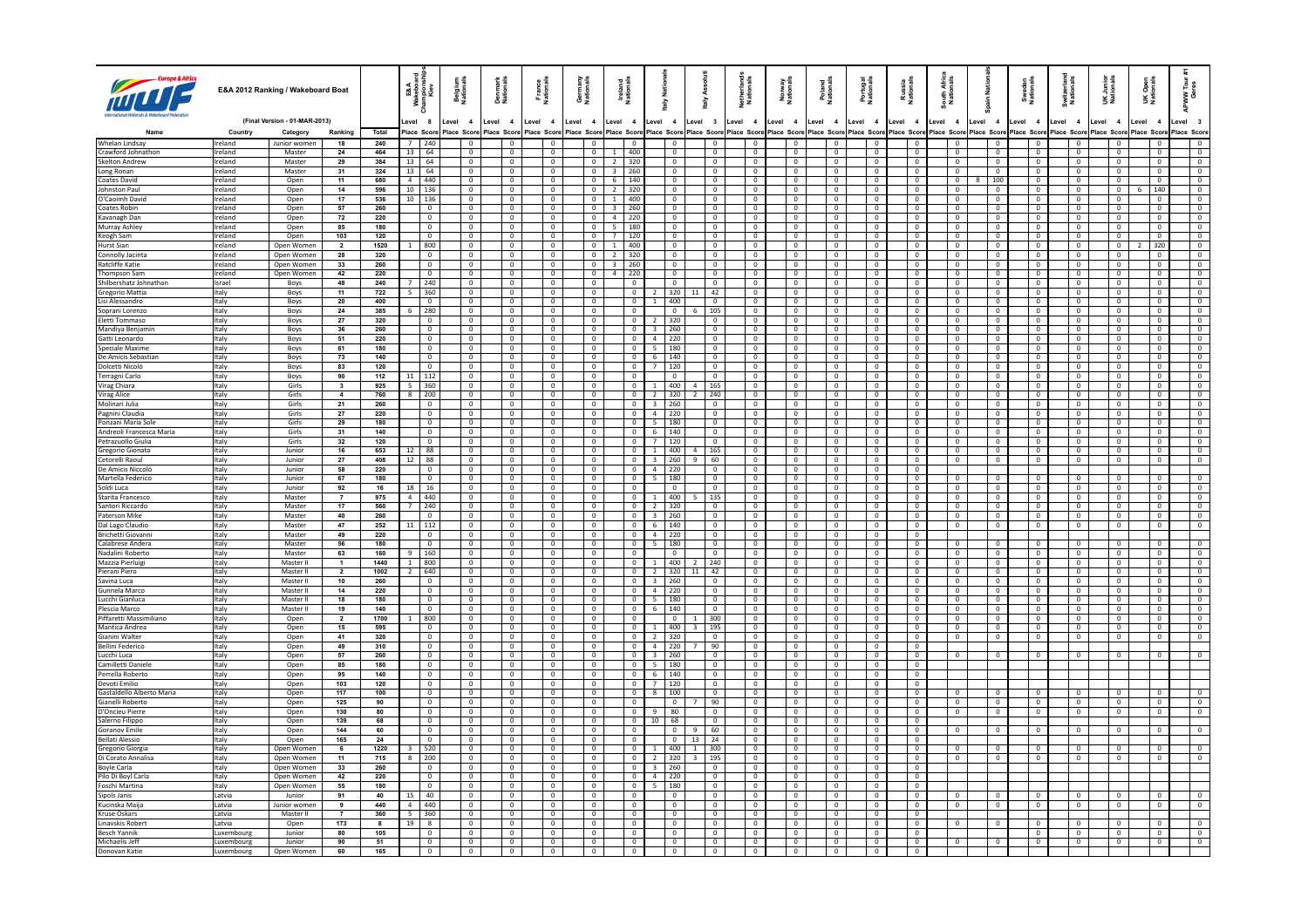|                                          |                    | E&A 2012 Ranking / Wakeboard Boat         |                      |                  | E&A<br>Mapias<br>Kiev<br>≩ ≅   | <b>Belgium</b><br>Nationals      | Denmark<br>Nationals             | France<br>Nationals              | Germany<br>Nationals                      | Ireland<br>National                        | <b>Natio</b>   | 슬                             | Ass<br>taly                               | Netherland:<br>Nationals         | Norway<br>Nationals              | Poland<br>Nationals              | Portugal<br>Nationals            | Russia<br>National               | South Afric<br>Nationals         | ain Nati                         | Sweden<br>Nationals                        | Switzerlan<br>Nationals          | UK Junior<br>Nationals           | Open<br>ionals<br>šŽ                  | ទី ខ្<br>ັ≷ື້                    |
|------------------------------------------|--------------------|-------------------------------------------|----------------------|------------------|--------------------------------|----------------------------------|----------------------------------|----------------------------------|-------------------------------------------|--------------------------------------------|----------------|-------------------------------|-------------------------------------------|----------------------------------|----------------------------------|----------------------------------|----------------------------------|----------------------------------|----------------------------------|----------------------------------|--------------------------------------------|----------------------------------|----------------------------------|---------------------------------------|----------------------------------|
|                                          | Country            | (Final Version - 01-MAR-2013)<br>Category | Ranking              | Total            | evel 8<br>lace Scon            | Level 4<br>lace Scon             | Level 4<br>Place Score           | Level 4<br>Place Score           | Level 4<br>Place Scor                     | Level 4<br>lace Score                      | evel 4         | lace Score                    | Level 3<br>Place Score                    | Level 4<br>Place Score           | Level 4<br>Place Score           | Level 4<br>Place Score           | Level 4<br>Place Score           | Level 4<br>lace Score            | evel 4<br>lace Score             | Level 4<br>Place Score           | Level 4<br>lace Scor                       | Level 4<br>Score                 | Level 4<br>lace Scon             | Level<br>$\overline{4}$<br>Place Scor | evel 3<br>Place Score            |
| Whelan Lindsay                           | Ireland            | Junior women                              | 18                   | 240              | 7   240                        |                                  |                                  |                                  | $\mathbf 0$                               | $\overline{\mathbf{0}}$                    |                |                               | $\overline{0}$                            | $\mathbf 0$                      | $\mathbf 0$                      |                                  | 0                                | $\overline{0}$                   |                                  | $\overline{0}$                   | $\mathbf 0$                                | $\mathbf 0$                      |                                  |                                       | $\overline{0}$                   |
| Crawford Johnathon                       | Ireland            | Master                                    | 24                   | 464              | $13$ 64                        | $\Omega$                         | $\Omega$                         | $\Omega$                         | $\Omega$                                  | 400<br>$\overline{1}$                      |                | $\Omega$                      | $\Omega$                                  | $\Omega$                         | $\Omega$                         | $\Omega$                         | $\Omega$                         | $\Omega$                         | $\Omega$                         | $\Omega$                         | $\Omega$                                   | $\Omega$                         | $\Omega$                         | $\Omega$                              | $\Omega$                         |
| Skelton Andrew                           | Ireland            | Master                                    | 29                   | 384              | $13 \mid 64$                   | $\overline{0}$                   | $\mathbf{0}$                     | $\mathbf{0}$                     | $\overline{0}$                            | $\overline{2}$<br>320                      |                | $\mathbf{0}$                  | $\overline{0}$                            | $\mathbf{0}$                     | $\mathbf{0}$                     | $\mathbf{0}$                     | $\overline{0}$                   | $\overline{0}$                   | $\mathbf{0}$                     | $\overline{0}$                   | $\overline{0}$                             | $\mathbf{0}$                     | $\mathbf{0}$                     | $\mathbf{0}$                          | $\overline{0}$                   |
| Long Ronan                               | Ireland            | Master                                    | 31                   | 324              | 13   64                        | $\Omega$                         | $\Omega$                         | $\Omega$                         | $\Omega$                                  | 3   260                                    |                | $\overline{0}$                | $\Omega$                                  | $\mathbf{0}$                     | $\Omega$                         | $\Omega$                         | $\Omega$                         | $\Omega$                         | $\Omega$                         | $\Omega$                         | $\Omega$                                   | $\Omega$                         | $\Omega$                         | $\Omega$                              | $\Omega$                         |
| Coates David                             | reland             | Open                                      | 11                   | 680              | 440<br>$\overline{4}$          | $\mathbf 0$                      | $\mathbf 0$                      | $\mathbf 0$                      | $\mathbf 0$                               | 6<br>140                                   |                | 0                             | $\overline{0}$                            | $^{\circ}$                       | $\mathbf{0}$                     | $\mathbf 0$                      | $\mathbf 0$                      | $\mathbf 0$                      | $\mathbf 0$                      | 100                              | $\mathbf 0$                                | $\overline{0}$                   | $\mathbf 0$                      |                                       | $\mathbf{0}$                     |
| Inhoston Paul                            | Ireland            | Open                                      | 14                   | 596              | $10$   136                     | $\Omega$                         | $\Omega$                         | $\Omega$                         | $\Omega$                                  | 2 320                                      |                | $\overline{0}$                | $\overline{0}$                            | $\Omega$                         | $\Omega$                         | $\Omega$                         | $\Omega$                         | $\Omega$                         | $\Omega$                         | $\overline{0}$                   | $\Omega$                                   | $\overline{0}$                   | $\Omega$                         | 140<br>6                              | $\Omega$                         |
| O'Caoimh David                           | Ireland            | Open                                      | 17                   | 536              | 10   136                       | $\overline{0}$                   | $\mathbf 0$                      | $\mathbf{0}$                     | $\mathbf{0}$                              | $1 \mid 400$                               |                | $\mathbf{0}$                  | $\overline{0}$                            | $\mathbf{0}$                     | $\mathbf{0}$                     | $\mathbf{0}$                     | $\overline{0}$                   | $\overline{0}$                   | $\mathbf{0}$                     | $\overline{0}$                   | $\overline{0}$                             | $\mathbf{0}$                     | $\mathbf{0}$                     | $\mathbf 0$                           | $\mathbf{0}$                     |
| Coates Robin                             | Ireland            | Open                                      | 57                   | 260              | $\Omega$<br>$\mathbf 0$        | $\Omega$<br>$\mathbf 0$          | $\Omega$                         | $\Omega$<br>$\mathbf{0}$         | $\Omega$                                  | 3   260                                    |                | $\overline{0}$                | $\Omega$<br>$\overline{0}$                | $^{\circ}$                       | $\Omega$<br>$\overline{0}$       | $\Omega$<br>$\mathbf{0}$         | $\Omega$                         | $\Omega$<br>$\overline{0}$       | $\Omega$<br>$\mathbf 0$          | $\overline{0}$                   | $\overline{0}$                             | $\Omega$<br>$\mathbf{0}$         | $^{\circ}$                       | $\Omega$                              | $\overline{0}$<br>$\overline{0}$ |
| Kavanagh Dan<br>Murray Ashley            | Ireland<br>Ireland | Open<br>Open                              | 72<br>85             | 220<br>180       | $\Omega$                       | $\Omega$                         | 0<br>$\Omega$                    | $\Omega$                         | $\mathbf 0$<br>$\overline{0}$             | 4<br>220<br>$5 \mid 180$                   |                | $\mathbf 0$<br>$\overline{0}$ | $\overline{0}$                            | $\mathbf 0$<br>$\Omega$          | $\Omega$                         | $\Omega$                         | $\mathbf 0$<br>$\Omega$          | $\Omega$                         | $\overline{0}$                   | $\,0\,$<br>$\overline{0}$        | $\mathbf 0$<br>$\overline{0}$              | $\overline{0}$                   | $\mathbf{0}$<br>$\Omega$         | $\mathbf 0$<br>$\Omega$               | $\Omega$                         |
| Keogh Sam                                | Ireland            | Open                                      | 103                  | 120              | $\overline{0}$                 | $\overline{0}$                   | $\mathbf 0$                      | $\overline{0}$                   | $\overline{0}$                            | 7 <sup>1</sup><br>120                      |                | $\overline{0}$                | $\overline{0}$                            | $\mathbb O$                      | $\overline{0}$                   | $\mathbf{0}$                     | $\overline{0}$                   | $\overline{0}$                   | $\overline{0}$                   | $\overline{0}$                   | $\overline{0}$                             | $\mathbf{0}$                     | $\overline{0}$                   | $\mathbf{0}$                          | $\overline{0}$                   |
| <b>Hurst Sian</b>                        | Ireland            | Open Women                                | $\overline{2}$       | 1520             | 800<br>1                       | $\Omega$                         | $^{\circ}$                       | $\overline{0}$                   | $\overline{0}$                            | $1 \mid 400$                               |                | $\overline{0}$                | $\overline{0}$                            | $\mathbf 0$                      | $\Omega$                         | $\mathbf{0}$                     | $\overline{0}$                   | $\Omega$                         | $\overline{0}$                   | $\overline{0}$                   | $\overline{0}$                             | $\mathbf{0}$                     | $\overline{0}$                   | 320                                   | $\overline{0}$                   |
| Connolly Jacinta                         | Ireland            | Open Women                                | 28                   | 320              | $\overline{0}$                 | $\overline{0}$                   | 0                                | $\overline{0}$                   | $\mathbf 0$                               | $\overline{2}$<br>320                      |                | $\mathbf 0$                   | $\overline{\mathbf{0}}$                   | $\mathbf 0$                      | $\overline{0}$                   | $^{\circ}$                       | 0                                | $^{\circ}$                       | 0                                | $\overline{\mathbf{0}}$          | $\overline{\mathbf{0}}$                    | $\overline{0}$                   | $\mathbf 0$                      | $^{\circ}$                            | $\mathbf{0}$                     |
| Ratcliffe Katie                          | Ireland            | Open Women                                | 33                   | 260              | $\overline{0}$                 | $\sqrt{2}$                       | $\mathbf{0}$                     | $\sqrt{2}$                       | $\overline{0}$                            | $3 \mid 260$                               |                | $\overline{0}$                | $\overline{0}$                            | $\overline{0}$                   | $\overline{0}$                   | $\Omega$                         | $\overline{0}$                   | $\sqrt{2}$                       | $\overline{0}$                   | $\overline{\mathbf{0}}$          | $\overline{0}$                             | $\overline{0}$                   | $\sqrt{2}$                       | $\mathbf{0}$                          | $\overline{0}$                   |
| Thompson Sam                             | Ireland            | Open Women                                | 42                   | 220              | $\overline{\mathbf{0}}$        | $\overline{0}$                   | $\mathbf{0}$                     | $\overline{0}$                   | $\overline{\phantom{a}}$                  | 4<br>220                                   |                | $\overline{\phantom{0}}$      | $\overline{0}$                            | $\overline{0}$                   | $\overline{0}$                   | $\overline{0}$                   | $\overline{\phantom{0}}$         | $\overline{0}$                   | $\overline{0}$                   | $\overline{\mathbf{0}}$          | $\overline{\phantom{0}}$                   | $\overline{0}$                   | $\overline{0}$                   | $\overline{0}$                        | $\overline{\phantom{0}}$         |
| Shilbershatz Johnathan                   | Israel             | Boys                                      | 48                   | 240              | 240<br>$\overline{7}$          | $\Omega$                         | $\Omega$                         | $\Omega$                         | $\Omega$                                  | $\Omega$                                   |                | $\overline{0}$                | $\Omega$                                  | $\overline{0}$                   | $\Omega$                         | $\Omega$                         | $\sqrt{2}$                       | $\Omega$                         | $\overline{0}$                   | $\overline{0}$                   | $\overline{0}$                             | $\Omega$                         | $\Omega$                         | $\Omega$                              | $\Omega$                         |
| Gregorio Mattia                          | Italy              | Boys                                      | 11                   | 722              | 360<br>5<br>$\Omega$           | $\overline{0}$<br>$\Omega$       | $^{\circ}$<br>$\Omega$           | $\overline{0}$<br>$\Omega$       | $\mathbf{0}$<br>$\Omega$                  | $\overline{0}$                             | $\overline{z}$ | 320                           | 42                                        | $\overline{0}$<br>$\Omega$       | $\overline{0}$                   | $\mathbf{0}$<br>$\Omega$         | $\overline{0}$<br>$\Omega$       | $\Omega$<br>$\Omega$             | $\mathbf{0}$                     | $\overline{\mathbf{0}}$          | $\overline{0}$                             | $\overline{0}$                   | $\overline{0}$<br>$\Omega$       | $^{\circ}$<br>$\Omega$                | $\overline{0}$<br>$\Omega$       |
| Lisi Alessandro<br>Soprani Lorenzo       | Italy<br>Italy     | Boys<br>Boys                              | 20<br>24             | 400<br>385       | $6 \mid 280$                   | $\overline{0}$                   | $\mathbf{0}$                     | $\overline{0}$                   | $\overline{0}$                            | $\overline{0}$<br>$\overline{\phantom{0}}$ |                | $1 \t 400$<br>$\overline{0}$  | $\overline{0}$<br>105                     | $\overline{0}$                   | $\overline{0}$<br>$\overline{0}$ | $\overline{0}$                   | $\overline{0}$                   | $\overline{0}$                   | $\overline{0}$<br>$\overline{0}$ | $\overline{0}$<br>$\overline{0}$ | $\overline{0}$<br>$\overline{0}$           | $\overline{0}$<br>$\overline{0}$ | $\overline{0}$                   | $\overline{0}$                        | $\overline{0}$                   |
| Eletti Tommaso                           | Italy              | Boys                                      | 27                   | 320              | $\Omega$                       | $\Omega$                         | $\Omega$                         | $\overline{0}$                   | $\overline{0}$                            | $\Omega$                                   |                | 2 320                         | $\overline{0}$                            | $\overline{0}$                   | $\Omega$                         | $\circ$                          | $\overline{0}$                   | $\Omega$                         | $\overline{0}$                   | $\overline{0}$                   | $\overline{0}$                             | $\Omega$                         | $\overline{0}$                   | $\circ$                               | $\overline{0}$                   |
| Mandiva Beniamir                         | Italy              | Boys                                      | 36                   | 260              | $\mathbf{0}$                   | $\overline{0}$                   | $^{\circ}$                       | $\overline{0}$                   | $\overline{0}$                            | $\overline{0}$                             |                | 3   260                       | $\overline{0}$                            | $^{\circ}$                       | $\overline{0}$                   | $\overline{0}$                   | $\overline{0}$                   | $\overline{0}$                   | $\overline{0}$                   | $\overline{0}$                   | $\overline{0}$                             | $\overline{0}$                   | $\overline{0}$                   | $\overline{0}$                        | $\overline{0}$                   |
| Gatti Leonardo                           | Italy              | Boys                                      | 51                   | 220              | $\overline{0}$                 | $\overline{0}$                   | $\mathbf{0}$                     | $\overline{0}$                   | $\overline{0}$                            | $\overline{0}$                             |                | $4 \mid 220$                  | $\mathbf 0$                               | $\overline{0}$                   | $\overline{0}$                   | $\mathbf{0}$                     | $\overline{0}$                   | $\overline{0}$                   | $\overline{0}$                   | $\overline{0}$                   | $\overline{0}$                             | $\overline{0}$                   | $\overline{0}$                   | $\overline{0}$                        | $\overline{0}$                   |
| Speciale Maxime                          | Italy              | Boys                                      | 61                   | 180              | $\overline{0}$                 | $\overline{0}$                   | $\overline{0}$                   | $\overline{0}$                   | $\overline{0}$                            | $\overline{0}$                             |                | $5 \mid 180$                  | $\overline{0}$                            | $\overline{0}$                   | $\overline{0}$                   | $\overline{0}$                   | $\overline{0}$                   | $\overline{0}$                   | $\overline{0}$                   | $\overline{0}$                   | $\overline{0}$                             | $\overline{0}$                   | $\overline{0}$                   | $\overline{0}$                        | $\overline{0}$                   |
| De Amicis Sebastian                      | Italy              | Boys                                      | 73                   | 140              | $\overline{0}$                 | $\overline{0}$                   | $\circ$                          | $\overline{0}$                   | $\overline{0}$                            | $\overline{0}$                             |                | 6   140                       | $\circ$                                   | $\overline{0}$                   | $\overline{0}$                   | $\overline{0}$                   | $\overline{0}$                   | $\overline{0}$                   | $\overline{0}$                   | $\overline{0}$                   | $\overline{0}$                             | $\overline{0}$                   | $\overline{0}$                   | $\overline{0}$                        | $\overline{0}$                   |
| Dolcetti Nicoló                          | Italy              | Boys                                      | 83                   | 120              | $\mathbf{0}$                   | $\overline{0}$                   | $^{\circ}$                       | $\overline{0}$                   | $\overline{0}$                            | $\overline{0}$                             | $\overline{7}$ | 120                           | $\overline{0}$                            | $^{\circ}$                       | $\overline{0}$                   | $^{\circ}$                       | $\overline{0}$                   | $\overline{0}$                   | $\mathbf{0}$                     | $\overline{0}$                   | $\overline{0}$                             | $\overline{0}$                   | $\overline{0}$                   | $\mathbf{0}$                          | $\overline{0}$                   |
| Terragni Carlo                           | Italy              | Boys                                      | 90                   | 112              | 112<br>11                      | $\mathbf 0$                      | $\mathbf 0$                      | $\overline{0}$                   | $\mathbf 0$                               | $\overline{0}$                             |                | $\overline{0}$                | $\mathbf 0$                               | $\mathbf 0$                      | $\mathbf 0$                      | $\mathbf 0$                      | $\mathbf 0$                      | $\overline{0}$                   | $\overline{0}$                   | $\overline{0}$                   | $\mathbf 0$                                | $\mathbf 0$                      | $\overline{0}$                   | $\mathbf 0$                           | $\overline{0}$                   |
| Virag Chiara                             | Italy              | Girls                                     | $\mathbf{3}$         | 925              | $5 \mid 360$                   | $\overline{0}$                   | $\overline{0}$                   | $\overline{0}$                   | $\overline{0}$                            | $\overline{0}$                             |                | $1 \mid 400$                  | 165                                       | $\overline{0}$                   | $\overline{0}$                   | $\overline{0}$                   | $\overline{0}$                   | $\overline{0}$                   | $\overline{0}$                   | $\overline{0}$                   | $\overline{0}$                             | $\overline{0}$                   | $\overline{0}$                   | $\overline{0}$                        | $\overline{0}$                   |
| Virag Alice                              | Italy              | Girls<br>Girls                            | $\overline{4}$<br>21 | 760<br>260       | $8 \mid 200$<br>$\overline{0}$ | $\overline{0}$<br>$\overline{0}$ | $\mathbf{0}$<br>$\mathbf{0}$     | $\overline{0}$<br>$\overline{0}$ | $\overline{\mathbf{0}}$<br>$\overline{0}$ | $\overline{0}$<br>$\overline{0}$           |                | $2 \mid 320$<br>$3 \mid 260$  | 240<br>$\overline{0}$                     | $\overline{0}$                   | $\mathbf 0$<br>$\overline{0}$    | $\mathbf 0$<br>$\overline{0}$    | $\overline{0}$                   | $\overline{0}$<br>$\overline{0}$ | $\overline{0}$<br>$\overline{0}$ | $\overline{0}$<br>$\overline{0}$ | $\overline{0}$<br>$\overline{0}$           | $\mathbf 0$<br>$\overline{0}$    | $\overline{0}$<br>$\overline{0}$ | $\mathbf 0$<br>$\overline{0}$         | $\overline{0}$<br>$\overline{0}$ |
| l Molinari Julia<br>Pagnini Claudia      | Italy<br>Italy     | Girls                                     | 27                   | 220              | $\mathbf 0$                    | $\overline{0}$                   | $\mathbf 0$                      | $\overline{0}$                   | $\mathbf 0$                               | $\overline{0}$                             |                | $4$ 220                       | $\overline{0}$                            | $^{\circ}$<br>$\overline{0}$     | $\overline{0}$                   | $\mathbf 0$                      | $\overline{0}$<br>$\mathbf 0$    | $\overline{0}$                   | $\mathbf 0$                      | $\overline{0}$                   | $\overline{0}$                             | $\overline{0}$                   | $\overline{0}$                   | $\mathbf 0$                           | $\overline{0}$                   |
| Ponzani Maria Sole                       | Italy              | Girls                                     | 29                   | 180              | $\overline{0}$                 | $\sqrt{ }$                       | $\Omega$                         | $\sqrt{2}$                       | $\overline{0}$                            | $\Omega$                                   |                | $5 \t180$                     | $\Omega$                                  | $\Omega$                         | $\overline{0}$                   | $\Omega$                         | $\sqrt{2}$                       | $\sqrt{ }$                       | $\sqrt{2}$                       | $\Omega$                         | $\Omega$                                   | $\sqrt{2}$                       | $\overline{0}$                   | $\overline{0}$                        | $\Omega$                         |
| Andreoli Francesca Maria                 | Italy              | Girls                                     | 31                   | 140              | $\overline{0}$                 | $\overline{0}$                   | $\mathbf 0$                      | $\overline{0}$                   | $\overline{0}$                            | $\overline{0}$                             |                | 6   140                       | $\overline{0}$                            | $\overline{0}$                   | $\overline{0}$                   | $\mathbf 0$                      | $\overline{0}$                   | $\overline{0}$                   | $\circ$                          | $\overline{0}$                   | $\overline{0}$                             | $\overline{0}$                   | $\overline{0}$                   | $\mathbf 0$                           | $\overline{0}$                   |
| Petrazuollo Giulia                       | Italy              | Girls                                     | 32                   | 120              | $\Omega$                       | $\Omega$                         | $\Omega$                         | $\Omega$                         | $\Omega$                                  | $\Omega$                                   |                | 7 120                         | $\Omega$                                  | $^{\circ}$                       | $\Omega$                         | $\Omega$                         | $\Omega$                         | $\Omega$                         | $\Omega$                         | $\Omega$                         | $\Omega$                                   | $\Omega$                         | $\Omega$                         | $\Omega$                              | $\Omega$                         |
| Gregorio Gionata                         | Italy              | Junior                                    | 16                   | 653              | 88<br>12                       | $\overline{0}$                   | $\overline{0}$                   | $\overline{0}$                   | $\overline{0}$                            | $\overline{0}$                             | $\mathbf{1}$   | 400                           | 165                                       | $\overline{0}$                   | $\overline{0}$                   | $\overline{0}$                   | $\overline{0}$                   | $\overline{0}$                   | $\overline{0}$                   | $\overline{0}$                   | $\overline{0}$                             | $\overline{0}$                   | $\overline{0}$                   | $\overline{0}$                        | $\overline{0}$                   |
| Cetorelli Raoul                          | Italy              | Junion                                    | 27                   | 408              | $12$ 88                        | $\Omega$                         | $\Omega$                         | $\Omega$                         | $\Omega$                                  | $\overline{0}$                             |                | $3 \mid 260$                  | 60                                        | $\sqrt{2}$                       | $\Omega$                         | $\Omega$                         | $\Omega$                         | $\Omega$                         | $\overline{0}$                   | $\overline{0}$                   | $\overline{0}$                             | $\overline{0}$                   | $\overline{0}$                   | $\Omega$                              | $\overline{0}$                   |
| De Amicis Niccoló                        | Italy              | Junior                                    | 58                   | 220              | $\overline{0}$                 | $\overline{0}$                   | $\overline{0}$                   | $\overline{0}$                   | $\overline{0}$                            | $\overline{0}$                             |                | $4 \mid 220$                  | $\overline{0}$                            | $\overline{0}$                   | $\overline{0}$                   | $\overline{0}$                   | $\overline{0}$                   | $\overline{0}$                   |                                  |                                  |                                            |                                  |                                  |                                       |                                  |
| Martella Federico                        | Italy              | lunion                                    | 67                   | 180              | $\Omega$                       | $\Omega$                         | $\Omega$                         | $\Omega$                         | $\Omega$                                  | $\Omega$                                   |                | $5 \mid 180$                  | $\overline{0}$                            | $^{\circ}$                       | $\Omega$                         | $\Omega$                         | $\Omega$                         | $\Omega$                         | $\Omega$                         | $\overline{0}$                   | $\overline{0}$                             | $\Omega$                         | $\Omega$                         | $\Omega$                              | $\Omega$                         |
| Soldi Luca<br>Starita Francesco          | Italy              | Junior<br>Master                          | 92<br>$\overline{7}$ | 16<br>975        | 16<br>18<br>4 440              | $\overline{0}$<br>$\Omega$       | 0<br>$\Omega$                    | $\overline{0}$<br>$\Omega$       | $\mathbf 0$<br>$\Omega$                   | $\overline{0}$<br>$\Omega$                 |                | $\mathbf{0}$<br>1 400         | $\overline{0}$<br>13'                     | $\mathbf 0$<br>$\Omega$          | $\overline{0}$<br>$\Omega$       | $\overline{0}$<br>$\Omega$       | $\mathbf 0$<br>$\Omega$          | $\overline{0}$<br>$\Omega$       | $\mathbf 0$<br>$\overline{0}$    | $\overline{0}$<br>$\overline{0}$ | $\mathbf 0$<br>$\Omega$                    | $\overline{0}$<br>$\Omega$       | $^{\circ}$<br>$\Omega$           | $\mathbf 0$<br>$\Omega$               | $\overline{0}$<br>$\Omega$       |
| Santori Riccardo                         | Italy<br>Italy     | Master                                    | 17                   | 560              | 7 <sup>1</sup><br>240          | $\overline{0}$                   | $\overline{0}$                   | $\overline{0}$                   | $\overline{0}$                            | $\overline{0}$                             |                | $2 \mid 320$                  | $\overline{0}$                            | $\mathbb O$                      | $\overline{0}$                   | $\overline{0}$                   | $\overline{0}$                   | $\overline{0}$                   | $\overline{0}$                   | $\overline{0}$                   | $\overline{0}$                             | $\mathbf 0$                      | $\overline{0}$                   | $\overline{0}$                        | $\overline{0}$                   |
| Paterson Mike                            | Italy              | Master                                    | 40                   | 260              | $\Omega$                       | $\overline{0}$                   | $^{\circ}$                       | $\overline{0}$                   | $\overline{0}$                            | $\overline{0}$                             |                | $3 \mid 260$                  | $\overline{0}$                            | $\mathbf 0$                      | $\overline{0}$                   | $\mathbf{0}$                     | $\overline{0}$                   | $\overline{0}$                   | $\overline{0}$                   | $\overline{0}$                   | $\overline{0}$                             | $\mathbf{0}$                     | $\overline{0}$                   | $^{\circ}$                            | $\overline{0}$                   |
| Dal Lago Claudio                         | Italy              | Master                                    | 47                   | 252              | 112<br>11                      | $\overline{0}$                   | $\mathbf{0}$                     | $\mathbf 0$                      | $\mathbf 0$                               | $\overline{0}$                             |                | $6 \t140$                     | $\mathbf 0$                               | $\mathbf 0$                      | $\mathsf 0$                      | $\mathbf 0$                      | $\mathbf 0$                      | $\overline{0}$                   | 0                                | $\overline{0}$                   | $\mathbf 0$                                | $\mathbf 0$                      | $\mathbf 0$                      | $\mathbf 0$                           | $\overline{0}$                   |
| Brichetti Giovann                        | Italy              | Master                                    | 49                   | 220              | $\overline{0}$                 | $\overline{0}$                   | $\mathbf{0}$                     | $\overline{0}$                   | $\overline{0}$                            | $\overline{0}$                             | $4 \mid 220$   |                               | $\overline{\mathbf{0}}$                   | $\mathbf{0}$                     | $\overline{0}$                   | $\Omega$                         | $\overline{0}$                   | $\Omega$                         |                                  |                                  |                                            |                                  |                                  |                                       |                                  |
| Calabrese Andera                         | Italy              | Master                                    | 56                   | 180              | $\overline{\phantom{a}}$       | $\overline{0}$                   | $\mathbf 0$                      | $\overline{0}$                   | $\overline{0}$                            | $\overline{0}$                             |                | 5   180                       | $\overline{0}$                            | $\overline{0}$                   | $\overline{0}$                   | $\overline{0}$                   | $\overline{0}$                   | $\overline{0}$                   | $\mathbf{0}$                     | $\overline{0}$                   | $\overline{\phantom{0}}$                   | $\mathbf{0}$                     | $^{\circ}$                       | $^{\circ}$                            | $\overline{0}$                   |
| Nadalini Roberto                         | Italy              | Master                                    | 63                   | 160              | 9   160                        | $\overline{0}$                   | $\overline{0}$                   | $\overline{0}$                   | $\overline{0}$                            | $\overline{0}$                             |                | $\overline{0}$                | $\overline{0}$                            | $\overline{0}$                   | $\overline{0}$                   | $\mathbf 0$                      | $\overline{0}$                   | $\overline{0}$                   | $\overline{0}$                   | $\overline{0}$                   | $\overline{0}$                             | $\overline{0}$                   | $\overline{0}$                   | $\overline{0}$                        | $\overline{0}$                   |
| Mazzia Pierluigi                         | Italy              | Master II                                 | $\mathbf{1}$         | 1440             | 800<br>1                       | $\overline{0}$                   | $\overline{0}$                   | $\overline{0}$                   | $\overline{0}$                            | $\overline{0}$                             |                | $1 \mid 400$                  | 240                                       | $\overline{0}$                   | $\overline{0}$                   | $\mathbf 0$                      | $\circ$                          | $\overline{0}$                   | $\overline{0}$                   | $\overline{0}$                   | $\overline{0}$                             | $\overline{0}$                   | $\overline{0}$                   | $\mathbf 0$                           | $\overline{0}$                   |
| Pierani Piero                            | Italy              | Master II                                 | $\overline{2}$       | 1002             | $2 \mid 640$                   | $\sqrt{2}$                       | $\mathbf 0$                      | $\overline{0}$                   | $\overline{0}$                            | $\Omega$                                   |                | $2 \mid 320$                  | 42<br>11                                  | $\overline{0}$                   | $\overline{0}$                   | $\Omega$                         | $\overline{\mathbf{0}}$          | $\sqrt{2}$                       | $\overline{0}$                   | $\overline{0}$                   | $\overline{\phantom{0}}$                   | $\overline{0}$                   | $\overline{0}$                   | $\overline{0}$                        | $\overline{0}$                   |
| Savina Luca<br>Gunnela Marco             | Italy              | Master II                                 | 10<br>14             | 260<br>220       | $\overline{0}$<br>$\sqrt{2}$   | $\overline{0}$<br>$\overline{0}$ | $\overline{0}$<br>$\overline{0}$ | $\overline{0}$<br>$\overline{0}$ | $\overline{0}$<br>$\overline{0}$          | $\bullet$<br>$\sqrt{2}$                    |                | 3   260                       | $\overline{0}$<br>$\overline{0}$          | $\overline{0}$<br>$\overline{0}$ | $\overline{0}$<br>$\overline{0}$ | $\overline{0}$<br>$\overline{0}$ | $\overline{0}$<br>$\overline{0}$ | $\overline{0}$<br>$\overline{0}$ | $\overline{0}$<br>$\overline{0}$ | $\overline{0}$<br>$\overline{0}$ | $\overline{\phantom{a}}$<br>$\overline{0}$ | $\overline{0}$<br>$\overline{0}$ | $\overline{0}$<br>$\overline{0}$ | $\overline{0}$<br>$\overline{0}$      | $\overline{0}$<br>$\overline{0}$ |
| Lucchi Gianluca                          | Italy<br>Italy     | Master II<br>Master II                    | 18                   | 180              | $\overline{0}$                 | $\overline{0}$                   | $^{\circ}$                       | $\overline{0}$                   | $\overline{0}$                            | $\overline{0}$                             |                | $4 \mid 220$<br>$5 \mid 180$  | $\overline{0}$                            | $\overline{0}$                   | $\overline{0}$                   | $\overline{0}$                   | $\overline{0}$                   | $\overline{0}$                   | $\overline{0}$                   | $\overline{0}$                   | $\overline{0}$                             | $\overline{0}$                   | $\overline{0}$                   | $\overline{0}$                        | $\overline{0}$                   |
| Plescia Marco                            | Italy              | Master II                                 | 19                   | 140              | $\sqrt{2}$                     | $\overline{0}$                   | $\overline{0}$                   | $\overline{0}$                   | $\overline{0}$                            | $\overline{0}$                             |                | $6 \mid 140$                  | $\overline{0}$                            | $\overline{0}$                   | $\overline{0}$                   | $\overline{0}$                   | $\overline{0}$                   | $\sqrt{2}$                       | $\overline{0}$                   | $\overline{0}$                   | $\overline{0}$                             | $\overline{0}$                   | $\overline{0}$                   | $\overline{0}$                        | $\overline{0}$                   |
| Piffaretti Massimiliano                  | Italy              | Open                                      | $\overline{2}$       | 1700             | 800<br><sup>1</sup>            | $\overline{0}$                   | $\overline{0}$                   | $\overline{0}$                   | $\overline{0}$                            | $\overline{0}$                             |                | $\overline{\phantom{0}}$      | 300<br>-1.                                | $\overline{0}$                   | $\overline{0}$                   | $\overline{0}$                   | $\overline{0}$                   | $\overline{0}$                   | $\overline{0}$                   | $\overline{0}$                   | $\overline{0}$                             | $\overline{0}$                   | $\overline{0}$                   | $\overline{0}$                        | $\overline{0}$                   |
| Mantica Andrea                           | Italy              | Open                                      | 15                   | 595              | $\overline{0}$                 | $\Omega$                         | $\overline{0}$                   | $\overline{0}$                   | $\overline{0}$                            | $\overline{0}$                             |                | 1   400                       | 195<br>$\mathbf{3}$                       | $\overline{0}$                   | $\overline{0}$                   | $\overline{0}$                   | $\overline{0}$                   | $\sqrt{0}$                       | $\overline{0}$                   | $\overline{0}$                   | $\overline{0}$                             | $\overline{0}$                   | $\overline{0}$                   | $\overline{0}$                        | $\overline{0}$                   |
| Gianini Walter                           | Italy              | Open                                      | 41                   | 320              | $\overline{0}$                 | $\overline{0}$                   | $^{\circ}$                       | $\overline{0}$                   | $\overline{0}$                            | $\overline{0}$                             |                | $2 \mid 320$                  | $\overline{0}$                            | $^{\circ}$                       | $\overline{0}$                   | $\overline{0}$                   | $\overline{0}$                   | $\overline{0}$                   | $\overline{0}$                   | $\overline{0}$                   | $\overline{0}$                             | $\overline{0}$                   | $\overline{0}$                   | $\overline{0}$                        | $\mathbf{0}$                     |
| <b>Bellini Federico</b>                  | Italy              | Oper                                      | 49                   | 310              | $\overline{0}$                 | $\overline{0}$                   | $\overline{0}$                   | $\overline{0}$                   | $\overline{0}$                            | $\overline{0}$                             |                | $4$   220                     | 90                                        | $\mathbb O$                      | $\overline{0}$                   | $\mathbf{0}$                     | $\mathbf 0$                      | $\Omega$                         |                                  |                                  |                                            |                                  |                                  |                                       |                                  |
| l Lucchi Luca                            | litaly             | Open                                      | 57                   | 260              | $\overline{0}$                 | $\overline{0}$                   | $\overline{0}$                   | $\overline{0}$                   | $\overline{0}$                            | $\overline{0}$                             |                | $3 \mid 260$                  | $\overline{0}$                            | $\overline{0}$                   | $\overline{0}$                   | $\overline{0}$                   | $\overline{0}$                   | $\overline{0}$                   | $\overline{0}$                   | $\overline{0}$                   | $\overline{0}$                             | $\overline{0}$                   | $\overline{0}$                   | $\overline{0}$                        | $\mathbf{0}$                     |
| Camilletti Daniele                       | Italy              | Open                                      | 85                   | 180<br>140       | $\overline{0}$                 | $\overline{0}$<br>$\overline{0}$ | $\mathbf{0}$                     | $\overline{0}$                   | $\overline{0}$                            | $\overline{0}$<br>$\overline{0}$           |                | 5   180<br>$6 \mid 140$       | $\mathbf 0$                               | $\mathbf 0$                      | $\overline{0}$<br>$\overline{0}$ | $\mathbf 0$                      | $\overline{0}$                   | $\overline{0}$<br>$\overline{0}$ |                                  |                                  |                                            |                                  |                                  |                                       |                                  |
| Perrella Roberto<br>Devoti Emilio        | Italy<br>Italy     | Open<br>Open                              | 95<br>103            | $120$            | $\mathbf{0}$<br>$\mathbf 0$    | $\overline{0}$                   | $\mathbf{0}$<br>$\mathbf 0$      | $\overline{0}$<br>$\overline{0}$ | $\overline{0}$<br>$\mathbf 0$             | $\mathbf{0}$                               |                | $7$ 120                       | $\overline{0}$<br>$\overline{\mathbf{0}}$ | $\mathbf{0}$<br>$\mathbf 0$      | $\mathbf 0$                      | $\mathbf{0}$<br>$\mathbf 0$      | $\overline{0}$<br>0              | $\overline{0}$                   |                                  |                                  |                                            |                                  |                                  |                                       |                                  |
| Gastaldello Alberto Maria                | Italy              | Open                                      | 117                  | 100              | $\overline{0}$                 | $\overline{0}$                   | $\overline{0}$                   | $\overline{0}$                   | $\overline{0}$                            | $\overline{0}$                             |                | $8 \mid 100$                  | $\overline{0}$                            | $\overline{0}$                   | $\overline{0}$                   | $\overline{0}$                   | $\overline{0}$                   | $\overline{0}$                   | $\overline{0}$                   | $\overline{0}$                   | $\overline{\mathbf{0}}$                    | $^{\circ}$                       | $^{\circ}$                       | $\mathbf{0}$                          | $\mathbf{0}$                     |
| Gianelli Roberto                         | Italy              | Open                                      | 125                  | 90               | $\overline{0}$                 | $\overline{0}$                   | $\overline{0}$                   | $\overline{0}$                   | $\overline{0}$                            | $\sqrt{0}$                                 |                | $\overline{0}$                | 90                                        | $\overline{0}$                   | $\overline{0}$                   | $\overline{0}$                   | $\overline{0}$                   | $\overline{0}$                   | $\overline{0}$                   | $\overline{0}$                   | $\overline{0}$                             | $\overline{0}$                   | $\overline{0}$                   | $\overline{0}$                        | $\overline{0}$                   |
| D'Oncieu Pierre                          | Italy              | Onen                                      | 130                  | 80               | $\sqrt{2}$                     | $\sqrt{2}$                       | $\Omega$                         | $\sqrt{0}$                       | $\overline{0}$                            | $\overline{0}$                             | 9 <sub>1</sub> | 80                            | $\Omega$                                  | $\Omega$                         | $\overline{0}$                   | $\Omega$                         | $\Omega$                         | $\sqrt{2}$                       | $\overline{0}$                   | $\sqrt{2}$                       | $\Omega$                                   | $\sqrt{2}$                       | $\Omega$                         | $\overline{0}$                        | $\Omega$                         |
| Salerno Filippo                          | Italy              | Open                                      | 139                  | 68               | $\overline{0}$                 | $\overline{0}$                   | $\overline{0}$                   | $\overline{0}$                   | $\overline{0}$                            | $\overline{0}$                             | 10             | 68                            | $\overline{0}$                            | $\mathbf 0$                      | $\overline{0}$                   | $\overline{0}$                   | $\overline{0}$                   | $\overline{0}$                   |                                  |                                  |                                            |                                  |                                  |                                       |                                  |
| Goranov Emile                            | Italy              | Open                                      | 144                  | 60               | $\overline{0}$                 | $\sqrt{0}$                       | $\Omega$                         | $\sqrt{0}$                       | $\Omega$                                  | $\Omega$                                   |                | $\sqrt{0}$                    | 60<br>$\mathbf{Q}$                        | $\sqrt{2}$                       | $\sqrt{0}$                       | $\Omega$                         | $\Omega$                         | $\sqrt{0}$                       | $\Omega$                         | $\overline{0}$                   | $\Omega$                                   | $\Omega$                         | $\Omega$                         | $\Omega$                              | $\Omega$                         |
| Bellati Alessio                          | Italy              | Open                                      | 165                  | 24               | $\overline{0}$                 | $\overline{0}$                   | $\overline{0}$                   | $\overline{0}$                   | $\overline{0}$                            | $\overline{0}$                             |                | $\overline{0}$                | 24<br>13                                  | $\mathbf 0$                      | $\overline{0}$                   | $\overline{0}$                   | $\overline{0}$                   | $\overline{0}$                   |                                  |                                  |                                            |                                  |                                  |                                       |                                  |
| Gregorio Giorgia                         | Italy              | Onen Women                                | 6                    | 1220             | 520<br>$\mathbf{R}$            | $\Omega$                         | $\Omega$                         | $\Omega$                         | $\Omega$                                  | $\sqrt{2}$                                 |                | $1 \t 400$                    | 300<br>$\overline{1}$                     | $\mathbf{0}$                     | $\sqrt{2}$                       | $\Omega$                         | $\Omega$                         | $\Omega$                         | $\Omega$                         | $\Omega$                         | $\Omega$                                   | $\Omega$                         | $\Omega$                         | $\Omega$                              | $\Omega$                         |
| Di Corato Annalisa<br><b>Boyle Carla</b> | Italy              | Open Women<br>Onen Women                  | 11<br>33             | 715<br>260       | 8<br>200<br>$\Omega$           | $\overline{0}$<br>$\Omega$       | $\overline{0}$<br>$\Omega$       | $\overline{0}$<br>$\Omega$       | $\mathbf 0$<br>$\Omega$                   | $^{\circ}$<br>$\overline{0}$               |                | $2 \mid 320$<br>$3 \mid 260$  | 195<br>$\overline{0}$                     | $\mathbb O$<br>$\overline{0}$    | $\overline{0}$<br>$\overline{0}$ | $\overline{0}$<br>$\Omega$       | $\mathbf 0$<br>$\Omega$          | $\overline{0}$<br>$\Omega$       | $\mathbf 0$                      | $\overline{0}$                   | $\overline{0}$                             | $\overline{0}$                   | $\overline{0}$                   | $\mathbf 0$                           | $\overline{0}$                   |
| Pilo Di Boyl Carla                       | Italy<br>Italy     | Open Women                                | 42                   | 220              | $\overline{0}$                 | $\overline{0}$                   | $\overline{0}$                   | $\overline{0}$                   | $\overline{0}$                            | $\overline{0}$                             |                | $4 \mid 220$                  | $\overline{0}$                            | $\mathbb O$                      | $\overline{0}$                   | $\overline{0}$                   | $\overline{0}$                   | $\overline{0}$                   |                                  |                                  |                                            |                                  |                                  |                                       |                                  |
| Foschi Martina                           | Italy              | Open Women                                | 55                   | 180              | $\Omega$                       | $\Omega$                         | $\Omega$                         | $\Omega$                         | $\overline{0}$                            | $\Omega$                                   |                | 5   180                       | $\overline{0}$                            | $\mathbf{0}$                     | $\Omega$                         | $\mathbf{0}$                     | $\overline{0}$                   | $\Omega$                         |                                  |                                  |                                            |                                  |                                  |                                       |                                  |
| Sipols Janis                             | Latvia             | Junior                                    | 91                   | 40               | 40<br>15                       | $\overline{0}$                   | 0                                | $\overline{0}$                   | $\mathbf 0$                               | $\overline{0}$                             |                | 0                             | $\mathbf 0$                               | $\mathbf 0$                      | $\overline{0}$                   | $\mathbf 0$                      | $\mathbf 0$                      | $\overline{0}$                   |                                  | $\mathbf 0$                      | $^{\circ}$                                 | $^{\circ}$                       | $\mathbf{0}$                     | $^{\circ}$                            | $\mathbf{0}$                     |
| Kucinska Maiia                           | Latvia             | Junior women                              | 9                    | 440              | 4<br>440                       | $\Omega$                         | $\Omega$                         | $\Omega$                         | $\Omega$                                  | $\Omega$                                   |                | $\overline{0}$                | $\overline{0}$                            | $\overline{0}$                   | $\overline{0}$                   | $\Omega$                         | $\overline{0}$                   | $\Omega$                         | $\overline{0}$                   | $\overline{0}$                   | $\overline{0}$                             | $\overline{0}$                   | $^{\circ}$                       | $\overline{0}$                        | $\mathbf{0}$                     |
| Kruse Oskars                             | Latvia             | Master II                                 | $\overline{7}$       | 360              | 5<br>360                       | $\overline{0}$                   | $\mathbf 0$                      | $\overline{0}$                   | $\overline{\mathbf{0}}$                   | $\overline{0}$                             |                | $\overline{0}$                | $\overline{\mathfrak{o}}$                 | $\overline{0}$                   | $\overline{0}$                   | $\overline{0}$                   | $\overline{\mathbf{0}}$          | $\overline{0}$                   |                                  |                                  |                                            |                                  |                                  |                                       |                                  |
| Linavskis Robert                         | Latvia             | Open                                      | 173                  | $\mathbf{R}$     | 19<br>8                        | $\overline{0}$                   | $\mathbf{0}$                     | $\overline{0}$                   | $\mathbf{0}$                              | $\overline{0}$                             |                | $\overline{0}$                | $\mathbf 0$                               | $\mathbf 0$                      | $\overline{0}$                   | $\mathbf{0}$                     | $\overline{0}$                   | $\overline{0}$                   | $^{\circ}$                       | $\overline{0}$                   | $\overline{0}$                             | $\mathbf{0}$                     | $^{\circ}$                       | $^{\circ}$                            | $\overline{0}$                   |
| <b>Besch Yannik</b>                      | Luxembourg         | Junior                                    | 80                   | $\overline{105}$ | 0                              | $\overline{0}$                   | $\overline{0}$                   | $\overline{0}$                   | $\overline{0}$                            | $\overline{0}$                             |                | $\overline{0}$                | $\overline{0}$                            | $\overline{0}$                   | $\overline{0}$                   | $\overline{0}$                   | $\overline{0}$                   | $\overline{0}$                   |                                  |                                  | $\overline{0}$                             | $\overline{0}$                   | $^{\circ}$                       | $^{\circ}$                            | $\overline{0}$                   |
| Michaelis Jef                            | Luxembourg         | Junior                                    | 90                   | 51               | $\overline{0}$                 | $\sqrt{0}$<br>$\overline{0}$     | $\overline{0}$<br>$\overline{0}$ | $\overline{0}$<br>$\overline{0}$ | $\overline{0}$<br>$\overline{0}$          | $\overline{0}$<br>$\overline{0}$           |                | $\overline{0}$                | $\mathbf 0$<br>$\overline{0}$             | $\overline{0}$<br>$\overline{0}$ | $\overline{0}$<br>$\overline{0}$ | $\overline{0}$                   | $\overline{\phantom{a}}$         | $\overline{0}$<br>$\overline{0}$ |                                  | $\overline{0}$                   | $\overline{0}$                             | $\overline{0}$                   | $\Omega$                         |                                       |                                  |
| Donovan Katie                            | Luxembourg         | Open Women                                | 60                   | 165              | $\overline{0}$                 |                                  |                                  |                                  |                                           |                                            |                | $\overline{0}$                |                                           |                                  |                                  | $\overline{0}$                   | $\overline{0}$                   |                                  |                                  |                                  |                                            |                                  |                                  |                                       |                                  |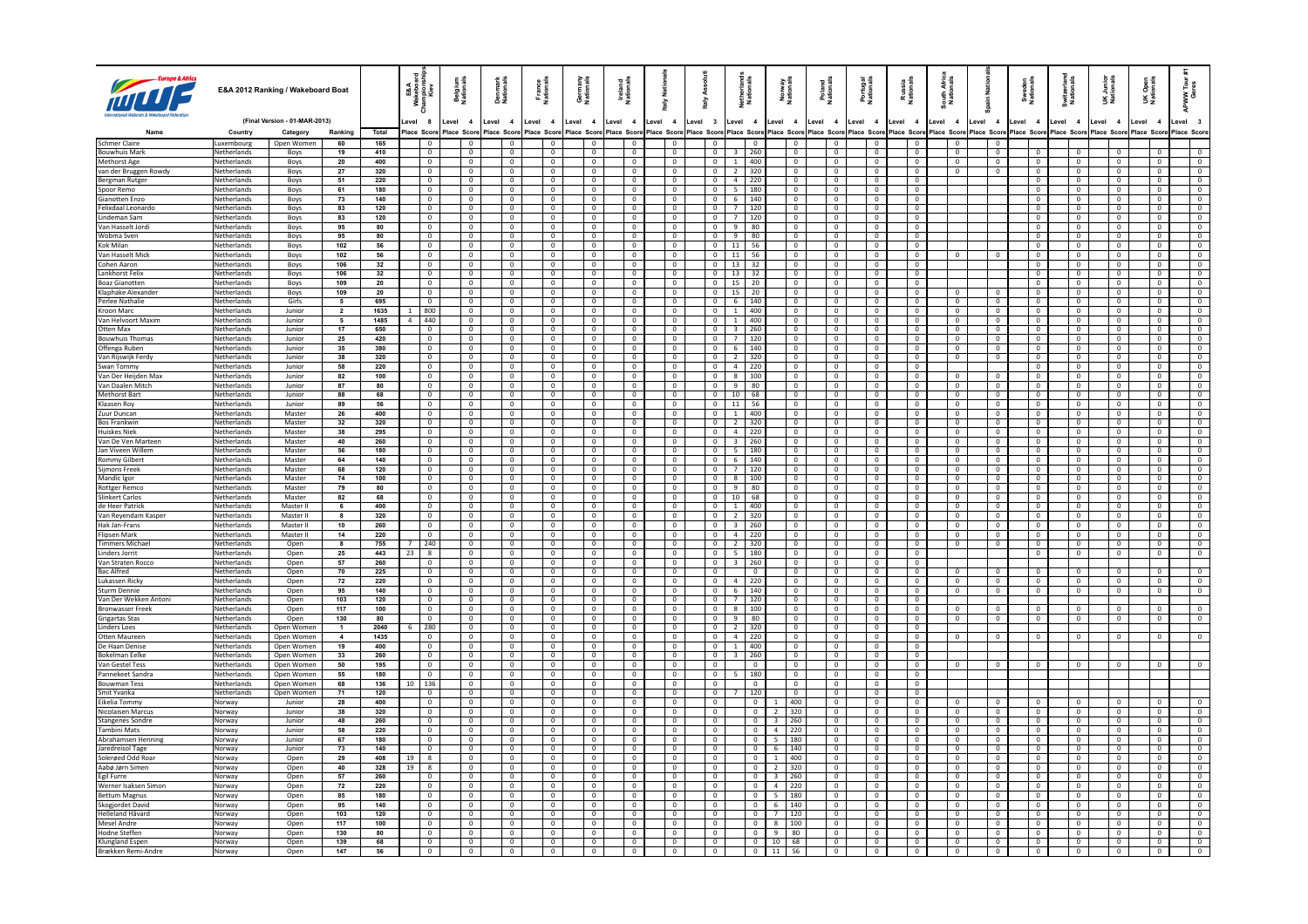| FITT                                           |                                   | E&A 2012 Ranking / Wakeboard Boat |                 |                  | E&A<br>Mebois<br>Kiev<br>Kiev    | Belgium<br>Nationals |                                  | Denmark<br>Nationals             | France<br>Nationals                       | Germany<br>Nationals                 | Ireland<br>Nationals                    | Nati<br>aly                      |                | Ass<br>aiv                              | Netherland<br>Nationals              |                                           | Norway<br>Nationals              | Poland<br>Nationals              | Portugal<br>Nationals            | Russia<br>Nationals              | South Afric<br>Nationals       | ain Nati                                             | Sweden<br>Nationals            | Switzerlan<br>Nationals          | UK Junior<br>Nationals           | <b>UK Open</b><br>Nationals |                              | APWW <sup>-</sup>                        |
|------------------------------------------------|-----------------------------------|-----------------------------------|-----------------|------------------|----------------------------------|----------------------|----------------------------------|----------------------------------|-------------------------------------------|--------------------------------------|-----------------------------------------|----------------------------------|----------------|-----------------------------------------|--------------------------------------|-------------------------------------------|----------------------------------|----------------------------------|----------------------------------|----------------------------------|--------------------------------|------------------------------------------------------|--------------------------------|----------------------------------|----------------------------------|-----------------------------|------------------------------|------------------------------------------|
|                                                |                                   | (Final Version - 01-MAR-2013)     |                 |                  | evel 8                           | Level 4              |                                  | Level 4                          | Level 4                                   | Level 4                              | Level 4                                 | Level 4                          |                | Level 3                                 | Level 4                              |                                           | Level 4                          | Level 4                          | Level 4                          | Level 4                          | Level 4                        | Level 4                                              | Level 4                        | Level 4                          | Level 4                          | Level                       | $\overline{4}$               | evel 3                                   |
|                                                | Country                           | Category<br>Open Women            | Ranking<br>60   | Total            | Place Scon<br>$\overline{0}$     | Place                | Scor<br>$\overline{0}$           | Place Scor<br>$\overline{0}$     | Place Sco<br>$\overline{0}$               | Place Scor<br>$\Omega$               | Score<br>Place<br>$\overline{0}$        | Place Scor                       |                | Place Scor                              | Place Score<br>$\Omega$              |                                           | Place Scor<br>$\mathbf{0}$       | Place Scor<br>$\Omega$           | lace Scor<br>$\Omega$            | Place Sco<br>$\overline{0}$      | Place Scon<br>$\overline{0}$   | Place Scor                                           | Place Scor                     | Place Scor                       | Place Score                      | Place Sco                   |                              | Place Score                              |
| <b>Schmer Claire</b><br><b>Bouwhuis Mark</b>   | Luxembourg<br>Netherlands         | Boys                              | 19              | 165<br>410       | $\overline{0}$                   |                      | $\overline{0}$                   | $\overline{0}$                   | $\overline{0}$                            | $\overline{0}$                       | $\overline{0}$                          | $\overline{0}$<br>$\overline{0}$ |                | $\mathbf 0$<br>$\overline{0}$           | $3 \mid 260$                         |                                           | $\overline{0}$                   | $\overline{0}$                   | $\overline{0}$                   | $\overline{0}$                   | $\overline{0}$                 | $\overline{0}$<br>$\overline{0}$                     | $\overline{0}$                 | $\overline{0}$                   | $\overline{0}$                   |                             | $\overline{0}$               | $\overline{0}$                           |
| <b>Methorst Age</b>                            | Netherlands                       | Boys                              | 20              | 400              | $\bf{0}$                         |                      | $\overline{0}$                   | $\overline{0}$                   | $\overline{0}$                            | $\mathbf{0}$                         | $\overline{0}$                          | $\overline{0}$                   |                | $\overline{0}$                          | $\mathbf{1}$<br>400                  |                                           | $\mathbf{0}$                     | $\overline{0}$                   | $\overline{0}$                   | $\overline{0}$                   | $\overline{0}$                 | $\overline{0}$                                       | $\overline{0}$                 | $\overline{0}$                   | $\overline{0}$                   |                             | $\overline{0}$               | $\overline{0}$                           |
| van der Bruggen Rowdy                          | Netherlands                       | Boys                              | 27              | 320              | $\mathbf{0}$                     |                      | $\overline{0}$                   | $\overline{0}$                   | $\overline{0}$                            | $\mathbf{0}$                         | $\overline{0}$                          | $\mathbf{0}$                     |                | $\overline{0}$                          | 320<br>$\overline{2}$                |                                           | $\mathbf{0}$                     | $\overline{0}$                   | $^{\circ}$                       | $\overline{0}$                   | $\mathbf{0}$                   | $\overline{0}$                                       | $\mathbf{0}$                   | $\overline{0}$                   | $\mathbf{0}$                     |                             | $\overline{0}$               | $\overline{0}$                           |
| Bergman Rutger                                 | Netherlands                       | Boys                              | 51              | 220              | $\mathbf 0$                      |                      | $\overline{0}$                   | $\mathbf 0$                      | $\overline{0}$                            | $\mathbf 0$                          | $\overline{0}$                          | $\overline{0}$                   |                | $\mathbf 0$                             | $\overline{4}$<br>220                |                                           | $\mathbf 0$                      | $\mathbf 0$                      | $\mathbf 0$                      | $\mathbf{0}$                     |                                |                                                      | $\mathbf 0$                    | $\mathbf 0$                      | $\mathbf 0$                      |                             | $\mathbf 0$                  | $\mathbf{0}$                             |
| Spoor Remo                                     | Netherlands                       | Boys                              | 61              | 180              | $\overline{0}$                   |                      | $\mathbf{0}$                     | $\overline{0}$                   | $\overline{0}$                            | $\overline{0}$                       | $\overline{0}$                          | $\overline{0}$                   |                | $\overline{0}$                          | $\overline{5}$<br>  180              |                                           | $\overline{0}$                   | $\overline{0}$                   | $\overline{0}$                   | $\overline{0}$                   |                                |                                                      | $\overline{0}$                 | $\overline{0}$                   | $\overline{0}$                   |                             | $\overline{0}$               | $\overline{0}$                           |
| Gianotten Enzo<br>Felixdaal Leonardo           | Netherlands<br><b>Netherlands</b> | Boys                              | 73<br>83        | 140<br>120       | $\overline{0}$<br>$\Omega$       |                      | $\overline{0}$<br>$\Omega$       | $\mathbf 0$<br>$\Omega$          | $\overline{0}$<br>$\Omega$                | $\mathbf 0$<br>$\Omega$              | $\overline{0}$<br>$\Omega$              | $\overline{0}$                   | $\overline{0}$ | $\mathbf 0$<br>$\Omega$                 | 140<br>6<br>$7^{\circ}$<br>120       |                                           | $\,0\,$<br>$\Omega$              | $\mathbf{0}$<br>$\Omega$         | $\overline{0}$<br>$\Omega$       | $\overline{0}$<br>$\Omega$       |                                |                                                      | $\mathbf 0$<br>$\Omega$        | $\,$ 0<br>$\Omega$               | $\overline{0}$<br>$\Omega$       |                             | $\mathbf 0$<br>$\Omega$      | $\overline{0}$<br>$\Omega$               |
| Lindeman Sam                                   | Netherlands                       | Boys<br>Boys                      | 83              | 120              | $\mathbf 0$                      |                      | $\mathbf{0}$                     | $\mathbf 0$                      | $\overline{0}$                            | $\mathbf 0$                          | $\mathbf{0}$                            | $\overline{0}$                   |                | $\overline{0}$                          | $\overline{7}$<br>120                |                                           | $\mathbf 0$                      | $\mathbf 0$                      | $\mathbf 0$                      | $\overline{0}$                   |                                |                                                      | $\mathbf 0$                    | $\mathbf 0$                      | $\mathbf{0}$                     |                             | $\mathbf 0$                  | $\mathbf{0}$                             |
| Van Hasselt Jordi                              | Netherlands                       | Boys                              | 95              | 80               | $\Omega$                         |                      | $\Omega$                         | $\Omega$                         | $\Omega$                                  | $\Omega$                             | $\Omega$                                | $\overline{0}$                   |                | $\overline{0}$                          | $\mathbf{Q}$<br>80                   |                                           | $\Omega$                         | $\Omega$                         | $\Omega$                         | $\Omega$                         |                                |                                                      | $\Omega$                       | $\Omega$                         | $\Omega$                         |                             | $\Omega$                     | $\Omega$                                 |
| Wobma Sver                                     | Netherlands                       | Boys                              | 95              | 80               | $\overline{0}$                   |                      | $\mathbf{0}$                     | $\overline{0}$                   | $\overline{0}$                            | $\overline{0}$                       | $\overline{0}$                          | $\overline{0}$                   |                | $\overline{0}$                          | 9<br>80                              |                                           | $\mathbf 0$                      | $\mathbf{0}$                     | $\overline{0}$                   | $\overline{0}$                   |                                |                                                      | $\overline{0}$                 | $\overline{0}$                   | $\mathbf{0}$                     |                             | $\overline{0}$               | $\overline{0}$                           |
| Kok Milan                                      | <b>Netherlands</b>                | Boys                              | 102             | 56               | $\mathbf{0}$                     |                      | $\Omega$                         | $\overline{0}$                   | $\overline{0}$                            | $\Omega$                             | $\mathbf{0}$                            | $\overline{0}$                   |                | $\mathbf{0}$                            | $11$ 56                              |                                           | $\Omega$                         | $\Omega$                         | $\Omega$                         | $\Omega$                         |                                |                                                      | $\mathbf{0}$                   | $\Omega$                         | $^{\circ}$                       |                             | $\Omega$                     | $\overline{0}$                           |
| Van Hasselt Mick                               | Netherlands                       | Boys                              | 102             | 56               | $\mathbf{0}$                     |                      | $\mathbf 0$                      | $\mathbf 0$                      | $\overline{0}$                            | $\mathbf 0$                          | $\overline{0}$                          | $\overline{0}$                   |                | $\mathbf 0$                             | 11<br>56                             |                                           | 0                                | $\mathbf{0}$                     | $\mathbf 0$                      | $\overline{0}$                   |                                | $^{\circ}$                                           | 0                              | $\mathbf 0$                      | $\mathbf 0$                      |                             | $\mathbf 0$                  | $\overline{0}$                           |
| Cohen Aaron<br>Lankhorst Felix                 | Netherlands<br>Netherlands        | Boys                              | 106<br>106      | 32<br>32         | $\overline{0}$<br>$\overline{0}$ |                      | $\overline{0}$<br>$\overline{0}$ | $\mathbf 0$<br>$\overline{0}$    | $\overline{0}$<br>$\overline{\mathbf{0}}$ | $\Omega$<br>$\overline{\phantom{0}}$ | $\overline{0}$<br>$\overline{0}$        | $\overline{0}$<br>$\overline{0}$ |                | $\mathbf 0$<br>$\overline{0}$           | 32<br>13<br>$13 \mid 32$             |                                           | $\mathbf{0}$<br>$\overline{0}$   | $\Omega$<br>$\overline{0}$       | $\Omega$<br>$\overline{0}$       | $\Omega$<br>$\overline{0}$       |                                |                                                      | $\Omega$<br>$\overline{0}$     | $\overline{0}$<br>$\overline{0}$ | $\Omega$<br>$\overline{0}$       |                             | $\Omega$<br>$\overline{0}$   | $\mathbf{0}$<br>$\overline{\phantom{0}}$ |
| <b>Boaz Gianotter</b>                          | Netherlands                       | Boys<br>Boys                      | 109             | 20               | $\mathbf{0}$                     |                      | $\mathbf{0}$                     | $\overline{0}$                   | $\overline{0}$                            | $\overline{0}$                       | $\mathbf{0}$                            | $\mathbf{0}$                     |                | $\mathbf{0}$                            | $15 \mid 20$                         |                                           | $\mathbf{0}$                     | $\mathbf{0}$                     | $\mathbf{0}$                     | $\overline{0}$                   |                                |                                                      | $\mathbf 0$                    | $\overline{0}$                   | $\overline{0}$                   |                             | $\overline{0}$               | $\overline{0}$                           |
| Klaphake Alexande                              | Netherlands                       | Boys                              | 109             | 20               | $\overline{0}$                   |                      | $\overline{0}$                   | $\mathbf{0}$                     | $\overline{0}$                            | $\mathbf 0$                          | $\overline{0}$                          | $\overline{0}$                   |                | $\overline{0}$                          | 15<br>20                             |                                           | $\mathsf 0$                      | $\overline{0}$                   | $\mathbf 0$                      | $\overline{0}$                   | $\Omega$                       | $\mathbf{0}$                                         | $\mathbf 0$                    | $\overline{0}$                   | $\mathbf 0$                      |                             | $\mathbf 0$                  | $\overline{0}$                           |
| Perlee Nathalie                                | Netherlands                       | Girls                             | $5\overline{5}$ | 695              | $\overline{0}$                   |                      | $\overline{0}$                   | $\overline{0}$                   | $\overline{0}$                            | $\overline{0}$                       | $\overline{0}$                          | $\overline{0}$                   |                | $\mathbf 0$                             | 6<br>140                             |                                           | $\mathbf 0$                      | $\overline{0}$                   | $\mathbf 0$                      | $\overline{0}$                   | $\overline{0}$                 | $\mathbf 0$                                          | $\mathbf 0$                    | $\overline{\mathbf{0}}$          | $\mathbf 0$                      |                             | $\overline{0}$               | $\overline{0}$                           |
| Kroon Marc                                     | Netherlands                       | Junior                            | $\overline{2}$  | 1635             | 800<br>$\mathbf{1}$              |                      | $\overline{0}$                   | $\overline{0}$                   | $\overline{\phantom{0}}$                  | $\overline{0}$                       | $\overline{0}$                          | $\overline{0}$                   |                | $\overline{0}$                          | 1<br>400                             |                                           | $\mathbf{0}$                     | $\overline{0}$                   | $\overline{0}$                   | $\overline{0}$                   | $\overline{0}$                 | $\overline{0}$                                       | $\overline{\mathbf{0}}$        | $\overline{0}$                   | $\overline{0}$                   |                             | $\overline{0}$               | $\overline{0}$                           |
| Van Helvoort Maxim                             | Netherlands                       | Junior                            | $5\overline{5}$ | 1485             | 1440<br>$\overline{a}$           |                      | $\overline{0}$                   | $\overline{0}$                   | $\overline{0}$                            | $\mathbf{0}$                         | $\overline{0}$                          | $\overline{0}$                   |                | $\circ$                                 | $1 \t 400$                           |                                           | $\overline{0}$                   | $\overline{0}$                   | $\overline{0}$                   | $\overline{0}$                   | $\overline{0}$                 | $\overline{\mathbf{0}}$                              | $\overline{0}$                 | $\overline{0}$                   | $\overline{0}$                   |                             | $\overline{0}$               | $\overline{0}$                           |
| Otten Max                                      | Netherlands                       | Junior                            | 17              | 650              | $\overline{0}$                   |                      | $\overline{0}$                   | $\mathbf{0}$                     | $\overline{0}$                            | $\mathbf{0}$                         | $\overline{0}$                          | $\overline{0}$                   |                | $\overline{0}$                          | 260<br>$\overline{3}$                |                                           | $\overline{0}$                   | $\overline{0}$                   | $\mathbf{0}$                     | $\overline{0}$                   | $\overline{0}$                 | $\overline{0}$                                       | $\mathbf{0}$                   | $\overline{0}$                   | $\overline{0}$                   |                             | $\overline{0}$               | $\overline{0}$                           |
| <b>Bouwhuis Thomas</b><br>Offenga Ruben        | Netherlands<br>Netherlands        | Junior<br>Junior                  | 25<br>35        | 420<br>380       | $\overline{0}$<br>$\overline{0}$ |                      | $\overline{0}$<br>$\overline{0}$ | $\overline{0}$<br>$\overline{0}$ | $\overline{0}$<br>$\overline{0}$          | $\overline{0}$<br>$\overline{0}$     | $\overline{0}$<br>$\overline{0}$        | $\overline{0}$<br>$\overline{0}$ |                | $\mathbf 0$<br>$\overline{0}$           | $7^{\circ}$<br>120<br>140<br>6       |                                           | $\mathbf 0$<br>$\overline{0}$    | $\overline{0}$<br>$\overline{0}$ | $\overline{0}$<br>$\overline{0}$ | $\overline{0}$<br>$\overline{0}$ | $\circ$<br>$\overline{0}$      | $\overline{\mathbf{0}}$<br>$\overline{0}$            | $\mathbf 0$<br>$\overline{0}$  | $\circ$<br>$\overline{0}$        | $\overline{0}$<br>$\overline{0}$ |                             | $^{\circ}$<br>$\overline{0}$ | $\overline{0}$<br>$\overline{0}$         |
| Van Rijswijk Ferdy                             | Netherlands                       | Junior                            | 38              | 320              | $\mathbf{0}$                     |                      | $\overline{0}$                   | $\overline{0}$                   | $\overline{0}$                            | $\mathbf{0}$                         | $\overline{0}$                          | $\overline{0}$                   |                | $\overline{0}$                          | $\overline{2}$<br>320                |                                           | $\overline{0}$                   | $\overline{0}$                   | $\overline{0}$                   | $\overline{0}$                   | $\overline{0}$                 | $\overline{0}$                                       | $\circ$                        | $\overline{0}$                   | $\overline{0}$                   |                             | $\overline{0}$               | $\overline{0}$                           |
| Swan Tommy                                     | Netherlands                       | Junior                            | 58              | 220              | $\mathbf{0}$                     |                      | $\overline{0}$                   | $\overline{0}$                   | $\overline{0}$                            | $^{\circ}$                           | $\overline{0}$                          | $\overline{0}$                   |                | $\overline{0}$                          | $\overline{4}$<br>220                |                                           | $\overline{0}$                   | $\mathbf{0}$                     | $^{\circ}$                       | $\overline{0}$                   |                                |                                                      | $\mathbf{0}$                   | $\overline{0}$                   | $^{\circ}$                       |                             | $\overline{0}$               | $\overline{0}$                           |
| Van Der Heijden Max                            | Netherlands                       | Junior                            | 82              | 100              | $\overline{\mathbf{0}}$          |                      | $\overline{0}$                   | $\mathbf 0$                      | $\overline{0}$                            | $\mathbf 0$                          | $\overline{0}$                          | $\overline{0}$                   |                | $\mathbf 0$                             | 100<br>8                             |                                           | 0                                | $\mathbf 0$                      | $\mathbf 0$                      | $\mathbf 0$                      | $\mathbf 0$                    | $\overline{0}$                                       | $\mathbf 0$                    | $\mathbf 0$                      | $\overline{0}$                   |                             | $\mathbf 0$                  | $\mathbf{0}$                             |
| Van Daalen Mitch                               | Netherlands                       | Junior                            | 87              | 80               | $\overline{0}$                   |                      | $\overline{0}$                   | $\overline{0}$                   | $\overline{0}$                            | $\overline{0}$                       | $\overline{0}$                          | $\overline{0}$                   |                | $\overline{0}$                          | $\overline{9}$<br>80                 |                                           | $\overline{0}$                   | $\overline{0}$                   | $\overline{0}$                   | $\overline{0}$                   | $\overline{0}$                 | $\overline{0}$                                       | $\overline{0}$                 | $\overline{0}$                   | $\overline{0}$                   |                             | $\overline{0}$               | $\overline{0}$                           |
| Methorst Bar                                   | Netherlands                       | Junior                            | 88              | 68               | $\overline{0}$                   |                      | $\overline{0}$                   | $\mathbf{0}$                     | $\overline{0}$                            | $\overline{0}$                       | $\overline{0}$                          | $\overline{0}$                   |                | $\overline{0}$                          | 10<br>68                             |                                           | $\mathsf 0$                      | $\overline{0}$                   | $\overline{0}$                   | $\overline{0}$                   | $\circ$                        | $\overline{0}$                                       | $\overline{0}$                 | $\overline{0}$                   | $\overline{0}$                   |                             | $\mathbf 0$                  | $\overline{0}$                           |
| Klaasen Roy                                    | <b>Netherlands</b>                | lunion                            | 89              | 56               | $\sqrt{2}$                       |                      | $\Omega$                         | $\sqrt{2}$                       | $\sqrt{2}$                                | $\Omega$                             | $\sqrt{2}$                              | $\Omega$                         |                | $\Omega$                                | 11<br>56                             |                                           | $\Omega$                         | $\Omega$                         | $\Omega$                         | $\sqrt{2}$                       | $\sqrt{2}$                     | $\Omega$                                             | $\Omega$                       | $\Omega$                         | $\Omega$                         |                             | $\sqrt{2}$                   | $\Omega$                                 |
| Zuur Duncan<br><b>Bos Frankwin</b>             | Netherlands<br><b>Netherlands</b> | Master<br>Master                  | 26<br>32        | 400<br>320       | $\mathbf 0$<br>$\overline{0}$    |                      | $\mathbf 0$<br>$\Omega$          | $\mathbf{0}$<br>$\overline{0}$   | $\overline{0}$<br>$\Omega$                | $\mathbf 0$<br>$\Omega$              | $\overline{0}$<br>$\sqrt{2}$            | $\overline{0}$<br>$\overline{0}$ |                | $\mathbf 0$<br>$\overline{0}$           | $\mathbf{1}$<br>400<br>2 320         |                                           | $\mathbf{0}$<br>$\Omega$         | $\overline{0}$<br>$\Omega$       | $\overline{0}$<br>$\Omega$       | $\overline{0}$<br>$\sqrt{2}$     | $\overline{0}$<br>$\mathbf{0}$ | $\mathbf 0$<br>$\overline{0}$                        | $\mathbf 0$<br>$\Omega$        | $\mathbf 0$<br>$\sqrt{2}$        | $\overline{0}$<br>$\Omega$       |                             | $\overline{0}$<br>$\Omega$   | $\overline{0}$<br>$\Omega$               |
| <b>Huiskes Niek</b>                            | Netherlands                       | Master                            | 38              | 295              | $\overline{0}$                   |                      | $\mathbf{0}$                     | $\overline{0}$                   | $\overline{0}$                            | $\overline{0}$                       | $\overline{0}$                          | $\overline{0}$                   |                | $\overline{0}$                          | $\overline{4}$<br>  220              |                                           | $\overline{0}$                   | $\overline{0}$                   | $\overline{0}$                   | $\overline{0}$                   | $\overline{0}$                 | $\overline{0}$                                       | $\overline{0}$                 | $\circ$                          | $\overline{0}$                   |                             | $\overline{0}$               | $\overline{0}$                           |
| Van De Ven Marteen                             | <b>Netherlands</b>                | Master                            | 40              | 260              | $\mathbf{0}$                     |                      | $\overline{0}$                   | $\overline{0}$                   | $\overline{0}$                            | $\Omega$                             | $\overline{0}$                          | $\overline{0}$                   |                | $^{\circ}$                              | $3 \mid 260$                         |                                           | $\Omega$                         | $\Omega$                         | $\Omega$                         | $\Omega$                         | $\mathbf{0}$                   | $\overline{0}$                                       | $\mathbf{0}$                   | $\sqrt{2}$                       | $^{\circ}$                       |                             | $\Omega$                     | $\Omega$                                 |
| Jan Viveen Willem                              | Netherlands                       | Master                            | 56              | 180              | $\circ$                          |                      | $\overline{0}$                   | $\mathbf 0$                      | $\overline{\mathbf{0}}$                   | $\mathbf 0$                          | $\overline{0}$                          | $\overline{0}$                   |                | $\overline{0}$                          | 180<br>5                             |                                           | 0                                | $^{\circ}$                       | $^{\circ}$                       | $\overline{0}$                   | $\mathbf 0$                    | $\overline{0}$                                       | $\overline{0}$                 | $\mathbf 0$                      | $\mathbf 0$                      |                             | $\mathbf 0$                  | $\overline{0}$                           |
| Rommy Gilber                                   | Netherlands                       | Master                            | 64              | 140              | $\overline{0}$                   |                      | $\overline{0}$                   | $\overline{0}$                   | $\overline{0}$                            | $\Omega$                             | $\mathbf{0}$                            | $\overline{0}$                   |                | $\overline{0}$                          | 6<br>  140                           |                                           | $\mathbf{0}$                     | $\Omega$                         | $\Omega$                         | $\Omega$                         | $\mathbf{0}$                   | $\overline{\mathbf{0}}$                              | $\overline{0}$                 | $\overline{0}$                   | $\Omega$                         |                             | $\Omega$                     | $\Omega$                                 |
| Sijmons Freek                                  | Netherlands                       | Master                            | 68              | 120              | $\overline{0}$                   |                      | $\overline{0}$                   | $\overline{0}$                   | $\overline{\mathbf{0}}$                   | $\overline{0}$                       | $\overline{0}$                          | $\overline{0}$                   |                | $\overline{0}$                          | $\overline{7}$<br>120                |                                           | $\mathbf{0}$                     | $\mathbf 0$                      | $\mathbf{0}$                     | $\overline{0}$                   | $\overline{0}$                 | $\overline{0}$                                       | $\overline{0}$                 | $\overline{0}$                   | $\overline{0}$                   |                             | $\overline{0}$               | $\overline{0}$                           |
| Mandic Igor                                    | Netherlands                       | Master                            | 74              | 100              | $\overline{0}$                   |                      | $\overline{0}$                   | $\overline{0}$                   | $\overline{0}$                            | $\overline{0}$                       | $\overline{0}$                          | $\overline{0}$                   |                | $\overline{0}$                          | $8 \mid 100$                         |                                           | $\overline{0}$                   | $\overline{0}$                   | $\overline{0}$                   | $\overline{0}$                   | $\overline{0}$                 | $\overline{0}$                                       | $\overline{0}$                 | $\overline{0}$                   | $\overline{0}$                   |                             | $\overline{0}$               | $\overline{0}$                           |
| <b>Rottger Remcc</b><br><b>Slinkert Carlos</b> | Netherlands<br>Netherlands        | Master<br>Master                  | 79              | 80<br>68         | $\overline{0}$<br>$\overline{0}$ |                      | $\overline{0}$<br>$\overline{0}$ | $\overline{0}$<br>$\overline{0}$ | $\overline{0}$<br>$\overline{0}$          | $\mathbf 0$<br>$\Omega$              | $\overline{0}$<br>$\overline{0}$        | $\overline{0}$<br>$\overline{0}$ |                | $\overline{0}$<br>$\overline{0}$        | $9$<br>80<br>10<br>68                |                                           | $\overline{0}$<br>$\overline{0}$ | $\mathbf 0$<br>$\sqrt{2}$        | $\mathbf 0$<br>$\Omega$          | $\overline{0}$<br>$\Omega$       | $\circ$<br>$\overline{0}$      | $\overline{0}$                                       | $\overline{0}$<br>$\Omega$     | $\overline{0}$<br>$\overline{0}$ | $\overline{0}$<br>$\Omega$       |                             | $\mathbf 0$<br>$\Omega$      | $\overline{0}$<br>$\Omega$               |
| de Heer Patrick                                | Netherlands                       | Master II                         | 82<br>6         | 400              | $\overline{0}$                   |                      | $\overline{0}$                   | $\overline{0}$                   | $\overline{0}$                            | $\overline{0}$                       | $\overline{0}$                          | $\overline{0}$                   |                | $\overline{0}$                          | $\overline{1}$<br>400                |                                           | $\overline{0}$                   | $\overline{0}$                   | $\overline{0}$                   | $\overline{0}$                   | $\overline{0}$                 | $\overline{\phantom{a}}$<br>$\overline{\phantom{0}}$ | $\overline{0}$                 | $\overline{0}$                   | $\overline{0}$                   |                             | $\overline{0}$               | $\overline{0}$                           |
| Van Reyendam Kasper                            | Netherlands                       | Master II                         | $\mathbf{a}$    | 320              | $\overline{0}$                   |                      | $\overline{0}$                   | $\overline{0}$                   | $\overline{0}$                            | $\Omega$                             | $\overline{0}$                          |                                  | $\overline{0}$ | $\overline{0}$                          | $\overline{2}$<br>320                |                                           | $\overline{0}$                   | $\overline{0}$                   | $\overline{0}$                   | $\overline{0}$                   | $\overline{0}$                 | $\overline{0}$                                       | $\overline{0}$                 | $\overline{0}$                   | $\overline{0}$                   |                             | $\overline{0}$               | $\Omega$                                 |
| Hak Jan-Frans                                  | Netherlands                       | Master II                         | 10 <sup>1</sup> | 260              | $\overline{0}$                   |                      | $\overline{0}$                   | $\overline{0}$                   | $\overline{0}$                            | $^{\circ}$                           | $\overline{0}$                          | $\overline{0}$                   |                | $\overline{0}$                          | 260<br>$\overline{\mathbf{3}}$       |                                           | $\overline{0}$                   | $\mathbf{0}$                     | $^{\circ}$                       | $\overline{0}$                   | $\overline{0}$                 | $\overline{0}$                                       | $\mathbf{0}$                   | $\overline{0}$                   | $\overline{0}$                   |                             | $\overline{0}$               | $\overline{0}$                           |
| Flipsen Mark                                   | Netherlands                       | Master II                         | 14              | 220              | $\overline{0}$                   |                      | $\overline{0}$                   | $\overline{0}$                   | $\overline{0}$                            | $\overline{0}$                       | $\overline{0}$                          | $\overline{0}$                   |                | $\overline{0}$                          | $\overline{4}$<br>220                |                                           | 0                                | $^{\circ}$                       | $^{\circ}$                       | $\overline{0}$                   | $\mathbf 0$                    | $\overline{0}$                                       | $\overline{0}$                 | $\mathbf 0$                      | $\mathbf 0$                      |                             | $\mathbf 0$                  | $\mathbf{0}$                             |
| <b>Timmers Michae</b>                          | Netherlands                       | Open                              | 8               | 755              | 240                              |                      | $\overline{0}$                   | $\overline{0}$                   | $\overline{0}$                            | $\overline{0}$                       | $\overline{0}$                          |                                  | $\overline{0}$ | $\overline{0}$                          | $\overline{2}$<br>320                |                                           | $\overline{0}$                   | $\overline{0}$                   | $\overline{0}$                   | $\overline{0}$                   | $\overline{0}$                 | $\overline{\phantom{0}}$                             | $\overline{0}$                 | $\overline{0}$                   | $\overline{0}$                   |                             | $\overline{0}$               | $\overline{0}$                           |
| <b>Linders Jorrit</b>                          | Netherlands                       | Open                              | 25              | 443              | 8<br>23                          |                      | $\overline{0}$                   | $\overline{0}$                   | $\overline{0}$                            | $\overline{0}$                       | $\overline{0}$                          |                                  | $\overline{0}$ | $\overline{0}$                          | 5 <sub>1</sub><br>180                |                                           | $\mathbf{0}$                     | $\overline{0}$                   | $\overline{0}$                   | $\overline{0}$                   |                                |                                                      | $\mathbf 0$                    | $\overline{0}$                   | $\mathbf 0$                      |                             | $\mathbf 0$                  | $\mathbf{0}$                             |
| Van Straten Rocco<br><b>Bac Alfred</b>         | Netherlands<br>Netherlands        | Open                              | 57<br>70        | 260<br>225       | $\circ$<br>0                     |                      | $\overline{0}$<br>$\mathbf 0$    | $\mathbf{0}$<br>$\mathbf 0$      | $\overline{0}$<br>$\overline{\mathbf{0}}$ | $^{\circ}$<br>0                      | $\mathbf{0}$<br>$\overline{\mathbf{0}}$ | $\overline{0}$<br>$\mathbf 0$    |                | $\mathbf{0}$<br>$\overline{\mathbf{0}}$ | 260<br>$\overline{3}$<br>$\mathbf 0$ |                                           | $\mathbf{0}$<br>0                | $\mathbf{0}$<br>$\mathbf 0$      | $^{\circ}$<br>$\mathbf 0$        | $\overline{0}$<br>$\mathbf 0$    | 0                              | $\mathbf 0$                                          | 0                              | $\mathbf 0$                      |                                  |                             |                              | $\mathbf 0$                              |
| Lukassen Ricky                                 | Netherlands                       | Open<br>Onen                      | 72              | 220              | $\overline{0}$                   |                      | $\sqrt{2}$                       | $\overline{0}$                   | $\sqrt{0}$                                | $\sqrt{0}$                           | $\sqrt{2}$                              | $\overline{0}$                   |                | $\overline{0}$                          | 1220<br>$\overline{4}$               |                                           | $\overline{0}$                   | $\sqrt{0}$                       | $\overline{0}$                   | $\sqrt{2}$                       | $\sqrt{2}$                     | $\overline{0}$                                       | $\Omega$                       | $\overline{0}$                   | $\overline{0}$                   |                             | $\overline{0}$               | $\Omega$                                 |
| Sturm Dennie                                   | Netherlands                       | Open                              | 95              | 140              | $\overline{0}$                   |                      | $\overline{0}$                   | $\overline{0}$                   | $\overline{0}$                            | $\overline{0}$                       | $\overline{0}$                          | $\overline{0}$                   |                | $\overline{0}$                          | 6<br>140                             |                                           | $\overline{0}$                   | $\overline{0}$                   | $\overline{0}$                   | $\overline{0}$                   | $\overline{0}$                 | $\overline{0}$                                       | $\overline{0}$                 | $\overline{0}$                   | $\overline{0}$                   |                             | $\overline{0}$               | $\overline{0}$                           |
| Van Der Wekken Antoni                          | <b>Netherlands</b>                | Open                              | 103             | 120              | $\Omega$                         |                      | $\sqrt{2}$                       | $\Omega$                         | $\Omega$                                  | $\Omega$                             | $\sqrt{2}$                              | $\Omega$                         |                | $\Omega$                                | 120<br>$\overline{7}$                |                                           | $\Omega$                         | $\Omega$                         | $\Omega$                         | $\Omega$                         |                                |                                                      |                                |                                  |                                  |                             |                              |                                          |
| <b>Bronwasser Freek</b>                        | Netherlands                       | Open                              | 117             | 100              | $\overline{0}$                   |                      | $\overline{0}$                   | $\overline{0}$                   | $\overline{0}$                            | $\overline{0}$                       | $\overline{0}$                          | $\overline{0}$                   |                | $\overline{0}$                          | 8<br>100                             |                                           | $\overline{0}$                   | $\overline{0}$                   | $\overline{0}$                   | $\overline{0}$                   | $\overline{0}$                 | $\overline{0}$                                       | $\mathbf 0$                    | $\mathbf 0$                      |                                  |                             |                              |                                          |
| <b>Grigartas Stas</b>                          | Netherlands                       | Open                              | 130             | 80               | $\overline{0}$                   |                      | $\Omega$                         | $\Omega$                         | $\Omega$                                  | $\overline{0}$                       | $\sqrt{2}$                              | $\overline{0}$                   |                | $\overline{0}$                          | $\overline{q}$<br>80                 |                                           | $\Omega$                         | $\overline{0}$                   | $\Omega$                         | $\Omega$                         | $\overline{0}$                 | $\overline{0}$                                       | $\overline{0}$                 | $\overline{0}$                   | $\Omega$                         |                             | $\Omega$                     | $\Omega$                                 |
| <b>Linders Loes</b>                            | Netherlands                       | Open Women                        | $\mathbf{1}$    | 2040             | 280                              |                      | $\overline{0}$                   | $\overline{0}$                   | $\overline{0}$                            | $\overline{0}$                       | $\overline{0}$                          | $\overline{0}$                   |                | $\overline{0}$                          | $\overline{2}$<br>320                |                                           | $\overline{0}$                   | $\overline{0}$                   | $\overline{0}$                   | $\overline{0}$                   |                                |                                                      |                                |                                  |                                  |                             |                              |                                          |
| Otten Maureen                                  | <b>Netherlands</b>                | Open Women                        | $\overline{a}$  | 1435             | $\overline{0}$                   |                      | $\Omega$                         | $\overline{0}$                   | $\Omega$<br>$\overline{0}$                | $\Omega$<br>$\overline{0}$           | $\Omega$                                | $\overline{0}$                   |                | $\mathbf{0}$                            | 4 220<br>$\mathbf{1}$                |                                           | $\Omega$<br>$\mathbf 0$          | $\Omega$<br>$\mathbf{0}$         | $\Omega$<br>$\mathbf 0$          | $\Omega$<br>$\overline{0}$       | $\mathbf{0}$                   | $\overline{0}$                                       | $\overline{0}$                 | $\overline{0}$                   | $^{\circ}$                       |                             | $^{\circ}$                   |                                          |
| De Haan Denise<br><b>Bokelman Felke</b>        | Netherlands<br>Netherlands        | Open Women<br>Open Women          | 19<br>33        | 400<br>260       | $\overline{0}$<br>$\overline{0}$ |                      | $\overline{0}$<br>$\overline{0}$ | $\mathbf 0$<br>$\overline{0}$    | $\overline{0}$                            | $\overline{0}$                       | $\overline{0}$<br>$\mathbf{0}$          | $\overline{0}$<br>$\overline{0}$ |                | $\overline{0}$<br>$\mathbf 0$           | 400<br>$\mathbf{R}$<br>260           |                                           | $\mathbf{0}$                     | $\Omega$                         | $\Omega$                         | $\Omega$                         |                                |                                                      |                                |                                  |                                  |                             |                              |                                          |
| Van Gestel Tess                                | Netherlands                       | Open Women                        | 50              | 195              | $\overline{0}$                   |                      | $\overline{0}$                   | $\overline{0}$                   | $\overline{0}$                            | $\overline{0}$                       | $\overline{0}$                          | $\overline{0}$                   |                | $\overline{0}$                          | $\overline{0}$                       |                                           | $\mathbf{0}$                     | $\overline{0}$                   | $\overline{0}$                   | $\overline{0}$                   | $\mathbf 0$                    | $\mathbf{0}$                                         | $\mathbf 0$                    | $\mathbf{0}$                     | $^{\circ}$                       |                             |                              |                                          |
| Pannekeet Sandra                               | Netherlands                       | Open Women                        | 55              | 180              | $\overline{0}$                   |                      | $\overline{0}$                   | $\overline{0}$                   | $\overline{0}$                            | $\overline{0}$                       | $\overline{0}$                          | $\overline{0}$                   |                | $\overline{0}$                          | 5<br>180                             |                                           | $\overline{0}$                   | $\overline{0}$                   | $\overline{0}$                   | $\overline{0}$                   |                                |                                                      |                                |                                  |                                  |                             |                              |                                          |
| <b>Bouwman Tess</b>                            | Netherlands                       | Open Women                        | 68              | 136              | 136                              |                      | $\overline{0}$                   | $\overline{0}$                   | $\overline{\phantom{0}}$                  | $\mathbf 0$                          | $\overline{0}$                          | $\overline{0}$                   |                | $\overline{0}$                          | $\overline{0}$                       |                                           | $\overline{0}$                   | $\mathbf 0$                      | $\mathbf 0$                      | $\overline{0}$                   |                                |                                                      |                                |                                  |                                  |                             |                              |                                          |
| Smit Yvanka                                    | Netherlands                       | Open Women                        | 71              | 120              | $\overline{0}$                   |                      | $\overline{0}$                   | $\overline{0}$                   | $\overline{0}$                            | $\overline{0}$                       | $\overline{0}$                          | $\overline{0}$                   |                | $\overline{0}$                          | 120                                  |                                           | $\overline{0}$                   | $\Omega$                         | $\Omega$                         | $\overline{0}$                   |                                |                                                      |                                |                                  |                                  |                             |                              |                                          |
| Eikelia Tommy                                  | Norway                            | Junior                            | 28              | 400              | $\overline{0}$                   |                      | $\overline{0}$                   | $\overline{0}$                   | $\overline{0}$                            | $\overline{0}$                       | $\overline{0}$                          | $\overline{0}$                   |                | $\overline{0}$                          | $\overline{0}$                       | $\mathbf{1}$                              | 400                              | $\overline{0}$                   | $\overline{0}$                   | $\overline{0}$                   | $\overline{0}$                 | $\overline{0}$                                       | $\Omega$                       | $\overline{0}$                   | $\Omega$                         |                             | $\Omega$                     | $\sqrt{2}$                               |
| Nicolaisen Marcus<br>Stangenes Sondre          | Norway<br>Norway                  | Junior<br>Junior                  | 38<br>48        | 320<br>260       | $\overline{0}$<br>$\mathbf{0}$   |                      | $\overline{0}$<br>$\overline{0}$ | $\overline{0}$<br>$\overline{0}$ | $\overline{0}$<br>$\overline{0}$          | $\overline{0}$<br>$^{\circ}$         | $\overline{0}$<br>$\overline{0}$        | $^{\circ}$                       | $\overline{0}$ | $\overline{0}$<br>$\overline{0}$        | $\sqrt{a}$<br>$\overline{0}$         | $\overline{2}$<br>$\overline{\mathbf{3}}$ | 320<br>260                       | $\overline{0}$<br>$\overline{0}$ | $\overline{0}$<br>$\mathbf{0}$   | $\sqrt{2}$<br>$\overline{0}$     | $\overline{0}$<br>$^{\circ}$   | $\overline{0}$<br>$\overline{0}$                     | $\overline{0}$<br>$\mathbf{0}$ | $\sqrt{2}$<br>$\overline{0}$     | $\overline{0}$<br>$\overline{0}$ |                             | $\Omega$<br>$\overline{0}$   | $\sqrt{2}$<br>$\overline{0}$             |
| <b>Tambini Mats</b>                            | Norway                            | Junior                            | 58              | 220              | $\overline{0}$                   |                      | $\overline{0}$                   | $\overline{0}$                   | $\overline{0}$                            | $\overline{0}$                       | $\overline{0}$                          | $\overline{0}$                   |                | $\mathbf 0$                             | $\overline{0}$                       |                                           | $4 \mid 220$                     | $\overline{0}$                   | $\mathbb O$                      | $\overline{0}$                   | $\overline{0}$                 | $\overline{0}$                                       | $\overline{0}$                 | $\overline{0}$                   | $\overline{0}$                   |                             | $\mathbf 0$                  | $\overline{0}$                           |
| Abrahamsen Henning                             | Norway                            | Junior                            | 67              | 180              | $\overline{0}$                   |                      | $\overline{0}$                   | $\overline{0}$                   | $\overline{0}$                            | $\overline{0}$                       | $\overline{0}$                          | $\overline{0}$                   |                | $\overline{0}$                          | $\overline{0}$                       |                                           | $5 \mid 180$                     | $\overline{0}$                   | $\overline{0}$                   | $\overline{0}$                   | $\mathbf{0}$                   | $\overline{0}$                                       | $\overline{0}$                 | $\overline{0}$                   | $\overline{0}$                   |                             | $\overline{0}$               | $\overline{0}$                           |
| Jaredreisol Tage                               | Norway                            | Junior                            | 73              | 140              | $\overline{0}$                   |                      | $\overline{0}$                   | $\overline{0}$                   | $\overline{0}$                            | $\mathbf{0}$                         | $\overline{0}$                          |                                  | $\overline{0}$ | $\mathbf 0$                             | $\mathbf{0}$                         |                                           | $6 \mid 140$                     | $\mathbf{0}$                     | $\overline{0}$                   | $\overline{0}$                   | $\overline{0}$                 | $\overline{0}$                                       | $\mathbf 0$                    | $\overline{0}$                   | $\overline{0}$                   |                             | $\overline{0}$               | $\overline{0}$                           |
| Solerøed Odd Roar                              | Norway                            | Open                              | 29              | 408              | 19<br>8                          |                      | $\overline{0}$                   | $\overline{0}$                   | $\overline{0}$                            | $^{\circ}$                           | $\mathbf{0}$                            | $\mathbf{0}$                     |                | $\overline{0}$                          | $\mathbf{0}$                         | $\overline{1}$                            | 400                              | $\mathbf{0}$                     | $^{\circ}$                       | $\overline{0}$                   | $^{\circ}$                     | $\overline{0}$                                       | $\mathbf{0}$                   | $\overline{0}$                   | $^{\circ}$                       |                             | $\overline{0}$               | $\mathbf{0}$                             |
| Aabø Jørn Simen                                | Norway                            | Open                              | 40              | 328              | 19<br>$\boldsymbol{8}$           |                      | $\overline{0}$                   | $\overline{0}$                   | $\overline{0}$                            | $\mathbf 0$                          | $\overline{0}$                          | $\overline{0}$                   |                | $\overline{0}$                          | $\overline{0}$                       | $\overline{2}$                            | 320                              | $\overline{0}$                   | $\overline{0}$                   | $\overline{0}$                   | $\overline{0}$                 | $\overline{0}$                                       | $\overline{0}$                 | $\overline{0}$                   | $\overline{0}$                   |                             | $\overline{0}$               | $\overline{0}$                           |
| Føil Furre                                     | Norway                            | Onen                              | 57              | 260              | $\overline{0}$                   |                      | $\sqrt{2}$                       | $\overline{0}$                   | $\overline{0}$                            | $\overline{0}$                       | $\sqrt{0}$                              | $\overline{0}$                   |                | $\Omega$                                | $\overline{0}$                       |                                           | $3 \times 260$                   | $\overline{0}$                   | $\overline{0}$                   | $\overline{0}$                   | $\sqrt{0}$                     | $\overline{0}$                                       | $\overline{0}$                 | $\sqrt{2}$                       | $\overline{0}$                   |                             | $\overline{0}$               | $\sqrt{0}$                               |
| Werner Isaksen Simon                           | Norway                            | Open                              | 72<br>85        | 220<br>180       | $\overline{0}$                   |                      | $\overline{0}$<br>$\Omega$       | $\overline{0}$<br>$\Omega$       | $\overline{0}$<br>$\Omega$                | $\overline{0}$<br>$\Omega$           | $\overline{0}$<br>$\Omega$              | $\overline{0}$<br>$\overline{0}$ |                | $\overline{0}$<br>$\Omega$              | $^{\circ}$<br>$\sqrt{2}$             | 4<br>$\overline{\phantom{a}}$             | 220<br>180                       | $\overline{0}$<br>$\Omega$       | $\overline{0}$<br>$\Omega$       | $\overline{0}$<br>$\Omega$       | $\overline{0}$<br>$\Omega$     | $\overline{0}$<br>$\overline{0}$                     | $\overline{0}$<br>$\Omega$     | $\overline{0}$<br>$\sqrt{2}$     | $\overline{0}$<br>$\Omega$       |                             | $\overline{0}$<br>$\Omega$   | $\overline{0}$<br>$\Omega$               |
| <b>Bettum Magnus</b><br>Skogjordet David       | Norway<br>Norway                  | Open<br>Open                      | 95              | $\overline{140}$ | $\overline{0}$<br>$\overline{0}$ |                      | $\overline{0}$                   | $\overline{0}$                   | $\overline{0}$                            | $\overline{0}$                       | $\overline{0}$                          | $\overline{0}$                   |                | $\overline{0}$                          | $\overline{0}$                       | 6 <sup>7</sup>                            | 140                              |                                  | $\overline{0}$                   | $\overline{0}$                   | $\overline{0}$                 | $\overline{0}$                                       | $\overline{0}$                 | $\overline{0}$                   | $\overline{0}$                   |                             | $\overline{0}$               | $^{\circ}$                               |
| Helleland Håvard                               | Norway                            | Open                              | 103             | 120              | $\overline{0}$                   |                      | $\Omega$                         | $\mathbf{0}$                     | $\Omega$                                  | $\overline{0}$                       | $\Omega$                                | $\overline{0}$                   |                | $\overline{0}$                          | $\Omega$                             |                                           | $7 \mid 120$                     | $\Omega$                         | $\Omega$                         | $\Omega$                         | $\overline{0}$                 | $\overline{0}$                                       | $\Omega$                       | $\Omega$                         | $\Omega$                         |                             | $\overline{0}$               | $\Omega$                                 |
| <b>Mesel Andre</b>                             | Norway                            | Open                              | 117             | 100              | $\overline{0}$                   |                      | $\overline{0}$                   | $\overline{0}$                   | $\overline{0}$                            | $\overline{0}$                       | $\overline{0}$                          | $\overline{0}$                   |                | $\overline{0}$                          | $^{\circ}$                           |                                           | $8 \mid 100$                     | $\overline{0}$                   | $\overline{0}$                   | $\overline{0}$                   | $\overline{0}$                 | $\overline{0}$                                       | $\overline{0}$                 | $\overline{0}$                   | $\overline{0}$                   |                             | $\overline{0}$               | $\overline{0}$                           |
| <b>Hodne Steffen</b>                           | Norway                            | Open                              | 130             | 80               | $\mathbf{0}$                     |                      | $\overline{0}$                   | $\overline{0}$                   | $\overline{0}$                            | $^{\circ}$                           | $\mathbf{0}$                            | $\mathbf{0}$                     |                | $\mathbf 0$                             | $\mathbf{0}$                         |                                           | $9 \t 80$                        | $\mathbf{0}$                     | $\mathbf{0}$                     | $\overline{0}$                   | $\mathbf{0}$                   | $\overline{0}$                                       | $\mathbf 0$                    | $\overline{0}$                   | $\mathbf 0$                      |                             | $^{\circ}$                   | $\mathbf{0}$                             |
| Klungland Espen                                | Norway                            | Open                              | 139             | 68               | $\overline{0}$                   |                      | $\overline{0}$                   | $\overline{0}$                   | $\overline{0}$                            | 0                                    | $\overline{0}$                          | $\overline{0}$                   |                | $\overline{0}$                          | $\overline{0}$                       | 10                                        | 68                               | $\overline{0}$                   | $\mathbf 0$                      | $\overline{0}$                   | $\mathbf{0}$                   | $\overline{0}$                                       | $\overline{0}$                 | $\overline{0}$                   | $\mathbf 0$                      |                             | $\mathbf 0$                  | $\mathbf{0}$                             |
| Brækken Remi-Andre                             | Norway                            | Open                              | 147             | 56               | $\overline{0}$                   |                      | $\overline{0}$                   | $\overline{0}$                   | $\overline{0}$                            | $\overline{0}$                       | $\mathbf{0}$                            |                                  | $\overline{0}$ | $\overline{0}$                          | $\mathbf{0}$                         |                                           | $11$ 56                          | $\overline{0}$                   | $\overline{0}$                   | $\overline{0}$                   | $\mathbf{0}$                   | $\overline{0}$                                       | $\mathbf{0}$                   | $\mathbf 0$                      | $\overline{0}$                   |                             | $^{\circ}$                   | $\Omega$                                 |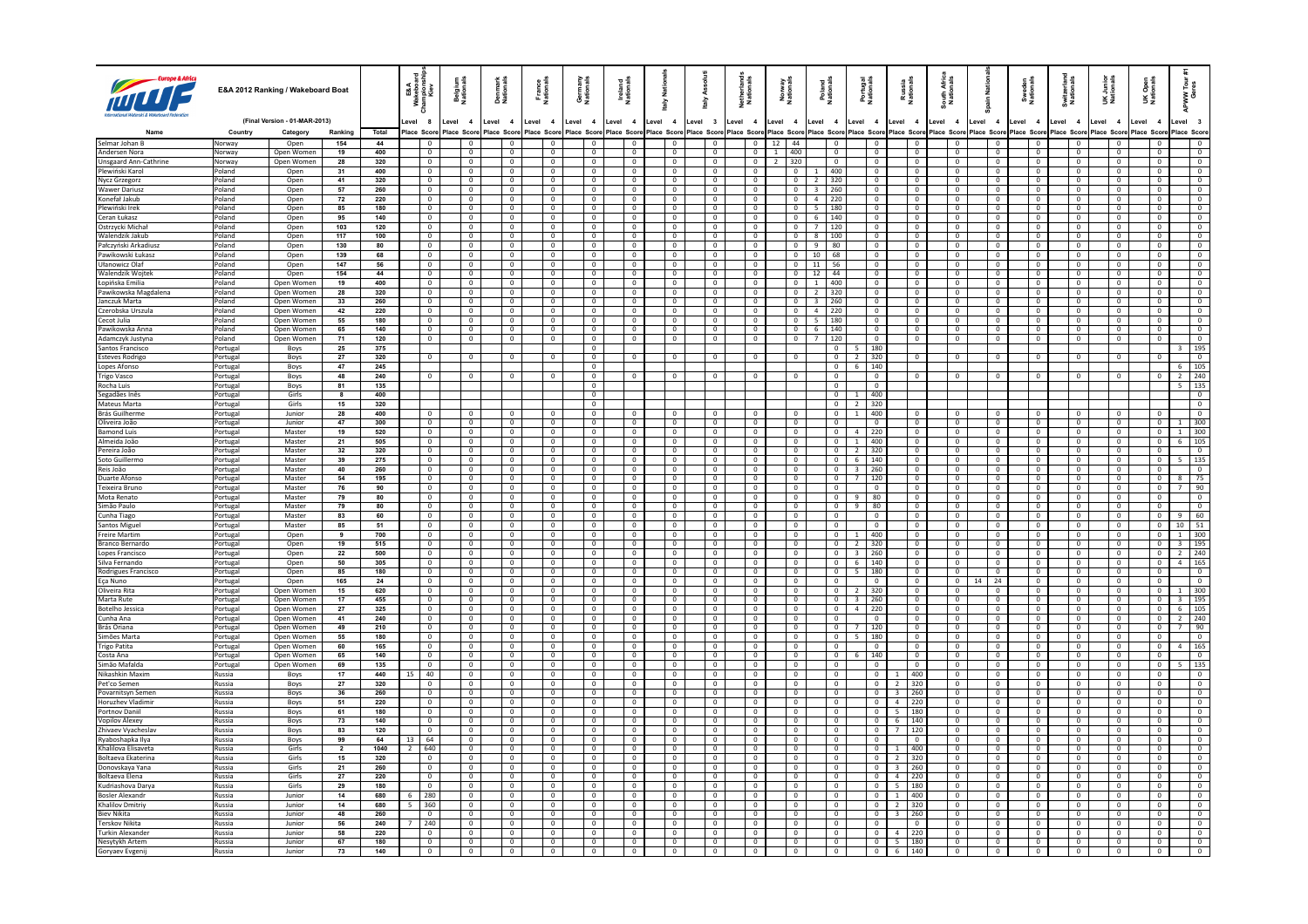|                                            |                      | E&A 2012 Ranking / Wakeboard Boat |                |                         | <b>E&amp;A</b><br>Repise<br>Kie<br>-≋ ≅ | <b>Belgium</b><br>Nationals      | Denmark<br>Nationals             | France<br>Nationals              | Germany<br>Nationals             | Ireland<br>National                  | <b>Natio</b><br>슬 |                                  | Asso<br>taly                                | Netherland:<br>Nationals         | Norway<br>Nationals              | Poland<br>Nationals              | Portugal<br>Nationals                      | Russia<br>Nationals                   | South Afric<br>Nationals         | ain Nati                                  | Sweden<br>Nationals                         | Switzerlan<br>Nationals          | UK Junior<br>Nationals           | Open<br>ionals<br>šž             | ទី ខ្<br>NPWW <sup>-</sup><br>Ger       |
|--------------------------------------------|----------------------|-----------------------------------|----------------|-------------------------|-----------------------------------------|----------------------------------|----------------------------------|----------------------------------|----------------------------------|--------------------------------------|-------------------|----------------------------------|---------------------------------------------|----------------------------------|----------------------------------|----------------------------------|--------------------------------------------|---------------------------------------|----------------------------------|-------------------------------------------|---------------------------------------------|----------------------------------|----------------------------------|----------------------------------|-----------------------------------------|
|                                            |                      | (Final Version - 01-MAR-2013)     |                |                         | evel 8                                  | Level 4                          | Level 4                          | Level 4                          | Level<br>$\overline{\mathbf{4}}$ | Level 4                              | evel 4            |                                  | Level 3                                     | Level<br>$\overline{4}$          | Level 4                          | Level 4                          | Level 4                                    | Level 4                               | evel 4                           | Level 4                                   | Level<br>$\overline{4}$                     | evel 4                           | Level 4                          | Level<br>$\overline{\mathbf{4}}$ | evel 3                                  |
|                                            | Country              | Category                          | Ranking        | Total                   | lace Scon                               | lace Scon                        | lace Score                       | Place Score                      | Place Scor                       | ace Score                            | lace Score        |                                  | Place Score                                 | lace Score                       | Place Score                      | Place Score                      | Place Score                                | lace Score                            | Score Score                      | Place Score                               | lace Scor                                   | Score                            | lace Scon                        | lace Scor                        | Place Score                             |
| Selmar Johan B<br>l Andersen Nora          | Norway<br>Norway     | Open<br>Onen Women                | 154<br>19      | 44<br>400               | $\Omega$                                | $\Omega$                         | $\Omega$                         | $\Omega$                         | $\overline{0}$<br>$\Omega$       | $\overline{0}$<br>$\Omega$           |                   | $\Omega$                         | $\overline{0}$<br>$\Omega$                  | $\mathbf{0}$<br>$\Omega$         | $12 \mid 44$<br>$1 \t 400$       | $\Omega$                         | $\mathbf 0$<br>$\Omega$                    | $\overline{0}$<br>$\Omega$            | $\Omega$                         | $\overline{0}$<br>$\Omega$                | $\overline{0}$<br>$\Omega$                  | $\mathbf 0$<br>$\Omega$          | $\Omega$                         | $\Omega$                         | $\overline{0}$<br>$\Omega$              |
| Unsgaard Ann-Cathrine                      | Norway               | Open Women                        | 28             | 320                     | $\mathbf{0}$                            | $\overline{0}$                   | $\mathbf 0$                      | $\mathbf{0}$                     | $\overline{0}$                   | $\overline{0}$                       |                   | $\mathbf{0}$                     | $\overline{0}$                              | $\mathbf{0}$                     | 320<br>$\overline{2}$            | $\mathbf{0}$                     | $\overline{0}$                             | $\overline{0}$                        | $\mathbf{0}$                     | $\overline{0}$                            | $\overline{0}$                              | $\overline{0}$                   | $\mathbf{0}$                     | $\mathbf{0}$                     | $\mathbf{0}$                            |
| Plewiński Karol                            | Poland               | Open                              | 31             | 400                     | $\Omega$                                | $\Omega$                         | $\Omega$                         | $\Omega$                         | $\Omega$                         | $\Omega$                             |                   | $\overline{0}$                   | $\Omega$                                    | $^{\circ}$                       | $\Omega$                         | 400<br>$\overline{1}$            | $\Omega$                                   | $\Omega$                              | $\Omega$                         | $\overline{0}$                            | $\Omega$                                    | $\Omega$                         | $\Omega$                         | $\Omega$                         | $\Omega$                                |
| Nycz Grzegorz                              | Poland               | Open                              | 41             | 320                     | $\mathbf 0$                             | $\overline{0}$                   | $\mathbf 0$                      | $\mathbf 0$                      | $\mathbf 0$                      | $\mathbf 0$                          |                   | 0                                | $\overline{0}$                              | $\mathbf 0$                      | $\mathbf{0}$                     | $\overline{2}$<br>320            | $\mathbf{0}$                               | $\overline{0}$                        | $\mathbf 0$                      | $\,0\,$                                   | $\mathbf 0$                                 | $\mathbf{0}$                     | $\mathbf{0}$                     | $\mathbf 0$                      | $\mathbf{0}$                            |
| Wawer Dariusz<br>Konefał Jakub             | Poland<br>Poland     | Open<br>Open                      | 57<br>72       | 260<br>220              | $\Omega$<br>$\mathbf 0$                 | $\Omega$<br>$\overline{0}$       | $\Omega$<br>$\mathbf 0$          | $\Omega$<br>$\mathbf{0}$         | $\Omega$<br>$\mathbf 0$          | $\Omega$<br>$\overline{0}$           |                   | $\overline{0}$<br>$\overline{0}$ | $\overline{0}$<br>$\overline{0}$            | $\Omega$<br>$\mathbf{0}$         | $\overline{0}$<br>$\overline{0}$ | 3 260<br>4 220                   | $\Omega$<br>$\overline{0}$                 | $\Omega$<br>$\overline{0}$            | $\overline{0}$<br>$\overline{0}$ | $\overline{0}$<br>$\overline{0}$          | $\Omega$<br>$\overline{0}$                  | $\overline{0}$<br>$\mathbf{0}$   | $\Omega$<br>$\mathbf{0}$         | $\Omega$<br>$\mathbf{0}$         | $\Omega$<br>$\overline{0}$              |
| Plewiński Irek                             | Poland               | Open                              | 85             | 180                     | $\Omega$                                | $\Omega$                         | $\Omega$                         | $\overline{0}$                   | $\Omega$                         | $\Omega$                             |                   | $\overline{0}$                   | $\overline{0}$                              | $\mathbf{0}$                     | $\Omega$                         | 5 180                            | $\overline{0}$                             | $\Omega$                              | $\overline{0}$                   | $\overline{0}$                            | $\overline{0}$                              | $\mathbf{0}$                     | $\overline{0}$                   | $\Omega$                         | $\overline{0}$                          |
| Ceran Łukasz                               | Poland               | Open                              | 95             | 140                     | $\mathbf 0$                             | $\mathbf 0$                      | 0                                | $^{\circ}$                       | 0                                | $\mathbf 0$                          |                   | $\mathbf 0$                      | $\mathbf 0$                                 | $\mathbb O$                      | $\mathsf 0$                      | 140<br>6                         | $\mathbf 0$                                | $\mathbf 0$                           | $\mathbf{0}$                     | $\,0\,$                                   | $\mathbf 0$                                 | $\mathbf 0$                      | $\mathbf{0}$                     | $\mathbf 0$                      | $\overline{0}$                          |
| Ostrzycki Michał                           | Poland               | Open                              | 103            | 120                     | $\overline{0}$                          | $\Omega$                         | $\Omega$                         | $\Omega$                         | $\Omega$                         | $\overline{0}$                       |                   | $\overline{0}$                   | $\overline{0}$                              | $\overline{0}$                   | $\overline{0}$                   | $\frac{1}{2}$ 120                | $\overline{0}$                             | $\Omega$                              | $\overline{0}$                   | $\overline{0}$                            | $\overline{0}$                              | $\overline{0}$                   | $\Omega$                         | $\Omega$                         | $\overline{0}$                          |
| Walendzik Jakub                            | Poland               | Open                              | 117            | 100                     | $\overline{\mathbf{0}}$                 | $\overline{0}$<br>$\sqrt{2}$     | $\mathbf 0$                      | $\overline{0}$                   | $\overline{0}$                   | $\overline{0}$                       |                   | $\overline{0}$                   | $\overline{0}$                              | $\overline{0}$                   | $\overline{0}$                   | 8 100                            | $\overline{\mathbf{0}}$                    | $\overline{0}$<br>$\sqrt{2}$          | $\overline{0}$                   | $\overline{0}$                            | $\overline{\phantom{0}}$                    | $\mathbf 0$                      | $\overline{0}$                   | $\mathbf{0}$                     | $\overline{\phantom{0}}$                |
| Pałczyński Arkadiusz<br>Pawikowski Łukasz  | Poland<br>Poland     | Open<br>Open                      | 130<br>139     | 80<br>68                | $\Omega$<br>$\mathsf 0$                 | $\mathbf 0$                      | $\Omega$<br>$\mathbf 0$          | $\Omega$<br>$\mathbf 0$          | $\Omega$<br>$\circ$              | $\Omega$<br>$\overline{0}$           |                   | $\overline{0}$<br>$\mathbf{0}$   | $\mathbf 0$<br>$\overline{0}$               | $\overline{0}$<br>$\mathbf 0$    | $\Omega$<br>$\overline{0}$       | 9 80<br>10 68                    | $\Omega$<br>$\overline{0}$                 | $\Omega$                              | $\Omega$<br>$\mathbf 0$          | $\overline{\mathbf{0}}$<br>$\overline{0}$ | $\overline{0}$<br>$\overline{\mathbf{0}}$   | $\Omega$<br>$\overline{0}$       | $\Omega$<br>$\overline{0}$       | $\Omega$<br>$\mathbf 0$          | $\Omega$<br>$\overline{0}$              |
| Ułanowicz Olaf                             | Poland               | Open                              | 147            | 56                      | $\Omega$                                | $\Omega$                         | $\Omega$                         | $\Omega$                         | $\Omega$                         | $\Omega$                             |                   | $\overline{0}$                   | $\overline{0}$                              | $\Omega$                         | $\Omega$                         | 11 56                            | $\Omega$                                   | $\Omega$                              | $\overline{0}$                   | $\overline{0}$                            | $\overline{0}$                              | $\overline{0}$                   | $\Omega$                         | $\Omega$                         | $\Omega$                                |
| Walendzik Woitek                           | Poland               | Open                              | 154            | 44                      | $\overline{0}$                          | $\overline{0}$                   | $\mathbf{0}$                     | $\overline{0}$                   | $\overline{0}$                   | $\overline{0}$                       |                   | $\overline{0}$                   | $\overline{0}$                              | $\overline{0}$                   | $\overline{0}$                   | 12 44                            | $\overline{0}$                             | $\overline{0}$                        | $\overline{0}$                   | $\overline{0}$                            | $\overline{\phantom{a}}$                    | $\overline{0}$                   | $\overline{\phantom{0}}$         | $\overline{0}$                   | $\overline{\phantom{0}}$                |
| Łopińska Emilia                            | Poland               | Open Women                        | 19             | 400                     | $\Omega$                                | $\Omega$                         | $\Omega$                         | $\overline{0}$                   | $\Omega$                         | $\Omega$                             |                   | $\overline{0}$                   | $\overline{0}$                              | $\overline{0}$                   | $\Omega$                         | 1 400                            | $\sqrt{2}$                                 | $\Omega$                              | $\overline{0}$                   | $\overline{0}$                            | $\overline{0}$                              | $\mathbf{0}$                     | $\overline{0}$                   | $\Omega$                         | $\Omega$                                |
| Pawikowska Magdalena                       | Poland               | Open Women                        | 28             | 320                     | $^{\circ}$<br>$\overline{0}$            | $\overline{0}$<br>$\overline{0}$ | $^{\circ}$<br>$\mathbf{0}$       | $\overline{0}$<br>$\overline{0}$ | $\mathbf{0}$<br>$\overline{0}$   | $\overline{0}$<br>$\overline{0}$     |                   | $\overline{0}$                   | $\overline{0}$                              | $\overline{0}$                   | $\overline{0}$                   | 2 320<br>$\overline{3}$<br>  260 | $\overline{0}$                             | $\overline{0}$<br>$\overline{0}$      | $\overline{0}$                   | $\overline{0}$                            | $\overline{0}$                              | $\mathbf{0}$<br>$\overline{0}$   | $\overline{0}$<br>$\overline{0}$ | $\overline{0}$<br>$\overline{0}$ | $\overline{0}$<br>$\overline{0}$        |
| Janczuk Marta<br> Czerobska Urszula        | Poland<br>Poland     | Open Women<br>Open Women          | 33<br>42       | 260<br>220              | $\overline{0}$                          | $\overline{0}$                   | $\overline{0}$                   | $\overline{0}$                   | $\overline{0}$                   | $\overline{0}$                       |                   | $\overline{0}$<br>$\overline{0}$ | $\circ$<br>$\overline{0}$                   | $\overline{0}$<br>$\overline{0}$ | $\overline{0}$<br>$\overline{0}$ | $4 \overline{\phantom{0}220}$    | $\overline{0}$<br>$\overline{0}$           | $\overline{0}$                        | $\overline{0}$<br>$\overline{0}$ | $\overline{0}$<br>$\overline{0}$          | $\overline{0}$<br>$\overline{0}$            | $\overline{0}$                   | $\overline{0}$                   | $\overline{0}$                   | $\overline{0}$                          |
| Cecot Julia                                | Poland               | Open Women                        | 55             | 180                     | $\overline{0}$                          | $\overline{0}$                   | $\circ$                          | $\overline{0}$                   | $\overline{0}$                   | $\overline{0}$                       |                   | $\overline{0}$                   | $\overline{0}$                              | $\mathbf{0}$                     | $\overline{0}$                   | 5 180                            | $\overline{0}$                             | $\overline{0}$                        | $\overline{0}$                   | $\overline{0}$                            | $\overline{0}$                              | $\mathbf{0}$                     | $\overline{0}$                   | $\mathbf{0}$                     | $\overline{0}$                          |
| Pawikowska Anna                            | Poland               | Open Women                        | 65             | 140                     | $\mathbf{0}$                            | $\overline{0}$                   | $^{\circ}$                       | $\overline{0}$                   | $\overline{0}$                   | $\overline{0}$                       |                   | $\overline{0}$                   | $\mathbf{0}$                                | $\mathbf{0}$                     | $\overline{0}$                   | $6 \mid 140$                     | $\overline{0}$                             | $\overline{0}$                        | $\mathbf{0}$                     | $\overline{0}$                            | $\overline{0}$                              | $\overline{0}$                   | $\overline{0}$                   | $\mathbf{0}$                     | $\overline{0}$                          |
| Adamczyk Justyna                           | Poland               | Open Women                        | 71             | 120                     | $\mathbf{0}$                            | $\overline{0}$                   | $\mathbf 0$                      | $\overline{0}$                   | $\mathbf 0$                      | $\mathbf{0}$                         |                   | $\mathbf 0$                      | $\overline{\mathbf{0}}$                     | $\mathbf 0$                      | $\mathbf{0}$                     | 120<br>$7^{\circ}$               | $\overline{0}$                             | $\overline{0}$                        | $\mathbf 0$                      | $\overline{0}$                            | $\mathbf 0$                                 | $\mathbf 0$                      | $\mathbf 0$                      | $\mathbf 0$                      | $\overline{0}$                          |
| Santos Francisco<br><b>Esteves Rodrigo</b> | Portugal<br>Portugal | Boys<br>Boys                      | 25<br>27       | 375<br>320              | $\mathbf 0$                             | $\overline{0}$                   | $\mathbf{0}$                     | $\overline{0}$                   | $\overline{0}$<br>$\overline{0}$ | $\overline{0}$                       |                   | $\overline{0}$                   | $\overline{0}$                              | $\mathbf 0$                      | $\mathsf 0$                      | $\mathbf{0}$<br>$\overline{0}$   | $5 \mid 180$<br>$2 \mid 320$               | $\overline{0}$                        | $\circ$                          | $\overline{0}$                            | $\overline{0}$                              | $\mathbf 0$                      | $\mathbf 0$                      | $\mathbf 0$                      | 3   195<br>$\overline{0}$               |
| Lopes Afonso                               | Portugal             | Boys                              | 47             | 245                     |                                         |                                  |                                  |                                  | $^{\circ}$                       |                                      |                   |                                  |                                             |                                  |                                  | $\overline{0}$                   | $6 \mid 140$                               |                                       |                                  |                                           |                                             |                                  |                                  |                                  | $6 \mid 105$                            |
| Trigo Vasco                                | Portuga              | Boys                              | 48             | 240                     | $\mathbf 0$                             |                                  |                                  |                                  | $\mathbf 0$                      | $\Omega$                             |                   | $\mathbf 0$                      | $\overline{0}$                              | $\overline{0}$                   | $\overline{0}$                   | $\mathbf 0$                      | $\mathbf 0$                                |                                       | $\mathbf 0$                      | $\mathsf 0$                               | $\mathbf 0$                                 | $\overline{0}$                   | $\mathsf 0$                      |                                  | $\overline{2}$<br>240                   |
| Rocha Luis                                 | Portuga              | <b>Boys</b>                       | 81             | 135                     |                                         |                                  |                                  |                                  | $\Omega$                         |                                      |                   |                                  |                                             |                                  |                                  | $\Omega$                         | $\Omega$                                   |                                       |                                  |                                           |                                             |                                  |                                  |                                  | 5   135                                 |
| Segadães Inê:                              | Portugal             | Girls                             | 8              | 400                     |                                         |                                  |                                  |                                  | $\overline{0}$                   |                                      |                   |                                  |                                             |                                  |                                  | $\mathbf{0}$                     | 1   400                                    |                                       |                                  |                                           |                                             |                                  |                                  |                                  | $\overline{0}$                          |
| Mateus Marta<br>Brás Guilherme             | Portugal<br>ortugal  | Girls<br>Junior                   | 15<br>28       | 320<br>400              |                                         |                                  |                                  |                                  | $\Omega$<br>$\overline{0}$       |                                      |                   |                                  |                                             |                                  |                                  | $\Omega$<br>$\mathbf{0}$         | $2 \mid 320$<br>$1 \mid 400$               |                                       |                                  |                                           |                                             |                                  |                                  |                                  | $\Omega$<br>$\overline{0}$              |
| Oliveira João                              | Portugal             | Junion                            | 47             | 300                     | $\sqrt{2}$                              | $\Omega$                         | $\Omega$                         | $\Omega$                         | $\Omega$                         | $\Omega$                             |                   | $\Omega$                         | $\Omega$                                    | $\Omega$                         | $\Omega$                         | $\Omega$                         | <b>0</b>                                   | $\Omega$                              | $\Omega$                         | $\overline{0}$                            | $\Omega$                                    | $\Omega$                         | $\Omega$                         | $\Omega$                         | $1 \mid 300$                            |
| <b>Bamond Luis</b>                         | Portugal             | Master                            | 19             | 520                     | $\overline{0}$                          | $\overline{0}$                   | $\overline{0}$                   | $\overline{0}$                   | $\overline{0}$                   | $\overline{0}$                       |                   | $\overline{0}$                   | $\overline{0}$                              | $\overline{0}$                   | $\overline{0}$                   | $\overline{0}$                   | $4$ 220                                    | $\overline{0}$                        | $\overline{0}$                   | $\overline{0}$                            | $\overline{0}$                              | $\overline{0}$                   | $\overline{0}$                   | $\overline{0}$                   | $1 \overline{300}$                      |
| Almeida João                               | Portugal             | Master                            | 21             | 505                     | $\Omega$                                | $\Omega$                         | $\Omega$                         | $\Omega$                         | $\Omega$                         | $\Omega$                             |                   | $\overline{0}$                   | $\overline{0}$                              | $^{\circ}$                       | $\overline{0}$                   | $\mathbf{0}$                     | 1 400                                      | $\Omega$                              | $\overline{0}$                   | $\overline{0}$                            | $\overline{0}$                              | $\mathbf{0}$                     | $\overline{0}$                   | $\Omega$                         | $6 \mid 105$                            |
| Pereira João                               | Portugal             | Master                            | 32             | 320                     | $\mathbf 0$                             | $\overline{0}$                   | 0                                | $^{\circ}$                       | 0                                | $\overline{0}$                       |                   | 0                                | $\overline{0}$                              | $\mathbf 0$                      | $\mathsf 0$                      | $\overline{0}$                   | $2 \mid 320$                               | $\overline{0}$                        | $\mathbf 0$                      | $\overline{\mathbf{0}}$                   | $\mathbf 0$                                 | $\overline{0}$                   | $^{\circ}$                       | 0                                | $\overline{0}$                          |
| Soto Guillermo<br>Reis João                | Portugal<br>Portuga  | Master<br>Master                  | 39<br>40       | 275<br>260              | $\overline{0}$<br>$\overline{0}$        | $\Omega$<br>$\overline{0}$       | $\mathbf{0}$<br>$\mathbf{0}$     | $\Omega$<br>$\overline{0}$       | $\overline{0}$<br>$\overline{0}$ | $\Omega$<br>$\overline{\phantom{0}}$ |                   | $\overline{0}$<br>$\overline{0}$ | $\overline{0}$<br>$\overline{0}$            | $\Omega$<br>$\overline{0}$       | $\overline{0}$<br>$\overline{0}$ | $\Omega$<br>$\overline{0}$       | $6 \mid 140$<br>$3 \mid 260$               | $\Omega$<br>$\overline{0}$            | $\overline{0}$<br>$\overline{0}$ | $\overline{0}$<br>$\overline{0}$          | $\overline{0}$<br>$\overline{\phantom{0}}$  | $\mathbf{0}$<br>$\overline{0}$   | $\overline{0}$<br>$\overline{0}$ | $\Omega$<br>$^{\circ}$           | $\overline{5}$   135                    |
| Duarte Afonso                              | Portugal             | Master                            | 54             | 195                     | $\mathbf{0}$                            | $\overline{0}$                   | $^{\circ}$                       | $\overline{0}$                   | $\overline{0}$                   | $\mathbf{0}$                         |                   | $\overline{0}$                   | $\mathbf 0$                                 | $\mathbf 0$                      | $\overline{0}$                   | $\mathbf{0}$                     | 7   120                                    | $\overline{0}$                        | $\overline{0}$                   | $\overline{0}$                            | $\overline{0}$                              | $\mathbf{0}$                     | $\overline{\mathbf{0}}$          | $\mathbf{0}$                     | 8 75                                    |
| Teixeira Brunc                             | Portuga              | Master                            | 76             | 90                      | $\mathbf 0$                             | $\overline{0}$                   | $\overline{0}$                   | $\overline{0}$                   | $\overline{0}$                   | $\overline{0}$                       |                   | $\overline{0}$                   | $\overline{0}$                              | $\overline{0}$                   | $\overline{0}$                   | $\mathbf 0$                      | $\overline{\mathbf{0}}$                    | $\overline{0}$                        | $\mathbf 0$                      | $\overline{0}$                            | $\overline{0}$                              | $\overline{0}$                   | $\overline{0}$                   | $\mathbf{0}$                     | 90<br>7 <sup>7</sup>                    |
| Mota Renato                                | Portugal             | Master                            | 79             | 80                      | $\sqrt{2}$                              | $\Omega$                         | $\Omega$                         | $\Omega$                         | $\Omega$                         | $\sqrt{0}$                           |                   | $\overline{0}$                   | $\overline{0}$                              | $\overline{0}$                   | $\overline{0}$                   | $\Omega$                         | $9$ 80                                     | $\Omega$                              | $\overline{0}$                   | $\overline{0}$                            | $\overline{\mathbf{0}}$                     | $\overline{0}$                   | $\Omega$                         | $\Omega$                         | $\overline{0}$                          |
| Simão Paulo                                | Portugal             | Master                            | 79<br>83       | 80<br>60                | $\overline{0}$<br>$\Omega$              | $\overline{0}$<br>$\Omega$       | $\overline{0}$<br>$\Omega$       | $\overline{0}$<br>$\overline{0}$ | $\overline{0}$<br>$\overline{0}$ | $\overline{0}$<br>$\sqrt{0}$         |                   | $\overline{0}$<br>$\overline{0}$ | $\overline{0}$<br>$\overline{0}$            | $\overline{0}$<br>$\overline{0}$ | $\overline{0}$<br>$\overline{0}$ | $\overline{0}$<br>$\overline{0}$ | $9$ 80<br>$\Omega$                         | $\overline{0}$<br>$\Omega$            | $\overline{0}$<br>$\overline{0}$ | $\overline{0}$<br>$\overline{0}$          | $\overline{\phantom{a}}$<br>$\overline{0}$  | $\overline{0}$<br>$\overline{0}$ | $\overline{0}$<br>$\overline{0}$ | $\overline{0}$<br>$\Omega$       | $9 \mid 60$                             |
| Cunha Tiago<br>Santos Migue                | Portugal<br>Portugal | Master<br>Master                  | 85             | 51                      | $\overline{0}$                          | $\overline{0}$                   | $\overline{0}$                   | $\overline{0}$                   | $\mathbf{0}$                     | $\overline{0}$                       |                   | $\overline{0}$                   | $\overline{0}$                              | $\overline{0}$                   | $\overline{0}$                   | $\overline{0}$                   | $\overline{0}$                             | $\overline{0}$                        | $\overline{0}$                   | $\overline{0}$                            | $\overline{0}$                              | $\overline{0}$                   | $\overline{0}$                   | $\overline{0}$                   | $10 \mid 51$                            |
| <b>Freire Martin</b>                       | Portuga              | Open                              | $\overline{9}$ | 700                     | $\overline{0}$                          | $\Omega$                         | $\overline{0}$                   | $\overline{0}$                   | $\overline{0}$                   | $\overline{0}$                       |                   | $\overline{0}$                   | $\mathbf 0$                                 | $\overline{0}$                   | $\overline{0}$                   | $\overline{0}$                   | $1 \mid 400$                               | $\overline{0}$                        | $\overline{0}$                   | $\overline{0}$                            | $\overline{0}$                              | $\overline{0}$                   | $\overline{0}$                   | $\overline{0}$                   | $1 \mid 300$                            |
| Branco Bernardo                            | Portugal             | Open                              | 19             | 515                     | $\overline{0}$                          | $\overline{0}$                   | $\overline{0}$                   | $\overline{0}$                   | $\overline{0}$                   | $\overline{0}$                       |                   | $\overline{0}$                   | $\overline{0}$                              | $\overline{0}$                   | $\overline{0}$                   | $\overline{0}$                   | $2 \mid 320$                               | $\overline{0}$                        | $\overline{0}$                   | $\overline{0}$                            | $\overline{0}$                              | $\overline{0}$                   | $\overline{0}$                   | $\overline{0}$                   | 3   195                                 |
| Lopes Francisco                            | Portugal             | Oper                              | 22             | 500                     | $\overline{0}$                          | $\Omega$                         | $\overline{0}$                   | $\overline{0}$                   | $\overline{0}$                   | $\overline{0}$                       |                   | $\overline{0}$                   | $\overline{0}$                              | $\overline{0}$                   | $\overline{0}$                   | $\overline{0}$                   | 3   260                                    | $\Omega$                              | $\overline{0}$                   | $\overline{0}$                            | $\overline{0}$                              | $\overline{0}$                   | $\overline{0}$                   | $\overline{0}$                   | 2 240                                   |
| Silva Fernando                             | Portugal             | Open<br>Open                      | 50<br>85       | 305<br>180              | $\overline{0}$<br>$\mathbf 0$           | $\overline{0}$<br>$\overline{0}$ | $\overline{0}$<br>$\overline{0}$ | $\overline{0}$<br>$\overline{0}$ | $\mathbf{0}$<br>$\mathbf 0$      | $\overline{0}$<br>$\overline{0}$     |                   | $\overline{0}$<br>$\overline{0}$ | $\overline{0}$<br>$\mathbf 0$               | $\mathbf{0}$<br>$\overline{0}$   | $\overline{0}$<br>$\overline{0}$ | $\overline{0}$<br>$\mathbf 0$    | $6 \mid 140$<br>$5 \mid 180$               | $\overline{0}$<br>$\overline{0}$      | $\overline{0}$<br>$\overline{0}$ | $\overline{0}$<br>$\overline{0}$          | $\overline{0}$<br>$\overline{0}$            | $\overline{0}$<br>$\mathbf 0$    | $\overline{0}$<br>$\overline{0}$ | $\overline{0}$<br>$^{\circ}$     | 4   165<br>$\overline{0}$               |
| Rodrigues Francisco<br>l Eca Nuno          | Portugal<br>Portugal | Open                              | 165            | 24                      | $\overline{0}$                          | $\overline{0}$                   | $\overline{0}$                   | $\overline{0}$                   | $\overline{0}$                   | $\overline{0}$                       |                   | $\overline{0}$                   | $\overline{0}$                              | $\overline{0}$                   | $\overline{0}$                   | $\overline{0}$                   | $\overline{0}$                             | $\overline{0}$                        | $\overline{0}$                   | 24<br>14                                  | $\overline{0}$                              | $\overline{0}$                   | $\overline{0}$                   | $\overline{0}$                   | $\overline{0}$                          |
| Oliveira Rita                              | Portugal             | Open Women                        | 15             | 620                     | $\mathbf{0}$                            | $\overline{0}$                   | $\mathbf{0}$                     | $\overline{0}$                   | $\overline{0}$                   | $\overline{0}$                       |                   | $\overline{0}$                   | $\mathbf 0$                                 | $\mathbf 0$                      | $\overline{0}$                   | $\mathbf{0}$                     | $2 \mid 320$                               | $\overline{0}$                        | $\overline{0}$                   | $\overline{0}$                            | $\overline{0}$                              | $\overline{0}$                   | $\overline{0}$                   | $\mathbf 0$                      | $1 \mid 300$                            |
| Marta Rute                                 | Portugal             | Open Women                        | 17             | 455                     | $\mathbf{0}$                            | $\overline{0}$                   | $^{\circ}$                       | $\overline{0}$                   | $^{\circ}$                       | $\overline{0}$                       |                   | $\overline{0}$                   | $\overline{0}$                              | $\mathbf{0}$                     | $\overline{0}$                   | $\mathbf{0}$                     | $3 \mid 260$                               | $\overline{0}$                        | $\mathbf{0}$                     | $\overline{0}$                            | $\overline{0}$                              | $\overline{0}$                   | $\overline{0}$                   | $\mathbf{0}$                     | $3 \mid 195$                            |
| <b>Botelho Jessica</b><br>lCunha Ana       | Portugal             | Open Women<br>Onen Women          | 27<br>41       | 325<br>240              | $\mathbf 0$<br>$\overline{0}$           | $\overline{0}$<br>$\Omega$       | $\overline{0}$<br>$\Omega$       | $\overline{0}$<br>$\sqrt{0}$     | $\mathbf 0$<br>$\Omega$          | $\overline{0}$<br>$\sqrt{0}$         |                   | $\overline{0}$<br>$\sqrt{0}$     | $\overline{0}$<br>$\Omega$                  | $\overline{0}$<br>$\overline{0}$ | $\mathbf 0$<br>$\overline{0}$    | $\overline{0}$<br>$\Omega$       | $4 \mid 220$<br>$\Omega$                   | $\overline{0}$<br>$\Omega$            | $\mathbf 0$<br>$\sqrt{0}$        | $\overline{0}$<br>$\sqrt{2}$              | $\overline{0}$<br>$\overline{0}$            | $\overline{0}$<br>$\sqrt{2}$     | $\overline{0}$<br>$\overline{0}$ | $\overline{0}$<br>$\overline{0}$ | 105<br>6<br>$2 \mid 240$                |
| Brás Oriana                                | Portugal<br>Portugal | Open Women                        | 49             | 210                     | $\overline{0}$                          | $\overline{0}$                   | $\overline{0}$                   | $\overline{0}$                   | $\overline{0}$                   | $\overline{0}$                       |                   | $\overline{0}$                   | $\overline{0}$                              | $\overline{0}$                   | $\overline{0}$                   | $\overline{0}$                   | $7 \mid 120$                               | $\sqrt{0}$                            | $\overline{0}$                   | $\overline{0}$                            | $\overline{0}$                              | $\overline{0}$                   | $\overline{0}$                   | $\overline{0}$                   | 90<br>7                                 |
| Simões Marta                               | Portugal             | Onen Women                        | 55             | 180                     | $\Omega$                                | $\Omega$                         | $\Omega$                         | $\Omega$                         | $\Omega$                         | $\sqrt{2}$                           |                   | $\overline{0}$                   | $\Omega$                                    | $\mathbf{0}$                     | $\overline{0}$                   | $\Omega$                         | $5 \mid 180$                               | $\Omega$                              | $\Omega$                         | $\sqrt{0}$                                | $\Omega$                                    | $\Omega$                         | $\sqrt{0}$                       | $\Omega$                         | $\overline{0}$                          |
| rigo Patita                                | Portugal             | Open Women                        | 60             | $165$                   | $\overline{0}$                          | $\overline{0}$                   | $\overline{0}$                   | $\overline{0}$                   | $\overline{0}$                   | $\overline{0}$                       |                   | $\mathbf 0$                      | $\overline{0}$                              | $\mathbf 0$                      | $\mathbf 0$                      | $\overline{0}$                   | $\overline{0}$                             | $\overline{0}$                        | $\overline{0}$                   | $\overline{0}$                            | $\mathbf 0$                                 | $\mathbf 0$                      | $\overline{0}$                   | $\overline{0}$                   | 165<br>$\overline{4}$                   |
| Costa Ana                                  | Portugal             | Onen Women                        | 65             | 140                     | $\overline{0}$                          | $\Omega$                         | $\Omega$                         | $\Omega$                         | $\Omega$                         | $\sqrt{0}$                           |                   | $\overline{0}$                   | $\overline{0}$                              | $\overline{0}$                   | $\sqrt{0}$                       | $\Omega$                         | $6 \mid 140$                               | $\Omega$                              | $\Omega$                         | $\overline{0}$                            | $\overline{0}$                              | $\overline{0}$                   | $\sqrt{0}$                       | $\overline{0}$                   | $\Omega$                                |
| Simão Mafalda<br>Nikashkin Maxim           | Portugal<br>Russia   | Open Women<br>Boys                | 69<br>17       | 135<br>440              | $\overline{0}$<br>40<br>15              | $\overline{0}$<br>$\Omega$       | $\overline{0}$<br>$\Omega$       | $\overline{0}$<br>$\Omega$       | $\overline{0}$<br>$\Omega$       | $\overline{0}$<br>$\Omega$           |                   | $\overline{0}$<br>$\overline{0}$ | $\overline{0}$<br>$\overline{0}$            | $\mathbb O$<br>$\mathbf{0}$      | $\overline{0}$<br>$\overline{0}$ | $\overline{0}$<br>$\mathbf{0}$   | $\overline{0}$<br>$\overline{0}$           | $\overline{0}$<br>400<br>$\mathbf{1}$ | $\overline{0}$<br>$\overline{0}$ | $\overline{0}$<br>$\overline{0}$          | $\overline{0}$<br>$\overline{0}$            | $\overline{0}$<br>$\overline{0}$ | $\overline{0}$<br>$\overline{0}$ | $\overline{0}$<br>$\Omega$       | 5 <sub>1</sub><br>135<br>$\overline{0}$ |
| Pet'co Semen                               | Russia               | Boys                              | 27             | 320                     | $\mathbf 0$                             | $\overline{0}$                   | 0                                | $\overline{0}$                   | 0                                | $\overline{0}$                       |                   | 0                                | $\mathbf 0$                                 | $\mathbb O$                      | $\overline{0}$                   | $\overline{0}$                   | $\overline{0}$                             | 320<br>$\overline{2}$                 | $\mathbf 0$                      | $\overline{0}$                            | $\mathbf 0$                                 | $\overline{0}$                   | $\overline{0}$                   | 0                                | $\overline{0}$                          |
| Povarnitsyn Semer                          | Russia               | Boys                              | 36             | 260                     | $\Omega$                                | $\Omega$                         | $\mathbf{0}$                     | $\Omega$                         | $\Omega$                         | $\Omega$                             |                   | $\overline{0}$                   | $\overline{0}$                              | $\mathbf{0}$                     | $\overline{0}$                   | $\Omega$                         | $\overline{0}$                             | $\overline{3}$<br>260                 | $\overline{0}$                   | $\overline{0}$                            | $\overline{0}$                              | $\mathbf{0}$                     | $\Omega$                         | $\Omega$                         | $\overline{0}$                          |
| Horuzhev Vladimir                          | Russia               | Boys                              | 51             | 220                     | $\overline{0}$                          | $\overline{0}$                   | $\overline{0}$                   | $\overline{0}$                   | $\overline{0}$                   | $\overline{0}$                       |                   | $\overline{0}$                   | $\mathbf 0$                                 | $\mathbb O$                      | $\overline{0}$                   | $\overline{0}$                   | $\overline{0}$                             | 4<br>220                              | $\overline{0}$                   | $\overline{0}$                            | $\overline{0}$                              | $\overline{0}$                   | $\overline{0}$                   | $^{\circ}$                       | $\overline{0}$                          |
| Portnov Daniil                             | Russia               | Boys                              | 61             | 180                     | $\mathbf{0}$                            | $\overline{0}$                   | $^{\circ}$                       | $\overline{0}$                   | $\overline{0}$                   | $\overline{0}$                       |                   | $\overline{0}$                   | $\mathbf 0$                                 | $\mathbf 0$                      | $\overline{0}$                   | $\mathbf 0$                      | $\overline{0}$                             | $5 \mid 180$                          | $\overline{0}$                   | $\mathbf 0$                               | $\overline{0}$                              | $\mathbf{0}$                     | $\overline{0}$                   | $\mathbf{0}$                     | $\overline{0}$                          |
| Vopilov Alexey<br>Zhivaev Vyacheslav       | Russia<br>Russia     | Boys<br>Boys                      | 73<br>83       | $\overline{140}$<br>120 | $\overline{0}$<br>$\overline{0}$        | $\overline{0}$<br>$\overline{0}$ | $\mathbf 0$<br>$\overline{0}$    | $\overline{0}$<br>$\overline{0}$ | $\mathbf 0$<br>$\overline{0}$    | $\overline{0}$<br>$\overline{0}$     |                   | $\mathbf 0$<br>$\overline{0}$    | $\overline{\mathfrak{o}}$<br>$\overline{0}$ | $\mathbf 0$<br>$\overline{0}$    | $\overline{0}$<br>$\overline{0}$ | $\overline{0}$<br>$\overline{0}$ | $\overline{0}$<br>$\overline{\phantom{0}}$ | 140<br>6<br>7<br>120                  | $\mathbf 0$<br>$\overline{0}$    | $\overline{0}$<br>$\overline{0}$          | $\overline{\mathfrak{o}}$<br>$\overline{0}$ | $\overline{0}$<br>$\overline{0}$ | $\mathbf 0$<br>$\overline{0}$    | $\mathbf 0$<br>$\overline{0}$    | $\mathbf{0}$<br>$\overline{0}$          |
| Ryaboshapka Ilya                           | Russia               | Boys                              | 99             | 64                      | 13   64                                 | $\overline{0}$                   | $\overline{0}$                   | $\overline{0}$                   | $\overline{0}$                   | $\overline{0}$                       |                   | $\overline{0}$                   | $\overline{0}$                              | $\overline{0}$                   | $\overline{0}$                   | $\overline{0}$                   | $\overline{\phantom{0}}$                   | $\overline{0}$                        | $\overline{0}$                   | $\overline{0}$                            | $\overline{\phantom{a}}$                    | $\overline{0}$                   | $\overline{0}$                   | $\overline{0}$                   | $\overline{0}$                          |
| Khalilova Elisaveta                        | Russia               | Girls                             | $\overline{2}$ | 1040                    | 2   640                                 | $\sqrt{0}$                       | $\Omega$                         | $\overline{0}$                   | $\overline{0}$                   | $\overline{0}$                       |                   | $\overline{0}$                   | $\overline{0}$                              | $\overline{0}$                   | $\overline{0}$                   | $\overline{0}$                   | $\overline{0}$                             | $1 \t 400$                            | $\overline{0}$                   | $\overline{0}$                            | $\overline{0}$                              | $\overline{0}$                   | $\overline{0}$                   | $\overline{0}$                   | $\overline{0}$                          |
| Boltaeva Ekaterina                         | Russia               | Girls                             | 15             | 320                     | $\overline{0}$                          | $\overline{0}$                   | $\overline{0}$                   | $\overline{0}$                   | $\mathbf{0}$                     | $\overline{0}$                       |                   | $\overline{0}$                   | $\overline{0}$                              | $\overline{0}$                   | $\overline{0}$                   | $\overline{0}$                   | $\overline{0}$                             | 320<br>$2^{\circ}$                    | $\overline{0}$                   | $\overline{0}$                            | $\overline{0}$                              | $\overline{0}$                   | $\overline{0}$                   | $^{\circ}$                       | $\overline{0}$                          |
| Donovskaya Yana                            | Russia               | Girls                             | 21             | 260                     | $\overline{0}$                          | $\sqrt{0}$                       | $\overline{0}$                   | $\overline{0}$                   | $\overline{0}$                   | $\overline{0}$                       |                   | $\overline{0}$                   | $\mathbf 0$                                 | $\overline{0}$                   | $\overline{0}$                   | $\overline{0}$                   | $\overline{\phantom{0}}$                   | $\overline{3}$<br>260                 | $\overline{0}$                   | $\overline{0}$                            | $\overline{0}$                              | $\overline{0}$                   | $\overline{0}$                   | $\overline{0}$                   | $^{\circ}$                              |
| Boltaeva Elena<br>Kudriashova Darya        | Russia<br>Russia     | Girls<br>Girls                    | 27<br>29       | 220<br>180              | $\overline{0}$<br>$\sqrt{2}$            | $\overline{0}$<br>$\sqrt{0}$     | $\overline{0}$<br>$\Omega$       | $\overline{0}$<br>$\overline{0}$ | $\overline{0}$<br>$\overline{0}$ | $\overline{0}$<br>$\sqrt{0}$         |                   | $\overline{0}$<br>$\overline{0}$ | $\overline{0}$<br>$\overline{0}$            | $\overline{0}$<br>$\overline{0}$ | $\overline{0}$<br>$\overline{0}$ | $\overline{0}$<br>$\overline{0}$ | $\overline{0}$<br>$\overline{0}$           | $4$   220<br>5 <sup>7</sup><br>180    | $\overline{0}$<br>$^{\circ}$     | $\overline{0}$<br>$\overline{0}$          | $\overline{\phantom{0}}$<br>$\overline{0}$  | $\overline{0}$<br>$\overline{0}$ | $\overline{0}$<br>$\overline{0}$ | $\overline{0}$<br>$\overline{0}$ | $\overline{0}$<br>$\overline{0}$        |
| <b>Bosler Alexandr</b>                     | Russia               | Junior                            | 14             | 680                     | 280<br>6                                | $\overline{0}$                   | $^{\circ}$                       | $\overline{0}$                   | $\mathbf{0}$                     | $\overline{0}$                       |                   | $\overline{0}$                   | $\overline{0}$                              | $^{\circ}$                       | $\overline{0}$                   | $\overline{0}$                   | $\overline{0}$                             | 400<br>1                              | $\overline{0}$                   | $\overline{0}$                            | $\overline{0}$                              | $\overline{0}$                   | $\overline{0}$                   | $\overline{0}$                   | $\overline{0}$                          |
| <b>Khalilov Dmitriy</b>                    | Russia               | Junior                            | 14             | 680                     | 360<br>- 5                              | $\sqrt{0}$                       | $\mathbf{0}$                     | $\overline{0}$                   | $\mathbf 0$                      | $\sqrt{2}$                           |                   | $\overline{0}$                   | $\overline{\mathbf{0}}$                     | $\overline{0}$                   | $\overline{0}$                   | $\overline{0}$                   | $\overline{0}$                             | $\overline{2}$<br>320                 | $\overline{0}$                   | $\overline{0}$                            | $\mathbf 0$                                 | $\overline{0}$                   | $\overline{0}$                   | $\mathbf 0$                      | $\mathbf{0}$                            |
| <b>Biev Nikita</b>                         | Russia               | Junior                            | 48             | 260                     | $\overline{0}$                          | $\overline{0}$                   | $\overline{0}$                   | $\overline{0}$                   | $\overline{0}$                   | $\overline{0}$                       |                   | $\overline{0}$                   | $\overline{0}$                              | $\overline{0}$                   | $\overline{0}$                   | $\overline{0}$                   | $\overline{0}$                             | $3 \mid 260$                          | $\overline{0}$                   | $\overline{0}$                            | $\overline{0}$                              | $\overline{0}$                   | $\overline{0}$                   | $\overline{0}$                   | $\overline{0}$                          |
| <b>Terskov Nikita</b>                      | Russia               | Junior                            | 56             | 240<br>220              | 240<br>$\overline{7}$<br>$\overline{0}$ | $\overline{0}$<br>$\overline{0}$ | $\overline{0}$<br>$\overline{0}$ | $\overline{0}$                   | $\mathbf{0}$                     | $\overline{0}$<br>$\overline{0}$     |                   | $\overline{0}$<br>$\overline{0}$ | $\overline{\mathbf{0}}$<br>$\overline{0}$   | $\mathbf 0$                      | $\overline{0}$<br>$\overline{0}$ | $\overline{0}$<br>$\overline{0}$ | $\overline{0}$<br>$\overline{0}$           | $\overline{0}$<br>220                 | $\overline{0}$<br>$\overline{0}$ | $\overline{0}$<br>$\overline{0}$          | $\overline{0}$                              | $\overline{0}$<br>$\overline{0}$ | $\overline{0}$<br>$\overline{0}$ | $\mathbf 0$<br>$\overline{0}$    | $\overline{0}$                          |
| Turkin Alexander<br>Nesytykh Artem         | Russia<br>Russia     | Junior<br>Junior                  | 58<br>67       | 180                     | $\mathbf 0$                             | $\overline{0}$                   | $\mathbf 0$                      | $\overline{0}$<br>$\overline{0}$ | $\mathbf{0}$<br>0                | $\overline{0}$                       |                   | $\overline{0}$                   | $\overline{\mathbf{0}}$                     | $\mathbf{0}$<br>$\mathbf 0$      | $\mathbf 0$                      | $\mathbf 0$                      | $\overline{0}$                             | 4<br>180<br>5                         | $\overline{0}$                   | $\overline{0}$                            | $\mathbf{0}$<br>$\mathbf 0$                 | $\overline{0}$                   | $\mathbf 0$                      | $\mathbf 0$                      | $\overline{0}$<br>$\mathbf{0}$          |
| Goryaev Evgenij                            | Russia               | Junior                            | 73             | 140                     | $\overline{0}$                          | $\overline{0}$                   | $\overline{0}$                   | $\overline{0}$                   | $\overline{0}$                   | $\overline{0}$                       |                   | $\overline{0}$                   | $\overline{0}$                              | $\overline{0}$                   | $\overline{0}$                   | $\overline{0}$                   | $\overline{\phantom{0}}$                   | $6 \mid 140$                          | $\overline{0}$                   | $\overline{0}$                            | $\overline{0}$                              | $\overline{0}$                   | $\overline{0}$                   | $\overline{0}$                   | $\overline{0}$                          |
|                                            |                      |                                   |                |                         |                                         |                                  |                                  |                                  |                                  |                                      |                   |                                  |                                             |                                  |                                  |                                  |                                            |                                       |                                  |                                           |                                             |                                  |                                  |                                  |                                         |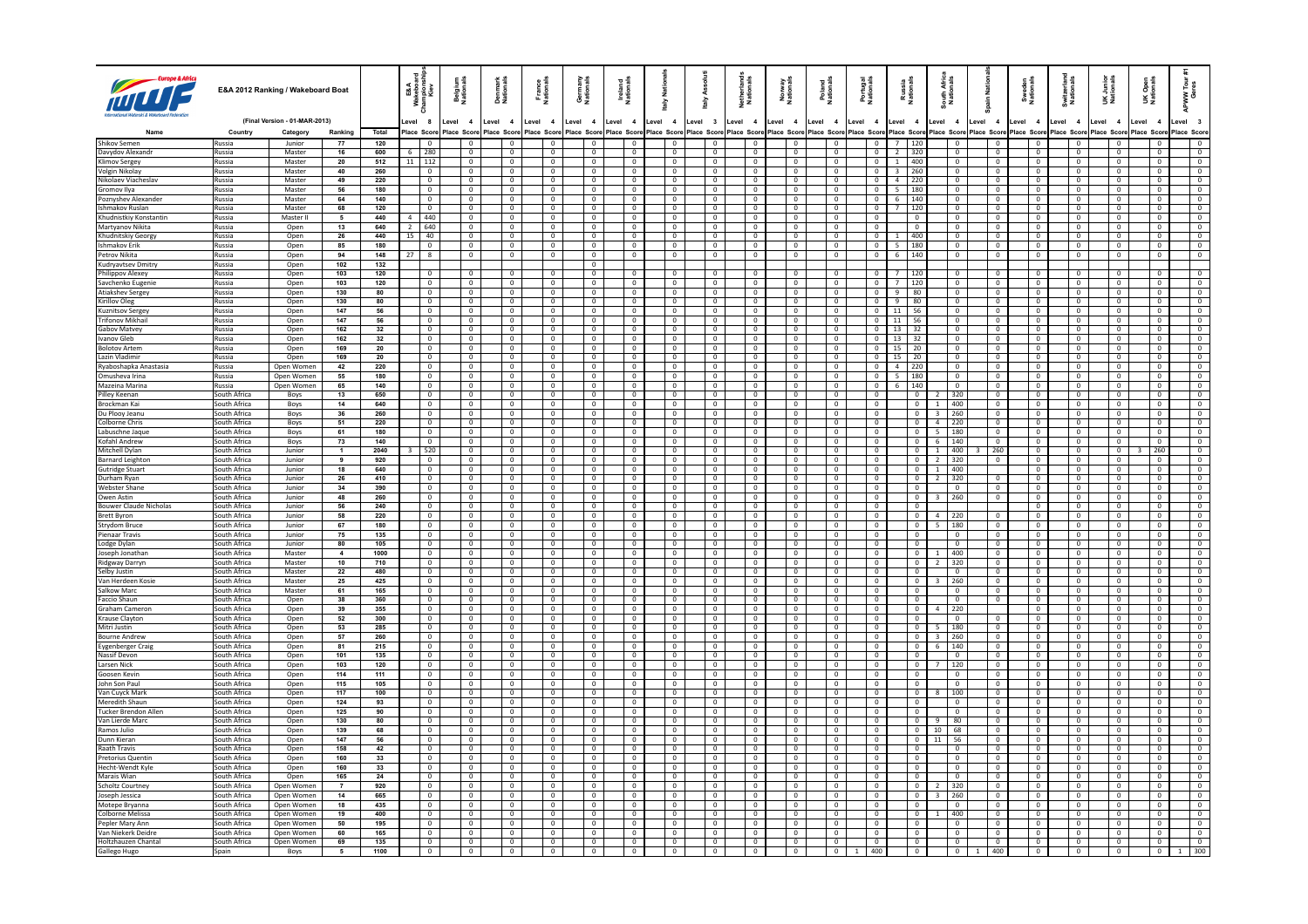|                                             |                              | E&A 2012 Ranking / Wakeboard Boat         |                         |                  | E&A<br>kebo<br>Kiev                        | <b>Belgium</b><br>Nationals                       | Denmark<br>Nationals             | France<br>Nationa                         | Germany<br>Nationals             | Ireland<br>National                        | š<br>ਛੇ               |                                  | Ass<br>taly                      | Netherland<br>Nationals          | Norway<br>National:              | Poland<br>National             | Portugal<br>Nationals            | Russia<br>Nationals                   | South Afric<br>Nationals                | ain Nati                                  | Sweden<br>Nationals              | Switzerlan<br>Nationals          | UK Junior<br>Nationals        | Open<br>ionals<br>šŽ                          | 흽<br>ξů                          |
|---------------------------------------------|------------------------------|-------------------------------------------|-------------------------|------------------|--------------------------------------------|---------------------------------------------------|----------------------------------|-------------------------------------------|----------------------------------|--------------------------------------------|-----------------------|----------------------------------|----------------------------------|----------------------------------|----------------------------------|--------------------------------|----------------------------------|---------------------------------------|-----------------------------------------|-------------------------------------------|----------------------------------|----------------------------------|-------------------------------|-----------------------------------------------|----------------------------------|
|                                             | Country                      | (Final Version - 01-MAR-2013)<br>Category | Ranking                 | Total            | evel 8<br>lace Scor                        | Level<br>$\overline{\mathbf{4}}$<br>Place<br>Scor | Level 4<br>Place Scon            | Level 4<br>lace Scor                      | Level 4<br>lace Scon             | Level<br>$\overline{4}$<br>Score           | Level 4<br>lace Score |                                  | Level 3<br>Place Scor            | Level 4<br>lace Score            | Level 4<br>Place Scor            | Level 4<br>lace Score          | Level 4<br>Place Score           | Level 4<br>Place Scon                 | evel 4<br>lace Score                    | Level 4<br>Place Score                    | Level 4<br>lace Scor             | Level 4<br>Scor                  | Level 4<br>ace Score          | Level<br>$\overline{\mathbf{4}}$<br>lace Scor | evel 3<br>lace Score             |
| Shikov Semen                                | Russia                       | Junior                                    | 77                      | 120              |                                            |                                                   |                                  |                                           |                                  | $\mathbf 0$                                |                       |                                  | $\mathbf 0$                      |                                  |                                  |                                | $\,0\,$                          | $7\overline{ }$<br>120                |                                         | $\overline{0}$                            | $\mathbf 0$                      | 0                                |                               |                                               | $\overline{0}$                   |
| Davydov Alexandr                            | Russia                       | Master                                    | 16                      | 600              | 6 280                                      | $\Omega$                                          | $\Omega$                         | $\Omega$                                  | $\Omega$                         | $\Omega$                                   |                       | $\Omega$                         | $\Omega$                         | $\Omega$                         | $\Omega$                         | $\Omega$                       | $\Omega$                         | 2 320                                 | $\Omega$                                | $\Omega$                                  | $\Omega$                         | $\Omega$                         | $\Omega$                      | $\Omega$                                      | $\Omega$                         |
| Klimov Sergey                               | Russia                       | Master                                    | 20                      | 512              | 11   112                                   | $\mathbf{0}$                                      | $\mathbf{0}$                     | $\overline{0}$                            | $\mathbf 0$                      | $\overline{0}$                             |                       | $\overline{0}$                   | $\overline{0}$                   | $\mathbf{0}$                     | $\mathbf{0}$                     | $\mathbf{0}$                   | $\overline{0}$                   | 400<br>$\mathbf{1}$                   | $\mathbf{0}$                            | $\overline{0}$                            | $\overline{0}$                   | $\mathbf 0$                      | $\mathbf{0}$                  | $\mathbf{0}$                                  | $\mathbf{0}$                     |
| Volgin Nikolav                              | Russia                       | Master                                    | 40                      | 260              | $\Omega$                                   | $\Omega$                                          | $\Omega$                         | $\Omega$                                  | $\Omega$                         | $\Omega$                                   |                       | $\Omega$                         | $\Omega$                         | $\Omega$                         | $\Omega$                         | $\Omega$                       | $\Omega$                         | $3 \mid 260$                          | $\Omega$                                | $\Omega$                                  | $\Omega$                         | $\Omega$                         | $\Omega$                      | $\Omega$                                      | $\Omega$                         |
| Nikolaev Viacheslav<br>Gromov Ilva          | Russia<br>Russia             | Master<br>Master                          | 49<br>56                | 220<br>180       | $\mathbf 0$<br>$\Omega$                    | $\mathbf{0}$<br>$\Omega$                          | $\mathbf 0$<br>$\Omega$          | $\overline{0}$<br>$\Omega$                | $\mathbf 0$<br>$\Omega$          | $\overline{0}$<br>$\Omega$                 |                       | $\mathbf 0$<br>$\Omega$          | $\overline{0}$<br>$\overline{0}$ | $\mathbf 0$<br>$\Omega$          | $\mathbf 0$<br>$\Omega$          | $\mathbf{0}$<br>$\Omega$       | $\mathbf{0}$<br>$\Omega$         | $\overline{4}$<br>220<br>$5 \mid 180$ | $\mathbf 0$<br>$\Omega$                 | $\mathbf 0$<br>$\overline{0}$             | $\mathbf 0$<br>$\Omega$          | $\mathbf 0$<br>$\Omega$          | $\mathbf 0$<br>$\Omega$       | $\mathbf 0$<br>$\Omega$                       | $\mathbf{0}$<br>$\Omega$         |
| Poznyshev Alexander                         | Russia                       | Master                                    | 64                      | 140              | $\overline{0}$                             | $\mathbf 0$                                       | $\mathbf{0}$                     | $\mathbf 0$                               | $\mathbf 0$                      | $\overline{0}$                             |                       | $\overline{0}$                   | $\overline{0}$                   | $\mathbf{0}$                     | $\mathbf{0}$                     | $\mathbf{0}$                   | $\overline{0}$                   | 6 <sup>5</sup><br>140                 | $\overline{0}$                          | $\overline{0}$                            | $\overline{0}$                   | $\mathbf{0}$                     | $\mathbf{0}$                  | $\mathbf{0}$                                  | $\mathbf{0}$                     |
| lishmakov Ruslan                            | Russia                       | Master                                    | 68                      | 120              | $\Omega$                                   | $\Omega$                                          | $\Omega$                         | $\Omega$                                  | $\Omega$                         | $\Omega$                                   |                       | $\overline{0}$                   | $\Omega$                         | $\Omega$                         | $\Omega$                         | $\Omega$                       | $\Omega$                         | $7^{\circ}$<br>  120                  | $\Omega$                                | $\Omega$                                  | $\mathbf{0}$                     | $\Omega$                         | $\Omega$                      | $\Omega$                                      | $\Omega$                         |
| Khudnistkiy Konstantin                      | Russia                       | Master II                                 | 5                       | 440              | 440                                        | $\mathbf{0}$                                      | $\mathbf 0$                      | $\overline{0}$                            | $\mathbf 0$                      | $\overline{0}$                             |                       | $\mathbf 0$                      | $\overline{0}$                   | $\mathbf{0}$                     | $\mathbf{0}$                     | $\mathbf 0$                    | $\mathbf{0}$                     | $\overline{0}$                        | $\mathbf 0$                             | $\mathbf{0}$                              | $\overline{0}$                   | $\mathbf{0}$                     | $\mathbf{0}$                  | $\mathbf 0$                                   | $\overline{0}$                   |
| Martyanov Nikita                            | Russia                       | Open                                      | 13                      | 640              | 2 640                                      | $\Omega$                                          | $\Omega$                         | $\Omega$                                  | $\Omega$                         | $\Omega$                                   |                       | $\Omega$                         | $\overline{0}$                   | $\Omega$                         | $\overline{0}$                   | $\Omega$                       | $\Omega$                         | $\Omega$                              | $\overline{0}$                          | $\overline{0}$                            | $\Omega$                         | $\overline{0}$                   | $\Omega$                      | $\Omega$                                      | $\Omega$                         |
| Khudnitskiy Georgy<br><b>Ishmakov Erik</b>  | Russia<br>Russia             | Open                                      | 26<br>85                | 440<br>180       | $15 \mid 40$<br>$\overline{0}$             | $\mathbf{0}$<br>$\Omega$                          | $\mathbf 0$<br>$\mathbf{0}$      | $\overline{0}$<br>$\Omega$                | $^{\circ}$<br>$\Omega$           | $\overline{0}$<br>$\overline{0}$           |                       | $\overline{0}$<br>$\overline{0}$ | $\overline{0}$<br>$\overline{0}$ | $\mathbf{0}$<br>$\mathbf{0}$     | $\mathbf{0}$<br>$\overline{0}$   | $\mathbf{0}$<br>$\mathbf{0}$   | $\overline{0}$<br>$\overline{0}$ | 400<br>$\mathbf{1}$<br>180            | $\overline{0}$<br>$\overline{0}$        | $\,0\,$<br>$\overline{0}$                 | $\overline{0}$<br>$\overline{0}$ | $\mathbf{0}$<br>$\overline{0}$   | $\mathbf{0}$<br>$^{\circ}$    | $^{\circ}$<br>$\overline{0}$                  | $\overline{0}$<br>$\overline{0}$ |
| Petrov Nikita                               | Russia                       | Open<br>Open                              | 94                      | 148              | $\overline{\mathbf{8}}$<br>27 <sup>1</sup> | $\overline{0}$                                    | $\mathbf 0$                      | $\overline{0}$                            | $\mathbf 0$                      | $\overline{\mathbf{0}}$                    |                       | $\mathbf 0$                      | $\overline{0}$                   | $\overline{0}$                   | $\overline{0}$                   | $\mathbf{0}$                   | $\mathbf 0$                      | 5<br>$6 -$<br>140                     | $\mathbf 0$                             | $\overline{\mathbf{0}}$                   | $\mathbf 0$                      | $\overline{0}$                   | $\mathbf 0$                   | $\mathbf 0$                                   | $\overline{0}$                   |
| Kudryavtsev Dmitry                          | Russia                       | Oper                                      | 102                     | 132              |                                            |                                                   |                                  |                                           | $\Omega$                         |                                            |                       |                                  |                                  |                                  |                                  |                                |                                  |                                       |                                         |                                           |                                  |                                  |                               |                                               |                                  |
| Philippov Alexey                            | Russia                       | Open                                      | 103                     | 120              | $\overline{\phantom{0}}$                   | $\overline{0}$                                    | $\mathbf{0}$                     | $\overline{0}$                            | $\mathbf 0$                      | $\overline{\phantom{a}}$                   |                       | $\overline{0}$                   | $\overline{0}$                   | $\mathbf{0}$                     | $\overline{0}$                   | $\mathbf{0}$                   | $\overline{0}$                   | 7<br>120                              | $\overline{0}$                          | $\overline{0}$                            | $\overline{0}$                   | $\mathbf 0$                      | $\overline{0}$                | $\mathbf{0}$                                  | $\overline{0}$                   |
| Savchenko Eugenie                           | Russia                       | Open                                      | 103                     | 120              | $\overline{\mathbf{0}}$                    | $\Omega$                                          | $\Omega$                         | $\Omega$                                  | $\Omega$                         | $\overline{\mathbf{0}}$                    |                       | $\overline{0}$                   | $\Omega$                         | $\Omega$                         | $\Omega$                         | $\Omega$                       | $\Omega$                         | 7<br>120                              | $\overline{0}$                          | $\overline{0}$                            | $\overline{0}$                   | $\Omega$                         | $\Omega$                      | $\Omega$                                      | $\Omega$                         |
| Atiakshev Sergev                            | Russia                       | Open                                      | 130                     | 80               | $\overline{0}$                             | $\overline{0}$                                    | $\mathbf{0}$                     | $\overline{0}$                            | $\mathbf{0}$                     | $\overline{0}$                             |                       | $\overline{0}$                   | $\overline{0}$                   | $\mathbf{0}$                     | $\overline{0}$                   | $\mathbf{0}$                   | $\overline{0}$                   | $\overline{9}$<br>80                  | $\overline{0}$                          | $\overline{0}$                            | $\overline{0}$                   | $\mathbf{0}$                     | $^{\circ}$                    | $^{\circ}$                                    | $\overline{0}$                   |
| Kirillov Oleg                               | Russia<br>Russia             | Open<br>Open                              | 130<br>147              | 80<br>56         | $\overline{0}$<br>$\overline{0}$           | $\overline{0}$<br>$\overline{0}$                  | $\Omega$<br>$\mathbf{0}$         | $\Omega$<br>$\overline{0}$                | $\Omega$<br>$\overline{0}$       | $\overline{0}$<br>$\overline{\phantom{a}}$ |                       | $\overline{0}$<br>$\overline{0}$ | $\overline{0}$<br>$\overline{0}$ | $\Omega$<br>$\overline{0}$       | $\overline{0}$<br>$\overline{0}$ | $\sqrt{2}$<br>$\overline{0}$   | $\overline{0}$<br>$\overline{0}$ | 9<br>80<br>56<br>11                   | $\overline{0}$<br>$\overline{0}$        | $\overline{0}$<br>$\overline{0}$          | $\overline{0}$<br>$\overline{0}$ | $\Omega$<br>$\overline{0}$       | $\Omega$<br>$\overline{0}$    | $\Omega$<br>$\Omega$                          | $\Omega$<br>$\overline{0}$       |
| Kuznitsov Sergey<br><b>Trifonov Mikhail</b> | Russia                       | Open                                      | 147                     | 56               | $\overline{0}$                             | $\Omega$                                          | $\Omega$                         | $\Omega$                                  | $\Omega$                         | $\overline{0}$                             |                       | $\overline{0}$                   | $\overline{0}$                   | $\overline{0}$                   | $\overline{0}$                   | $\overline{0}$                 | $\overline{0}$                   | 11<br>56                              | $\overline{0}$                          | $\overline{0}$                            | $\overline{0}$                   | $\Omega$                         | $\overline{0}$                | $\Omega$                                      | $\overline{0}$                   |
| <b>Gabov Matvey</b>                         | Russia                       | Open                                      | 162                     | 32               | $\overline{0}$                             | $\overline{0}$                                    | $\mathbf{0}$                     | $\overline{0}$                            | $\mathbf{0}$                     | $\overline{0}$                             |                       | $\overline{0}$                   | $\overline{0}$                   | $\overline{0}$                   | $\overline{0}$                   | $\overline{0}$                 | $\overline{0}$                   | 13<br>32                              | $\overline{0}$                          | $\overline{0}$                            | $\mathbf{0}$                     | $\overline{0}$                   | $^{\circ}$                    | $\overline{0}$                                | $\overline{0}$                   |
| <b>Ivanov Gleb</b>                          | Russia                       | Oper                                      | 162                     | 32               | $\circ$                                    | $\overline{0}$                                    | $\mathbf{0}$                     | $\Omega$                                  | $\Omega$                         | $\overline{0}$                             |                       | $\mathbf 0$                      | $\mathbf 0$                      | $\Omega$                         | $\mathbf{0}$                     | $\Omega$                       | $\mathbf{0}$                     | 13<br>32                              | $\overline{0}$                          | $\,$ 0                                    | $\overline{0}$                   | $\overline{0}$                   | $^{\circ}$                    | $\mathbf 0$                                   | $^{\circ}$                       |
| <b>Bolotov Artem</b>                        | Russia                       | Open                                      | 169                     | 20               | $\overline{0}$                             | $\overline{0}$                                    | $\overline{0}$                   | $\overline{0}$                            | $\overline{0}$                   | $\overline{0}$                             |                       | $\overline{0}$                   | $\overline{0}$                   | $\overline{0}$                   | $\overline{0}$                   | $\overline{0}$                 | $\overline{0}$                   | $15 \mid 20$                          | $\overline{0}$                          | $\overline{0}$                            | $\overline{0}$                   | $\overline{0}$                   | $\overline{0}$                | $\overline{0}$                                | $\overline{0}$                   |
| Lazin Vladimir                              | Russia                       | Open                                      | 169                     | 20               | $\overline{0}$                             | $\overline{0}$                                    | $\mathbf{0}$                     | $\overline{0}$                            | $\mathbf{0}$                     | $\overline{0}$                             |                       | $\overline{0}$                   | $\mathbf 0$                      | $\overline{0}$                   | $\overline{0}$                   | $\overline{0}$                 | $\overline{0}$                   | 15<br>20                              | $\overline{0}$                          | $\overline{0}$                            | $\overline{0}$                   | $\overline{0}$                   | $\overline{0}$                | $\overline{0}$                                | $\overline{0}$                   |
| Ryaboshapka Anastasia                       | Russia                       | Open Women                                | 42                      | 220              | $\mathbf{0}$                               | $\overline{0}$                                    | $^{\circ}$                       | $\overline{0}$<br>$\overline{0}$          | $^{\circ}$<br>$^{\circ}$         | $\overline{0}$                             |                       | $^{\circ}$                       | $\overline{0}$                   | $\mathbf{0}$                     | $\overline{0}$                   | $\overline{0}$<br>$\mathbf{0}$ | $\overline{0}$                   | 4<br>220                              | $\mathbf{0}$                            | $\overline{0}$                            | $\mathbf{0}$                     | $\overline{0}$                   | $^{\circ}$                    | $\overline{0}$                                | $\overline{0}$                   |
| Omusheva Irina<br>Mazeina Marina            | Russia<br>Russia             | Open Women<br>Open Women                  | 55<br>65                | 180<br>140       | $\mathbf 0$<br>$\overline{0}$              | $\mathbf 0$<br>$\overline{0}$                     | $\mathbf 0$<br>$\overline{0}$    | $\overline{0}$                            | $\overline{0}$                   | $\overline{0}$<br>$\overline{0}$           |                       | $\mathbf 0$<br>$\overline{0}$    | $\mathbf 0$<br>$\overline{0}$    | $\mathbf 0$<br>$\overline{0}$    | $\mathbf 0$<br>$\overline{0}$    | $\overline{0}$                 | $\mathbf{0}$<br>$\overline{0}$   | 180<br>5<br>  140<br>6                | $\mathbf 0$<br>$\overline{0}$           | $\overline{\mathbf{0}}$<br>$\overline{0}$ | $\mathbf 0$<br>$\overline{0}$    | $\mathbf 0$<br>$\overline{0}$    | $\mathbf 0$<br>$\overline{0}$ | $\overline{0}$<br>$\overline{0}$              | $\mathbf 0$<br>$\overline{0}$    |
| Pilley Keenar                               | South Africa                 | Boys                                      | 13                      | 650              | $\overline{0}$                             | $\mathbf 0$                                       | $\mathbf 0$                      | $\overline{0}$                            | $\mathbf{0}$                     | $\overline{0}$                             |                       | $\mathbf 0$                      | $\mathbf 0$                      | $\mathbf 0$                      | $\mathbf 0$                      | $\mathbf 0$                    | $\overline{0}$                   | $\overline{0}$                        | 320                                     | $\overline{0}$                            | $\mathbf 0$                      | $\mathbf 0$                      | $\mathbf 0$                   | $^{\circ}$                                    | $\mathbf{0}$                     |
| Brockman Kai                                | South Africa                 | Boys                                      | 14                      | 640              | $^{\circ}$                                 | $\overline{0}$                                    | $^{\circ}$                       | $\overline{0}$                            | $^{\circ}$                       | $^{\circ}$                                 |                       | $^{\circ}$                       | $^{\circ}$                       | $\overline{0}$                   | $\overline{0}$                   | $^{\circ}$                     | $\overline{0}$                   | $\overline{0}$                        | 400<br>1                                | $\overline{0}$                            | $^{\circ}$                       | $\overline{0}$                   | $^{\circ}$                    | $\mathbf{0}$                                  | $\mathbf{0}$                     |
| Du Plooy Jeanu                              | South Africa                 | Boys                                      | 36                      | 260              | $\mathbf 0$                                | $\mathsf 0$                                       | $\mathbf 0$                      | $\overline{0}$                            | $\mathbf 0$                      | $\circ$                                    |                       | $\mathsf 0$                      | $\overline{0}$                   | $\overline{0}$                   | $\mathbf 0$                      | $\overline{0}$                 | $\mathbf 0$                      | $\overline{0}$                        | $\overline{\mathbf{3}}$<br>260          | $\overline{0}$                            | $\mathbf 0$                      | $\overline{0}$                   | $\overline{0}$                | $\mathbf 0$                                   | $\circ$                          |
| Colborne Chris                              | South Africa                 | Boys                                      | 51                      | 220              | $\sqrt{0}$                                 | $\sqrt{2}$                                        | $\overline{0}$                   | $\sqrt{ }$                                | $\Omega$                         | $\sqrt{0}$                                 |                       | $\overline{0}$                   | $\Omega$                         | $\Omega$                         | $\overline{0}$                   | $\Omega$                       | $\sqrt{2}$                       | $\Omega$                              | $4 \mid 220$                            | $\Omega$                                  | $\overline{0}$                   | $\sqrt{2}$                       | $\overline{0}$                | $\Omega$                                      | $\Omega$                         |
| Labuschne Jaque<br>Kofahl Andrew            | South Africa<br>South Africa | Boys                                      | 61<br>73                | 180<br>140       | $\circ$<br>$\Omega$                        | $\overline{0}$<br>$\Omega$                        | $\circ$<br>$\Omega$              | $\overline{0}$<br>$\Omega$                | $\mathbf 0$<br>$\Omega$          | $\overline{0}$<br>$\Omega$                 |                       | $\overline{0}$<br>$\Omega$       | $\overline{0}$<br>$\Omega$       | $\overline{0}$<br>$\Omega$       | $\overline{0}$<br>$\Omega$       | $\mathbf 0$<br>$\Omega$        | $\overline{0}$<br>$\Omega$       | $\overline{0}$<br>$\Omega$            | 5 180<br>$6 \mid 140$                   | $\overline{0}$<br>$\Omega$                | $\overline{0}$<br>$\Omega$       | $\overline{0}$<br>$\sqrt{2}$     | $\overline{0}$<br>$\Omega$    | $\mathbf 0$<br>$\Omega$                       | $\overline{0}$<br>$\Omega$       |
| Mitchell Dylan                              | South Africa                 | Boys<br>Junior                            | $\mathbf{1}$            | 2040             | 520                                        | $\overline{0}$                                    | $\overline{0}$                   | $\overline{0}$                            | $\overline{0}$                   | $\overline{0}$                             |                       | $\overline{0}$                   | $\overline{0}$                   | $\overline{0}$                   | $\overline{0}$                   | $\overline{0}$                 | $\overline{0}$                   | $\overline{0}$                        | 400<br>$\overline{1}$                   | 260                                       | $\overline{0}$                   | $\overline{0}$                   | $\overline{0}$                | 260                                           | $\overline{0}$                   |
| <b>Barnard Leighton</b>                     | South Africa                 | <b>Junior</b>                             | 9                       | 920              | $\Omega$                                   | $\Omega$                                          | $\Omega$                         | $\Omega$                                  | $\Omega$                         | $\Omega$                                   |                       | $\Omega$                         | $\Omega$                         | $\sqrt{2}$                       | $\Omega$                         | $\Omega$                       | $\Omega$                         | $\Omega$                              | 2 320                                   | $\overline{0}$                            | $\overline{0}$                   | $\sqrt{2}$                       | $\Omega$                      | $\Omega$                                      | $\Omega$                         |
| <b>Gutridge Stuart</b>                      | South Africa                 | Junior                                    | 18                      | 640              | $\overline{0}$                             | $\overline{0}$                                    | $\overline{0}$                   | $\overline{0}$                            | $\overline{0}$                   | $\overline{0}$                             |                       | $\overline{0}$                   | $\overline{0}$                   | $\overline{0}$                   | $\overline{0}$                   | $\overline{0}$                 | $\overline{0}$                   | $\overline{0}$                        | $1 \t 400$                              |                                           | $\overline{0}$                   | $\overline{0}$                   | $\overline{0}$                |                                               | $\overline{0}$                   |
| Durham Ryan                                 | South Africa                 | Junior                                    | 26                      | 410              | $\Omega$                                   | $\Omega$                                          | $\Omega$                         | $\Omega$                                  | $\Omega$                         | $\Omega$                                   |                       | $\overline{0}$                   | $\Omega$                         | $\Omega$                         | $\Omega$                         | $\Omega$                       | $\Omega$                         | $\Omega$                              | 2 320                                   | $\Omega$                                  | $\Omega$                         | $\sqrt{2}$                       | $\Omega$                      | $\Omega$                                      | $\Omega$                         |
| <b>Webster Shane</b>                        | South Africa                 | Junior                                    | 34                      | 390              | $\mathbf 0$                                | $\overline{0}$                                    | $\overline{0}$                   | $\overline{0}$                            | $\mathbf 0$                      | $\overline{0}$                             |                       | $\mathsf 0$                      | $\overline{0}$                   | $\overline{0}$                   | $\overline{0}$                   | $\overline{0}$                 | $\mathbf 0$                      | $\overline{0}$                        | $\mathbf 0$                             | $\overline{\mathbf{0}}$                   | $\overline{0}$                   | $\mathbf 0$                      | $\overline{0}$                | $\mathbf 0$                                   | $\overline{0}$                   |
| Owen Astin<br><b>Bouwer Claude Nicholas</b> | South Africa<br>South Africa | <b>Junior</b><br>Junior                   | 48<br>56                | 260<br>240       | $\Omega$<br>$\overline{0}$                 | $\Omega$<br>$\overline{0}$                        | $\Omega$<br>$\overline{0}$       | $\Omega$<br>$\overline{0}$                | $\Omega$<br>$\overline{0}$       | $\Omega$<br>$\overline{0}$                 |                       | $\Omega$<br>$\overline{0}$       | $\overline{0}$<br>$\overline{0}$ | $\sqrt{2}$<br>$\overline{0}$     | $\overline{0}$<br>$\overline{0}$ | $\Omega$<br>$\overline{0}$     | $\Omega$<br>$\overline{0}$       | $\Omega$<br>$\overline{0}$            | $3 \mid 260$                            | $\overline{0}$                            | $\Omega$<br>$\overline{0}$       | $\overline{0}$<br>$\mathbf 0$    | $\Omega$<br>$\overline{0}$    | $\Omega$<br>$^{\circ}$                        | $\Omega$<br>$\overline{0}$       |
| <b>Brett Byron</b>                          | South Africa                 | Junior                                    | 58                      | 220              | $\overline{0}$                             | $\Omega$                                          | $\Omega$                         | $\Omega$                                  | $\Omega$                         | $\overline{0}$                             |                       | $\mathbf{0}$                     | $\overline{0}$                   | $\mathbf{0}$                     | $\overline{0}$                   | $\Omega$                       | $\overline{0}$                   | $\Omega$                              | 4 220                                   | $\Omega$                                  | $\overline{0}$                   | $\overline{0}$                   | $\overline{0}$                | $\Omega$                                      | $\Omega$                         |
| Strydom Bruce                               | South Africa                 | Junior                                    | 67                      | 180              | $\mathbf 0$                                | $\,0\,$                                           | $\mathbf 0$                      | $\overline{0}$                            | $\mathbf 0$                      | $\overline{0}$                             |                       | $\mathbf 0$                      | $\mathbf 0$                      | $\mathbf 0$                      | $\mathbf 0$                      | $^{\circ}$                     | $\mathbf 0$                      | $\overline{0}$                        | 180<br>-5                               | $\overline{0}$                            | $\mathbf 0$                      | $\mathbf 0$                      | $\mathbf 0$                   | $\mathbf 0$                                   | $\mathbf{0}$                     |
| Pienaar Travis                              | South Africa                 | Junior                                    | 75                      | 135              | $\overline{0}$                             | $\overline{0}$                                    | $\Omega$                         | $\Omega$                                  | $\Omega$                         | $\overline{0}$                             |                       | $\overline{0}$                   | $\mathbf 0$                      | $\Omega$                         | $\overline{0}$                   | $\Omega$                       | $\Omega$                         | $\Omega$                              | $\overline{0}$                          | $\overline{0}$                            | $\overline{0}$                   | $\overline{0}$                   | $\Omega$                      | $\Omega$                                      | $\Omega$                         |
| Lodge Dylan                                 | South Africa                 | Junior                                    | 80                      | 105              | $\overline{\phantom{0}}$                   | $\overline{0}$                                    | $^{\circ}$                       | $\overline{0}$                            | $\mathbf 0$                      | $\overline{0}$                             |                       | $\overline{0}$                   | $\mathbf 0$                      | $\overline{0}$                   | $\overline{0}$                   | $\overline{0}$                 | $\overline{\mathbf{0}}$          | $\overline{0}$                        | $\overline{\mathbf{0}}$                 | $\overline{0}$                            | $\overline{0}$                   | $\overline{0}$                   | $\overline{0}$                | $\overline{0}$                                | $\overline{0}$                   |
| Joseph Jonathan                             | South Africa                 | Master                                    | $\overline{4}$          | 1000             | $\overline{0}$                             | $\overline{0}$                                    | $\overline{0}$                   | $\overline{0}$                            | $\overline{0}$                   | $\overline{0}$                             |                       | $\overline{0}$                   | $\overline{\mathbf{0}}$          | $\overline{0}$                   | $\overline{0}$                   | $\overline{0}$                 | $\overline{0}$                   | $\overline{0}$                        | 1 400                                   | $\overline{0}$                            | $\overline{0}$                   | $\overline{0}$                   | $\overline{0}$                | $\overline{0}$                                | $\overline{0}$                   |
| Ridgway Darryn<br>Selby Justin              | South Africa<br>South Africa | Master<br>Master                          | 10<br>22                | 710<br>480       | $\circ$<br>$\overline{0}$                  | $\overline{0}$<br>$\sqrt{2}$                      | $\overline{0}$<br>$\Omega$       | $\overline{0}$<br>$\sqrt{2}$              | 0<br>$\sqrt{2}$                  | $\overline{0}$<br>$\overline{0}$           |                       | $\overline{0}$<br>$\overline{0}$ | $\overline{0}$<br>$\overline{0}$ | $\overline{0}$<br>$\sqrt{2}$     | $\overline{0}$<br>$\overline{0}$ | $\mathbf 0$<br>$\sqrt{2}$      | $\overline{0}$<br>$\overline{0}$ | $\overline{0}$<br>$\Omega$            | 320<br>$\overline{2}$<br>$\overline{0}$ | $\overline{0}$<br>$\overline{0}$          | $\overline{0}$<br>$\Omega$       | $\overline{0}$<br>$\sqrt{2}$     | $\mathbf 0$<br>$\Omega$       | $\overline{0}$<br>$\Omega$                    | $\overline{0}$<br>$\Omega$       |
| Van Herdeen Kosie                           | South Africa                 | Master                                    | 25                      | 425              | $\overline{0}$                             | $\overline{0}$                                    | $\overline{0}$                   | $\overline{0}$                            | $\overline{0}$                   | $\overline{0}$                             |                       | $\overline{0}$                   | $\overline{0}$                   | $\overline{0}$                   | $\overline{0}$                   | $\overline{0}$                 | $\overline{0}$                   | $\overline{0}$                        | $3 \mid 260$                            | $\overline{0}$                            | $\overline{0}$                   | $\overline{0}$                   | $\overline{0}$                | $\overline{0}$                                | $\overline{0}$                   |
| Salkow Marc                                 | South Africa                 | Master                                    | 61                      | 165              | $\overline{0}$                             | $\overline{0}$                                    | $\Omega$                         | $\sqrt{2}$                                | $\Omega$                         | $\overline{0}$                             |                       | $\overline{0}$                   | $\overline{0}$                   | $\sqrt{2}$                       | $\overline{0}$                   | $\Omega$                       | $\overline{0}$                   | $\sqrt{2}$                            | $\overline{0}$                          | $\overline{0}$                            | $\overline{0}$                   | $\overline{0}$                   | $\overline{0}$                | $\overline{0}$                                | $\Omega$                         |
| Faccio Shaun                                | South Africa                 | Open                                      | 38                      | 360              | $\overline{0}$                             | $\overline{0}$                                    | $\overline{0}$                   | $\overline{0}$                            | $\mathbf{0}$                     | $\overline{0}$                             |                       | $^{\circ}$                       | $\overline{0}$                   | $\overline{0}$                   | $\overline{0}$                   | $\mathbf{0}$                   | $\overline{0}$                   | $\overline{0}$                        | $\overline{0}$                          | $\overline{0}$                            | $\overline{0}$                   | $\overline{0}$                   | $\overline{0}$                | $^{\circ}$                                    | $\overline{0}$                   |
| Graham Cameror                              | South Africa                 | Oper                                      | 39                      | 355              | $\overline{0}$                             | $\overline{0}$                                    | $\overline{0}$                   | $\overline{0}$                            | $\overline{0}$                   | $\overline{0}$                             |                       | $\overline{0}$                   | $\mathbf 0$                      | $\Omega$                         | $\mathbf{0}$                     | $\Omega$                       | $\overline{0}$                   | $\overline{0}$                        | $\overline{a}$<br>220                   |                                           | $\overline{0}$                   | $\overline{0}$                   | $^{\circ}$                    | $\mathbf 0$                                   | $\overline{0}$                   |
| Krause Clavtor<br>Mitri Justin              | South Africa<br>South Africa | Oper<br>Open                              | 52<br>53                | 300<br>285       | $\overline{0}$<br>$\overline{0}$           | $\overline{0}$<br>$\overline{0}$                  | $\overline{0}$<br>$\overline{0}$ | $\overline{0}$<br>$\overline{0}$          | $\overline{0}$<br>$\overline{0}$ | $\overline{0}$<br>$\overline{0}$           |                       | $\overline{0}$<br>$\overline{0}$ | $\overline{0}$<br>$\overline{0}$ | $\overline{0}$<br>$\overline{0}$ | $\overline{0}$<br>$\overline{0}$ | $\overline{0}$<br>$\mathbf{0}$ | $\overline{0}$<br>$\overline{0}$ | $\overline{0}$<br>$\overline{0}$      | $\overline{0}$<br>  180<br>-5           | $\overline{0}$<br>$\overline{0}$          | $\overline{0}$<br>$\overline{0}$ | $\overline{0}$<br>$\overline{0}$ | $\overline{0}$<br>$^{\circ}$  | $\overline{0}$<br>$^{\circ}$                  | $\overline{0}$<br>$\overline{0}$ |
| <b>Bourne Andrew</b>                        | South Africa                 | Open                                      | 57                      | 260              | $\overline{0}$                             | $\overline{0}$                                    | $^{\circ}$                       | $\overline{0}$                            | $^{\circ}$                       | $\overline{0}$                             |                       | $^{\circ}$                       | $\overline{0}$                   | $\mathbf{0}$                     | $^{\circ}$                       | $\mathbf{0}$                   | $\overline{0}$                   | $^{\circ}$                            | $3 \mid 260$                            | $\overline{0}$                            | $\mathbf{0}$                     | $\overline{0}$                   | $^{\circ}$                    | $\overline{0}$                                | $\overline{0}$                   |
| <b>Eygenberger Craig</b>                    | South Africa                 | Oper                                      | 81                      | 215              | $\overline{0}$                             | $^{\circ}$                                        | $\mathbf 0$                      | $\overline{0}$                            | $^{\circ}$                       | $\overline{0}$                             |                       | $\mathbf 0$                      | $\mathbf 0$                      | $\mathbf{0}$                     | $\mathbf 0$                      | $\Omega$                       | 0                                | $\overline{0}$                        | 140<br>6                                | $\overline{0}$                            | $\mathbf 0$                      | $\overline{0}$                   | $\mathbf 0$                   | $\mathbf 0$                                   | $^{\circ}$                       |
| Nassif Devon                                | South Africa                 | Open                                      | 101                     | 135              | $\overline{0}$                             | $\overline{0}$                                    | $\overline{0}$                   | $\overline{0}$                            | $\overline{0}$                   | $\overline{0}$                             |                       | $\overline{0}$                   | $\overline{0}$                   | $\overline{0}$                   | $\overline{0}$                   | $\overline{0}$                 | $\overline{0}$                   | $\overline{0}$                        | $\overline{0}$                          | $\overline{0}$                            | $\overline{0}$                   | $\overline{0}$                   | $\overline{0}$                | $\overline{0}$                                | $\overline{0}$                   |
| Larsen Nick                                 | South Africa                 | Oper                                      | 103                     | 120              | $\overline{0}$                             | $\overline{0}$                                    | $\mathbf{0}$                     | $\mathbf 0$                               | $\mathbf{0}$                     | $\overline{0}$                             |                       | $\overline{0}$                   | $\mathbf 0$                      | $\mathbf 0$                      | $\overline{0}$                   | $\overline{0}$                 | $\overline{0}$                   | $^{\circ}$                            | 120<br>$\overline{7}$                   | $\overline{0}$                            | $\mathbf 0$                      | $\overline{0}$                   | $\overline{0}$                | $\mathbf 0$                                   | $\overline{0}$                   |
| Goosen Kevin                                | South Africa                 | Open                                      | 114                     | 111              | $\mathbf{0}$                               | $\overline{0}$                                    | $^{\circ}$                       | $\overline{0}$                            | $^{\circ}$                       | $\overline{0}$                             |                       | $^{\circ}$                       | $\overline{0}$                   | $\mathbf{0}$                     | $^{\circ}$                       | $^{\circ}$                     | $\overline{0}$                   | $\overline{0}$                        | $\mathbf{0}$                            | $\overline{0}$                            | $^{\circ}$                       | $\overline{0}$                   | $^{\circ}$                    | $^{\circ}$                                    | $\mathbf{0}$                     |
| John Son Pau<br>Van Cuvck Mark              | South Africa<br>South Africa | Oper<br>Oper                              | $\overline{115}$<br>117 | $105$<br>100     | 0<br>$\overline{0}$                        | $\mathbf 0$<br>$\overline{0}$                     | $\mathbf 0$<br>$\overline{0}$    | $\overline{\mathbf{0}}$<br>$\overline{0}$ | 0<br>$\overline{0}$              | $\mathbf 0$<br>$\overline{0}$              |                       | 0<br>$\overline{0}$              | $\mathbf 0$<br>$\overline{0}$    | $\mathbf 0$<br>$\overline{0}$    | 0<br>$\overline{0}$              | $^{\circ}$<br>$\overline{0}$   | 0<br>$\overline{0}$              | $\mathbf 0$<br>$\overline{0}$         | $\mathbf 0$<br>100<br>-8                | $\overline{\mathbf{0}}$<br>$\overline{0}$ | $\mathbf 0$<br>$\overline{0}$    | $\mathbf 0$<br>$\overline{0}$    | $\mathbf 0$<br>$\overline{0}$ | 0<br>$\overline{0}$                           | $\mathbf 0$<br>$\overline{0}$    |
| Meredith Shaur                              | South Africa                 | Oper                                      | 124                     | 93               | $\overline{0}$                             | $\overline{0}$                                    | $\overline{0}$                   | $\overline{0}$                            | $\Omega$                         | $\overline{0}$                             |                       | $\overline{0}$                   | $\overline{0}$                   | $\overline{0}$                   | $\overline{0}$                   | $\overline{0}$                 | $\overline{0}$                   | $\overline{0}$                        | $\overline{0}$                          | $\overline{0}$                            | $\overline{0}$                   | $\overline{0}$                   | $\overline{0}$                | $\overline{0}$                                | $\overline{0}$                   |
| Tucker Brendon Allen                        | South Africa                 | Onen                                      | 125                     | 90               | $\overline{0}$                             | $\sqrt{0}$                                        | $\Omega$                         | $\Omega$                                  | $\Omega$                         | $\overline{0}$                             |                       | $\Omega$                         | $\Omega$                         | $\Omega$                         | $\Omega$                         | $\Omega$                       | $\Omega$                         | $\Omega$                              | $\Omega$                                | $\sqrt{0}$                                | $\Omega$                         | $\Omega$                         | $\Omega$                      | $\Omega$                                      | $\Omega$                         |
| Van Lierde Marc                             | South Africa                 | Open                                      | 130                     | 80               | $\overline{0}$                             | $\overline{0}$                                    | $\overline{0}$                   | $\overline{0}$                            | $\overline{0}$                   | $\overline{0}$                             |                       | $\overline{0}$                   | $\overline{0}$                   | $\overline{0}$                   | $\overline{0}$                   | $\overline{0}$                 | $\overline{0}$                   | $\overline{0}$                        | 80                                      | $\overline{0}$                            | $\overline{0}$                   | $\overline{0}$                   | $\overline{0}$                | $\overline{0}$                                | $\overline{0}$                   |
| Ramos Julio                                 | South Africa                 | Onen                                      | 139                     | 68               | $\sqrt{0}$                                 | $\sqrt{0}$                                        | $\overline{0}$                   | $\overline{0}$                            | $\Omega$                         | $\sqrt{0}$                                 |                       | $\sqrt{2}$                       | $\Omega$                         | $\sqrt{2}$                       | $\sqrt{2}$                       | $\overline{0}$                 | $\Omega$                         | $\sqrt{0}$                            | $10 \quad 68$                           | $\sqrt{0}$                                | $\overline{0}$                   | $\sqrt{2}$                       | $\overline{0}$                | $\overline{0}$                                | $\Omega$                         |
| Dunn Kieran                                 | South Africa                 | Open                                      | 147                     | 56               | $\overline{0}$                             | $\overline{0}$                                    | $\overline{0}$                   | $\overline{0}$                            | $\overline{0}$                   | $\overline{0}$                             |                       | $\overline{0}$                   | $\overline{0}$                   | $\overline{0}$                   | $\overline{0}$                   | $\overline{0}$                 | $\overline{0}$                   | $^{\circ}$                            | 11<br>56                                | $\overline{0}$                            | $\overline{0}$                   | $\overline{0}$                   | $\overline{0}$                | $\overline{0}$                                | $\overline{0}$                   |
| <b>Raath Travis</b><br>Pretorius Quentin    | South Africa<br>South Africa | Open<br>Open                              | 158<br>160              | 42<br>33         | $\Omega$<br>$\overline{0}$                 | $\sqrt{0}$<br>$\overline{0}$                      | $\Omega$<br>$\overline{0}$       | $\Omega$<br>$\overline{0}$                | $\Omega$<br>$\overline{0}$       | $\overline{0}$<br>$\overline{0}$           |                       | $\Omega$<br>$\overline{0}$       | $\Omega$<br>$\overline{0}$       | $\Omega$<br>$\overline{0}$       | $\Omega$<br>$\overline{0}$       | $\Omega$<br>$\overline{0}$     | $\Omega$<br>$\overline{0}$       | $\Omega$<br>$\overline{0}$            | $\Omega$<br>$\overline{0}$              | $\sqrt{0}$<br>$\overline{0}$              | $\Omega$<br>$\overline{0}$       | $\sqrt{2}$<br>$\overline{0}$     | $\Omega$<br>$\overline{0}$    | $\Omega$<br>$\mathbf 0$                       | $\Omega$<br>$^{\circ}$           |
| Hecht-Wendt Kvle                            | South Africa                 | Open                                      | 160                     | 33               | $\Omega$                                   | $\Omega$                                          | $\Omega$                         | $\Omega$                                  | $\Omega$                         | $\Omega$                                   |                       | $\sqrt{2}$                       | $\overline{0}$                   | $\Omega$                         | $\overline{0}$                   | $\Omega$                       | $\Omega$                         | $\Omega$                              | $\Omega$                                | $\Omega$                                  | $\Omega$                         | $\Omega$                         | $\Omega$                      | $\Omega$                                      | $\Omega$                         |
| Marais Wian                                 | South Africa                 | Open                                      | 165                     | 24               | $\overline{0}$                             | $\overline{0}$                                    | $\overline{0}$                   | $\overline{0}$                            | $\overline{0}$                   | $\overline{0}$                             |                       | $\overline{0}$                   | $\overline{0}$                   | $\overline{0}$                   | $\overline{0}$                   | $\overline{0}$                 | $\overline{0}$                   | $\overline{0}$                        | $\overline{0}$                          | $\overline{0}$                            | $\overline{0}$                   | $\overline{0}$                   | $\overline{0}$                | $^{\circ}$                                    | $\overline{0}$                   |
| Scholtz Courtney                            | South Africa                 | Open Women                                | $\overline{7}$          | 920              | $\overline{0}$                             | $\Omega$                                          | $\Omega$                         | $\Omega$                                  | $\Omega$                         | $\Omega$                                   |                       | $\overline{0}$                   | $\overline{0}$                   | $\Omega$                         | $\Omega$                         | $\Omega$                       | $\Omega$                         | $\Omega$                              | $\overline{z}$<br>320                   | $\overline{0}$                            | $\overline{0}$                   | $\Omega$                         | $^{\circ}$                    | $\Omega$                                      | $\Omega$                         |
| Joseph Jessica                              | South Africa                 | Open Women                                | 14                      | 665              | 0                                          | $\overline{0}$                                    | $\mathbf 0$                      | $\overline{0}$                            | $\mathbf 0$                      | $\overline{0}$                             |                       | 0                                | $\mathbf 0$                      | $\mathbf 0$                      | $\mathbf 0$                      | $\mathbf 0$                    | $\mathbf 0$                      | $\overline{0}$                        | 260<br>3                                | $\overline{0}$                            | $\mathbf 0$                      | $\overline{0}$                   | $\mathbf 0$                   | $\mathbf 0$                                   | $\mathbf{0}$                     |
| Motepe Bryanna                              | South Africa                 | Onen Women                                | 18                      | 435              | $\overline{0}$                             | $\Omega$                                          | $\Omega$                         | $\Omega$                                  | $\Omega$                         | $\overline{0}$                             |                       | $\overline{0}$                   | $\overline{0}$                   | $\Omega$                         | $\overline{0}$                   | $\Omega$                       | $\Omega$                         | $\Omega$                              | $\overline{0}$                          | $\overline{0}$                            | $\Omega$                         | $\overline{0}$                   | $\Omega$                      | $\Omega$                                      | $\Omega$                         |
| <b>Colborne Melissa</b>                     | South Africa<br>South Africa | Open Women                                | $\overline{19}$<br>50   | 400<br>195       | $\overline{\mathfrak{o}}$                  | $\overline{0}$                                    | $\overline{0}$                   | $\overline{0}$                            | $^{\circ}$<br>$\Omega$           | $\overline{0}$                             |                       | $\overline{0}$                   | $\mathbf 0$                      | $\overline{0}$                   | $\overline{0}$                   | $\overline{0}$                 | $\overline{\mathbf{0}}$          | $\overline{0}$                        | 400<br>1                                | $\overline{0}$                            | $\overline{0}$                   | $\overline{0}$                   | $\overline{0}$                | $^{\circ}$                                    | $\overline{0}$                   |
| Pepler Mary Ann<br>Van Niekerk Deidre       | South Africa                 | Open Women<br>Open Women                  | 60                      | $\overline{165}$ | $\overline{0}$<br>$\overline{0}$           | $\overline{0}$<br>$\overline{0}$                  | $\mathbf{0}$<br>$\overline{0}$   | $\overline{0}$<br>$\overline{0}$          | $\mathbf 0$                      | $\overline{0}$<br>$\overline{0}$           |                       | $\mathbf 0$<br>$\overline{0}$    | $\overline{0}$<br>$\overline{0}$ | $\overline{0}$<br>$\overline{0}$ | $^{\circ}$<br>$\overline{0}$     | $\mathbf{0}$<br>$\mathbf{0}$   | $\overline{0}$<br>$\overline{0}$ | $\overline{0}$<br>$\overline{0}$      | $\overline{0}$<br>$\overline{0}$        | $\overline{0}$<br>$\overline{0}$          | $\overline{0}$<br>$\overline{0}$ | $\mathbf{0}$<br>$\overline{0}$   | $^{\circ}$<br>$^{\circ}$      | $^{\circ}$<br>$\overline{0}$                  | $\overline{0}$<br>$\overline{0}$ |
| Holtzhauzen Chantal                         | South Africa                 | Open Women                                | 69                      | 135              | $\overline{0}$                             | $\overline{0}$                                    | $\overline{0}$                   | $\overline{0}$                            | $\overline{0}$                   | $\overline{0}$                             |                       | $\overline{0}$                   | $\mathbf 0$                      | $\overline{0}$                   | $\overline{0}$                   | $\overline{0}$                 | $\overline{0}$                   | $\overline{0}$                        | $\overline{0}$                          | $\overline{0}$                            | $\overline{0}$                   | $\overline{0}$                   | $\overline{0}$                | $\overline{0}$                                | $\overline{0}$                   |
| Gallego Hugo                                | Spain                        | Boys                                      | 5                       | 1100             | $\overline{0}$                             | $\overline{0}$                                    | $\overline{0}$                   | $\overline{0}$                            | $\overline{0}$                   | $\overline{0}$                             |                       | $\overline{0}$                   | $\overline{0}$                   | $\overline{0}$                   | $\overline{0}$                   | $\overline{0}$                 | 400                              | $\overline{0}$                        | $\overline{0}$                          | 400                                       | $\overline{0}$                   | $\overline{0}$                   | $\overline{0}$                | $\overline{0}$                                |                                  |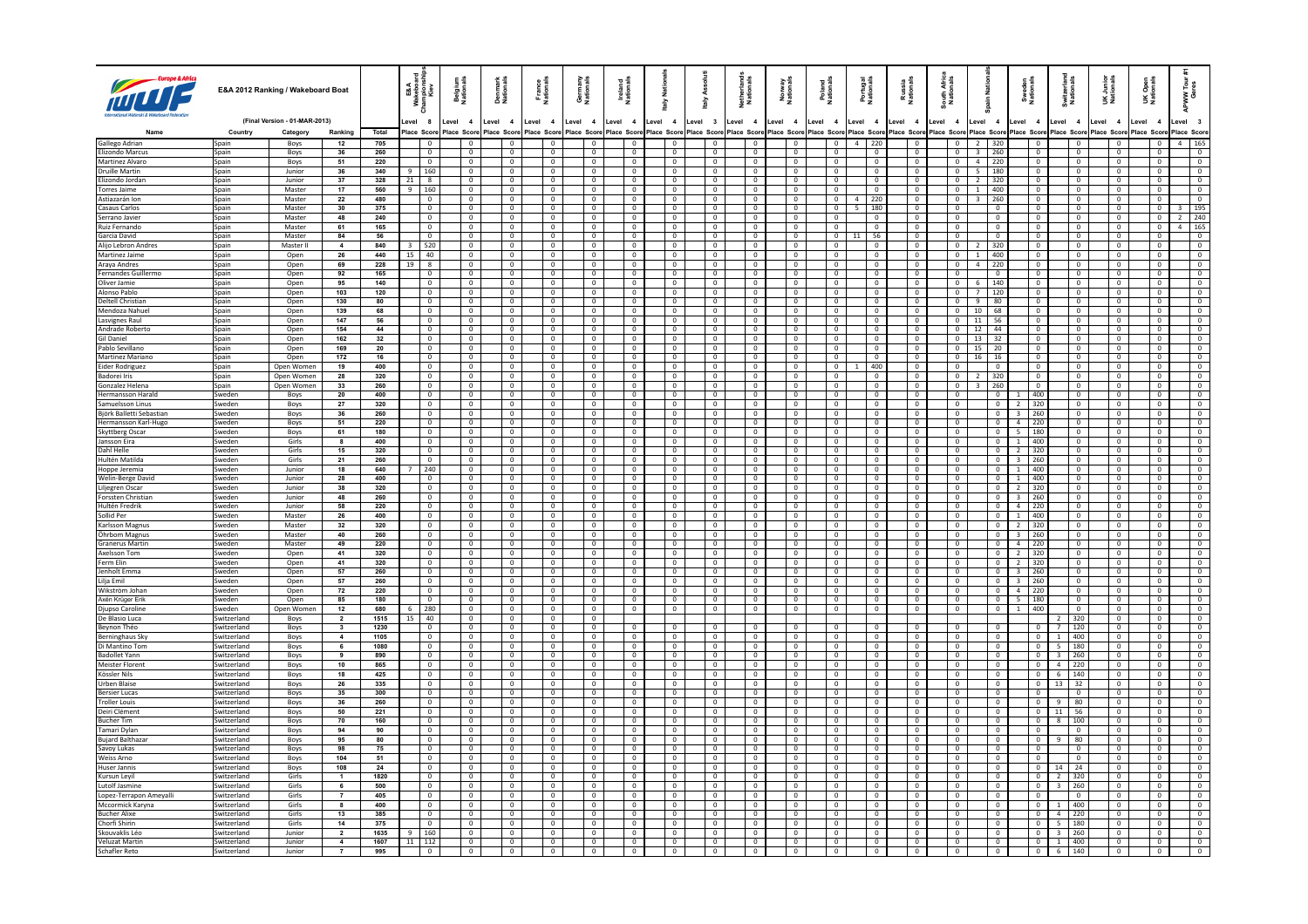|                                           |                            | E&A 2012 Ranking / Wakeboard Boat |                                           |              | <b>E&amp;A</b><br>Repise<br>Kie<br>≩ ≅ | <b>Belgium</b><br>Nationals      | Denmark<br>Nationals             | France<br>Nationals              | Germany<br>Nationals             | Ireland<br>National              | <b>Natio</b><br>슬 |                                  | Asso<br>taly                        | Netherland:<br>Nationals         | Norway<br>Nationals              | Poland<br>Nationals              | Portugal<br>Nationals            | Russia<br>National               | South Afric<br>Nationals         | ain Nati                         | Sweden<br>Nationals                    | Switzerlan<br>Nationals               | UK Junior<br>Nationals           | Open<br>ionals<br>šž             | ទី ខ្<br>ັ≷ື້                    |
|-------------------------------------------|----------------------------|-----------------------------------|-------------------------------------------|--------------|----------------------------------------|----------------------------------|----------------------------------|----------------------------------|----------------------------------|----------------------------------|-------------------|----------------------------------|-------------------------------------|----------------------------------|----------------------------------|----------------------------------|----------------------------------|----------------------------------|----------------------------------|----------------------------------|----------------------------------------|---------------------------------------|----------------------------------|----------------------------------|----------------------------------|
|                                           |                            | (Final Version - 01-MAR-2013)     |                                           |              | evel 8                                 | Level 4                          | Level 4                          | Level 4                          | Level 4                          | Level 4                          | Level 4           |                                  | Level 3                             | Level 4                          | Level 4                          | Level 4                          | Level 4                          | Level 4                          | evel 4                           | Level 4                          | Level 4                                | Level 4                               | Level 4                          | Level<br>$\overline{\mathbf{4}}$ | evel 3                           |
|                                           | Country                    | Category                          | Ranking<br>12                             | Total<br>705 | lace Scon                              | Place Scon                       | lace Score                       | Place Score                      | Place Scor<br>$\overline{0}$     | ace Score<br>$\overline{0}$      | lace Score        |                                  | Place Score<br>$\overline{0}$       | lace Score<br>$^{\circ}$         | Place Score<br>$\mathbf{0}$      | Place Score                      | Place Score<br>$4 \mid 220$      | lace Score<br>$\overline{0}$     | lace Score<br>$\mathbf{0}$       | Place Score                      | lace Scor<br>$\overline{0}$            | Score<br>$\overline{0}$               | lace Scon                        | lace Scor                        | Place Score<br>4   165           |
| Gallego Adrian<br><b>Elizondo Marcus</b>  | Spain<br>Spain             | Boys<br>Boys                      | 36                                        | 260          | $\Omega$                               | $\Omega$                         | $\Omega$                         | $\Omega$                         | $\Omega$                         | $\Omega$                         |                   | $\Omega$                         | $\Omega$                            | $\Omega$                         | $\Omega$                         | $\Omega$                         | $\Omega$                         | $\Omega$                         | $\Omega$                         | $2 \mid 320$<br>3 260            | $\Omega$                               | $\Omega$                              | $\Omega$                         | $\Omega$                         | $\Omega$                         |
| Martinez Alvaro                           | Spain                      | Boys                              | 51                                        | 220          | $\mathbf{0}$                           | $\overline{0}$                   | $\mathbf 0$                      | $\mathbf{0}$                     | $\overline{0}$                   | $\overline{0}$                   |                   | $\mathbf{0}$                     | $\overline{0}$                      | $\mathbf{0}$                     | $\mathbf{0}$                     | $\mathbf{0}$                     | $\overline{0}$                   | $\overline{0}$                   | $\mathbf{0}$                     | $\overline{4}$<br>220            | $\overline{0}$                         | $\overline{0}$                        | $\mathbf{0}$                     | $\mathbf{0}$                     | $\overline{0}$                   |
| Druille Martin                            | Spain                      | <b>Junior</b>                     | 36                                        | 340          | 160<br>$\mathbf{q}$                    | $\Omega$                         | $\Omega$                         | $\Omega$                         | $\Omega$                         | $\Omega$                         |                   | $\overline{0}$                   | $\Omega$                            | $\mathbf{0}$                     | $\Omega$                         | $\Omega$                         | $\Omega$                         | $\Omega$                         | $\Omega$                         | $5 \mid 180$                     | $\Omega$                               | $\Omega$                              | $\Omega$                         | $\Omega$                         | $\Omega$                         |
| Elizondo Jordan                           | Spain                      | Junior                            | 37                                        | 328          | 21<br>8                                | $\mathbf 0$                      | $\mathbf 0$                      | $\mathbf 0$                      | $\mathbf 0$                      | $\mathbf 0$                      |                   | 0                                | $\overline{0}$                      | $\mathbf 0$                      | $\mathbf{0}$                     | $\mathbf 0$                      | $\mathbf{0}$                     | $\mathbf{0}$                     | $\mathbf 0$                      | $\overline{2}$<br>320            | $\mathbf 0$                            | $\mathbf{0}$                          | $\mathbf 0$                      | $\mathbf 0$                      | $\mathbf{0}$                     |
| Torres Jaime                              | Spain                      | Master                            | 17                                        | 560          | $9 \mid 160$                           | $\Omega$                         | $\Omega$                         | $\Omega$                         | $\Omega$                         | $\Omega$                         |                   | $\overline{0}$                   | $\overline{0}$                      | $\Omega$                         | $\overline{0}$                   | $\Omega$                         | $\Omega$                         | $\Omega$                         | $\Omega$                         | $1 \t 400$                       | $\overline{0}$                         | $\overline{0}$                        | $\Omega$                         | $\Omega$                         | $\Omega$                         |
| Astiazarán Ion                            | Spain                      | Master                            | 22                                        | 480          | $\mathbf 0$                            | $\overline{0}$                   | $\mathbf 0$                      | $\mathbf{0}$                     | $\mathbf 0$                      | $\overline{0}$                   |                   | $\overline{0}$                   | $\overline{0}$                      | $\,0\,$                          | $\overline{0}$<br>$\Omega$       | $\mathbf{0}$                     | $4 \mid 220$                     | $\overline{0}$                   | $\mathbf{0}$                     | $\overline{\mathbf{3}}$<br>260   | $\overline{0}$                         | $\mathbf{0}$                          | $\mathbf{0}$                     | $\mathbf{0}$                     | $\overline{0}$                   |
| <b>Casaus Carlos</b><br>Serrano Javier    | Spain<br>Spain             | Master<br>Master                  | 30<br>48                                  | 375<br>240   | $\Omega$<br>$\mathbf 0$                | $\Omega$<br>$\mathbf{0}$         | $\Omega$<br>0                    | $\Omega$<br>$^{\circ}$           | $\Omega$<br>0                    | $\Omega$<br>$\mathbf 0$          |                   | $\overline{0}$<br>$\mathbf 0$    | $\overline{0}$<br>$\mathbf 0$       | $\mathbf{0}$<br>$\mathbb O$      | $\mathsf 0$                      | $\mathbf{0}$<br>$^{\circ}$       | 5   180<br>0                     | $\Omega$<br>$\mathbf{0}$         | $\Omega$<br>$\mathbf{0}$         | $\overline{0}$<br>$\,0\,$        | $\overline{0}$<br>$\mathbf 0$          | $\mathbf{0}$<br>$\mathbf 0$           | $\overline{0}$<br>$\mathbf{0}$   | $\mathbf{0}$<br>$\mathbf 0$      | 3   195<br>$2 \mid 240$          |
| Ruiz Fernando                             | Spain                      | Master                            | 61                                        | 165          | $\overline{0}$                         | $\Omega$                         | $\Omega$                         | $\Omega$                         | $\Omega$                         | $\Omega$                         |                   | $\overline{0}$                   | $\overline{0}$                      | $\overline{0}$                   | $\overline{0}$                   | $\Omega$                         | $\Omega$                         | $\Omega$                         | $\overline{0}$                   | $\overline{0}$                   | $\overline{\phantom{0}}$               | $\overline{0}$                        | $\Omega$                         | $\overline{0}$                   | $\overline{4}$   165             |
| Garcia David                              | Spain                      | Master                            | 84                                        | 56           | $\overline{0}$                         | $\overline{0}$                   | $\mathbf 0$                      | $\mathbf 0$                      | $\overline{0}$                   | $\overline{0}$                   |                   | $\overline{0}$                   | $\overline{0}$                      | $\overline{0}$                   | $\overline{0}$                   | $\overline{0}$                   | $11$ 56                          | $\overline{0}$                   | $\overline{0}$                   | $\overline{0}$                   | $\overline{\phantom{0}}$               | $\mathbf 0$                           | $\overline{0}$                   | $\mathbf{0}$                     | $\overline{\phantom{a}}$         |
| Alijo Lebron Andres                       | Spain                      | Master II                         | $\overline{a}$                            | 840          | 520                                    | $\Omega$                         | $\Omega$                         | $\Omega$                         | $\Omega$                         | $\Omega$                         |                   | $\overline{0}$                   | $\Omega$                            | $\mathbf 0$                      | $\Omega$                         | $\Omega$                         | $\Omega$                         | $\Omega$                         | $\Omega$                         | 320<br>$\overline{z}$            | $\overline{0}$                         | $\Omega$                              | $\Omega$                         | $\Omega$                         | $\Omega$                         |
| Martinez Jaime                            | Spain                      | Open                              | 26                                        | 440          | 40<br>15                               | $\mathbf 0$                      | $\mathbf 0$                      | $\mathbf 0$                      | $\circ$                          | $\overline{0}$                   |                   | $\mathbf{0}$                     | $\overline{0}$                      | $\mathbf 0$                      | $\overline{0}$                   | $\mathbf 0$                      | $\overline{0}$                   | $\overline{0}$                   | $\mathbf{0}$                     | 400<br>$\overline{1}$            | $\overline{\mathbf{0}}$                | $\overline{0}$                        | $\overline{0}$                   | $\mathbf 0$                      | $\overline{0}$                   |
| Araya Andres                              | Spain                      | Open                              | 69                                        | 228          | 19<br>$\mathbf{g}$                     | $\Omega$                         | $\Omega$                         | $\Omega$                         | $\Omega$                         | $\Omega$                         |                   | $\overline{0}$                   | $\overline{0}$                      | $\Omega$                         | $\overline{0}$                   | $\Omega$                         | $\Omega$                         | $\Omega$                         | $\overline{0}$                   | $4 \mid 220$                     | $\overline{0}$                         | $\overline{0}$                        | $\Omega$                         | $\Omega$                         | $\Omega$                         |
| <b>Fernandes Guillermo</b>                | Spain                      | Open                              | 92                                        | 165          | $\mathbf{0}$                           | $\overline{0}$                   | $\mathbf{0}$                     | $\overline{0}$                   | $\overline{0}$                   | $\overline{0}$                   |                   | $\overline{0}$                   | $\overline{0}$                      | $\overline{0}$                   | $\overline{0}$                   | $\overline{0}$                   | $\overline{0}$                   | $\overline{0}$                   | $\overline{0}$                   | $\overline{0}$                   | $\overline{\phantom{a}}$               | $\overline{0}$                        | $\overline{0}$                   | $\overline{0}$                   | $\overline{\phantom{0}}$         |
| Oliver Jamie                              | Spain                      | Open                              | 95                                        | 140          | $\Omega$                               | $\Omega$                         | $\Omega$                         | $\overline{0}$                   | $\Omega$                         | $\Omega$                         |                   | $\overline{0}$                   | $\overline{0}$                      | $\overline{0}$                   | $\overline{0}$                   | $\Omega$                         | $\overline{0}$                   | $\overline{0}$                   | $\overline{0}$                   | 6 140                            | $\overline{0}$                         | $\overline{0}$                        | $\overline{0}$                   | $\Omega$                         | $\Omega$                         |
| Alonso Pablo<br>Deltell Christian         | Spain<br>Spain             | Open<br>Open                      | 103<br>130                                | 120<br>80    | $^{\circ}$<br>$\overline{0}$           | $\overline{0}$<br>$\overline{0}$ | $^{\circ}$<br>$\mathbf{0}$       | $\overline{0}$<br>$\overline{0}$ | $\mathbf{0}$<br>$\overline{0}$   | $\overline{0}$<br>$\overline{0}$ |                   | $\overline{0}$<br>$\overline{0}$ | $\overline{0}$<br>$\mathbf 0$       | $^{\circ}$<br>$\overline{0}$     | $\overline{0}$<br>$\overline{0}$ | $\mathbf{0}$<br>$\mathbf{0}$     | $\overline{0}$<br>$\overline{0}$ | $\overline{0}$<br>$\overline{0}$ | $\overline{0}$<br>$\overline{0}$ | 120<br>$\overline{7}$<br>9<br>80 | $\overline{0}$<br>$\overline{0}$       | $\overline{0}$<br>$\mathbf 0$         | $\overline{0}$<br>$\overline{0}$ | $\mathbf{0}$<br>$\overline{0}$   | $\overline{0}$<br>$\overline{0}$ |
| Mendoza Nahue                             | Spain                      | Open                              | 139                                       | 68           | $\overline{0}$                         | $\overline{0}$                   | $\overline{0}$                   | $\overline{0}$                   | $\overline{0}$                   | $\overline{0}$                   |                   | $\overline{0}$                   | $\overline{0}$                      | $\overline{0}$                   | $\overline{0}$                   | $\overline{0}$                   | $\overline{0}$                   | $\overline{0}$                   | $\overline{0}$                   | $10 \mid 68$                     | $\overline{0}$                         | $\overline{0}$                        | $\overline{0}$                   | $\overline{0}$                   | $\overline{0}$                   |
| Lasvignes Raul                            | Spain                      | Open                              | 147                                       | 56           | $\overline{0}$                         | $\overline{0}$                   | $\mathbf{0}$                     | $\overline{0}$                   | $\overline{0}$                   | $\overline{0}$                   |                   | $\overline{0}$                   | $\circ$                             | $\overline{0}$                   | $\overline{0}$                   | $\mathbf{0}$                     | $\overline{0}$                   | $\overline{0}$                   | $\overline{0}$                   | $11 \mid 56$                     | $\overline{0}$                         | $\overline{0}$                        | $\overline{0}$                   | $\overline{0}$                   | $\overline{0}$                   |
| Andrade Roberto                           | Spain                      | Open                              | 154                                       | 44           | $\mathbf{0}$                           | $\overline{0}$                   | $^{\circ}$                       | $\overline{0}$                   | $\mathbf{0}$                     | $\overline{0}$                   |                   | $\overline{0}$                   | $\overline{0}$                      | $^{\circ}$                       | $\overline{0}$                   | $\overline{0}$                   | $\overline{0}$                   | $\overline{0}$                   | $\mathbf{0}$                     | $12 \mid 44$                     | $\overline{0}$                         | $\overline{0}$                        | $\overline{0}$                   | $\mathbf{0}$                     | $\overline{0}$                   |
| Gil Daniel                                | Spain                      | Open                              | 162                                       | 32           | 0                                      | $\overline{0}$                   | $\mathbf 0$                      | $\mathbf{0}$                     | $\mathbf 0$                      | $\mathbf 0$                      |                   | $\mathbf 0$                      | $\overline{\mathbf{0}}$             | $\mathbf 0$                      | $\mathbf 0$                      | $\mathbf 0$                      | $\mathbf 0$                      | $\mathbf 0$                      | $\mathbf 0$                      | 13<br>32                         | $\mathbf 0$                            | $\mathbf 0$                           | $\mathbf 0$                      | $\mathbf 0$                      | $\mathbf{0}$                     |
| Pablo Sevillano                           | Spain                      | Open                              | 169                                       | 20           | $\overline{0}$                         | $\overline{0}$                   | $\mathbf{0}$                     | $\overline{0}$                   | $\overline{0}$                   | $\overline{0}$                   |                   | $\overline{0}$                   | $\overline{0}$                      | $\overline{0}$                   | $\overline{0}$                   | $\overline{0}$                   | $\overline{0}$                   | $\overline{0}$                   | $\overline{0}$                   | $15 \mid 20$                     | $\overline{0}$                         | $\overline{0}$                        | $\overline{0}$                   | $\overline{0}$                   | $\overline{0}$                   |
| Martinez Mariano                          | Spain                      | Open                              | 172                                       | 16           | $\mathbf 0$                            | $\overline{0}$                   | $\mathbf 0$                      | $\overline{0}$                   | $\circ$                          | $\overline{0}$                   |                   | $\overline{0}$                   | $\overline{0}$                      | $\mathbf 0$                      | $\overline{0}$                   | $\mathbf 0$                      | $\overline{0}$                   | $\overline{0}$                   | $\overline{0}$                   | $16$ 16                          | $\overline{0}$                         | $\mathbf 0$                           | $\overline{0}$                   | $\overline{0}$                   | $\overline{0}$                   |
| Eider Rodriguez                           | Spain                      | Open Women                        | 19                                        | 400          | $^{\circ}$                             | $^{\circ}$                       | $^{\circ}$                       | $\overline{0}$                   | $^{\circ}$                       | $\overline{0}$                   |                   | $\overline{0}$                   | $^{\circ}$                          | $^{\circ}$                       | $\overline{0}$                   | $\overline{0}$                   | 400                              | $\overline{0}$                   | $\overline{0}$                   | $\overline{0}$                   | $\overline{0}$                         | $\overline{0}$                        | $\overline{0}$                   | $^{\circ}$                       | $\mathbf{0}$                     |
| <b>Badorei Iris</b><br>Gonzalez Helena    | Spain<br>Spain             | Open Women<br>Onen Women          | 28<br>33                                  | 320<br>260   | $\mathbf 0$<br>$\Omega$                | $\overline{0}$<br>$\Omega$       | $\mathbf 0$<br>$\Omega$          | $\mathbf 0$<br>$\Omega$          | $\overline{0}$<br>$\Omega$       | $\mathbf 0$<br>$\Omega$          |                   | $\mathbf 0$<br>$\overline{0}$    | $\overline{\mathbf{0}}$<br>$\Omega$ | $\mathbf 0$<br>$\Omega$          | $\overline{0}$<br>$\Omega$       | $\mathbf 0$<br>$\Omega$          | $\mathbf 0$<br>$\Omega$          | $\mathbf 0$<br>$\Omega$          | $\mathbf 0$<br>$\Omega$          | 320<br>$3 \mid 260$              | $\overline{0}$<br>$\overline{0}$       | $\overline{0}$<br>$\Omega$            | $\mathbf 0$<br>$\overline{0}$    | $\bf 0$<br>$\Omega$              | $\overline{0}$<br>$\sqrt{2}$     |
| <b>Hermansson Harak</b>                   | Sweden                     | Boys                              | 20                                        | 400          | $\overline{0}$                         | $\overline{0}$                   | $\mathbf{0}$                     | $\overline{0}$                   | $\overline{0}$                   | $\overline{0}$                   |                   | $\overline{0}$                   | $\overline{0}$                      | $\overline{0}$                   | $\overline{0}$                   | $\overline{0}$                   | $\overline{0}$                   | $\overline{0}$                   | $\mathbf{0}$                     | $\overline{0}$                   | 400                                    | $\overline{0}$                        | $\overline{0}$                   | $\Omega$                         | $\overline{0}$                   |
| Samuelsson Linus                          | Sweden                     | Boys                              | 27                                        | 320          | $\Omega$                               | $\Omega$                         | $\Omega$                         | $\Omega$                         | $\Omega$                         | $\Omega$                         |                   | $^{\circ}$                       | $\Omega$                            | $^{\circ}$                       | $\Omega$                         | $\Omega$                         | $\Omega$                         | $\Omega$                         | $\Omega$                         | $\overline{0}$                   | 320<br>$\overline{z}$                  | $\Omega$                              | $\Omega$                         | $\Omega$                         | $\Omega$                         |
| Björk Balletti Sebastian                  | weden                      | Boys                              | 36                                        | 260          | $\mathbf 0$                            | $\overline{0}$                   |                                  | $\overline{0}$                   | $\mathbf 0$                      | $\overline{0}$                   |                   | $\mathbf{0}$                     | $\overline{0}$                      | $\overline{0}$                   | $\overline{0}$                   | $\mathbf{0}$                     | $\overline{0}$                   | $\overline{0}$                   | $\overline{0}$                   | $\overline{\mathbf{0}}$          | 260<br>$\overline{\mathbf{3}}$         | $\overline{0}$                        | $\overline{0}$                   | $\mathbf{0}$                     | $\overline{0}$                   |
| <b>Hermansson Karl-Hugo</b>               | Sweden                     | Boys                              | 51                                        | 220          | $\sqrt{2}$                             | $\Omega$                         | $\Omega$                         | $\Omega$                         | $\Omega$                         | $\Omega$                         |                   | $\overline{0}$                   | $\Omega$                            | $\Omega$                         | $\Omega$                         | $\Omega$                         | $\Omega$                         | $\Omega$                         | $\Omega$                         | $\overline{0}$                   | $\overline{a}$<br>1220                 | $\overline{0}$                        | $\Omega$                         | $\Omega$                         | $\Omega$                         |
| Skyttberg Oscar                           | Sweden                     | Boys                              | 61                                        | 180          | $\overline{0}$                         | $\overline{0}$                   | $\overline{0}$                   | $\overline{0}$                   | $\overline{0}$                   | $\overline{0}$                   |                   | $\overline{0}$                   | $\overline{0}$                      | $\overline{0}$                   | $\overline{0}$                   | $\overline{0}$                   | $\overline{0}$                   | $\overline{0}$                   | $\overline{0}$                   | $\overline{0}$                   | 5<br>180                               | $\overline{0}$                        | $\overline{0}$                   | $\overline{0}$                   | $\overline{0}$                   |
| Jansson Eira                              | Sweden                     | Girls                             | 8                                         | 400          | $\Omega$                               | $\Omega$                         | $\Omega$                         | $\Omega$                         | $\Omega$                         | $\Omega$                         |                   | $\overline{0}$                   | $\overline{0}$                      | $^{\circ}$                       | $\Omega$                         | $\Omega$                         | $\overline{0}$                   | $\Omega$                         | $\Omega$                         | $\overline{0}$                   | $\mathbf{1}$<br>1400                   | $\overline{0}$                        | $\overline{0}$                   | $\Omega$                         | $\overline{0}$                   |
| Dahl Helle                                | Sweden                     | Girls                             | 15                                        | 320          | $\overline{0}$                         | $\overline{0}$                   | 0                                | $^{\circ}$                       | 0                                | $\overline{0}$                   |                   | 0                                | $\overline{0}$                      | $\mathbf 0$                      | $\overline{0}$                   | $\overline{0}$                   | 0                                | $\overline{0}$                   | $\overline{0}$                   | $\overline{0}$                   | 320<br>$\overline{2}$                  | $\mathbf 0$                           | $^{\circ}$                       | 0                                | $\overline{0}$                   |
| Hultén Matilda<br>Hoppe Jeremia           | Sweden<br>Sweden           | Girls<br>Junior                   | 21<br>18                                  | 260<br>640   | $\overline{0}$<br>240                  | $\Omega$<br>$\overline{0}$       | $\mathbf{0}$<br>$\overline{0}$   | $\Omega$<br>$\overline{0}$       | $\overline{0}$<br>$\overline{0}$ | $\Omega$<br>$\overline{0}$       |                   | $\overline{0}$<br>$\overline{0}$ | $\overline{0}$<br>$\overline{0}$    | $\Omega$<br>$\overline{0}$       | $\overline{0}$<br>$\overline{0}$ | $\Omega$<br>$\overline{0}$       | $\overline{0}$<br>$\overline{0}$ | $\Omega$<br>$\overline{0}$       | $\overline{0}$<br>$\overline{0}$ | $\overline{0}$<br>$\circ$        | $\overline{3}$<br> 260<br>$1 \mid 400$ | $\mathbf{0}$<br>$\overline{0}$        | $\Omega$<br>$\overline{0}$       | $\Omega$<br>$\mathbf 0$          | $\overline{0}$<br>$\overline{0}$ |
| Welin-Berge David                         | Sweden                     | Junior                            | 28                                        | 400          | $\mathbf{0}$                           | $\overline{0}$                   | $^{\circ}$                       | $\overline{0}$                   | $\overline{0}$                   | $\mathbf{0}$                     |                   | $\overline{0}$                   | $\overline{\mathbf{0}}$             | $\mathbf 0$                      | $\overline{0}$                   | $\mathbf{0}$                     | $\overline{0}$                   | $\overline{0}$                   | $\overline{0}$                   | $\mathbf{0}$                     | 1   400                                | $\mathbf{0}$                          | $\overline{0}$                   | $^{\circ}$                       | $\mathbf{0}$                     |
| Liljegren Oscar                           | Sweden                     | Junior                            | 38                                        | 320          | $\mathbf 0$                            | $\overline{0}$                   | $\overline{0}$                   | $\overline{0}$                   | $\overline{0}$                   | $\overline{0}$                   |                   | $\overline{0}$                   | $\overline{0}$                      | $\overline{0}$                   | $\overline{0}$                   | $\mathbf 0$                      | $\circ$                          | $\overline{0}$                   | $\mathbf 0$                      | $\overline{0}$                   | 320<br>$\overline{2}$                  | $\overline{0}$                        | $\overline{0}$                   | $\mathbf 0$                      | $\overline{0}$                   |
| Forssten Christian                        | Sweden                     | Junion                            | 48                                        | 260          | $\sqrt{2}$                             | $\Omega$                         | $\Omega$                         | $\Omega$                         | $\Omega$                         | $\sqrt{2}$                       |                   | $\overline{0}$                   | $\overline{0}$                      | $\overline{0}$                   | $\overline{0}$                   | $\sqrt{2}$                       | $\overline{0}$                   | $\Omega$                         | $\overline{0}$                   | $\overline{0}$                   | $\overline{3}$<br> 260                 | $\overline{0}$                        | $\Omega$                         | $\Omega$                         | $\sqrt{2}$                       |
| Hultén Fredrik                            | Sweden                     | Junior                            | 58                                        | 220          | $\overline{0}$                         | $\overline{0}$                   | $\overline{0}$                   | $\overline{0}$                   | $\overline{0}$                   | $\overline{0}$                   |                   | $\overline{0}$                   | $\overline{0}$                      | $\overline{0}$                   | $\overline{0}$                   | $\overline{0}$                   | $\overline{0}$                   | $\overline{0}$                   | $\overline{0}$                   | $\overline{0}$                   | $4$ 220                                | $\overline{0}$                        | $\overline{0}$                   | $\overline{0}$                   | $\overline{0}$                   |
| Sollid Per                                | Sweden                     | Master                            | 26                                        | 400          | $\Omega$                               | $\Omega$                         | $\Omega$                         | $\overline{0}$                   | $\overline{0}$                   | $\sqrt{0}$                       |                   | $\overline{0}$                   | $\overline{0}$                      | $\overline{0}$                   | $\Omega$                         | $\Omega$                         | $\overline{0}$                   | $\sqrt{2}$                       | $\overline{0}$                   | $\overline{0}$                   | $1 \t 400$                             | $\overline{0}$                        | $\overline{0}$                   | $\overline{0}$                   | $\sqrt{2}$                       |
| Karlsson Magnus                           | Sweden                     | Master                            | 32                                        | 320          | $\overline{0}$                         | $\overline{0}$                   | $\overline{0}$                   | $\overline{0}$                   | $\mathbf{0}$                     | $\overline{0}$                   |                   | $\overline{0}$                   | $\overline{0}$                      | $\overline{0}$                   | $\overline{0}$                   | $\overline{0}$                   | $\overline{0}$                   | $\overline{0}$                   | $\overline{0}$                   | $\overline{0}$                   | $2 \mid 320$                           | $\overline{0}$                        | $\overline{0}$                   | $\overline{0}$                   | $\overline{0}$                   |
| Öhrbom Magnus                             | Sweden                     | Master                            | 40                                        | 260          | $\sqrt{2}$                             | $\Omega$                         | $\overline{0}$                   | $\overline{0}$                   | $\overline{0}$                   | $\overline{0}$                   |                   | $\overline{0}$                   | $\mathbf 0$                         | $\overline{0}$                   | $\overline{0}$                   | $\overline{0}$                   | $\overline{0}$                   | $\sqrt{2}$                       | $\overline{0}$                   | $\overline{0}$                   | $\overline{\mathbf{3}}$<br>  260       | $\overline{0}$                        | $\overline{0}$                   | $\overline{0}$                   | $\overline{0}$                   |
| Granerus Martin<br>Axelsson Tom           | Sweden<br>Sweden           | Master<br>Open                    | 49<br>41                                  | 220<br>320   | $\overline{0}$<br>$\overline{0}$       | $\overline{0}$<br>$\Omega$       | $\overline{0}$<br>$\overline{0}$ | $\overline{0}$<br>$\overline{0}$ | $\overline{0}$<br>$\overline{0}$ | $\overline{0}$<br>$\sqrt{0}$     |                   | $\overline{0}$<br>$\overline{0}$ | $\overline{0}$<br>$\overline{0}$    | $\overline{0}$<br>$\overline{0}$ | $\overline{0}$<br>$\overline{0}$ | $\overline{0}$<br>$\overline{0}$ | $\overline{0}$<br>$\overline{0}$ | $\overline{0}$<br>$\Omega$       | $\overline{0}$<br>$\overline{0}$ | $\bullet$<br>$\overline{0}$      | $4$   220<br>2 320                     | $\overline{0}$<br>$\overline{0}$      | $\overline{0}$<br>$\overline{0}$ | $\overline{0}$<br>$\overline{0}$ | $\overline{0}$<br>$\overline{0}$ |
| Ferm Elin                                 | Sweden                     | Open                              | 41                                        | 320          | $\overline{0}$                         | $\overline{0}$                   | $\overline{0}$                   | $\overline{0}$                   | $\mathbf{0}$                     | $\overline{0}$                   |                   | $\overline{0}$                   | $\overline{0}$                      | $\mathbf{0}$                     | $\overline{0}$                   | $\overline{0}$                   | $\overline{0}$                   | $\overline{0}$                   | $\overline{0}$                   | $\overline{0}$                   | 2 320                                  | $\overline{0}$                        | $\overline{0}$                   | $\overline{0}$                   | $\overline{0}$                   |
| Jenholt Emma                              | Sweden                     | Open                              | 57                                        | 260          | $\overline{0}$                         | $\overline{0}$                   | $\overline{0}$                   | $\overline{0}$                   | $\mathbf 0$                      | $\overline{0}$                   |                   | $\overline{0}$                   | $\mathbf 0$                         | $\mathbb O$                      | $\overline{0}$                   | $\overline{0}$                   | $\overline{0}$                   | $\overline{0}$                   | $\overline{0}$                   | $\overline{0}$                   | 260<br>$\overline{\mathbf{3}}$         | $\mathbf 0$                           | $\overline{0}$                   | $\mathbf 0$                      | $\overline{0}$                   |
| Lilia Emil                                | Sweden                     | Open                              | 57                                        | 260          | $\overline{0}$                         | $\overline{0}$                   | $\overline{0}$                   | $\overline{0}$                   | $\overline{0}$                   | $\overline{0}$                   |                   | $\overline{0}$                   | $\overline{0}$                      | $\overline{0}$                   | $\overline{0}$                   | $\overline{0}$                   | $\overline{0}$                   | $\overline{0}$                   | $\overline{0}$                   | $\overline{0}$                   | $3 \mid 260$                           | $\overline{0}$                        | $\overline{0}$                   | $\overline{0}$                   | $\overline{0}$                   |
| Wikström Johar                            | Sweden                     | Open                              | 72                                        | 220          | $\overline{0}$                         | $\overline{0}$                   | $\mathbf{0}$                     | $\overline{0}$                   | $\overline{0}$                   | $\overline{0}$                   |                   | $\overline{0}$                   | $\mathbf 0$                         | $\mathbf 0$                      | $\overline{0}$                   | $\overline{0}$                   | $\overline{0}$                   | $\overline{0}$                   | $\overline{0}$                   | $\overline{0}$                   | $\overline{4}$<br> 220                 | $\overline{0}$                        | $\overline{\mathbf{0}}$          | $\overline{0}$                   | $\overline{0}$                   |
| <b>Axén Krüger Erik</b>                   | Sweden                     | Open                              | 85                                        | 180          | $\mathbf{0}$                           | $\overline{0}$                   | $^{\circ}$                       | $\overline{0}$                   | $^{\circ}$                       | $\overline{0}$                   |                   | $\overline{0}$                   | $\overline{0}$                      | $^{\circ}$                       | $\overline{0}$                   | $\mathbf{0}$                     | $\overline{0}$                   | $\overline{0}$                   | $\overline{0}$                   | $\overline{0}$                   | -5<br>  180                            | $\overline{0}$                        | $^{\circ}$                       | $\mathbf{0}$                     | $\overline{0}$                   |
| Djupso Caroline                           | weden                      | Open Women                        | 12                                        | 680          | 280<br>6<br>40                         | $\overline{0}$                   | $\overline{0}$                   | $\overline{0}$                   | $\mathbf 0$                      | $\overline{0}$                   |                   | $\mathbf 0$                      | $\overline{0}$                      | $\overline{0}$                   | $\mathbb O$                      | $\mathbf 0$                      | $\overline{0}$                   | $\overline{0}$                   | $\overline{0}$                   | $\overline{0}$                   | 400<br>$\mathbf{1}$                    | $\overline{0}$                        | $\overline{0}$<br>$\overline{0}$ | $\overline{0}$                   | $\overline{0}$                   |
| De Blasio Luca<br>Bevnon Théo             | Switzerland<br>Switzerland | Boys                              | $\overline{2}$<br>$\overline{\mathbf{3}}$ | 1515<br>1230 | 15<br>$\overline{0}$                   | $\Omega$<br>$\overline{0}$       | $\Omega$<br>$\overline{0}$       | $\sqrt{0}$<br>$\overline{0}$     | $\Omega$<br>$\overline{0}$       | $\Omega$                         |                   | $\overline{0}$                   |                                     | $\overline{0}$                   |                                  | $\overline{0}$                   | $\overline{0}$                   |                                  | $\overline{0}$                   | $\overline{0}$                   | $\overline{0}$                         | 320<br>$\overline{2}$                 | $\overline{0}$                   | $\overline{0}$<br>$\overline{0}$ | $\sqrt{2}$<br>$\overline{0}$     |
| Berninghaus Skv                           | Switzerland                | Boys<br>Boys                      | $\overline{a}$                            | 1105         | $\Omega$                               | $\Omega$                         | $\Omega$                         | $\Omega$                         | $\Omega$                         | $\sqrt{2}$                       |                   | $\Omega$                         | $\Omega$                            | $\Omega$                         | $\overline{0}$                   | $\Omega$                         | $\Omega$                         | $\Omega$                         | $\Omega$                         | $\Omega$                         | $\overline{0}$                         | 120<br>400<br>$\mathbf{1}$            | $\Omega$                         | $\Omega$                         | $\Omega$                         |
| Di Mantino Tom                            | witzerland                 | Boys                              | $\,$ 6 $\,$                               | 1080         | $\overline{0}$                         | $\overline{0}$                   | $\overline{0}$                   | $\overline{0}$                   | $\overline{0}$                   | $\overline{0}$                   |                   | $\mathbf 0$                      | $\overline{0}$                      | $\overline{0}$                   | $\overline{0}$                   | $\overline{0}$                   | $\overline{0}$                   | $\overline{0}$                   | $\overline{0}$                   | $\overline{0}$                   | $\overline{0}$                         | 180                                   | $\overline{0}$                   | $\overline{0}$                   | $\overline{0}$                   |
| <b>Badollet Yann</b>                      | Switzerland                | Boys                              | 9                                         | 890          | $\overline{0}$                         | $\Omega$                         | $\Omega$                         | $\Omega$                         | $\Omega$                         | $\overline{0}$                   |                   | $\overline{0}$                   | $\Omega$                            | $\sqrt{0}$                       | $\sqrt{2}$                       | $\Omega$                         | $\Omega$                         | $\Omega$                         | $\Omega$                         | $\overline{0}$                   | $\overline{0}$                         | $3 \mid 260$                          | $\sqrt{0}$                       | $\overline{0}$                   | $\Omega$                         |
| <b>Meister Florent</b>                    | Switzerland                | Boys                              | 10                                        | 865          | $\overline{0}$                         | $\overline{0}$                   | $\overline{0}$                   | $\overline{0}$                   | $\overline{0}$                   | $\overline{0}$                   |                   | $\overline{0}$                   | $\overline{0}$                      | $\mathbb O$                      | $\overline{0}$                   | $\overline{0}$                   | $\overline{0}$                   | $\overline{0}$                   | $\overline{0}$                   | $\overline{0}$                   | $\overline{0}$                         | 4<br>220                              | $\overline{0}$                   | $\overline{0}$                   | $\overline{0}$                   |
| <b>Kössler Nils</b>                       | Switzerland                | Boys                              | 18                                        | 425          | $\Omega$                               | $\Omega$                         | $\Omega$                         | $\Omega$                         | $\Omega$                         | $\Omega$                         |                   | $\overline{0}$                   | $\overline{0}$                      | $^{\circ}$                       | $\sqrt{2}$                       | $\Omega$                         | $\Omega$                         | $\Omega$                         | $\overline{0}$                   | $\overline{0}$                   | $\overline{0}$                         | 6<br>140                              | $\overline{0}$                   | $\Omega$                         | $\overline{0}$                   |
| <b>Urben Blaise</b>                       | witzerland                 | Boys                              | 26                                        | 335          | $\mathbf 0$                            | $\overline{0}$                   | 0                                | $\overline{0}$                   | 0                                | $\overline{0}$                   |                   | 0                                | $\mathbf 0$                         | $\mathbf 0$                      | $\overline{0}$                   | $^{\circ}$                       | 0                                | $\overline{0}$                   | $\mathbf 0$                      | $\overline{0}$                   | $\overline{0}$                         | 13<br>32                              | $\mathbf 0$                      | 0                                | $\overline{0}$                   |
| <b>Bersier Lucas</b>                      | Switzerland                | Boys                              | 35                                        | 300          | $\overline{0}$                         | $\Omega$<br>$\overline{0}$       | $\mathbf{0}$<br>$\overline{0}$   | $\Omega$<br>$\overline{0}$       | $\Omega$                         | $\Omega$                         |                   | $\overline{0}$                   | $\overline{0}$<br>$\overline{0}$    | $\Omega$                         | $\Omega$<br>$\overline{0}$       | $\Omega$<br>$\overline{0}$       | $\overline{0}$                   | $\Omega$<br>$\overline{0}$       | $\overline{0}$                   | $\overline{0}$                   | $\overline{0}$                         | $\mathbf{0}$                          | $\Omega$<br>$\overline{0}$       | $\Omega$                         | $\overline{0}$<br>$\overline{0}$ |
| <b>Troller Louis</b><br>Deiri Clément     | Switzerland<br>Switzerland | Boys<br>Boys                      | 36<br>50                                  | 260<br>221   | $\overline{0}$<br>$\mathbf{0}$         | $\overline{0}$                   | $^{\circ}$                       | $\overline{0}$                   | $\overline{0}$<br>$\overline{0}$ | $\overline{0}$<br>$\overline{0}$ |                   | $\overline{0}$<br>$\overline{0}$ | $\mathbf 0$                         | $\mathbb O$<br>$\mathbf 0$       | $\overline{0}$                   | $\mathbf{0}$                     | $\overline{0}$<br>$\overline{0}$ | $\overline{0}$                   | $\overline{0}$<br>$\overline{0}$ | $\overline{0}$<br>$\mathbf 0$    | $\overline{0}$<br>$\mathbf{0}$         | 80<br>11<br>56                        | $\overline{0}$                   | $^{\circ}$<br>$^{\circ}$         | $\mathbf{0}$                     |
| <b>Bucher Tim</b>                         | Switzerland                | Boys                              | 70                                        | 160          | $\overline{0}$                         | $\overline{0}$                   | $\mathbf 0$                      | $\overline{0}$                   | $\mathbf 0$                      | $\overline{0}$                   |                   | $\mathbf 0$                      | $\overline{0}$                      | $\mathbf 0$                      | $\overline{0}$                   | $\mathbf 0$                      | $\mathbf 0$                      | $\overline{0}$                   | $\mathbf 0$                      | $\overline{0}$                   | $\overline{0}$                         | 100<br>8                              | $\mathbf 0$                      | $\mathbf 0$                      | $\mathbf{0}$                     |
| Tamari Dylan                              | Switzerland                | Boys                              | 94                                        | 90           | $\overline{0}$                         | $\overline{0}$                   | $\overline{0}$                   | $\overline{0}$                   | $\overline{0}$                   | $\overline{0}$                   |                   | $\overline{0}$                   | $\overline{0}$                      | $\overline{0}$                   | $\overline{0}$                   | $\overline{0}$                   | $\overline{\phantom{a}}$         | $\overline{0}$                   | $\overline{0}$                   | $\overline{0}$                   | $\overline{0}$                         | $\overline{0}$                        | $\overline{0}$                   | $\overline{0}$                   | $\overline{0}$                   |
| <b>Bujard Balthaza</b>                    | Switzerland                | Boys                              | 95                                        | 80           | $\overline{0}$                         | $\overline{0}$                   | $\overline{0}$                   | $\overline{0}$                   | $\overline{0}$                   | $\overline{0}$                   |                   | $\overline{0}$                   | $\overline{\mathfrak{o}}$           | $\overline{0}$                   | $\overline{0}$                   | $\overline{0}$                   | $\overline{\phantom{0}}$         | $\overline{0}$                   | $\overline{0}$                   | $\overline{0}$                   | $\overline{0}$                         | $\overline{9}$<br>80                  | $\overline{0}$                   | $\overline{0}$                   | $\overline{0}$                   |
| Savoy Lukas                               | Switzerland                | Boys                              | 98                                        | 75           | $\Omega$                               | $\sqrt{0}$                       | $\Omega$                         | $\overline{0}$                   | $\overline{0}$                   | $\overline{0}$                   |                   | $\overline{0}$                   | $\overline{0}$                      | $\overline{0}$                   | $\overline{0}$                   | $\overline{0}$                   | $\overline{0}$                   | $\sqrt{0}$                       | $\overline{0}$                   | $\overline{0}$                   | $\overline{0}$                         | $\overline{0}$                        | $\overline{0}$                   | $\overline{0}$                   | $\overline{0}$                   |
| <b>Weiss Arno</b>                         | Switzerland                | Boys                              | 104                                       | 51           | $\overline{0}$                         | $\overline{0}$                   | $\overline{0}$                   | $\overline{0}$                   | $\mathbf{0}$                     | $\overline{0}$                   |                   | $\overline{0}$                   | $\overline{0}$                      | $\overline{0}$                   | $\overline{0}$                   | $\overline{0}$                   | $\overline{0}$                   | $\overline{0}$                   | $\overline{0}$                   | $\overline{0}$                   | $\overline{0}$                         | $\overline{0}$                        | $\overline{0}$                   | $^{\circ}$                       | $\overline{0}$                   |
| Huser Jannis                              | Switzerland                | Boys                              | 108                                       | 24           | $\sqrt{2}$                             | $\sqrt{0}$                       | $\overline{0}$                   | $\overline{0}$                   | $\overline{0}$                   | $\sqrt{0}$                       |                   | $\overline{0}$                   | $\mathbf 0$                         | $\overline{0}$                   | $\overline{0}$                   | $\overline{0}$                   | $\overline{0}$                   | $\sqrt{0}$                       | $\overline{0}$                   | $\overline{0}$                   | $\overline{0}$                         | 14<br>24                              | $\overline{0}$                   | $^{\circ}$                       | $\overline{0}$                   |
| Kursun Levil                              | Switzerland                | Girls                             | $\mathbf{1}$                              | 1820         | $\overline{0}$                         | $\overline{0}$                   | $\overline{0}$                   | $\overline{0}$                   | $\overline{0}$                   | $\overline{0}$                   |                   | $\overline{0}$                   | $\overline{0}$                      | $\overline{0}$                   | $\overline{0}$                   | $\overline{0}$                   | $\overline{0}$                   | $\overline{0}$                   | $\overline{0}$                   | $\overline{0}$                   | $\overline{0}$                         | $\overline{2}$<br>320                 | $\overline{0}$                   | $\overline{0}$                   | $\overline{0}$                   |
| Lutolf Jasmine<br>Lopez-Terrapon Amevalli | Switzerland<br>Switzerland | Girls<br>Girls                    | 6<br>$\overline{7}$                       | 500<br>405   | $\overline{0}$<br>$\overline{0}$       | $\sqrt{2}$<br>$\overline{0}$     | $\Omega$<br>$^{\circ}$           | $\overline{0}$<br>$\overline{0}$ | $\overline{0}$<br>$\mathbf{0}$   | $\sqrt{0}$<br>$\overline{0}$     |                   | $\overline{0}$<br>$\overline{0}$ | $\overline{0}$<br>$\overline{0}$    | $\overline{0}$<br>$^{\circ}$     | $\overline{0}$<br>$\overline{0}$ | $\overline{0}$<br>$\overline{0}$ | $\overline{0}$<br>$\overline{0}$ | $\sqrt{0}$<br>$\overline{0}$     | $\overline{0}$<br>$\overline{0}$ | $\overline{0}$<br>$\overline{0}$ | $\overline{0}$<br>$\overline{0}$       | 260<br>$\mathbf{3}$<br>$\overline{0}$ | $\overline{0}$<br>$\overline{0}$ | $\overline{0}$<br>$\overline{0}$ | $\overline{0}$<br>$\overline{0}$ |
| Mccormick Karyna                          | Switzerland                | Girls                             | 8                                         | 400          | $\overline{0}$                         | $\overline{0}$                   | $\mathbf{0}$                     | $\overline{0}$                   | $\mathbf 0$                      | $\sqrt{2}$                       |                   | $\overline{0}$                   | $\overline{\mathbf{0}}$             | $\overline{0}$                   | $\overline{0}$                   | $\mathbf{0}$                     | $\overline{0}$                   | $\Omega$                         | $\overline{0}$                   | $\overline{0}$                   | $\overline{0}$                         | 400                                   | $^{\circ}$                       | $\mathbf 0$                      | $^{\circ}$                       |
| <b>Bucher Alixe</b>                       | Switzerland                | Girls                             | 13                                        | 385          | $\overline{0}$                         | $\overline{0}$                   | $\overline{0}$                   | $\overline{0}$                   | $\overline{0}$                   | $\overline{0}$                   |                   | $\overline{0}$                   | $\overline{0}$                      | $\overline{0}$                   | $\overline{0}$                   | $\overline{0}$                   | $\overline{0}$                   | $\overline{0}$                   | $\overline{0}$                   | $\overline{0}$                   | $\overline{0}$                         | 220<br>4                              | $\overline{0}$                   | $\overline{0}$                   | $\overline{0}$                   |
| Chorfi Shirir                             | Switzerland                | Girls                             | 14                                        | 375          | $\overline{0}$                         | $\overline{0}$                   | $\overline{0}$                   | $\overline{0}$                   | $\mathbf{0}$                     | $\overline{0}$                   |                   | $\overline{0}$                   | $\overline{\mathbf{0}}$             | $\mathbf 0$                      | $\overline{0}$                   | $\overline{0}$                   | $\overline{0}$                   | $\overline{0}$                   | $\overline{0}$                   | $\overline{0}$                   | $\overline{0}$                         | 180<br>5                              | $\overline{0}$                   | $\mathbf 0$                      | $\overline{0}$                   |
| <b>Skouvaklis Léc</b>                     | Switzerland                | Junior                            | $\overline{2}$                            | 1635         | 160<br>9                               | $\overline{0}$                   | $\overline{0}$                   | $\overline{0}$                   | $\mathbf{0}$                     | $\overline{0}$                   |                   | $\overline{0}$                   | $\overline{0}$                      | $\mathbf{0}$                     | $\overline{0}$                   | $\overline{0}$                   | $\overline{0}$                   | $\overline{0}$                   | $\overline{0}$                   | $\overline{0}$                   | $\overline{0}$                         | 260<br>$\overline{3}$                 | $\overline{0}$                   | $\overline{0}$                   | $\overline{0}$                   |
| Veluzat Martin                            | Switzerland                | Junior                            | 4                                         | 1607         | 112<br>11                              | $\overline{0}$                   | $\mathbf 0$                      | $\overline{0}$                   | 0                                | $\overline{0}$                   |                   | $\overline{0}$                   | $\overline{\mathbf{0}}$             | $\mathbf 0$                      | $\mathbf 0$                      | $\mathbf 0$                      | $\mathbf 0$                      | $\overline{0}$                   | $\mathbf 0$                      | $\overline{0}$                   | $\mathbf 0$                            | 400<br>$\mathbf{1}$                   | $\mathbf 0$                      | $\mathbf 0$                      | $\mathbf{0}$                     |
| Schafler Reto                             | Switzerland                | Junior                            | $\overline{7}$                            | 995          | $\overline{0}$                         | $\overline{0}$                   | $\overline{0}$                   | $\overline{0}$                   | $\overline{0}$                   | $\overline{0}$                   |                   | $\overline{0}$                   | $\overline{0}$                      | $\overline{0}$                   | $\overline{0}$                   | $\overline{0}$                   | $\overline{0}$                   | $\overline{0}$                   | $\overline{0}$                   | $\overline{0}$                   | $\overline{0}$                         | 140<br>6                              | $\overline{0}$                   | $\overline{0}$                   | $\overline{0}$                   |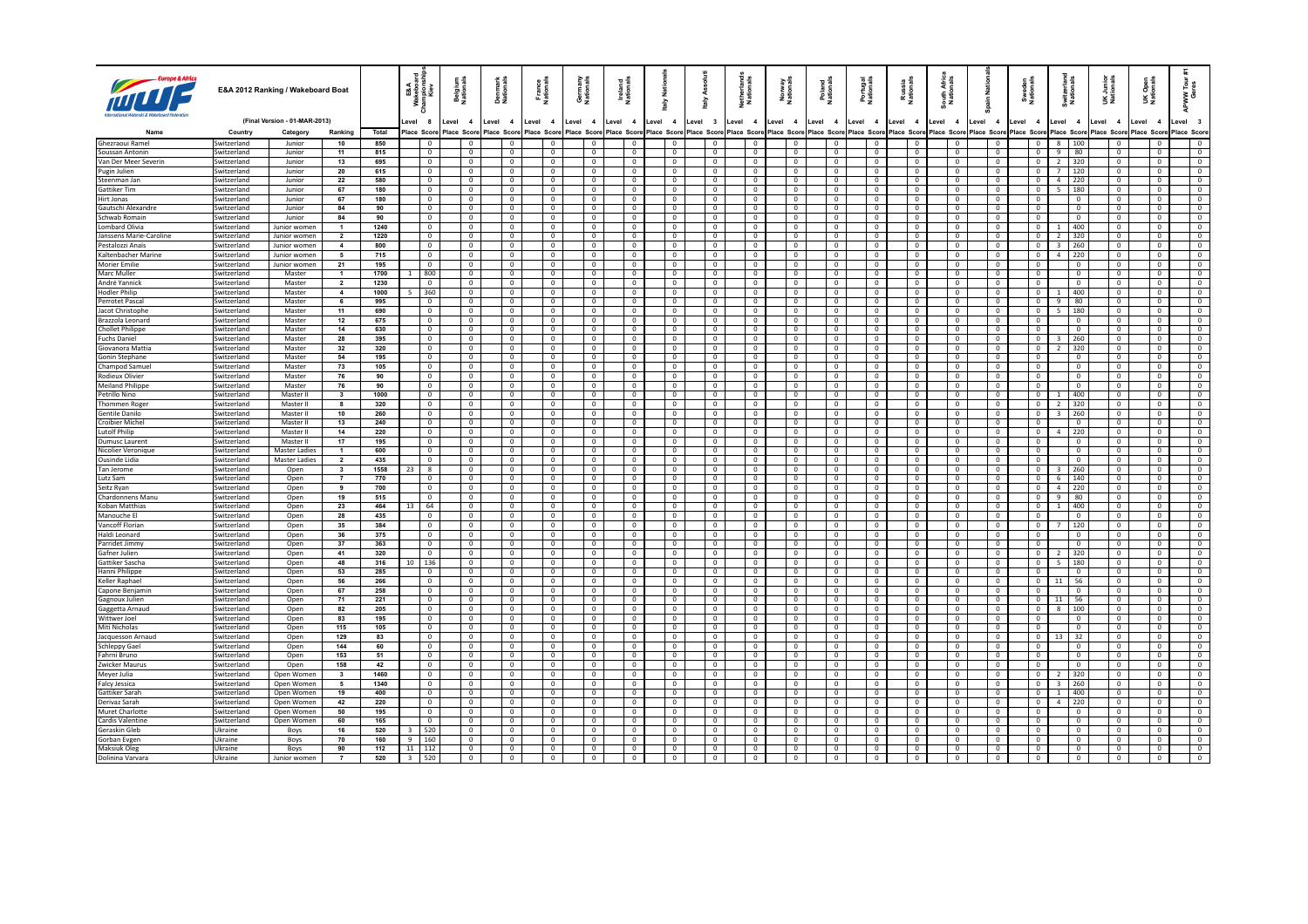|                                         |                            | E&A 2012 Ranking / Wakeboard Boat |                              |              | E&A<br>kebore<br>Kiev<br>នី<br>ā     | Belgium<br>Nationals             | Denmark<br>Nationals             | France<br>Nationals              | Germany<br>Nationals             | Ireland<br>Nationals             | nati<br>2                        | Asso<br>taly                     | Netherland<br>Nationals          | 호                          | Poland<br>Nationals        | Portugal<br>Nationals               | Russia<br>Nationals              | South.<br>Natio                  | <b>Tail</b><br>€                 | Sweden<br>Nationals |                              | i<br>Mati                                               | Junior<br>tionals<br>šŽ          | Open<br>Onais<br>当草              | ខី ខ្<br>APWW<br>Ge              |
|-----------------------------------------|----------------------------|-----------------------------------|------------------------------|--------------|--------------------------------------|----------------------------------|----------------------------------|----------------------------------|----------------------------------|----------------------------------|----------------------------------|----------------------------------|----------------------------------|----------------------------|----------------------------|-------------------------------------|----------------------------------|----------------------------------|----------------------------------|---------------------|------------------------------|---------------------------------------------------------|----------------------------------|----------------------------------|----------------------------------|
|                                         |                            | (Final Version - 01-MAR-2013)     |                              |              | evel.<br>- 8                         | Level<br>$\overline{\mathbf{4}}$ | Level 4                          | Level 4                          | Level<br>$\overline{4}$          | Level 4                          | Level 4                          | Level 3                          | Level 4                          | evel 4                     | Level 4                    | Level 4                             | Level<br>$\overline{4}$          | evel 4                           | Level 4                          | Level               | $\overline{4}$               | Level 4                                                 | Level 4                          | Level<br>$\overline{4}$          | Level 3                          |
| Name                                    | Country                    | Category                          | Ranking                      | Total<br>850 | Place Scon<br>$\Omega$               | Place Scor<br>$\Omega$           | Place Score<br>$\Omega$          | Place Scor<br>$\Omega$           | $\Omega$                         | Place Score Place Score          | Place Score                      | Place Scor<br>$\Omega$           | Place Score<br>$\Omega$          | Place Score<br>$\Omega$    | $\Omega$                   | Place Score Place Score<br>$\Omega$ | Place Score                      | Place Score                      | Place Scor<br>$\Omega$           | Place Score         |                              | Place Scor<br>$\mathbf{R}$                              | Place Score<br>$\Omega$          | Place Score<br>$\Omega$          | Place Score                      |
| Ghezraoui Ramel<br>Soussan Antonin      | Switzerland<br>Switzerland | Junior<br>Junior                  | 10<br>11                     | 815          | $\mathbf 0$                          | $\mathbf 0$                      | $\mathbf 0$                      | $\mathbf{0}$                     | $\mathbf 0$                      | $\overline{0}$<br>$\circ$        | $\Omega$<br>$\mathbf 0$          | $\mathbf 0$                      | $\mathbf 0$                      | $\mathbf 0$                | $\Omega$                   | $\Omega$                            | $\overline{0}$<br>$\overline{0}$ | $^{\circ}$<br>$\mathbf 0$        | $\mathbf{0}$                     |                     | $\mathbf 0$<br>$\mathbf{0}$  | 100<br>9<br>80                                          | $\Omega$                         | $\circ$                          | $\mathbf{0}$<br>$\mathbf{0}$     |
| Van Der Meer Severin                    | Switzerland                | Junior                            | 13                           | 695          | $\mathbf 0$                          | $\mathbf 0$                      | $\mathbf 0$                      | $\mathbf{0}$                     | $\mathbf 0$                      | $\circ$                          | $\mathbf 0$                      | $\Omega$                         | $\mathbf 0$                      | $\mathbf 0$                | $\Omega$                   | $\Omega$                            | $\overline{0}$                   | $\mathbf 0$                      | $\mathbf{0}$                     |                     | $\mathbf{0}$                 | $\overline{2}$<br>320                                   | $\mathbf{0}$                     | $\circ$                          | $\mathbf{0}$                     |
| Pugin Julien                            | Switzerland                | Junior                            | 20                           | 615          | $\mathbf 0$                          | $\mathbf 0$                      | $\mathbf 0$                      | $\mathbf{0}$                     | $\mathbf 0$                      | $\circ$                          | $\mathbf 0$                      | $\mathbf 0$                      | $\mathbf 0$                      | $\mathbf 0$                | $\Omega$                   | $\Omega$                            | $\overline{0}$                   | $\mathbf 0$                      | $\mathbf{0}$                     |                     | $\mathbf{0}$                 | 120<br>$7^{\circ}$                                      | $\mathbf{0}$                     | $\circ$                          | $\mathbf{0}$                     |
| Steenman Jan                            | Switzerland                | Junior                            | 22                           | 580          | $\mathbf 0$                          | $\mathbf 0$                      | $\mathbf 0$                      | $\mathbf{0}$                     | $\mathbf 0$                      | $\circ$                          | $\mathbf 0$                      | $\mathbf 0$                      | $\mathbf 0$                      | $\mathbf 0$                | $\Omega$                   | $\Omega$                            | $\overline{0}$                   | $\mathbf 0$                      | $\mathbf{0}$                     |                     | $\mathbf{0}$                 | $\overline{4}$<br>220                                   | $\mathbf{0}$                     | $\circ$                          | $\mathbf{0}$                     |
| Gattiker Tim<br>Hirt Jonas              | Switzerland<br>Switzerland | Junior<br>Junior                  | 67<br>67                     | 180<br>180   | $\mathbf 0$<br>$\mathbf 0$           | $\mathbf 0$<br>$\mathbf 0$       | $\mathbf 0$<br>$\mathbf 0$       | $\mathbf{0}$<br>$\mathbf{0}$     | $\mathbf 0$<br>$\mathbf 0$       | $\circ$<br>$\circ$               | $\mathbf 0$<br>$\mathbf 0$       | $\mathbf 0$<br>$\mathbf 0$       | $\mathbf 0$<br>$\mathbf 0$       | $\mathbf 0$<br>$\mathbf 0$ | $\Omega$<br>$\Omega$       | $\Omega$<br>$\Omega$                | $\overline{0}$<br>$\overline{0}$ | $\mathbf 0$<br>$\mathbf 0$       | $\mathbf{0}$<br>$\mathbf{0}$     |                     | $\mathbf{0}$<br>$\mathbf 0$  | 5.<br>180<br>$\mathbf 0$                                | $\mathbf{0}$<br>$\mathbf{0}$     | $\circ$<br>$\circ$               | $\mathbf{0}$<br>$\mathbf{0}$     |
| Gautschi Alexandre                      | Switzerland                | Junior                            | 84                           | 90           | $\mathbf{0}$                         | $\,0\,$                          | $\mathbf 0$                      | $\mathbf{0}$                     | $\mathbf 0$                      | $\circ$                          | $\mathbf 0$                      | $\mathbf 0$                      | $\circ$                          | $\mathbf 0$                | $\Omega$                   | $\Omega$                            | $\,0\,$                          | $\circ$                          | $\mathbf{0}$                     |                     | $\mathbf 0$                  | $\mathbf{0}$                                            | $\mathbf 0$                      | $\circ$                          | $\overline{0}$                   |
| Schwab Romain                           | Switzerland                | Junior                            | 84                           | 90           | $\mathbf{0}$                         | $\mathbf 0$                      | $\mathbf 0$                      | $\mathbf{0}$                     | $\mathbf 0$                      | $\circ$                          | $\mathbf 0$                      | $\mathbf 0$                      | $\circ$                          | $\mathbf 0$                | $\Omega$                   | $\Omega$                            | $\mathbf 0$                      | $\circ$                          | $\mathbf{0}$                     |                     | $\mathbf 0$                  | $\mathbf{0}$                                            | $\mathbf 0$                      | $\circ$                          | $\overline{0}$                   |
| Lombard Olivia                          | Switzerland                | Junior women                      | $\mathbf{1}$                 | 1240         | $\mathbf{0}$                         | $\mathbf 0$                      | $\mathbf 0$                      | $\overline{0}$                   | $\mathbf 0$                      | $\circ$                          | $\mathbf{0}$                     | $\mathbf 0$                      | $\circ$                          | $\mathbf 0$                | $\Omega$                   | $\Omega$                            | $\mathbf 0$                      | $\circ$                          | $\overline{0}$                   |                     | $\mathbf{0}$                 | 400                                                     | $\mathbf 0$                      | $\circ$                          | $\overline{0}$                   |
| Janssens Marie-Caroline                 | Switzerland                | Junior women                      | $\overline{2}$               | 1220         | $\mathbf 0$                          | $\mathbf 0$                      | $\mathbf 0$                      | $\overline{0}$                   | $\mathbf 0$                      | $\circ$                          | $\mathbf{0}$                     | $\mathbf 0$                      | $\circ$                          | $\mathbf 0$                | $\mathbf 0$                | $\Omega$                            | $\mathbf 0$                      | $\circ$                          | $\overline{0}$                   |                     | $\mathbf{0}$                 | 320<br>2                                                | $\mathbf 0$                      | $\circ$                          | $\overline{0}$                   |
| Pestalozzi Anaïs<br>Kaltenbacher Marine | Switzerland<br>Switzerland | Junior women<br>Junior women      | $\overline{\mathbf{A}}$<br>5 | 800<br>715   | $\mathbf 0$<br>$\mathbf 0$           | $\mathbf 0$<br>$\mathbf 0$       | $\mathbf 0$<br>$\mathbf 0$       | $\overline{0}$<br>$\overline{0}$ | $\mathbf 0$<br>$\mathbf 0$       | $\circ$<br>$\circ$               | $\mathbf{0}$<br>$\mathbf{0}$     | $\mathbf 0$<br>$\mathbf 0$       | $\circ$<br>$\circ$               | $\mathbf 0$<br>$\mathbf 0$ | $\mathbf 0$<br>$\mathbf 0$ | $\Omega$<br>$\mathbf 0$             | $\mathbf 0$<br>$\mathbf 0$       | $\mathbf 0$<br>$\mathbf 0$       | $\overline{0}$<br>$\overline{0}$ |                     | $\mathbf{0}$<br>$\mathbf{0}$ | $\overline{\mathbf{3}}$<br>260<br>$\overline{a}$<br>220 | $\mathbf 0$<br>$\mathbf 0$       | $\circ$<br>$\circ$               | $\overline{0}$<br>$\mathbf{0}$   |
| Morier Emilie                           | Switzerland                | Junior women                      | 21                           | 195          | $\mathbf 0$                          | $\mathbf 0$                      | $\mathbf 0$                      | $\overline{0}$                   | $\mathbf 0$                      | $\circ$                          | $\mathbf{0}$                     | $\overline{0}$                   | $\circ$                          | $\mathbf 0$                | $\mathbf 0$                | $\mathbf 0$                         | $\mathbf 0$                      | $\mathbf 0$                      | $\overline{0}$                   |                     | $\mathbf 0$                  | $\mathbf 0$                                             | $\mathbf 0$                      | $\circ$                          | $\mathbf{0}$                     |
| Marc Muller                             | Switzerland                | Master                            | $\mathbf{1}$                 | 1700         | 800                                  | $\mathbf 0$                      | $\mathbf 0$                      | $\overline{0}$                   | $\mathbf 0$                      | $\circ$                          | $\mathbf{0}$                     | $\overline{0}$                   | $\circ$                          | $\mathbf 0$                | $\mathbf 0$                | $\mathbf 0$                         | $\mathbf 0$                      | $\mathbf 0$                      | $\overline{0}$                   |                     | $\mathbf 0$                  | $\mathbf 0$                                             | $\mathbf 0$                      | $\circ$                          | $\mathbf{0}$                     |
| André Yannick                           | Switzerland                | Master                            | $\overline{2}$               | 1230         | $\mathbf 0$                          | $\mathbf 0$                      | $\mathbf 0$                      | $\overline{0}$                   | $\mathbf 0$                      | $\circ$                          | $\mathbf{0}$                     | $\overline{0}$                   | $\circ$                          | $\mathbf 0$                | $\mathbf 0$                | $\mathbf 0$                         | $\overline{0}$                   | $\overline{0}$                   | $\overline{0}$                   |                     | $\mathbf 0$                  | $\mathbf{0}$                                            | $\mathbf 0$                      | $\circ$                          | $\mathbf{0}$                     |
| <b>Hodler Philip</b>                    | Switzerland                | Master                            | $\overline{4}$               | 1000         | 360                                  | $\mathbf 0$                      | $\mathbf 0$                      | $\overline{0}$                   | $\mathbf 0$                      | $\circ$                          | $\mathbf{0}$                     | $\overline{0}$                   | $\circ$                          | $\mathbf 0$                | $\mathbf 0$                | $\mathbf 0$                         | $\overline{0}$                   | $\overline{0}$                   | $\overline{0}$                   |                     | $\mathbf{0}$                 | 400<br>$\mathbf{1}$                                     | $\mathbf 0$                      | $\circ$                          | $\mathbf{0}$                     |
| Perrotet Pascal<br>Jacot Christophe     | Switzerland<br>Switzerland | Master<br>Master                  | 6<br>11                      | 995<br>690   | $\mathbf 0$<br>$\mathbf 0$           | $\mathbf 0$<br>$\mathbf 0$       | $\mathbf{0}$<br>$\mathbf{0}$     | $\overline{0}$<br>$\overline{0}$ | $\circ$<br>$\mathbf 0$           | $\circ$<br>$\circ$               | $\overline{0}$<br>$\overline{0}$ | $\circ$<br>$\circ$               | $\circ$<br>$\circ$               | $\mathbf 0$<br>$\mathbf 0$ | $\mathbf 0$<br>$\mathbf 0$ | $\mathbf 0$<br>$\mathbf 0$          | $\overline{0}$<br>$\overline{0}$ | $\overline{0}$<br>$\overline{0}$ | $\overline{0}$<br>$\overline{0}$ |                     | $\mathbf{0}$<br>$\mathbf{0}$ | 9<br>80<br>5 <sup>2</sup><br>180                        | $\mathbf 0$<br>$\mathbf 0$       | $\circ$<br>$\circ$               | $\mathbf{0}$<br>$\overline{0}$   |
| Brazzola Leonard                        | Switzerland                | Master                            | 12                           | 675          | $\mathbf 0$                          | $\mathbf 0$                      | $\mathbf{0}$                     | $\overline{0}$                   | $\mathbf 0$                      | $\circ$                          | $\mathbf{0}$                     | $\overline{0}$                   | $\circ$                          | $\mathbf 0$                | $\mathbf 0$                | $\mathbf 0$                         | $\overline{0}$                   | $\overline{0}$                   | $\overline{0}$                   |                     | $\mathbf{0}$                 | $\overline{0}$                                          | $\overline{0}$                   | $\circ$                          | $\overline{0}$                   |
| <b>Chollet Philippe</b>                 | Switzerland                | Master                            | 14                           | 630          | $\mathbf 0$                          | $\mathbf 0$                      | $\overline{0}$                   | $\overline{0}$                   | $\mathbf 0$                      | $\circ$                          | $\mathbf{0}$                     | $\overline{0}$                   | $\circ$                          | $\mathbf 0$                | $\mathbf 0$                | $\Omega$                            | $\overline{0}$                   | $\overline{0}$                   | $\overline{0}$                   |                     | $\mathbf 0$                  | $\overline{0}$                                          | $\overline{0}$                   | $\circ$                          | $\overline{0}$                   |
| <b>Fuchs Daniel</b>                     | Switzerland                | Master                            | 28                           | 395          | $\mathbf{0}$                         | $\mathbf 0$                      | $\overline{0}$                   | $\overline{0}$                   | $\mathbf 0$                      | $\circ$                          | $\mathbf{0}$                     | $\mathbf{0}$                     | $\circ$                          | $\mathbf 0$                | $\mathbf 0$                | $\Omega$                            | $\overline{0}$                   | $\overline{0}$                   | $\overline{0}$                   |                     | $\mathbf{0}$                 | 260<br>$\overline{3}$                                   | $\overline{0}$                   | $\circ$                          | $\overline{0}$                   |
| Giovanora Mattia                        | Switzerland                | Master                            | 32                           | 320          | $\mathbf{0}$                         | $\mathbf 0$                      | $\overline{0}$                   | $\overline{0}$                   | $\mathbf 0$                      | $\circ$                          | $\mathbf{0}$                     | $\mathbf{0}$                     | $\circ$                          | $\mathbf 0$                | $\mathbf 0$                | $\Omega$                            | $\overline{0}$                   | $\overline{0}$                   | $\overline{0}$                   |                     | $\mathbf{0}$                 | 320<br>$\overline{z}$                                   | $\overline{0}$                   | $^{\circ}$                       | $\overline{0}$                   |
| Gonin Stephane<br><b>Champod Samuel</b> | Switzerland<br>Switzerland | Master<br>Master                  | 54<br>73                     | 195<br>105   | $\mathbf{0}$<br>$\mathbf{0}$         | $\mathbf 0$<br>$\mathbf 0$       | $\overline{0}$<br>$\mathbf{0}$   | $\overline{0}$<br>$\overline{0}$ | $\mathbf 0$<br>$\mathbf 0$       | $\circ$<br>$\circ$               | $\mathbf{0}$<br>$\overline{0}$   | $\mathbf{0}$<br>$\mathbf{0}$     | $^{\circ}$<br>$^{\circ}$         | $^{\circ}$<br>$^{\circ}$   | $\mathbf 0$<br>$\mathbf 0$ | $\mathbf 0$<br>$\mathbf 0$          | $\overline{0}$<br>$\overline{0}$ | $\overline{0}$<br>$\overline{0}$ | $\overline{0}$<br>$\overline{0}$ |                     | $^{\circ}$<br>$\mathbf{0}$   | $\overline{0}$<br>$\overline{0}$                        | $\overline{0}$<br>$\mathbf{0}$   | $^{\circ}$<br>$^{\circ}$         | $\overline{0}$<br>$\overline{0}$ |
| Rodieux Olivier                         | Switzerland                | Master                            | 76                           | 90           | $\mathbf{0}$                         | $\mathbf 0$                      | $\mathbf{0}$                     | $\overline{0}$                   | $\mathbf 0$                      | $\circ$                          | $\overline{0}$                   | $\mathbf{0}$                     | $^{\circ}$                       | $^{\circ}$                 | $\mathbf 0$                | $\mathbf 0$                         | $\overline{0}$                   | $\overline{0}$                   | $\overline{0}$                   |                     | $\mathbf{0}$                 | $\overline{0}$                                          | $\mathbf{0}$                     | $^{\circ}$                       | $\overline{0}$                   |
| <b>Meiland Philippe</b>                 | Switzerland                | Master                            | 76                           | 90           | $\mathbf{0}$                         | $\overline{0}$                   | $\mathbf{0}$                     | $\overline{0}$                   | $\mathbf 0$                      | $\circ$                          | $\mathbf{0}$                     | $\mathbf{0}$                     | $^{\circ}$                       | $^{\circ}$                 | $\mathbf 0$                | $\mathbf 0$                         | $\overline{0}$                   | $\overline{0}$                   | $\overline{0}$                   |                     | $\mathbf{0}$                 | $\overline{0}$                                          | $\mathbf{0}$                     | $^{\circ}$                       | $\mathbf{0}$                     |
| Petrillo Nino                           | Switzerland                | Master II                         | $\mathbf{3}$                 | 1000         | $\mathbf{0}$                         | $\overline{0}$                   | $\mathbf{0}$                     | $\overline{0}$                   | $\mathbf 0$                      | $\circ$                          | $\mathbf{0}$                     | $\mathbf{0}$                     | $^{\circ}$                       | $^{\circ}$                 | $\mathbf 0$                | $\mathbf 0$                         | $\overline{0}$                   | $\circ$                          | $\overline{0}$                   |                     | $\mathbf{0}$                 | 400<br>1.                                               | $\mathbf{0}$                     | $^{\circ}$                       | $\mathbf{0}$                     |
| <b>Thommen Roger</b><br>Gentile Danilo  | Switzerland<br>Switzerland | Master II<br>Master II            | 8<br>10                      | 320<br>260   | $\mathbf{0}$<br>$\mathbf{0}$         | $\overline{0}$<br>$\overline{0}$ | $\overline{0}$<br>$\overline{0}$ | $\overline{0}$<br>$\overline{0}$ | $\mathbf 0$<br>$\mathbf 0$       | $\circ$<br>$\circ$               | $\overline{0}$<br>$\circ$        | $\mathbf{0}$<br>$\mathbf{0}$     | $^{\circ}$<br>$^{\circ}$         | $^{\circ}$<br>$^{\circ}$   | $\mathbf 0$<br>$\mathbf 0$ | $\mathbf 0$<br>$\mathbf 0$          | $\overline{0}$<br>$\overline{0}$ | $\circ$<br>$\circ$               | $\overline{0}$<br>$\overline{0}$ |                     | $\mathbf{0}$<br>$\mathbf{0}$ | 320<br>2<br>260                                         | $\mathbf{0}$<br>$\mathbf{0}$     | $^{\circ}$<br>$^{\circ}$         | $\mathbf{0}$<br>$\overline{0}$   |
| <b>Croibier Michel</b>                  | Switzerland                | Master II                         | 13                           | 240          | $\mathbf{0}$                         | $\overline{0}$                   | $\overline{0}$                   | $\overline{0}$                   | $\mathbf 0$                      | $\circ$                          | $\circ$                          | $\mathbf{0}$                     | $^{\circ}$                       | $^{\circ}$                 | $\mathbf 0$                | $\mathbf 0$                         | $\overline{0}$                   | $\circ$                          | $\overline{0}$                   |                     | $^{\circ}$                   | 3<br>$\overline{0}$                                     | $^{\circ}$                       | $^{\circ}$                       | $\overline{0}$                   |
| <b>Lutolf Philip</b>                    | Switzerland                | Master II                         | 14                           | 220          | $\mathbf{0}$                         | $\overline{0}$                   | $\overline{0}$                   | $\overline{0}$                   | $\mathbf 0$                      | $\circ$                          | $\circ$                          | $\mathbf{0}$                     | $\circ$                          | $^{\circ}$                 | $\mathbf 0$                | $\mathbf 0$                         | $\overline{0}$                   | $\circ$                          | $\overline{0}$                   |                     | $\mathbf{0}$                 | 220<br>4                                                | $\overline{0}$                   | $^{\circ}$                       | $\overline{0}$                   |
| <b>Dumusc Laurent</b>                   | Switzerland                | Master II                         | 17                           | 195          | $\mathbf{0}$                         | $\overline{0}$                   | $\overline{0}$                   | $\overline{0}$                   | $\mathbf 0$                      | $\circ$                          | $\overline{0}$                   | $\mathbf{0}$                     | $\circ$                          | $^{\circ}$                 | $\mathbf 0$                | $\mathbf 0$                         | $\overline{0}$                   | $\circ$                          | $\overline{0}$                   |                     | $^{\circ}$                   | $\mathbf 0$                                             | $\mathbf{0}$                     | $^{\circ}$                       | $\overline{0}$                   |
| Nicolier Veronique                      | Switzerland                | <b>Master Ladies</b>              | 1                            | 600          | $^{\circ}$                           | $\overline{0}$                   | $\overline{0}$                   | $\overline{0}$                   | $\mathbf 0$                      | $\circ$                          | $\overline{0}$                   | $\mathbf{0}$                     | $\circ$                          | $^{\circ}$                 | $\mathbf 0$                | $\mathbf 0$                         | $\overline{0}$                   | $\overline{0}$                   | $\overline{0}$                   |                     | $\mathbf 0$                  | $\mathbf 0$                                             | $\mathbf{0}$                     | $^{\circ}$                       | $\overline{0}$                   |
| Ousinde Lidia<br>Tan Jerome             | Switzerland<br>Switzerland | <b>Master Ladies</b><br>Open      | $\overline{2}$<br>3          | 435<br>1558  | $^{\circ}$<br>23<br>$\boldsymbol{8}$ | $\overline{0}$<br>$\overline{0}$ | $\overline{0}$<br>$\overline{0}$ | $\overline{0}$<br>$\overline{0}$ | $\overline{0}$<br>$\overline{0}$ | $\circ$<br>$\circ$               | $\overline{0}$<br>$\overline{0}$ | $\mathbf{0}$<br>$\mathbf{0}$     | $\circ$<br>$\circ$               | $^{\circ}$<br>$^{\circ}$   | $\mathbf 0$<br>$\mathbf 0$ | $\Omega$<br>$\Omega$                | $\overline{0}$<br>$\overline{0}$ | $\overline{0}$<br>$\mathbf{0}$   | $\overline{0}$<br>$\overline{0}$ |                     | $\mathbf 0$<br>$\mathbf{0}$  | $\mathbf 0$<br>260<br>$\overline{\mathbf{3}}$           | $\mathbf{0}$<br>$\mathbf{0}$     | $^{\circ}$<br>$^{\circ}$         | $\overline{0}$<br>$\overline{0}$ |
| Lutz Sam                                | Switzerland                | Open                              | $\overline{7}$               | 770          | $^{\circ}$                           | $\overline{0}$                   | $\overline{0}$                   | $\overline{0}$                   | $\overline{0}$                   | $\circ$                          | $\overline{0}$                   | $\mathbf{0}$                     | $\overline{0}$                   | $^{\circ}$                 | $\mathbf 0$                | $\Omega$                            | $\overline{0}$                   | $\overline{0}$                   | $\overline{0}$                   |                     | $\mathbf{0}$                 | $6\overline{6}$<br>140                                  | $\mathbf{0}$                     | $^{\circ}$                       | $\overline{0}$                   |
| Seitz Rvan                              | Switzerland                | Open                              | 9                            | 700          | $^{\circ}$                           | $\overline{0}$                   | $\overline{0}$                   | $\overline{0}$                   | $\mathbf 0$                      | $\circ$                          | $\overline{0}$                   | $\mathbf{0}$                     | $\overline{0}$                   | $^{\circ}$                 | $\mathbf 0$                | $\mathbf 0$                         | $\overline{0}$                   | $\overline{0}$                   | $\overline{0}$                   |                     | $\mathbf{0}$                 | 4<br>220                                                | $\mathbf{0}$                     | $^{\circ}$                       | $\overline{0}$                   |
| Chardonnens Manu                        | Switzerland                | Open                              | 19                           | 515          | $^{\circ}$                           | $\overline{0}$                   | $\overline{0}$                   | $\overline{0}$                   | $\mathbf 0$                      | $\circ$                          | $\overline{0}$                   | $\mathbf{0}$                     | $\overline{0}$                   | $^{\circ}$                 | $\mathbf 0$                | $\mathbf 0$                         | $\overline{0}$                   | $\overline{0}$                   | $\overline{0}$                   |                     | $\mathbf{0}$                 | 9<br>80                                                 | $\mathbf{0}$                     | $^{\circ}$                       | $\overline{0}$                   |
| Koban Matthias                          | Switzerland                | Open                              | 23                           | 464          | 64<br>13                             | $\overline{0}$                   | $\overline{0}$                   | $\overline{0}$                   | $\mathbf 0$                      | $\circ$                          | $\overline{0}$                   | $\mathbf 0$                      | $\overline{0}$                   | $^{\circ}$                 | $\mathbf 0$                | $\mathbf 0$                         | $\overline{0}$                   | $\overline{0}$                   | $\overline{0}$                   |                     | $\mathbf{0}$                 | 400<br>$\mathbf{1}$                                     | $\overline{0}$                   | $^{\circ}$                       | $\overline{0}$                   |
| Manouche El<br>Vancoff Florian          | Switzerland<br>Switzerland | Open<br>Open                      | 28<br>35                     | 435<br>384   | $\mathbf{0}$<br>$\mathbf{0}$         | $\overline{0}$<br>$\overline{0}$ | $\overline{0}$<br>$\overline{0}$ | $\overline{0}$<br>$\overline{0}$ | $\mathbf 0$<br>$\mathbf 0$       | $\circ$<br>$\circ$               | $\overline{0}$<br>$\overline{0}$ | $\mathbf 0$<br>$\mathbf 0$       | $\overline{0}$<br>$\overline{0}$ | $^{\circ}$<br>$^{\circ}$   | $\mathbf 0$<br>$\mathbf 0$ | $\mathbf 0$<br>$\mathbf 0$          | $\overline{0}$<br>$\overline{0}$ | $\overline{0}$<br>$\overline{0}$ | $\overline{0}$<br>$\overline{0}$ |                     | $\mathbf 0$<br>$\mathbf{0}$  | $\overline{0}$<br>120                                   | $\overline{0}$<br>$\overline{0}$ | $^{\circ}$<br>$^{\circ}$         | $\overline{0}$<br>$\overline{0}$ |
| Haldi Leonard                           | Switzerland                | Open                              | 36                           | 375          | $\mathbf{0}$                         | $\overline{0}$                   | $\overline{0}$                   | $\overline{0}$                   | $\mathbf 0$                      | $\circ$                          | $\overline{0}$                   | $\mathbf 0$                      | $\overline{0}$                   | $^{\circ}$                 | $\mathbf 0$                | $\mathbf 0$                         | $\overline{0}$                   | $\overline{0}$                   | $\overline{0}$                   |                     | $\mathbf 0$                  | $\overline{0}$                                          | $\overline{0}$                   | $^{\circ}$                       | $\overline{0}$                   |
| Parridet Jimmy                          | Switzerland                | Open                              | 37                           | 363          | $\overline{0}$                       | $\overline{0}$                   | $\overline{0}$                   | $\overline{0}$                   | $\overline{0}$                   | $\circ$                          | $\overline{0}$                   | $\mathbf 0$                      | $^{\circ}$                       | $^{\circ}$                 | $\mathbf 0$                | $\mathbf 0$                         | $\overline{0}$                   | $\overline{0}$                   | $\overline{0}$                   |                     | $\mathbf 0$                  | $\overline{0}$                                          | $\mathbf{0}$                     | $^{\circ}$                       | $\overline{0}$                   |
| Gafner Julien                           | Switzerland                | Open                              | 41                           | 320          | $\overline{0}$                       | $\overline{0}$                   | $\overline{0}$                   | $\overline{0}$                   | $\overline{0}$                   | $\circ$                          | $\overline{0}$                   | $\overline{0}$                   | $^{\circ}$                       | $^{\circ}$                 | $\mathbf 0$                | $\mathbf 0$                         | $\overline{0}$                   | $\overline{0}$                   | $\overline{0}$                   |                     | $\overline{0}$               | 320<br>$\overline{2}$                                   | $\mathbf{0}$                     | $\overline{0}$                   | $\mathbf{0}$                     |
| Gattiker Sascha<br>Hanni Philippe       | Switzerland<br>Switzerland | Open<br>Open                      | 48<br>53                     | 316<br>285   | 136<br>10<br>$\mathbf{0}$            | $\overline{0}$<br>$\overline{0}$ | $\overline{0}$<br>$\overline{0}$ | $\overline{0}$<br>$\overline{0}$ | $\overline{0}$<br>$\overline{0}$ | $\circ$<br>$\overline{0}$        | $\mathbf{0}$<br>$\mathbf{0}$     | $\overline{0}$<br>$\overline{0}$ | $^{\circ}$<br>$^{\circ}$         | $^{\circ}$<br>$^{\circ}$   | $\mathbf 0$<br>$\mathbf 0$ | $\mathbf 0$<br>$\mathbf 0$          | $\overline{0}$<br>$\overline{0}$ | $\overline{0}$<br>$\overline{0}$ | $\overline{0}$<br>$\overline{0}$ |                     | $\mathbf{0}$<br>$\mathbf 0$  | 180<br>5<br>$\overline{0}$                              | $\mathbf{0}$<br>$\mathbf{0}$     | $\overline{0}$<br>$\overline{0}$ | $\mathbf{0}$<br>$\mathbf{0}$     |
| Keller Raphael                          | Switzerland                | Open                              | 56                           | 266          | $\mathbf{0}$                         | $\overline{0}$                   | $\overline{0}$                   | $\overline{0}$                   | $\overline{0}$                   | $\overline{0}$                   | $\mathbf{0}$                     | $\overline{0}$                   | $^{\circ}$                       | $^{\circ}$                 | $\mathbf 0$                | $\mathbf 0$                         | $\overline{0}$                   | $\overline{0}$                   | $\overline{0}$                   |                     | $\mathbf{0}$                 | 56<br>11                                                | $\mathbf{0}$                     | $\overline{0}$                   | $\mathbf{0}$                     |
| Capone Benjamin                         | Switzerland                | Open                              | 67                           | 258          | $\mathbf{0}$                         | $\overline{0}$                   | $\overline{0}$                   | $\overline{0}$                   | $\overline{0}$                   | $\overline{0}$                   | $\mathbf{0}$                     | $\overline{0}$                   | $^{\circ}$                       | $^{\circ}$                 | $\mathbf 0$                | $\mathbf 0$                         | $\overline{0}$                   | $\overline{0}$                   | $\overline{0}$                   |                     | $^{\circ}$                   | $\overline{0}$                                          | $\mathbf{0}$                     | $^{\circ}$                       | $\mathbf{0}$                     |
| Gagnoux Julien                          | Switzerland                | Open                              | 71                           | 221          | $\mathbf{0}$                         | $\overline{0}$                   | $\overline{0}$                   | $\overline{0}$                   | $^{\circ}$                       | $\overline{0}$                   | $\mathbf{0}$                     | $\mathbf 0$                      | $^{\circ}$                       | $^{\circ}$                 | $\mathbf 0$                | $\mathbf 0$                         | $\overline{0}$                   | $\overline{0}$                   | $\overline{0}$                   |                     | $\mathbf{0}$                 | 56<br>11                                                | $\mathbf{0}$                     | $^{\circ}$                       | $\mathbf{0}$                     |
| Gaggetta Arnaud                         | Switzerland                | Open                              | 82                           | 205          | $\mathbf{0}$                         | $\overline{0}$                   | $\overline{0}$                   | $\overline{0}$                   | $^{\circ}$                       | $\overline{0}$                   | $\mathbf{0}$                     | $\mathbf 0$                      | $^{\circ}$                       | $^{\circ}$                 | $\mathbf 0$                | $\mathbf 0$                         | $\overline{0}$                   | $\overline{0}$                   | $\overline{0}$                   |                     | $\mathbf{0}$                 | 8<br>100                                                | $\mathbf{0}$                     | $^{\circ}$                       | $\mathbf{0}$                     |
| Wittwer Joel<br>Miti Nicholas           | Switzerland<br>Switzerland | Open<br>Open                      | 83<br>115                    | 195<br>105   | $\mathbf{0}$<br>$\mathbf{0}$         | $\overline{0}$<br>$\mathbf{0}$   | $\overline{0}$<br>$\overline{0}$ | $\overline{0}$<br>$\overline{0}$ | $^{\circ}$<br>$^{\circ}$         | $\overline{0}$<br>$\overline{0}$ | $\mathbf{0}$<br>$\mathbf{0}$     | $\mathbf 0$<br>$^{\circ}$        | $^{\circ}$<br>$^{\circ}$         | $^{\circ}$<br>$^{\circ}$   | $\mathbf 0$<br>$\mathbf 0$ | $^{\circ}$<br>$^{\circ}$            | $\overline{0}$<br>$\overline{0}$ | $\overline{0}$<br>$\overline{0}$ | $\overline{0}$<br>$\overline{0}$ |                     | $^{\circ}$<br>$\mathbf 0$    | $\mathbf{0}$<br>$\overline{0}$                          | $^{\circ}$<br>$^{\circ}$         | $^{\circ}$<br>$^{\circ}$         | $\mathbf{0}$<br>$\mathbf{0}$     |
| Jacquesson Arnaud                       | Switzerland                | Open                              | 129                          | 83           | $\mathbf{0}$                         | $\mathbf{0}$                     | $\overline{0}$                   | $\overline{0}$                   | $^{\circ}$                       | $\overline{0}$                   | $\mathbf{0}$                     | $^{\circ}$                       | $^{\circ}$                       | $^{\circ}$                 | $\mathbf 0$                | $^{\circ}$                          | $\overline{0}$                   | $\overline{0}$                   | $\overline{0}$                   |                     | $\mathbf{0}$                 | 32<br>13                                                | $^{\circ}$                       | $^{\circ}$                       | $\mathbf{0}$                     |
| Schleppy Gael                           | Switzerland                | Open                              | 144                          | 60           | $\mathbf{0}$                         | $\overline{0}$                   | $\mathbf 0$                      | $\overline{0}$                   | $^{\circ}$                       | $\overline{0}$                   | $^{\circ}$                       | $\mathbf 0$                      | $^{\circ}$                       | $^{\circ}$                 | $\mathbf 0$                | $\mathbf 0$                         | $\overline{0}$                   | $\overline{0}$                   | $\overline{0}$                   |                     | $^{\circ}$                   | $\mathbf{0}$                                            | $^{\circ}$                       | $^{\circ}$                       | $\mathbf{0}$                     |
| Fahrni Bruno                            | Switzerland                | Open                              | 153                          | 51           | $\mathbf{0}$                         | $\overline{0}$                   | $\mathbf 0$                      | $\overline{0}$                   | $^{\circ}$                       | $\overline{0}$                   | $^{\circ}$                       | $\mathbf 0$                      | $^{\circ}$                       | $^{\circ}$                 | $\mathbf 0$                | $\mathbf 0$                         | $\overline{0}$                   | $\overline{0}$                   | $\overline{0}$                   |                     | $^{\circ}$                   | $\overline{0}$                                          | $^{\circ}$                       | $^{\circ}$                       | $\mathbf{0}$                     |
| Zwicker Maurus                          | Switzerland                | Open                              | 158                          | 42           | $\mathbf{0}$                         | $\overline{0}$                   | $\mathbf 0$                      | $\overline{0}$                   | $^{\circ}$                       | $\overline{0}$                   | $^{\circ}$                       | $\mathbf 0$                      | $^{\circ}$                       | $^{\circ}$                 | $\mathbf 0$                | $\mathbf 0$                         | $\overline{0}$                   | $\overline{0}$                   | $\overline{0}$                   |                     | $\mathbf 0$                  | $\overline{0}$                                          | $^{\circ}$                       | $^{\circ}$                       | $\mathbf{0}$                     |
| Mever Julia<br><b>Falcy Jessica</b>     | Switzerland<br>Switzerland | Open Women<br>Open Women          | $\mathbf{3}$<br>5            | 1460<br>1340 | $\mathbf{0}$<br>$\mathbf{0}$         | $\overline{0}$<br>$\overline{0}$ | $\mathbf 0$<br>$\overline{0}$    | $\overline{0}$<br>$\overline{0}$ | $^{\circ}$<br>$^{\circ}$         | $\overline{0}$<br>$\overline{0}$ | $^{\circ}$<br>$\mathbf{0}$       | $\mathbf 0$<br>$\mathbf{0}$      | $^{\circ}$<br>$^{\circ}$         | $^{\circ}$<br>$^{\circ}$   | $\mathbf 0$<br>$\mathbf 0$ | $\mathbf 0$<br>$\mathbf 0$          | $\overline{0}$<br>$\overline{0}$ | $\overline{0}$<br>$\overline{0}$ | $\overline{0}$<br>$\overline{0}$ |                     | $\mathbf{0}$<br>$\mathbf{0}$ | 320<br>2<br>260<br>3                                    | $\mathbf{0}$<br>$\mathbf{0}$     | $^{\circ}$<br>$^{\circ}$         | $\mathbf{0}$<br>$\mathbf{0}$     |
| Gattiker Sarah                          | Switzerland                | Open Women                        | 19                           | 400          | $\mathbf{0}$                         | $\overline{0}$                   | $\overline{0}$                   | $\overline{0}$                   | $^{\circ}$                       | $\overline{0}$                   | $\mathbf{0}$                     | $\mathbf{0}$                     | $^{\circ}$                       | $^{\circ}$                 | $\mathbf 0$                | $\mathbf 0$                         | $\overline{0}$                   | $^{\circ}$                       | $\overline{0}$                   |                     | $\mathbf{0}$                 | 400<br>$\mathbf{1}$                                     | $\mathbf{0}$                     | $^{\circ}$                       | $\mathbf{0}$                     |
| Derivaz Sarah                           | Switzerland                | Open Women                        | 42                           | 220          | $\mathbf{0}$                         | $\overline{0}$                   | $\overline{0}$                   | $\overline{0}$                   | $^{\circ}$                       | $\overline{0}$                   | $\mathbf{0}$                     | $\mathbf{0}$                     | $^{\circ}$                       | $^{\circ}$                 | $\mathbf 0$                | $^{\circ}$                          | $\overline{0}$                   | $^{\circ}$                       | $\overline{0}$                   |                     | $\mathbf{0}$                 | 220<br>$\overline{4}$                                   | $^{\circ}$                       | $^{\circ}$                       | $\mathbf{0}$                     |
| Muret Charlotte                         | Switzerland                | Open Women                        | 50                           | 195          | $\mathbf{0}$                         | $\overline{0}$                   | $\overline{0}$                   | $\overline{0}$                   | $^{\circ}$                       | $\overline{0}$                   | $\mathbf{0}$                     | $^{\circ}$                       | $^{\circ}$                       | $^{\circ}$                 | $\mathbf 0$                | $^{\circ}$                          | $\overline{0}$                   | $^{\circ}$                       | $\overline{0}$                   |                     | $^{\circ}$                   | $\mathbf{0}$                                            | $^{\circ}$                       | $^{\circ}$                       | $\mathbf{0}$                     |
| Cardis Valentine<br>Geraskin Gleb       | Switzerland<br>Ukraine     | Open Women<br>Boys                | 60<br>16                     | 165<br>520   | $\mathbf{0}$<br>520<br>3             | $\mathbf{0}$<br>$\overline{0}$   | $\overline{0}$<br>$\overline{0}$ | $\overline{0}$<br>$\overline{0}$ | $^{\circ}$<br>$^{\circ}$         | $\overline{0}$<br>$\overline{0}$ | $\mathbf{0}$<br>$\mathbf{0}$     | $^{\circ}$<br>$^{\circ}$         | $^{\circ}$<br>$^{\circ}$         | $^{\circ}$<br>$^{\circ}$   | $^{\circ}$<br>$^{\circ}$   | $^{\circ}$<br>$\mathbf 0$           | $\overline{0}$<br>$\overline{0}$ | $^{\circ}$<br>$^{\circ}$         | $\overline{0}$<br>$\overline{0}$ |                     | $^{\circ}$<br>$^{\circ}$     | $\overline{0}$<br>$\overline{0}$                        | $^{\circ}$<br>$^{\circ}$         | $^{\circ}$<br>$^{\circ}$         | $\mathbf{0}$<br>$\overline{0}$   |
| Gorban Evgen                            | Ukraine                    | Boys                              | 70                           | 160          | 9<br>160                             | $\overline{0}$                   | $\overline{0}$                   | $\overline{0}$                   | $^{\circ}$                       | $\overline{0}$                   | $\mathbf{0}$                     | $\mathbf{0}$                     | $^{\circ}$                       | $^{\circ}$                 | $\mathbf 0$                | $\mathbf 0$                         | $\overline{0}$                   | $\overline{0}$                   | $\overline{0}$                   |                     | $^{\circ}$                   | $\overline{0}$                                          | $\mathbf{0}$                     | $^{\circ}$                       | $\overline{0}$                   |
| <b>Maksiuk Oler</b>                     | Ukraine                    | Boys                              | 90                           | 112          | 11<br>112                            | $\overline{0}$                   | $\overline{0}$                   | $\overline{0}$                   | $^{\circ}$                       | $\overline{0}$                   | $\mathbf{0}$                     | $\mathbf{0}$                     | $^{\circ}$                       | $^{\circ}$                 | $^{\circ}$                 | $\mathbf 0$                         | $\overline{0}$                   | $\overline{0}$                   | $\overline{0}$                   |                     | $\mathbf{0}$                 | $\overline{0}$                                          | $\mathbf{0}$                     | $^{\circ}$                       | $\overline{0}$                   |
| Dolinina Varvara                        | Ukraine                    | Junior women                      | 7                            | 520          | 520<br>$\overline{\mathbf{3}}$       | $\overline{0}$                   | $\overline{0}$                   | $\overline{0}$                   | $\overline{0}$                   | $\overline{0}$                   | $\overline{0}$                   | $\overline{0}$                   | $\overline{0}$                   | $^{\circ}$                 | $\overline{0}$             | $\mathbf 0$                         | $\overline{0}$                   | $\overline{0}$                   | $\overline{0}$                   |                     | $\mathbf 0$                  | $\overline{0}$                                          | $\mathbf{0}$                     | $^{\circ}$                       | $^{\circ}$                       |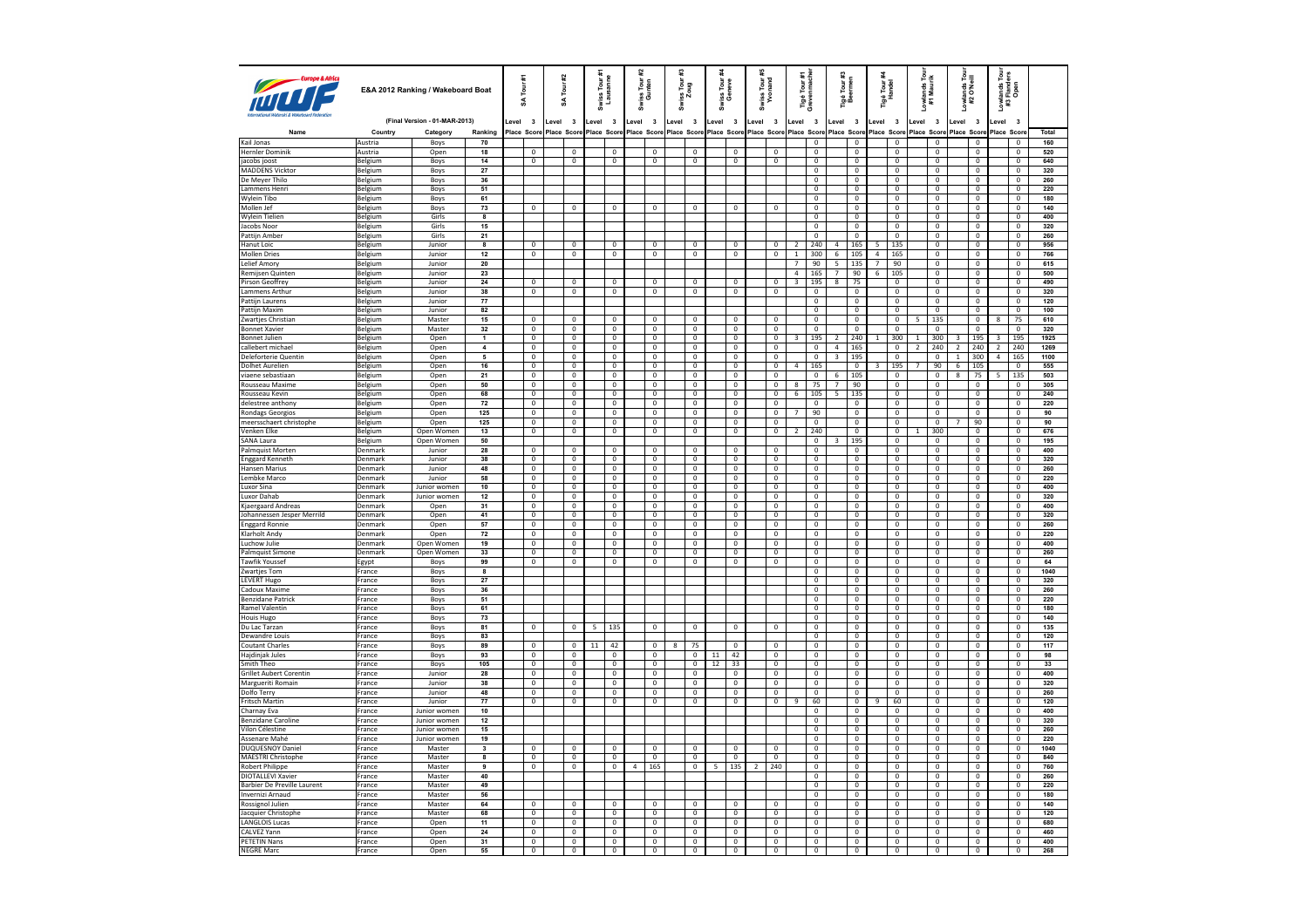| Europe & Afric                           |                           | E&A 2012 Ranking / Wakeboard Boat |                         |        | £<br>Tour<br>¥ | #2    | Tour<br>£               |         | Swiss Tour #1<br>Lausanne |   | Tour<br>Inten<br>Swiss<br>Gu | <b>Swiss</b>                                                                        | is Tour<br>Zoug         |                | Swiss Tour<br>Geneve    |                | Swiss Tour a<br>Yvonand | Tigé Tour #1<br>Grevenmache |                               | Tigé Tour #3<br>Beermen |                                  |                         | Tigé Tour i<br>Handel            | Lowlands Tour<br>#1 Maurik      | owlands<br>#2 O'Neill |                                | ē<br>Lowlands Tou<br>#3 Flanders<br>Open |                                  |            |
|------------------------------------------|---------------------------|-----------------------------------|-------------------------|--------|----------------|-------|-------------------------|---------|---------------------------|---|------------------------------|-------------------------------------------------------------------------------------|-------------------------|----------------|-------------------------|----------------|-------------------------|-----------------------------|-------------------------------|-------------------------|----------------------------------|-------------------------|----------------------------------|---------------------------------|-----------------------|--------------------------------|------------------------------------------|----------------------------------|------------|
|                                          |                           | (Final Version - 01-MAR-2013)     |                         | evel 3 |                | Level | $\overline{\mathbf{3}}$ | Level 3 |                           |   | evel 3                       | Level 3                                                                             |                         |                | Level 3                 | Level 3        |                         | Level 3                     |                               | Level                   | $\overline{\mathbf{3}}$          | Level                   | $\overline{\mathbf{3}}$          | Level 3                         | Level 3               |                                | Level                                    | $\overline{\mathbf{3}}$          |            |
| Name                                     | Country                   | Category                          | Ranking                 |        |                |       |                         |         |                           |   |                              | Place Score Place Score Place Score Place Score Place Score Place Score Place Score |                         |                |                         |                |                         | Place Score                 |                               |                         |                                  |                         | Place Score Place Score          | Place Score Place Score         |                       |                                | Place Scor                               |                                  | Total      |
| Kail Jonas                               | Austria                   | Boys                              | 70                      |        |                |       |                         |         |                           |   |                              |                                                                                     |                         |                |                         |                |                         |                             | $\mathbf 0$                   |                         | $^{\circ}$                       |                         | $\mathbf{0}$                     | $\mathbf{0}$                    |                       | $\mathbf 0$                    |                                          | $\mathbf 0$                      | 160        |
| Hernler Dominik                          | Austria                   | Open                              | 18                      |        | $\,0\,$        |       | $\mathbf 0$             |         | $\,0\,$                   |   | 0                            |                                                                                     | $\mathbb O$             |                | $\mathbf 0$             |                | $\mathbf 0$             |                             | $\mathbf 0$                   |                         | $\mathbf 0$                      |                         | $\mathbf 0$                      | $\mathbf 0$                     |                       | $\mathbf 0$                    |                                          | $\mathbf 0$                      | 520        |
| iacobs ioost                             | Belgium                   | Boys                              | 14                      |        | $\overline{0}$ |       | $\overline{0}$          |         | $\overline{0}$            |   | $\overline{0}$               |                                                                                     | $\overline{0}$          |                | $\mathbf 0$             |                | $\mathbf{0}$            |                             | $\mathbf 0$                   |                         | $\overline{0}$                   |                         | $\mathbf{0}$                     | $\mathbf{0}$                    |                       | $\overline{0}$                 |                                          | $\overline{0}$                   | 640        |
| <b>MADDENS Vicktor</b>                   | Belgium                   | Boys                              | 27                      |        |                |       |                         |         |                           |   |                              |                                                                                     |                         |                |                         |                |                         |                             | $\mathbf 0$                   |                         | $\mathbf 0$                      |                         | $\mathbf{0}$                     | $\mathbf 0$                     |                       | $\mathbf 0$                    |                                          | $\mathbf 0$                      | 320        |
| De Mever Thilo                           | Belgium                   | Boys                              | 36                      |        |                |       |                         |         |                           |   |                              |                                                                                     |                         |                |                         |                |                         |                             | $\overline{0}$                |                         | $\overline{0}$                   |                         | $\overline{0}$                   | $\overline{0}$                  |                       | $\overline{0}$                 |                                          | $\overline{0}$                   | 260        |
| Lammens Henri                            | Belgium                   | Boys                              | 51                      |        |                |       |                         |         |                           |   |                              |                                                                                     |                         |                |                         |                |                         |                             | $\overline{\mathbf{0}}$       |                         | $\overline{\mathbf{0}}$          |                         | $\overline{0}$                   | $\overline{\mathbf{0}}$         |                       | $\overline{0}$                 |                                          | $\overline{\mathbf{0}}$          | 220        |
| Wylein Tibo                              | Belgium                   | Boys                              | 61                      |        |                |       |                         |         |                           |   |                              |                                                                                     |                         |                |                         |                |                         |                             | $\Omega$                      |                         | $\overline{0}$                   |                         | $\Omega$                         | $\Omega$                        |                       | $\overline{0}$                 |                                          | $\overline{0}$                   | 180        |
| Mollen Jef                               | Belgium                   | Boys                              | 73                      |        | $\mathbf 0$    |       | $\mathbf 0$             |         | $\mathbf 0$               |   | $\mathbf 0$                  |                                                                                     | $\mathbf 0$             |                | $\mathbf 0$             |                | 0                       |                             | $\overline{\mathbf{0}}$       |                         | $\overline{\mathbf{0}}$          |                         | $\overline{0}$                   | $\mathbf 0$                     |                       | $\overline{0}$                 |                                          | $\overline{0}$                   | 140        |
| <b>Wylein Tielien</b>                    | Belgium                   | Girls                             | 8                       |        |                |       |                         |         |                           |   |                              |                                                                                     |                         |                |                         |                |                         |                             | $\Omega$                      |                         | $\overline{0}$                   |                         | $\overline{0}$                   | $\Omega$                        |                       | $\overline{0}$                 |                                          | $\mathbf 0$                      | 400        |
| Jacobs Noor                              | Belgium                   | Girls                             | 15                      |        |                |       |                         |         |                           |   |                              |                                                                                     |                         |                |                         |                |                         |                             | $\overline{0}$                |                         | $\overline{\mathbf{0}}$          |                         | $\overline{0}$                   | $\mathbf 0$                     |                       | $\mathbf 0$                    |                                          | $\mathbf 0$                      | 320        |
| Pattijn Amber                            | <b>Belgium</b>            | Girls                             | 21                      |        |                |       |                         |         |                           |   |                              |                                                                                     |                         |                |                         |                |                         |                             | $\mathbf 0$                   |                         | $\mathbf 0$                      |                         | $\mathbf{0}$                     | $\Omega$                        |                       | $\overline{0}$                 |                                          | $\mathbf{0}$                     | 260        |
| <b>Hanut Loic</b>                        | Belgium                   | Junior                            | 8                       |        | $\mathbf 0$    |       | $\mathbf 0$             |         | $\mathbf 0$               |   | $\mathbf 0$                  |                                                                                     | $\mathbf 0$             |                | $\mathbf 0$             |                | 0                       | $\overline{2}$              | 240                           | $\overline{4}$          | 165                              | 5                       | 135                              | $\mathbf{0}$                    |                       | $\mathbf 0$                    |                                          | $\,0\,$                          | 956        |
| <b>Mollen Dries</b>                      | Belgium                   | Junior                            | 12                      |        | $\overline{0}$ |       | $\mathbf 0$             |         | $\mathbf{0}$              |   | $\mathbf 0$                  |                                                                                     | 0                       |                | $^{\circ}$              |                | $\mathbf 0$             | 1                           | 300                           | 6                       | 105                              | 4                       | 165                              | $\Omega$                        |                       | $\mathbf 0$                    |                                          | $^{\circ}$                       | 766        |
| Lelief Amory                             | Belgium                   | Junior                            | 20                      |        |                |       |                         |         |                           |   |                              |                                                                                     |                         |                |                         |                |                         | 7                           | 90                            | 5<br>$\overline{7}$     | 135                              | $\overline{7}$          | 90                               | $\overline{0}$                  |                       | $\overline{0}$                 |                                          | $\overline{0}$                   | 615        |
| Remijsen Quinten                         | Belgium<br>Belgium        | Junior<br>Junior                  | 23                      |        |                |       |                         |         |                           |   |                              |                                                                                     |                         |                | $\mathbf 0$             |                |                         | $\overline{4}$              | 165                           |                         | 90                               | $6\overline{6}$         | 105                              | $\Omega$<br>$\mathbf{0}$        |                       | $\mathbf 0$                    |                                          | $\mathsf 0$                      | 500        |
| <b>Pirson Geoffrey</b>                   |                           |                                   | 24                      |        | $\overline{0}$ |       | $\overline{0}$          |         | $\overline{0}$            |   | $\overline{0}$               |                                                                                     | $\overline{0}$          |                |                         |                | $\overline{0}$          | 3                           | 195                           | $\overline{\mathbf{8}}$ | 75                               |                         | $\overline{0}$                   |                                 |                       | $\overline{0}$                 |                                          | $\overline{0}$                   | 490        |
| Lammens Arthur<br><b>Pattiin Laurens</b> | Belgium<br>Belgium        | Junior<br>Junior                  | 38<br>77                |        | $\mathbf 0$    |       | $\mathbf 0$             |         | $\mathbf{0}$              |   | $\,0\,$                      |                                                                                     | $\mathbf{0}$            |                | $\mathbf 0$             |                | $\mathbf 0$             |                             | $\mathbf 0$<br>$\overline{0}$ |                         | $\mathbf{0}$<br>$\overline{0}$   |                         | $\mathbf{0}$<br>$\overline{0}$   | $\mathbf{0}$<br>$\mathbf{0}$    |                       | $\mathbf{0}$<br>$\overline{0}$ |                                          | $\mathbf 0$<br>$\mathbf 0$       | 320<br>120 |
| Pattijn Maxim                            |                           | Junior                            | 82                      |        |                |       |                         |         |                           |   |                              |                                                                                     |                         |                |                         |                |                         |                             | $\mathbf 0$                   |                         | $\mathbf 0$                      |                         | $\mathbf 0$                      | $\mathbf{0}$                    |                       | $\mathbf 0$                    |                                          | $\mathbf 0$                      | 100        |
| Zwarties Christian                       | Belgium<br><b>Belgium</b> | Master                            | 15                      |        | $\overline{0}$ |       | $\mathbf 0$             |         | $\overline{\mathbf{0}}$   |   | $\mathbf 0$                  |                                                                                     | $\overline{0}$          |                | $\mathbf 0$             |                | $\mathbf 0$             |                             | $\overline{0}$                |                         | $\overline{0}$                   |                         | $\mathbf{0}$                     | $\overline{\phantom{a}}$<br>135 |                       | $\overline{0}$                 | 8                                        | 75                               | 610        |
| <b>Bonnet Xavier</b>                     | Belgium                   | Master                            | 32                      |        | $\mathbf 0$    |       | $\mathbf 0$             |         | $\mathbf{0}$              |   | $\mathbf 0$                  |                                                                                     | $\mathbf 0$             |                | $\mathbf 0$             |                | $\mathbf 0$             |                             | $\mathbf 0$                   |                         | $\mathbf 0$                      |                         | $\Omega$                         | $\Omega$                        |                       | $\mathbf 0$                    |                                          | $\mathbf 0$                      | 320        |
| <b>Bonnet Julien</b>                     | Belgium                   | Open                              | $\mathbf{1}$            |        | $\overline{0}$ |       | $\overline{0}$          |         | $\overline{0}$            |   | $\overline{0}$               |                                                                                     | $\overline{0}$          |                | $\overline{0}$          |                | $\overline{0}$          | 3                           | 195                           | 2                       | 240                              | -1.                     | 300                              | 300<br>1                        | 3                     | 195                            | 3                                        | 195                              | 1925       |
| callebert michae                         | Belgium                   | Open                              | $\ddot{a}$              |        | $\overline{0}$ |       | $\overline{\mathbf{0}}$ |         | $\overline{0}$            |   | $\overline{0}$               |                                                                                     | $\overline{0}$          |                | $\overline{\mathbf{0}}$ |                | $\mathbf 0$             |                             | $\overline{\mathbf{0}}$       | $\overline{4}$          | 165                              |                         | $\overline{0}$                   | $\overline{\mathbf{2}}$<br>240  | $\overline{2}$        | 240                            | $\overline{\mathbf{2}}$                  | 240                              | 1269       |
| Deleforterie Quentin                     | Belgium                   | Open                              | $\overline{5}$          |        | $\overline{0}$ |       | $\overline{0}$          |         | $\overline{0}$            |   | $\overline{0}$               |                                                                                     | $\overline{0}$          |                | $\,0\,$                 |                | $\Omega$                |                             | $\overline{0}$                | $\overline{\mathbf{3}}$ | 195                              |                         | $\Omega$                         | $\Omega$                        | $\mathbf{1}$          | 300                            | $\overline{4}$                           | 165                              | 1100       |
| <b>Dolhet Aurelien</b>                   | Belgium                   | Open                              | 16                      |        | $\overline{0}$ |       | $\overline{0}$          |         | $\overline{0}$            |   | $\overline{0}$               |                                                                                     | $\overline{0}$          |                | $\mathbf 0$             |                | $\overline{0}$          | $\overline{4}$              | 165                           |                         | $\overline{0}$                   | $\overline{\mathbf{3}}$ | 195                              | 90<br>$\overline{7}$            | $6\overline{6}$       | 105                            |                                          | $\overline{0}$                   | 555        |
| viaene sebastiaan                        | Belgium                   | Open                              | 21                      |        | $\overline{0}$ |       | $\overline{0}$          |         | $\overline{0}$            |   | $\overline{0}$               |                                                                                     | $\mathbf{0}$            |                | $\Omega$                |                | $\overline{0}$          |                             | $\Omega$                      | 6                       | 105                              |                         | $\Omega$                         | $\Omega$                        | 8                     | 75                             | 5                                        | 135                              | 503        |
| Rousseau Maxime                          | Belgium                   | Open                              | 50                      |        | $\overline{0}$ |       | $\overline{\mathbf{0}}$ |         | $\overline{0}$            |   | $\overline{0}$               |                                                                                     | $\mathbf 0$             |                | $\mathbf 0$             |                | $\mathbf 0$             | 8                           | 75                            | $\overline{7}$          | 90                               |                         | $\mathbf 0$                      | $\mathbf 0$                     |                       | $\mathbf 0$                    |                                          | $\mathbf 0$                      | 305        |
| Rousseau Kevin                           | <b>Belgium</b>            | Open                              | 68                      |        | $\overline{0}$ |       | $\mathbf 0$             |         | $\mathbf{0}$              |   | $\mathbf 0$                  |                                                                                     | $\overline{0}$          |                | $\mathbf 0$             |                | $\,0\,$                 | 6                           | 105                           | 5                       | 135                              |                         | $\mathbf 0$                      | $\Omega$                        |                       | $\mathbf 0$                    |                                          | $\overline{0}$                   | 240        |
| delestree anthony                        | <b>Belgium</b>            | Open                              | 72                      |        | $\overline{0}$ |       | $\overline{0}$          |         | $\overline{0}$            |   | $\overline{0}$               |                                                                                     | $\overline{0}$          |                | $\mathbf 0$             |                | $\mathbf 0$             |                             | $\mathbf 0$                   |                         | $\mathbf 0$                      |                         | $\mathbf{0}$                     | $\mathbf{0}$                    |                       | $\mathbf 0$                    |                                          | $\mathbf 0$                      | 220        |
| Rondags Georgios                         | Belgium                   | Open                              | 125                     |        | $\overline{0}$ |       | $\mathbf 0$             |         | $\mathbf{0}$              |   | $\mathbf 0$                  |                                                                                     | 0                       |                | $^{\circ}$              |                | $\mathbf 0$             |                             | 90                            |                         | $\mathbf 0$                      |                         | $\mathbf{0}$                     | $\Omega$                        |                       | $\mathbf 0$                    |                                          | $^{\circ}$                       | 90         |
| meersschaert christophe                  | Belgium                   | Open                              | 125                     |        | $\overline{0}$ |       | $\overline{0}$          |         | $\overline{0}$            |   | $\overline{0}$               |                                                                                     | $\overline{0}$          |                | $\overline{0}$          |                | $\overline{0}$          |                             | $\overline{0}$                |                         | $\overline{\mathbf{0}}$          |                         | $\overline{0}$                   | $\overline{0}$                  | 7                     | 90                             |                                          | $\overline{0}$                   | 90         |
| Venken Elke                              | Belgium                   | Open Women                        | $13\,$                  |        | $\mathbf 0$    |       | $\mathbf 0$             |         | $\mathbf 0$               |   | $\,0\,$                      |                                                                                     | $\mathbf 0$             |                | $\mathbf 0$             |                | $\mathbf 0$             | $\overline{z}$              | 240                           |                         | $\mathbf 0$                      |                         | $\mathbf 0$                      | $\mathbf{1}$<br>300             |                       | $\mathbf 0$                    |                                          | $\mathbf 0$                      | 676        |
| SANA Laura                               | Belgium                   | Open Women                        | 50                      |        |                |       |                         |         |                           |   |                              |                                                                                     |                         |                |                         |                |                         |                             | $\overline{0}$                | 3                       | 195                              |                         | $\overline{0}$                   | $\mathbf{0}$                    |                       | $\overline{0}$                 |                                          | $\overline{0}$                   | 195        |
| Palmquist Morten                         | Denmark                   | Junior                            | 28                      |        | $\mathbf{0}$   |       | $\overline{0}$          |         | $\mathbf{0}$              |   | $\mathbf 0$                  |                                                                                     | $\mathbf{0}$            |                | $\mathbf 0$             |                | $\overline{0}$          |                             | $\mathbf 0$                   |                         | $\overline{0}$                   |                         | $\mathbf{0}$                     | $\mathbf{0}$                    |                       | $\mathbf 0$                    |                                          | $\overline{0}$                   | 400        |
| <b>Enggard Kenneth</b>                   | Denmark                   | Junior                            | 38                      |        | $\overline{0}$ |       | $\overline{0}$          |         | $\overline{0}$            |   | $\overline{0}$               |                                                                                     | $\overline{0}$          |                | $\overline{0}$          |                | $\overline{0}$          |                             | $\overline{0}$                |                         | $\overline{0}$                   |                         | $\overline{0}$                   | $\mathbf{0}$                    |                       | $\overline{0}$                 |                                          | $\mathbf{0}$                     | 320        |
| Hansen Marius                            | Denmark                   | Junior                            | 48                      |        | $\mathbf 0$    |       | $\mathbf 0$             |         | $\mathbf 0$               |   | $\mathbf 0$                  |                                                                                     | $\mathbb O$             |                | $\mathbf 0$             |                | $\mathbf 0$             |                             | $\mathbf 0$                   |                         | $\mathbf 0$                      |                         | $\mathbf 0$                      | $\mathbb O$                     |                       | $\mathbf 0$                    |                                          | $\mathbf 0$                      | 260        |
| Lembke Marco                             | Denmark                   | Junior                            | 58                      |        | $\overline{0}$ |       | $\overline{0}$          |         | $\overline{0}$            |   | $\overline{0}$               |                                                                                     | $\overline{0}$          |                | $\mathbf 0$             |                | $\overline{0}$          |                             | $\overline{0}$                |                         | $\overline{0}$                   |                         | $\mathbf{0}$                     | $\overline{0}$                  |                       | $\overline{0}$                 |                                          | $\overline{0}$                   | 220        |
| <b>Luxor Sina</b>                        | Denmark                   | Junior women                      | $10\,$                  |        | $\mathbf 0$    |       | $\mathbf 0$             |         | $\mathbf 0$               |   | $\,0\,$                      |                                                                                     | $\mathbf 0$             |                | $\mathbf 0$             |                | $\mathbf 0$             |                             | $\mathbf 0$                   |                         | $\mathbf 0$                      |                         | $\mathbf{0}$                     | $\mathbf 0$                     |                       | $\mathbf 0$                    |                                          | $\mathbf 0$                      | 400        |
| Luxor Dahab                              | Denmark                   | Junior women                      | 12                      |        | $\overline{0}$ |       | $\overline{0}$          |         | $\overline{0}$            |   | $\overline{0}$               |                                                                                     | $\overline{0}$          |                | $\overline{0}$          |                | $\overline{0}$          |                             | $\overline{0}$                |                         | $\overline{0}$                   |                         | $\overline{0}$                   | $\overline{0}$                  |                       | $\overline{0}$                 |                                          | $\overline{0}$                   | 320        |
| Kjaergaard Andreas                       | Denmark                   | Open                              | 31                      |        | $\overline{0}$ |       | $\overline{0}$          |         | $\overline{0}$            |   | $\overline{0}$               |                                                                                     | $\pmb{0}$               |                | $\overline{\text{o}}$   |                | $\mathbf 0$             |                             | $\overline{\mathbf{0}}$       |                         | $\overline{\mathbf{0}}$          |                         | $\overline{0}$                   | $\overline{\mathbf{0}}$         |                       | $\overline{\mathbf{0}}$        |                                          | $\overline{\mathbf{0}}$          | 400        |
| Johannessen Jesper Merrild               | Denmark                   | Open                              | 41                      |        | $\overline{0}$ |       | $\overline{0}$          |         | $\overline{0}$            |   | $\overline{0}$               |                                                                                     | $\overline{0}$          |                | $\mathbf 0$             |                | $\mathbf 0$             |                             | $\overline{0}$                |                         | $\overline{0}$                   |                         | $\mathsf 0$                      | $\Omega$                        |                       | $\pmb{0}$                      |                                          | $\overline{0}$                   | 320        |
| <b>Enggard Ronnie</b>                    | Denmark                   | Open                              | 57                      |        | $\overline{0}$ |       | $\overline{0}$          |         | $\overline{\mathbf{0}}$   |   | $\overline{0}$               |                                                                                     | $\overline{0}$          |                | $\mathbf 0$             |                | $\overline{0}$          |                             | $\overline{0}$                |                         | $\overline{\mathbf{0}}$          |                         | $\overline{0}$                   | $\mathbf 0$                     |                       | $\overline{0}$                 |                                          | $\overline{0}$                   | 260        |
| Klarholt Andv                            | Denmark                   | Open                              | 72                      |        | $\overline{0}$ |       | $\overline{0}$          |         | $\overline{0}$            |   | $\overline{0}$               |                                                                                     | $\mathbf 0$             |                | $\overline{0}$          |                | $\overline{0}$          |                             | $\mathbf{0}$                  |                         | $\overline{0}$                   |                         | $\overline{0}$                   | $\mathbf{0}$                    |                       | $\overline{0}$                 |                                          | $\mathbf 0$                      | 220        |
| Luchow Julie                             | Denmark                   | Open Women                        | 19                      |        | $\overline{0}$ |       | $\overline{0}$          |         | $\overline{\mathbf{0}}$   |   | $\mathbf 0$                  |                                                                                     | 0                       |                | $\mathbf 0$             |                | $\mathbf 0$             |                             | $\mathbf 0$                   |                         | $\overline{\mathbf{0}}$          |                         | $\overline{0}$                   | $\mathbf 0$                     |                       | $\mathbf 0$                    |                                          | $\mathbf 0$                      | 400        |
| Palmquist Simone                         | Denmark                   | Open Women                        | 33                      |        | $\overline{0}$ |       | $\overline{0}$          |         | $\overline{0}$            |   | $\mathbf 0$                  |                                                                                     | $\mathbf 0$             |                | $^{\circ}$              |                | $\overline{0}$          |                             | $\mathbf 0$                   |                         | $\overline{0}$                   |                         | $\mathbf 0$                      | $\Omega$                        |                       | $\overline{0}$                 |                                          | $\overline{0}$                   | 260        |
| <b>Tawfik Youssef</b>                    | Egypt                     | Boys                              | 99                      |        | $\overline{0}$ |       | $\mathbf{0}$            |         | $\overline{0}$            |   | $\mathbf 0$                  |                                                                                     | $\mathbf 0$             |                | $\mathbf 0$             |                | $\mathbf{0}$            |                             | $\overline{\mathbf{0}}$       |                         | $\overline{0}$                   |                         | $\mathbf{0}$                     | $\overline{0}$                  |                       | $\mathbf{0}$                   |                                          | $\mathbf 0$                      | 64         |
| Zwartjes Tom                             | France                    | Boys                              | 8                       |        |                |       |                         |         |                           |   |                              |                                                                                     |                         |                |                         |                |                         |                             | $\mathbf{0}$                  |                         | $\mathbf{0}$                     |                         | $\mathbf{0}$                     | $\Omega$                        |                       | $\mathbf 0$                    |                                          | $^{\circ}$                       | 1040       |
| <b>LEVERT Hugo</b>                       | France                    | Boys                              | 27                      |        |                |       |                         |         |                           |   |                              |                                                                                     |                         |                |                         |                |                         |                             | $\overline{0}$                |                         | $\overline{0}$                   |                         | $\overline{0}$                   | $\overline{0}$                  |                       | $\overline{0}$                 |                                          | $\overline{0}$                   | 320        |
| Cadoux Maxime                            | France                    | Boys                              | 36                      |        |                |       |                         |         |                           |   |                              |                                                                                     |                         |                |                         |                |                         |                             | $\mathbf 0$                   |                         | $\mathbf 0$                      |                         | $\mathbf 0$                      | $\Omega$                        |                       | $\mathbf 0$                    |                                          | $\mathbf 0$                      | 260        |
| <b>Benzidane Patrick</b>                 | France                    | Boys                              | 51                      |        |                |       |                         |         |                           |   |                              |                                                                                     |                         |                |                         |                |                         |                             | $\overline{0}$                |                         | $\overline{0}$<br>$\overline{0}$ |                         | $\overline{0}$<br>$\overline{0}$ | $\overline{0}$<br>$\circ$       |                       | $\overline{0}$                 |                                          | $\overline{0}$<br>$\overline{0}$ | 220        |
| Ramel Valentin<br>Houis Hugo             | France<br>France          | Boys                              | 61<br>73                |        |                |       |                         |         |                           |   |                              |                                                                                     |                         |                |                         |                |                         |                             | $\mathbf 0$<br>$\overline{0}$ |                         | $\overline{0}$                   |                         | $\overline{0}$                   | $\overline{0}$                  |                       | $\mathbf 0$<br>$\overline{0}$  |                                          | $\overline{0}$                   | 180<br>140 |
| Du Lac Tarzan                            | France                    | Boys<br>Boys                      | 81                      |        | $\mathbf 0$    |       | $\mathbf 0$             | 5       | 135                       |   | $\mathbf 0$                  |                                                                                     | $\mathbf 0$             |                | $\mathbf 0$             |                | $\mathbf 0$             |                             | $\mathbf 0$                   |                         | $\mathbf 0$                      |                         | $\mathbf 0$                      | $\mathbf 0$                     |                       | $\mathbf 0$                    |                                          | $\mathbf 0$                      | 135        |
| Dewandre Louis                           | France                    | Boys                              | 83                      |        |                |       |                         |         |                           |   |                              |                                                                                     |                         |                |                         |                |                         |                             | $\overline{0}$                |                         | $\overline{0}$                   |                         | $\overline{0}$                   | $\overline{0}$                  |                       | $\overline{0}$                 |                                          | $\overline{0}$                   | 120        |
| <b>Coutant Charles</b>                   | France                    | Boys                              | 89                      |        | $\overline{0}$ |       | $\mathbf 0$             | 11      | 42                        |   | $\mathbf 0$                  | $^{8}$                                                                              | 75                      |                | $\Omega$                |                | $\overline{0}$          |                             | $\mathbf 0$                   |                         | $\overline{0}$                   |                         | $\overline{0}$                   | $\overline{0}$                  |                       | $\mathbf 0$                    |                                          | $\mathbf 0$                      | 117        |
| <b>Haidiniak Jules</b>                   | France                    | Boys                              | 93                      |        | $\overline{0}$ |       | $\overline{0}$          |         | $\overline{0}$            |   | $\overline{0}$               |                                                                                     | $\overline{0}$          | 11             | 42                      |                | $\overline{0}$          |                             | $\overline{0}$                |                         | $\overline{0}$                   |                         | $\overline{0}$                   | $\overline{0}$                  |                       | $\overline{0}$                 |                                          | $\overline{0}$                   | 98         |
| Smith Theo                               | France                    | Boys                              | 105                     |        | $\overline{0}$ |       | $\overline{0}$          |         | $\overline{0}$            |   | $\overline{0}$               |                                                                                     | $\overline{0}$          | 12             | 33                      |                | $\overline{0}$          |                             | $\overline{\mathbf{0}}$       |                         | $\overline{\mathbf{0}}$          |                         | $\overline{0}$                   | $\overline{\mathbf{0}}$         |                       | $\overline{\mathbf{0}}$        |                                          | $\overline{\mathbf{0}}$          | 33         |
| <b>Grillet Aubert Corentin</b>           | France                    | Junior                            | 28                      |        | $\overline{0}$ |       | $\overline{0}$          |         | $\overline{0}$            |   | $\overline{0}$               |                                                                                     | $\overline{0}$          |                | $\mathbf 0$             |                | $\overline{0}$          |                             | $\overline{0}$                |                         | $\overline{0}$                   |                         | $\mathbf 0$                      | $\Omega$                        |                       | $\pmb{0}$                      |                                          | $\overline{0}$                   | 400        |
| Margueriti Romain                        | France                    | Junior                            | 38                      |        | $\overline{0}$ |       | $\overline{0}$          |         | $\overline{0}$            |   | $\overline{0}$               |                                                                                     | $\overline{0}$          |                | $\overline{0}$          |                | $\overline{0}$          |                             | $\overline{0}$                |                         | $\overline{0}$                   |                         | $\overline{0}$                   | $\overline{0}$                  |                       | $\overline{0}$                 |                                          | $\overline{0}$                   | 320        |
| Dolfo Terry                              | France                    | Junior                            | 48                      |        | $\overline{0}$ |       | $\overline{0}$          |         | $\overline{0}$            |   | $\overline{0}$               |                                                                                     | $\overline{0}$          |                | $\overline{0}$          |                | $\overline{0}$          |                             | $\overline{0}$                |                         | $\overline{0}$                   |                         | $\overline{0}$                   | $\overline{0}$                  |                       | $\overline{0}$                 |                                          | $\overline{0}$                   | 260        |
| Fritsch Martin                           | France                    | Junior                            | $\overline{77}$         |        | $\mathbf 0$    |       | $\mathbf 0$             |         | $\overline{0}$            |   | $\mathbf 0$                  |                                                                                     | 0                       |                | $\overline{0}$          |                | $\mathbf 0$             | $\overline{9}$              | 60                            |                         | $\overline{0}$                   |                         | 60                               | $\overline{0}$                  |                       | $\mathbf 0$                    |                                          | $\mathbf 0$                      | 120        |
| Charnay Eva                              | France                    | Junior women                      | 10                      |        |                |       |                         |         |                           |   |                              |                                                                                     |                         |                |                         |                |                         |                             | 0                             |                         | $\overline{0}$                   |                         | $\mathbf 0$                      | $\Omega$                        |                       | $\overline{0}$                 |                                          | $\overline{0}$                   | 400        |
| <b>Benzidane Caroline</b>                | France                    | Junior women                      | 12                      |        |                |       |                         |         |                           |   |                              |                                                                                     |                         |                |                         |                |                         |                             | $\overline{\mathbf{0}}$       |                         | $\overline{0}$                   |                         | $\overline{0}$                   | $\overline{0}$                  |                       | $\mathbf 0$                    |                                          | $\mathbf 0$                      | 320        |
| Vilon Célestine                          | France                    | Junior women                      | 15                      |        |                |       |                         |         |                           |   |                              |                                                                                     |                         |                |                         |                |                         |                             | $\overline{0}$                |                         | $\overline{0}$                   |                         | $\overline{0}$                   | $\mathbf 0$                     |                       | $\mathbf 0$                    |                                          | $^{\circ}$                       | 260        |
| Assenare Mahé                            | France                    | Junior women                      | 19                      |        |                |       |                         |         |                           |   |                              |                                                                                     |                         |                |                         |                |                         |                             | $\overline{0}$                |                         | $\overline{0}$                   |                         | $\overline{0}$                   | $\overline{0}$                  |                       | $\overline{0}$                 |                                          | $\overline{0}$                   | 220        |
| <b>DUQUESNOY Daniel</b>                  | France                    | Master                            | $\overline{\mathbf{3}}$ |        | $\overline{0}$ |       | $\Omega$                |         | $\Omega$                  |   | $\overline{0}$               |                                                                                     | $\Omega$                |                | $\overline{0}$          |                | $\mathbf 0$             |                             | $\mathbf 0$                   |                         | $\mathbf 0$                      |                         | $\mathbf 0$                      | $\Omega$                        |                       | $\mathbf 0$                    |                                          | $\mathbf 0$                      | 1040       |
| <b>MAESTRI Christophe</b>                | France                    | Master                            | $\bf{8}$                |        | $\overline{0}$ |       | $\overline{0}$          |         | $\overline{0}$            |   | $\overline{0}$               |                                                                                     | $\overline{0}$          |                | $\overline{0}$          |                | $\overline{0}$          |                             | $\overline{0}$                |                         | $\overline{0}$                   |                         | $\overline{0}$                   | $\overline{0}$                  |                       | $\overline{0}$                 |                                          | $\overline{0}$                   | 840        |
| Robert Philippe                          | France                    | Master                            | $\overline{9}$          |        | $\overline{0}$ |       | $\overline{0}$          |         | $\overline{0}$            | 4 | 165                          |                                                                                     | $\overline{0}$          | $\overline{5}$ | 135                     | $\overline{2}$ | 240                     |                             | $\overline{0}$                |                         | $\overline{0}$                   |                         | $\overline{0}$                   | $\overline{0}$                  |                       | $\overline{0}$                 |                                          | $\overline{0}$                   | 760        |
| <b>DIOTALLEVI Xavier</b>                 | France                    | Master                            | 40                      |        |                |       |                         |         |                           |   |                              |                                                                                     |                         |                |                         |                |                         |                             | $\overline{0}$                |                         | $\overline{0}$                   |                         | $\overline{0}$                   | $\overline{0}$                  |                       | $\overline{0}$                 |                                          | $\overline{0}$                   | 260        |
| Barbier De Preville Laurent              | France                    | Master                            | 49                      |        |                |       |                         |         |                           |   |                              |                                                                                     |                         |                |                         |                |                         |                             | $\mathbf 0$                   |                         | $\mathbf 0$                      |                         | $\mathbf 0$                      | $\overline{0}$                  |                       | $\mathbf 0$                    |                                          | $\mathbf 0$                      | 220        |
| Invernizi Arnaud                         | France                    | Master                            | 56                      |        |                |       |                         |         |                           |   |                              |                                                                                     |                         |                |                         |                |                         |                             | $\overline{0}$                |                         | $\overline{0}$                   |                         | $\overline{0}$                   | $\overline{0}$                  |                       | $\overline{0}$                 |                                          | $\overline{0}$                   | 180        |
| Rossignol Julien                         | France                    | Master                            | 64                      |        | $\overline{0}$ |       | $\mathbf 0$             |         | $\overline{0}$            |   | $\mathbf 0$                  |                                                                                     | $\mathbf 0$             |                | $\mathbf 0$             |                | $\overline{0}$          |                             | $\mathbf 0$                   |                         | $\overline{0}$                   |                         | $\overline{0}$                   | $\overline{0}$                  |                       | $\mathbf 0$                    |                                          | $\mathbf 0$                      | 140        |
| Jacquier Christophe                      | France                    | Master                            | 68                      |        | $\overline{0}$ |       | $\overline{0}$          |         | $\overline{0}$            |   | $\overline{0}$               |                                                                                     | $\overline{0}$          |                | $^{\circ}$              |                | $\overline{0}$          |                             | $\overline{0}$                |                         | $\overline{0}$                   |                         | $\overline{0}$                   | $\overline{0}$                  |                       | $\overline{0}$                 |                                          | $\overline{0}$                   | 120        |
| <b>LANGLOIS Lucas</b>                    | France                    | Open                              | 11                      |        | $\overline{0}$ |       | $\overline{0}$          |         | $\overline{0}$            |   | $\overline{0}$               |                                                                                     | $\overline{0}$          |                | $\overline{0}$          |                | $\overline{0}$          |                             | $\overline{0}$                |                         | $\overline{0}$                   |                         | $\overline{0}$                   | $\overline{0}$                  |                       | $\overline{0}$                 |                                          | $\overline{\mathbf{0}}$          | 680        |
| CAI VF7 Yann                             | Erance                    | Open                              | 24                      |        | $\overline{0}$ |       | $\overline{0}$          |         | $\overline{0}$            |   | $\overline{\mathfrak{o}}$    |                                                                                     | $\overline{0}$          |                | $\mathbf 0$             |                | $\mathbf 0$             |                             | $\overline{0}$                |                         | $\overline{0}$                   |                         | $\mathfrak o$                    | $\Omega$                        |                       | $\overline{\mathbf{0}}$        |                                          | $\overline{0}$                   | 460        |
| <b>PETETIN Nans</b>                      | France                    | Open                              | 31                      |        | $\overline{0}$ |       | $\overline{0}$          |         | $\overline{0}$            |   | $\overline{\mathbf{0}}$      |                                                                                     | $\overline{\mathbf{0}}$ |                | $\overline{\text{o}}$   |                | $\overline{0}$          |                             | $\overline{0}$                |                         | $\overline{0}$                   |                         | $\overline{0}$                   | $\overline{0}$                  |                       | $\overline{0}$                 |                                          | $\overline{0}$                   | 400        |
| <b>NFGRF Marc</b>                        | Erance                    | Open                              | 55                      |        | $\overline{0}$ |       | $\overline{0}$          |         | $\overline{0}$            |   | $\overline{0}$               |                                                                                     | $\overline{0}$          |                | $\overline{0}$          |                | $\overline{0}$          |                             | $\overline{0}$                |                         | $\overline{0}$                   |                         | $\overline{0}$                   | $\overline{0}$                  |                       | $\overline{0}$                 |                                          | $\overline{0}$                   | 268        |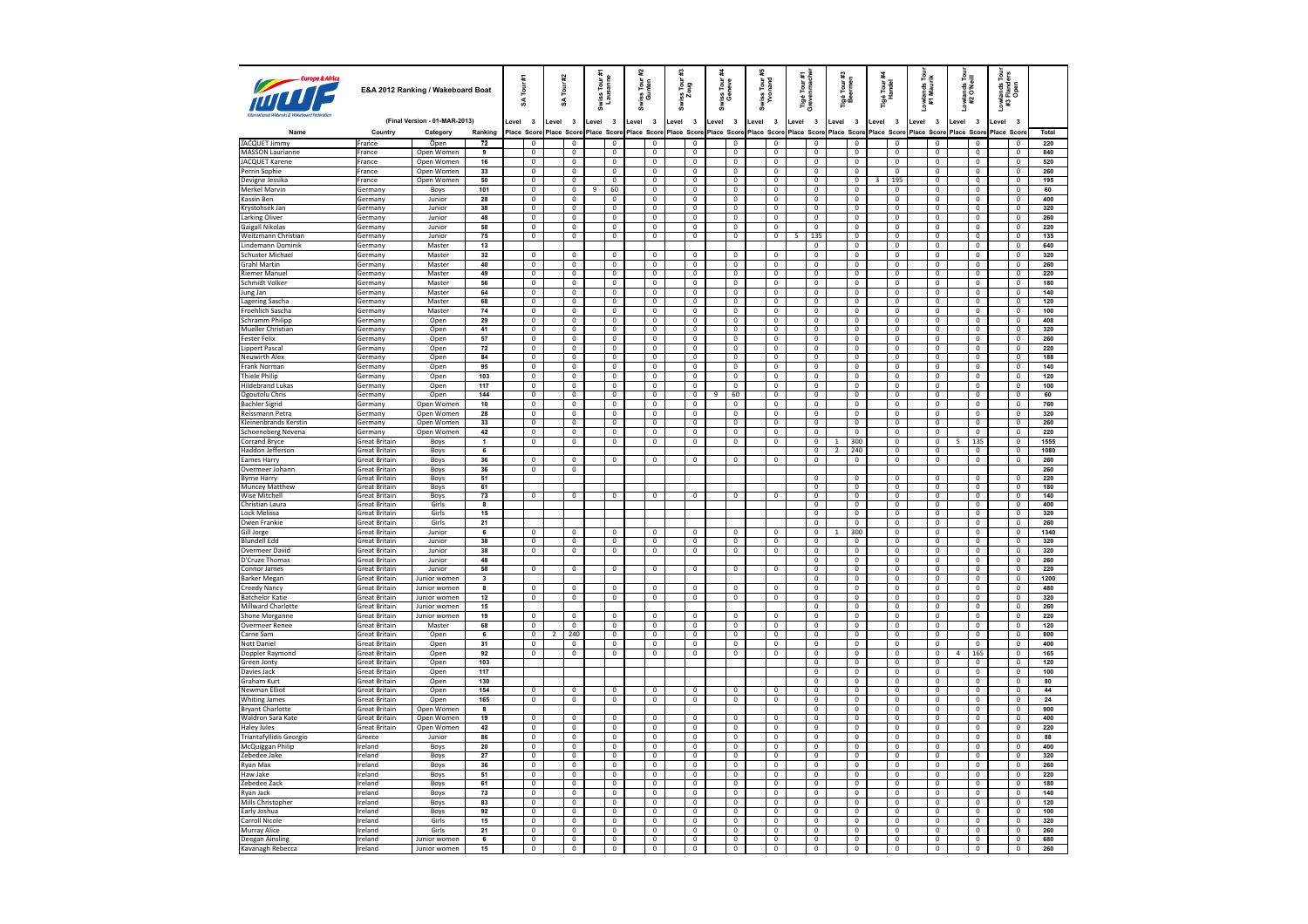| <b>ANTI DESCRIPTION OF BASE</b>                     |                                              | E&A 2012 Ranking / Wakeboard Boat |                         | Tour #1<br>S                  | #2<br>Tour<br>S |                                        | Swiss Tour #<br>Lausanne |                                  | 엁<br>à | Tour<br>nten<br>g ai             | #3<br>ss Tour<br>Zoug<br>à |                                         | riss Tour<br>Geneve<br>z         |       | Swiss Tour#<br>Yvonand         | Tigé Tour #1<br>Grevenmache |                                  | Tigé Tour #3<br>Beermen |                                         |       | Tigé Tour <del>A</del><br>Handel | Lowlands Tour<br>#1 Maurik                | Lowlands Tour<br>#2 O'Neill      | š     | <i>r</i> lands Tour<br>: Flanders<br>Open<br>#3 |              |
|-----------------------------------------------------|----------------------------------------------|-----------------------------------|-------------------------|-------------------------------|-----------------|----------------------------------------|--------------------------|----------------------------------|--------|----------------------------------|----------------------------|-----------------------------------------|----------------------------------|-------|--------------------------------|-----------------------------|----------------------------------|-------------------------|-----------------------------------------|-------|----------------------------------|-------------------------------------------|----------------------------------|-------|-------------------------------------------------|--------------|
|                                                     |                                              | (Final Version - 01-MAR-2013)     |                         | Level 3                       | Level           | $\overline{\mathbf{3}}$                | Level 3                  |                                  | Level  | $\overline{\mathbf{3}}$          | Level                      | $\overline{\mathbf{3}}$                 | $\overline{\mathbf{3}}$<br>evel. | Level | $\overline{\mathbf{3}}$        | Level                       | $\overline{\mathbf{3}}$          | Level 3                 |                                         | Level | $\overline{\mathbf{3}}$          | $\overline{\mathbf{3}}$<br>Level          | Level<br>$\overline{\mathbf{3}}$ | Level | $\overline{\mathbf{3}}$                         |              |
| Name                                                | Country                                      | Category                          | Ranking                 | Place Scor                    | Place Score     |                                        | Place Score              |                                  |        | Place Score                      | Place Score                |                                         | Place Score                      |       | Place Score                    | Place Score                 |                                  | Place Score             |                                         |       | Place Score                      | Place Score                               | Place Scon                       |       | Place Scor                                      | <b>Total</b> |
| JACQUET Jimmy                                       | France                                       | Open                              | $\overline{72}$         | $\mathbf 0$                   |                 | $\overline{\mathbf{0}}$                |                          | $\mathbf 0$                      |        | $\mathsf 0$                      |                            | $\mathbb O$                             | $\mathbf 0$                      |       | $\mathsf 0$                    |                             | $\mathbf 0$                      |                         | 0                                       |       | $\mathbf 0$                      | $\mathbf 0$                               | $\mathsf 0$                      |       | $\overline{\mathbf{0}}$                         | 220          |
| MASSON Laurianne                                    | France                                       | Open Women                        | 9                       | $\mathbf 0$                   |                 | $\mathbf 0$                            |                          | $\mathbf 0$                      |        | $\,0\,$                          |                            | $\mathbf 0$                             | $\,0\,$                          |       | $\,0\,$                        |                             | $\mathbf 0$                      |                         | $\mathbf 0$                             |       | $\,0\,$                          | $\mathbf{0}$                              | $\,0\,$                          |       | $\mathbf 0$                                     | 840          |
| <b>JACQUET Karene</b>                               | France                                       | Open Women                        | 16                      | $\overline{0}$                |                 | $\overline{\mathbf{0}}$                |                          | $\overline{0}$                   |        | $\overline{0}$                   |                            | $\overline{0}$                          | $^{\circ}$                       |       | $\overline{0}$                 |                             | $\overline{0}$                   |                         | $\overline{0}$                          |       | $\mathbf{0}$<br>$\Omega$         | $\mathbf{0}$<br>$\Omega$                  | $\overline{0}$                   |       | $\overline{0}$                                  | 520          |
| Perrin Sophie<br>Devigne Jessika                    | France<br>France                             | Open Women<br>Open Women          | 33<br>50                | $\mathbf 0$<br>$\overline{0}$ |                 | $\mathbf 0$<br>$\overline{0}$          |                          | $\mathbf{0}$<br>$\overline{0}$   |        | $\mathbf 0$<br>$\overline{0}$    |                            | $\mathbf{0}$<br>$\overline{\mathbf{0}}$ | $\mathbf 0$<br>$\mathbf 0$       |       | $\mathbf{0}$<br>$\overline{0}$ |                             | $\mathbf{0}$<br>$\overline{0}$   |                         | $\mathbf 0$<br>$\overline{0}$           | 3     | 195                              | $\mathbf{0}$                              | $\mathbf 0$<br>$\overline{0}$    |       | $\mathbf 0$<br>$\mathbf 0$                      | 260<br>195   |
| Merkel Marvin                                       | Germany                                      | Boys                              | 101                     | $\mathbf 0$                   |                 | $\mathbf 0$                            | 9                        | 60                               |        | $\mathbf 0$                      |                            | $\mathbf 0$                             | $\mathbf 0$                      |       | $\mathbf 0$                    |                             | $\mathbf 0$                      |                         | 0                                       |       | $\mathbf 0$                      | 0                                         | $\mathbf 0$                      |       | $\mathbf 0$                                     | 60           |
| <b>Kassin Ben</b>                                   | Germany                                      | Junior                            | 28                      | $\overline{0}$                |                 | $\overline{0}$                         |                          | $\overline{0}$                   |        | $\overline{0}$                   |                            | $\overline{0}$                          | $\overline{0}$                   |       | $\overline{0}$                 |                             | $\overline{0}$                   |                         | $\overline{0}$                          |       | $\Omega$                         | $\Omega$                                  | $\overline{0}$                   |       | $\overline{0}$                                  | 400          |
| Krystohsek Jan                                      | Germany                                      | Junior                            | 38                      | $\overline{0}$                |                 | $\overline{\mathbf{0}}$                |                          | $\overline{0}$                   |        | $\overline{0}$                   |                            | $\overline{0}$                          | $\overline{0}$                   |       | $\overline{0}$                 |                             | $\overline{0}$                   |                         | 0                                       |       | $\mathbf 0$                      | $\overline{0}$                            | $\overline{0}$                   |       | $\overline{0}$                                  | 320          |
| <b>Larking Oliver</b>                               | Germany                                      | Junior                            | 48                      | $\pmb{0}$                     |                 | $\mathbf 0$                            |                          | $\overline{0}$                   |        | $\overline{0}$                   |                            | $\overline{0}$                          | $\overline{0}$                   |       | $\overline{0}$                 |                             | $\mathbf{0}$                     |                         | $\overline{0}$                          |       | $\overline{0}$                   | $\mathbf{0}$                              | $\overline{0}$                   |       | $\mathbf 0$                                     | 260          |
| Gaigall Nikolas                                     | Germany                                      | Junior                            | 58                      | $\mathbf 0$                   |                 | $\pmb{0}$                              |                          | $\mathbf 0$                      |        | $\mathbf 0$                      |                            | $\mathbf 0$                             | $\mathbf 0$                      |       | $\mathbf 0$                    |                             | $\mathbf 0$                      |                         | 0                                       |       | $\mathbf 0$                      | $\mathbf 0$                               | $\mathbf 0$                      |       | $\mathbf 0$                                     | 220          |
| Weitzmann Christian                                 | Germany                                      | Junior                            | 75                      | $\overline{0}$                |                 | $\mathbf 0$                            |                          | $\mathbf 0$                      |        | $\,0\,$                          |                            | $\overline{0}$                          | $\mathbf 0$                      |       | $\,0\,$                        | 5                           | 135                              |                         | $\mathbf 0$                             |       | $\mathbf 0$                      | $\mathbf 0$                               | $\mathbf 0$                      |       | $\overline{0}$                                  | 135          |
| Lindemann Dominik                                   | Germany                                      | Master                            | 13                      |                               |                 |                                        |                          |                                  |        |                                  |                            |                                         |                                  |       |                                |                             | $\mathbf 0$                      |                         | $\overline{0}$                          |       | $\mathbf 0$                      | $\mathbf 0$                               | $\mathbf 0$                      |       | $\mathbf 0$                                     | 640          |
| <b>Schuster Michael</b><br><b>Grahl Martin</b>      | Germany<br>Germany                           | Master<br>Master                  | 32<br>40                | $\mathbf 0$<br>$\overline{0}$ |                 | $\mathbf 0$<br>$\overline{\mathbf{0}}$ |                          | $\mathbf 0$<br>$\overline{0}$    |        | $\mathsf 0$<br>$\overline{0}$    |                            | $\mathbf 0$<br>$\overline{0}$           | $\mathbf 0$<br>$\overline{0}$    |       | $\mathbf 0$<br>$\overline{0}$  |                             | $\mathbf 0$<br>$\overline{0}$    |                         | $\overline{0}$<br>$\overline{0}$        |       | $\overline{0}$<br>$\overline{0}$ | $\Omega$<br>$\mathbf 0$                   | $\overline{0}$<br>$\overline{0}$ |       | $\mathbf 0$<br>$\overline{0}$                   | 320<br>260   |
| <b>Riemer Manuel</b>                                | Germany                                      | Master                            | 49                      | $\mathbf 0$                   |                 | $\mathbf 0$                            |                          | $\mathbf 0$                      |        | $\mathbf 0$                      |                            | $\mathbb O$                             | $\mathbf 0$                      |       | $\mathbf 0$                    |                             | $\mathbf 0$                      |                         | $\mathbf 0$                             |       | $\mathbf 0$                      | $\mathbf 0$                               | $\mathbf 0$                      |       | $\mathbf{0}$                                    | 220          |
| Schmidt Volker                                      | <b>Germany</b>                               | Master                            | 56                      | $\overline{0}$                |                 | $\overline{\mathbf{0}}$                |                          | $\overline{0}$                   |        | $\overline{0}$                   |                            | $\overline{0}$                          | $\overline{0}$                   |       | $\overline{0}$                 |                             | $\overline{0}$                   |                         | $\overline{0}$                          |       | $\overline{0}$                   | $\overline{0}$                            | $\mathbf{0}$                     |       | $\overline{0}$                                  | 180          |
| Jung Jan                                            | Germany                                      | Master                            | 64                      | $\mathbf 0$                   |                 | $\mathbf 0$                            |                          | $\mathbf{0}$                     |        | $\mathbf 0$                      |                            | $\overline{0}$                          | $\mathbf 0$                      |       | $\mathbf{0}$                   |                             | $\mathbf{0}$                     |                         | $\mathbf{0}$                            |       | $\mathbf{0}$                     | $\mathbf{0}$                              | $\mathbf{0}$                     |       | $\mathbf 0$                                     | 140          |
| Lagering Sascha                                     | Germany                                      | Master                            | 68                      | $\overline{0}$                |                 | $\overline{0}$                         |                          | $\overline{0}$                   |        | $\overline{0}$                   |                            | $\overline{0}$                          | $\overline{0}$                   |       | $\overline{0}$                 |                             | $\overline{0}$                   |                         | $\overline{0}$                          |       | $\overline{0}$                   | $\overline{0}$                            | $\overline{0}$                   |       | $\overline{0}$                                  | 120          |
| Froehlich Sascha                                    | Germany                                      | Master                            | 74                      | $\overline{0}$                |                 | $\overline{\mathbf{0}}$                |                          | $\overline{0}$                   |        | $\overline{0}$                   |                            | $\overline{0}$                          | $\overline{\mathbf{0}}$          |       | $\mathfrak o$                  |                             | $\overline{0}$                   |                         | $\overline{\mathbf{0}}$                 |       | $\overline{\mathbf{0}}$          | $\mathbf 0$                               | $\pmb{0}$                        |       | $\overline{0}$                                  | 100          |
| Schramm Philipp                                     | Germany                                      | Open                              | 29                      | $\overline{0}$                |                 | $\overline{0}$                         |                          | $\overline{0}$                   |        | $\overline{0}$                   |                            | $\overline{0}$                          | $\overline{0}$                   |       | $\overline{0}$                 |                             | $\mathbf{0}$                     |                         | $\overline{0}$                          |       | $\mathbf{0}$                     | $\Omega$                                  | $\overline{0}$                   |       | $\overline{0}$                                  | 408          |
| Mueller Christian                                   | Germany                                      | Open                              | 41                      | $\overline{0}$                |                 | $\mathbf 0$                            |                          | $\overline{0}$                   |        | $\overline{0}$                   |                            | $\overline{0}$                          | $\mathbf 0$                      |       | $\mathbf 0$                    |                             | $\mathbf 0$                      |                         | $\overline{\mathbf{0}}$                 |       | $\mathbf 0$                      | $\mathbf 0$                               | $\mathbf 0$                      |       | $\mathbf 0$                                     | 320          |
| <b>Fester Felix</b><br>Lippert Pascal               | Germany<br>Germany                           | Open<br>Open                      | 57<br>72                | $\overline{0}$<br>$\mathbf 0$ |                 | $\mathbf 0$<br>$\mathbf 0$             |                          | $\overline{0}$<br>$\mathbf 0$    |        | $\overline{0}$<br>$\mathbf 0$    |                            | $\overline{0}$<br>$\mathbb O$           | $^{\circ}$<br>$\mathbf 0$        |       | $\mathbf{0}$<br>$\,0\,$        |                             | $^{\circ}$<br>$\mathbf 0$        |                         | $\mathbf{0}$<br>0                       |       | $\Omega$<br>$\mathbf 0$          | $\Omega$<br>$\mathbf 0$                   | $\mathbf{0}$<br>$\mathbf 0$      |       | $\Omega$<br>$\mathbf 0$                         | 260<br>220   |
| Neuwirth Alex                                       | Germany                                      | Open                              | 84                      | $\overline{0}$                |                 | $\overline{0}$                         |                          | 0                                |        | 0                                |                            | $\overline{0}$                          | 0                                |       | 0                              |                             | $\bf{0}$                         |                         | $\overline{0}$                          |       | $\bf{0}$                         | $\mathbf 0$                               | 0                                |       | $^{\circ}$                                      | 188          |
| Frank Norman                                        | Germany                                      | Open                              | 95                      | $\overline{0}$                |                 | $\overline{0}$                         |                          | $\overline{0}$                   |        | $\overline{0}$                   |                            | $\overline{0}$                          | $\overline{0}$                   |       | $\overline{0}$                 |                             | $\overline{0}$                   |                         | $\overline{0}$                          |       | $\overline{0}$                   | $\overline{0}$                            | $\overline{0}$                   |       | $\overline{0}$                                  | 140          |
| Thiele Philip                                       | Germany                                      | Open                              | 103                     | $\mathbf 0$                   |                 | $\mathbf 0$                            |                          | $\mathbf 0$                      |        | $\mathbf 0$                      |                            | $\overline{0}$                          | $\mathbf{0}$                     |       | $\mathbf 0$                    |                             | $\mathbf 0$                      |                         | $\overline{0}$                          |       | $\mathbf{0}$                     | $\mathbf{0}$                              | $\mathbf{0}$                     |       | $\overline{0}$                                  | 120          |
| <b>Hildebrand Lukas</b>                             | Germany                                      | Open                              | 117                     | $\overline{0}$                |                 | $\overline{0}$                         |                          | $\mathbf{0}$                     |        | $\overline{0}$                   |                            | $\overline{0}$                          | $\overline{0}$                   |       | $\overline{0}$                 |                             | $\overline{0}$                   |                         | $\overline{0}$                          |       | $\overline{0}$                   | $\mathbf{0}$                              | $\overline{0}$                   |       | $\overline{0}$                                  | 100          |
| Ogoutolu Chris                                      | Germany                                      | Open                              | 144                     | $\mathbf 0$                   |                 | $\mathbf 0$                            |                          | $\mathbf 0$                      |        | $\mathbf 0$                      |                            | $\mathbf 0$                             | $\overline{9}$<br>60             |       | $\mathbf 0$                    |                             | $\mathbf 0$                      |                         | $\mathbf 0$                             |       | $\mathbf 0$                      | $\mathbf{0}$                              | $\mathbf 0$                      |       | $\mathbf 0$                                     | 60           |
| <b>Bachler Sigrid</b>                               | Germany                                      | Open Women                        | 10                      | $\overline{0}$                |                 | $\overline{0}$                         |                          | $\overline{0}$                   |        | $\overline{0}$                   |                            | $\overline{0}$                          | $\overline{0}$                   |       | $\overline{0}$                 |                             | $\overline{0}$                   |                         | $\overline{0}$                          |       | $\overline{0}$                   | $\mathbf{0}$                              | $\overline{0}$                   |       | $\overline{0}$                                  | 760          |
| Reissmann Petra                                     | Germany                                      | Open Women                        | 28                      | $\overline{0}$                |                 | $\overline{\mathbf{0}}$                |                          | $\overline{0}$                   |        | $\overline{0}$                   |                            | $\overline{0}$                          | 0                                |       | $\overline{0}$                 |                             | $\overline{\mathbf{0}}$          |                         | $\overline{\mathbf{0}}$                 |       | $\overline{\mathbf{0}}$          | $\mathbf 0$                               | $\overline{0}$                   |       | $\overline{0}$                                  | 320          |
| Kleinenbrands Kerstin                               | Germany                                      | Open Women                        | 33                      | $\overline{\mathbf{0}}$       |                 | $\overline{0}$                         |                          | $\overline{0}$                   |        | $\overline{0}$                   |                            | $\overline{0}$                          | $\Omega$                         |       | $\overline{0}$                 |                             | $\overline{0}$                   |                         | $\overline{0}$                          |       | $\overline{0}$                   | $\Omega$                                  | $\overline{0}$                   |       | $\overline{0}$                                  | 260          |
| Schoeneberg Nevena<br><b>Corrand Bryce</b>          | Germany                                      | Open Women                        | 42<br>$\mathbf{1}$      | $\pmb{0}$<br>$\overline{0}$   |                 | $\overline{0}$<br>$\overline{0}$       |                          | $\overline{0}$<br>$\overline{0}$ |        | $\overline{0}$<br>$\overline{0}$ |                            | $\overline{0}$<br>$\overline{0}$        | $\mathbf 0$<br>$\overline{0}$    |       | $\mathbf 0$<br>$\overline{0}$  |                             | $\overline{0}$                   | $\mathbf{1}$            | 0<br>300                                |       | $\overline{0}$                   | $\overline{0}$<br>$\Omega$                | $\overline{0}$<br>5              |       | $\overline{0}$<br>$\overline{0}$                | 220<br>1555  |
| Haddon Jefferson                                    | <b>Great Britain</b><br><b>Great Britain</b> | Boys<br>Boys                      | 6                       |                               |                 |                                        |                          |                                  |        |                                  |                            |                                         |                                  |       |                                |                             | $\mathbf 0$<br>$\mathbf 0$       | $\overline{2}$          | 240                                     |       | 0<br>$\overline{0}$              | $\mathbf 0$                               | 135<br>$\overline{0}$            |       | $\mathbf 0$                                     | 1080         |
| Eames Harry                                         | <b>Great Britain</b>                         | Boys                              | 36                      | $^{\circ}$                    |                 | 0                                      |                          | $\mathbf{0}$                     |        | 0                                |                            | $\mathbf 0$                             | 0                                |       | 0                              |                             | $\mathbf 0$                      |                         | $\mathbf 0$                             |       | $\mathbf 0$                      | $\mathbf{0}$                              | $\mathbf 0$                      |       | 0                                               | 260          |
| Overmeer Johann                                     | Great Britain                                | Boys                              | 36                      | $\overline{0}$                |                 | $\overline{\mathbf{0}}$                |                          |                                  |        |                                  |                            |                                         |                                  |       |                                |                             |                                  |                         |                                         |       |                                  |                                           |                                  |       |                                                 | 260          |
| <b>Byrne Harry</b>                                  | <b>Great Britain</b>                         | Boys                              | 51                      |                               |                 |                                        |                          |                                  |        |                                  |                            |                                         |                                  |       |                                |                             | $\overline{0}$                   |                         | $\overline{0}$                          |       | $\overline{0}$                   | $\Omega$                                  | $\overline{0}$                   |       | $\overline{0}$                                  | 220          |
| <b>Muncey Matthew</b>                               | <b>Great Britain</b>                         | Boys                              | 61                      |                               |                 |                                        |                          |                                  |        |                                  |                            |                                         |                                  |       |                                |                             | $\overline{0}$                   |                         | $\overline{0}$                          |       | $\overline{0}$                   | $\overline{0}$                            | $\overline{0}$                   |       | $\overline{0}$                                  | 180          |
| Wise Mitchell<br>Christian Laura                    | Great Britain                                | Boys<br>Girls                     | 73<br>$\overline{8}$    | $\overline{0}$                |                 | 0                                      |                          | 0                                |        | 0                                |                            | $\mathbf 0$                             | 0                                |       | $\overline{0}$                 |                             | $\overline{0}$<br>$\overline{0}$ |                         | 0<br>$\overline{0}$                     |       | $\overline{0}$<br>$\overline{0}$ | $\overline{\mathbf{0}}$<br>$\overline{0}$ | $\overline{0}$<br>$\overline{0}$ |       | $\overline{0}$<br>$\overline{0}$                | 140          |
| Lock Melissa                                        | Great Britain<br><b>Great Britain</b>        | Girls                             | 15                      |                               |                 |                                        |                          |                                  |        |                                  |                            |                                         |                                  |       |                                |                             | $\overline{0}$                   |                         | $\overline{0}$                          |       | $\overline{0}$                   | $\overline{0}$                            | $\overline{0}$                   |       | $\overline{0}$                                  | 400<br>320   |
| Owen Frankie                                        | <b>Great Britain</b>                         | Girls                             | 21                      |                               |                 |                                        |                          |                                  |        |                                  |                            |                                         |                                  |       |                                |                             | $\Omega$                         |                         | $\overline{0}$                          |       | $\overline{0}$                   | $\Omega$                                  | $\overline{0}$                   |       | $\Omega$                                        | 260          |
| Gill Jorge                                          | Great Britain                                | Junior                            | 6                       | 0                             |                 | $\mathbf 0$                            |                          | $\mathbf 0$                      |        | $\mathbf 0$                      |                            | $\mathbf 0$                             | $\mathbf 0$                      |       | $\mathbf 0$                    |                             | $\mathbf 0$                      |                         | 300                                     |       | $\mathbf 0$                      | $\mathbf 0$                               | $\mathbf 0$                      |       | $\mathbf 0$                                     | 1340         |
| <b>Blundell Edd</b>                                 | <b>Great Britain</b>                         | Junior                            | 38                      | $\mathbf 0$                   |                 | $\Omega$                               |                          | $\mathbf 0$                      |        | $\mathbf{0}$                     |                            | $\overline{0}$                          | $\mathbf 0$                      |       | $^{\circ}$                     |                             | 0                                |                         | $\mathbf 0$                             |       | $\mathbf 0$                      | $\mathbf 0$                               | $\mathbf 0$                      |       | $\mathbf{0}$                                    | 320          |
| <b>Overmeer David</b>                               | <b>Great Britain</b>                         | Junior                            | 38                      | $\overline{0}$                |                 | $\overline{\mathbf{0}}$                |                          | $\overline{0}$                   |        | $\overline{0}$                   |                            | $\overline{0}$                          | $\overline{0}$                   |       | $\overline{0}$                 |                             | $\overline{\text{o}}$            |                         | 0                                       |       | $\overline{0}$                   | $\overline{0}$                            | $\overline{0}$                   |       | $\overline{0}$                                  | 320          |
| D'Cruze Thomas                                      | Great Britain                                | Junior                            | 48                      |                               |                 |                                        |                          |                                  |        |                                  |                            |                                         |                                  |       |                                |                             | $\mathbf 0$                      |                         | $\,0\,$                                 |       | $\overline{0}$                   | $\Omega$                                  | $\mathbf 0$                      |       | $\mathsf 0$                                     | 260          |
| Connor James                                        | <b>Great Britain</b>                         | Junior                            | 58                      | $\overline{0}$                |                 | $\overline{\mathbf{0}}$                |                          | $\overline{0}$                   |        | $\overline{0}$                   |                            | $\overline{0}$                          | $\overline{0}$                   |       | $\overline{0}$                 |                             | $\overline{0}$                   |                         | $\overline{0}$                          |       | $\overline{0}$                   | $\overline{0}$                            | $\overline{0}$                   |       | $\overline{0}$                                  | 220          |
| <b>Barker Megan</b>                                 | Great Britain                                | Junior women                      | $\overline{\mathbf{3}}$ |                               |                 |                                        |                          |                                  |        |                                  |                            |                                         |                                  |       |                                |                             | $\mathbf 0$                      |                         | $\mathbf 0$                             |       | $\,0\,$                          | $\mathbf 0$                               | $\mathbf 0$                      |       | $\mathbf 0$                                     | 1200         |
| Creedy Nancy                                        | <b>Great Britain</b>                         | Junior women                      | 8                       | $\mathbf 0$                   |                 | $\mathbf 0$                            |                          | $\overline{0}$                   |        | $\mathbf{0}$                     |                            | $\mathbf 0$                             | $\mathbf 0$                      |       | $\overline{0}$                 |                             | $\overline{0}$                   |                         | $\overline{0}$<br>$\mathbf{0}$          |       | $\mathbf{0}$<br>$\mathbf{0}$     | $\mathbf{0}$<br>$\mathbf 0$               | $\mathbf{0}$                     |       | $\mathbf{0}$<br>$\mathbf 0$                     | 480          |
| <b>Batchelor Katie</b><br><b>Millward Charlotte</b> | <b>Great Britain</b><br><b>Great Britain</b> | Junior women<br>Junior women      | $12$<br>15              | $\mathbf 0$                   |                 | $\mathbf 0$                            |                          | $\mathbf 0$                      |        | $\mathbf 0$                      |                            | $\mathbb O$                             | $\mathbf 0$                      |       | $\mathbf 0$                    |                             | $\mathbf 0$<br>$\overline{0}$    |                         | $\overline{0}$                          |       | $\overline{0}$                   | $\overline{0}$                            | $\mathbf 0$<br>$\overline{0}$    |       | $\overline{0}$                                  | 320<br>260   |
| Shone Morganne                                      | Great Britain                                | Junior women                      | 19                      | $\overline{\mathbf{0}}$       |                 | $\overline{\text{o}}$                  |                          | $\overline{0}$                   |        | $\mathsf 0$                      |                            | $\overline{\text{o}}$                   | $\pmb{0}$                        |       | $\overline{0}$                 |                             | $\overline{0}$                   |                         | 0                                       |       | $\overline{\mathbf{0}}$          | $\overline{0}$                            | $\overline{0}$                   |       | $\overline{0}$                                  | 220          |
| Overmeer Renee                                      | <b>Great Britain</b>                         | Master                            | 68                      | $\overline{0}$                |                 | $\overline{0}$                         |                          | $\overline{0}$                   |        | $\overline{0}$                   |                            | $\overline{0}$                          | $\mathbf 0$                      |       | $\overline{0}$                 |                             | $\mathbf 0$                      |                         | $\overline{0}$                          |       | $\mathbf{0}$                     | $\Omega$                                  | $\overline{\mathbf{0}}$          |       | $\overline{0}$                                  | 120          |
| Carne Sam                                           | Great Britain                                | Open                              | 6                       | $\overline{0}$                | $\overline{2}$  | 240                                    |                          | $\mathbf 0$                      |        | $\mathbf 0$                      |                            | $\mathbf 0$                             | $\mathbf 0$                      |       | $\mathbf 0$                    |                             | $\mathbf 0$                      |                         | $\overline{0}$                          |       | $\mathbf 0$                      | $\mathbf 0$                               | $\mathbf 0$                      |       | $\mathbf 0$                                     | 800          |
| Nott Daniel                                         | <b>Great Britain</b>                         | Open                              | 31                      | $\mathbf 0$                   |                 | $\mathbf 0$                            |                          | $\mathbf{0}$                     |        | $\mathbf{0}$                     |                            | $\mathbf{0}$                            | $^{\circ}$                       |       | $\mathbf{0}$                   |                             | $^{\circ}$                       |                         | $\mathbf 0$                             |       | $\mathbf{0}$                     | $\Omega$                                  | $\mathbf 0$                      |       | $^{\circ}$                                      | 400          |
| Doppler Raymond                                     | Great Britain                                | Open                              | 92                      | $\mathbf 0$                   |                 | $\mathbf 0$                            |                          | $\mathbf 0$                      |        | $\mathbf 0$                      |                            | $\mathbf 0$                             | $\mathbf 0$                      |       | $\mathbf 0$                    |                             | $\mathbf 0$                      |                         | $\overline{\mathfrak{o}}$               |       | $\,0\,$                          | $\mathbf 0$                               | 165<br>4                         |       | $\mathsf 0$                                     | 165          |
| Green Jonty                                         | Great Britain                                | Open                              | 103                     |                               |                 |                                        |                          |                                  |        |                                  |                            |                                         |                                  |       |                                |                             | $\bf{0}$                         |                         | $\overline{0}$                          |       | $\bf{0}$                         | $\mathbf 0$                               | 0                                |       | $\overline{0}$                                  | 120          |
| Davies Jack                                         | <b>Great Britain</b>                         | Open                              | 117<br>130              |                               |                 |                                        |                          |                                  |        |                                  |                            |                                         |                                  |       |                                |                             | $\overline{0}$<br>$\mathbf{0}$   |                         | $\overline{0}$<br>$\mathbf{0}$          |       | $\overline{0}$<br>$\mathbf{0}$   | $\overline{0}$<br>$\mathbf{0}$            | $\overline{0}$<br>$\mathbf 0$    |       | $\overline{0}$<br>$\mathbf 0$                   | 100          |
| Graham Kurt<br>Newman Elliot                        | Great Britain<br>Great Britain               | Open<br>Open                      | 154                     | $\mathbf 0$                   |                 | $\mathbf 0$                            |                          | $\mathbf{0}$                     |        | $\mathbf 0$                      |                            | $\mathbf{0}$                            | $\mathbf 0$                      |       | $\mathbf 0$                    |                             | $\overline{0}$                   |                         | $\overline{0}$                          |       | $\overline{0}$                   | $\mathbf{0}$                              | $\overline{0}$                   |       | $\mathbf 0$                                     | 80<br>44     |
| <b>Whiting James</b>                                | <b>Great Britain</b>                         | Open                              | 165                     | $\mathbf 0$                   |                 | $\mathbf 0$                            |                          | $\mathbf 0$                      |        | $\,0\,$                          |                            | $\mathbf 0$                             | $\mathbf 0$                      |       | $\,0\,$                        |                             | $\mathbf 0$                      |                         | $\mathbf 0$                             |       | $\,0\,$                          | $\mathbf 0$                               | $\mathbf 0$                      |       | $\mathbf 0$                                     | ${\bf 24}$   |
| <b>Bryant Charlotte</b>                             | <b>Great Britain</b>                         | Open Women                        | 8                       |                               |                 |                                        |                          |                                  |        |                                  |                            |                                         |                                  |       |                                |                             | $\mathbf 0$                      |                         | $\overline{0}$                          |       | $\mathbf{0}$                     | $\mathbf 0$                               | $\overline{0}$                   |       | $\mathbf{0}$                                    | 900          |
| Waldron Sara Kate                                   | <b>Great Britain</b>                         | Open Women                        | 19                      | $\overline{0}$                |                 | $\overline{\mathbf{0}}$                |                          | $\overline{0}$                   |        | $\overline{0}$                   |                            | $\overline{0}$                          | 0                                |       | $\overline{0}$                 |                             | $\overline{\mathbf{0}}$          |                         | $\overline{0}$                          |       | $\overline{0}$                   | 0                                         | $\overline{0}$                   |       | $\overline{0}$                                  | 400          |
| <b>Haley Jules</b>                                  | <b>Great Britain</b>                         | Open Women                        | 42                      | $\overline{0}$                |                 | $\overline{0}$                         |                          | $\overline{0}$                   |        | $\overline{0}$                   |                            | $\overline{0}$                          | $\Omega$                         |       | $\overline{0}$                 |                             | $\overline{0}$                   |                         | $\overline{0}$                          |       | $\overline{0}$                   | $\overline{0}$                            | $\overline{0}$                   |       | $\overline{0}$                                  | 220          |
| Triantafyllidis Georgio                             | Greece                                       | Junior                            | 86                      | 0                             |                 | $\mathbf 0$                            |                          | $\overline{\mathbf{0}}$          |        | $\mathbf 0$                      |                            | $\mathbf 0$                             | $\bf 0$                          |       | $\overline{\mathbf{0}}$        |                             | $\mathbf 0$                      |                         | 0                                       |       | $\pmb{0}$                        | $\mathbf 0$                               | $\mathbf 0$                      |       | $\pmb{0}$                                       | 88           |
| McQuiggan Philip                                    | Ireland                                      | Boys                              | 20                      | $\overline{0}$                |                 | $\overline{0}$                         |                          | $\overline{0}$                   |        | $\mathbf{0}$                     |                            | $\overline{0}$                          | $\mathbf 0$                      |       | $\,0\,$                        |                             | $\mathbf 0$                      |                         | $\overline{0}$                          |       | $^{\circ}$                       | $\mathbf 0$                               | $\mathbf 0$                      |       | $\mathbf{0}$                                    | 400          |
| Zebedee Jake                                        | Ireland                                      | Boys                              | ${\bf 27}$              | $\overline{\mathbf{0}}$       |                 | $\mathbf 0$                            |                          | $\overline{0}$                   |        | $\mathbf 0$                      |                            | $\mathbf 0$                             | $\mathbf 0$                      |       | $\mathbf 0$                    |                             | $\mathbf 0$                      |                         | $\overline{\mathbf{0}}$                 |       | $\mathbf 0$                      | $\mathbf 0$                               | 0                                |       | $\mathbf 0$                                     | 320          |
| Ryan Max<br>Haw Jake                                | Ireland<br>Ireland                           | Boys<br>Boys                      | 36<br>51                | $\mathbf 0$<br>$\overline{0}$ |                 | 0<br>$\overline{\mathbf{0}}$           |                          | $\mathbf{0}$<br>$\overline{0}$   |        | $\mathbf 0$<br>$\overline{0}$    |                            | $\mathbb O$<br>$\overline{0}$           | $\mathbf 0$<br>$\overline{0}$    |       | $\mathbf{0}$<br>$\overline{0}$ |                             | $\mathbf{0}$<br>$\overline{0}$   |                         | $\mathbf{0}$<br>$\overline{\mathbf{0}}$ |       | $\mathbf{0}$<br>$\overline{0}$   | $^{\circ}$<br>$\overline{\mathbf{0}}$     | $\mathbf 0$<br>$\overline{0}$    |       | $^{\circ}$<br>$\overline{0}$                    | 260<br>220   |
| Zebedee Zack                                        | Ireland                                      | Boys                              | 61                      | $\mathbf 0$                   |                 | $\mathbf 0$                            |                          | $\mathbf 0$                      |        | $\,0\,$                          |                            | $\mathbf 0$                             | $\mathbf 0$                      |       | $\,0\,$                        |                             | $\mathbf 0$                      |                         | $\mathbf 0$                             |       | $\mathbf 0$                      | $\mathbf 0$                               | $\,0\,$                          |       | $\mathbf 0$                                     | 180          |
| Ryan Jack                                           | lireland                                     | Boys                              | 73                      | $\overline{0}$                |                 | $\overline{0}$                         |                          | $\overline{0}$                   |        | $\overline{0}$                   |                            | $\overline{0}$                          | $\mathbf 0$                      |       | $\overline{0}$                 |                             | $\overline{0}$                   |                         | $\overline{0}$                          |       | $\overline{0}$                   | $\mathbf 0$                               | $\overline{0}$                   |       | $\overline{0}$                                  | 140          |
| Mills Christopher                                   | Ireland                                      | Boys                              | 83                      | $\mathbf 0$                   |                 | $\mathbf 0$                            |                          | $\mathbf{0}$                     |        | $\mathbf{0}$                     |                            | $\mathbf{0}$                            | $\mathbf 0$                      |       | $\mathbf{0}$                   |                             | $\mathbf{0}$                     |                         | $\mathbf 0$                             |       | $\mathbf{0}$                     | $\Omega$                                  | $\mathbf 0$                      |       | $\mathbf 0$                                     | 120          |
| Early Joshua                                        | Ireland                                      | Boys                              | 92                      | $\overline{0}$                |                 | $\overline{0}$                         |                          | $\overline{0}$                   |        | $\overline{0}$                   |                            | $\overline{0}$                          | $\mathbf 0$                      |       | $\overline{0}$                 |                             | $\overline{0}$                   |                         | $\overline{0}$                          |       | $\overline{0}$                   | $\mathbf 0$                               | $\overline{0}$                   |       | $\overline{0}$                                  | 100          |
| <b>Carroll Nicole</b>                               | Ireland                                      | Girls                             | 15                      | $\mathbf 0$                   |                 | $\mathbf 0$                            |                          | $\mathbf 0$                      |        | $\mathbf 0$                      |                            | $\mathbf 0$                             | $\mathbf 0$                      |       | $\mathbf 0$                    |                             | $\pmb{0}$                        |                         | 0                                       |       | $\mathbf 0$                      | $\mathbf 0$                               | $\mathbf 0$                      |       | $\mathsf 0$                                     | 320          |
| Murray Alice                                        | lireland                                     | Girls                             | 21                      | $\overline{0}$                |                 | $\overline{0}$                         |                          | $\overline{0}$                   |        | $\overline{0}$                   |                            | $\overline{0}$                          | $\overline{0}$                   |       | $\overline{0}$                 |                             | $\overline{0}$                   |                         | $\overline{0}$                          |       | $\Omega$                         | $\Omega$                                  | $\overline{0}$                   |       | $\overline{0}$                                  | 260          |
| <b>Deegan Ainsling</b>                              | Ireland                                      | Junior women                      | 6                       | $\overline{0}$                |                 | $\overline{\mathbf{0}}$                |                          | $\overline{0}$                   |        | $\overline{0}$                   |                            | $\overline{0}$                          | $\overline{\mathbf{0}}$          |       | $\overline{0}$                 |                             | $\overline{0}$                   |                         | $\overline{\mathbf{0}}$                 |       | $\mathbf 0$                      | $\overline{0}$                            | $\overline{0}$                   |       | $\overline{0}$                                  | 680          |
| Kavanagh Rebecca                                    | Ireland                                      | Junior women                      | 15                      | $\overline{0}$                |                 | $\overline{0}$                         |                          | $\overline{0}$                   |        | $\overline{0}$                   |                            | $\overline{0}$                          | $\overline{0}$                   |       | $\overline{0}$                 |                             | $\overline{0}$                   |                         | $\overline{0}$                          |       | $\overline{0}$                   | $\overline{0}$                            | $\overline{0}$                   |       | $\mathbf 0$                                     | 260          |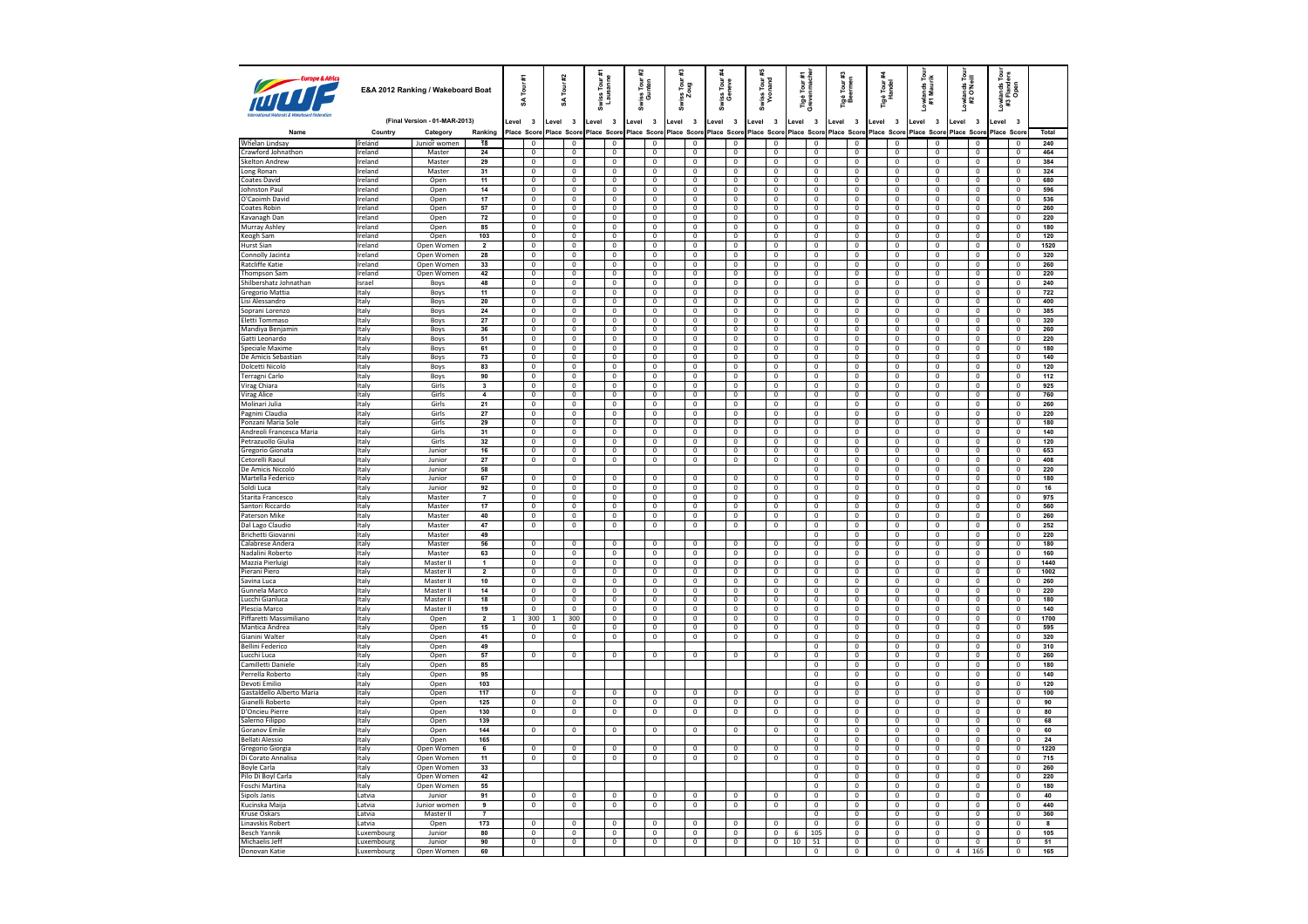| Europe & Africa                       |                 | E&A 2012 Ranking / Wakeboard Boat |                         |        | Tour #1<br>¥                              |              | Tour#2<br>S                   | Swiss Tour #<br>Lausanne |                                | 잁<br>និ | Tour<br>nten<br>ទី ទី          | #3<br>Swiss Tour:<br>Zoug        |                               | riss Tour<br>Geneve<br>នី        |         | Swiss Tour:<br>Yvonand         | ié Tour #1<br>∕enmache<br>Tigé<br>Greve | Tigé Tour #3<br>Beermen          |       | Tigé Tour <del>A</del><br>Handel | Lowlands Tour<br>#1 Maurik       | Lowlands Tour<br>#2 O'Neill |                                  | <i>r</i> lands Tour<br>: Flanders<br>Open<br>š<br>#3 |                                |                         |
|---------------------------------------|-----------------|-----------------------------------|-------------------------|--------|-------------------------------------------|--------------|-------------------------------|--------------------------|--------------------------------|---------|--------------------------------|----------------------------------|-------------------------------|----------------------------------|---------|--------------------------------|-----------------------------------------|----------------------------------|-------|----------------------------------|----------------------------------|-----------------------------|----------------------------------|------------------------------------------------------|--------------------------------|-------------------------|
|                                       |                 | (Final Version - 01-MAR-2013)     |                         | evel 3 |                                           | Level        | $\overline{\mathbf{3}}$       | Level 3                  |                                | Level   | $\overline{\mathbf{3}}$        | $\overline{\mathbf{3}}$<br>Level |                               | $\overline{\mathbf{3}}$<br>Level | Level 3 |                                | $\overline{\mathbf{3}}$<br>Level        | Level 3                          | Level | $\overline{\mathbf{3}}$          | Level<br>$\overline{\mathbf{3}}$ | Level                       | $\overline{\mathbf{3}}$          | Level                                                | $\overline{\mathbf{3}}$        |                         |
| Name                                  | Country         | Category                          | Ranking                 |        | Place Score                               |              | Place Score                   |                          | Place Score                    |         | Place Score                    | Place Score                      |                               | Place Score                      |         | Place Score                    | Place Scon                              | Place Score                      |       | Place Score                      | Place Score Place Score          |                             |                                  | Place Scor                                           |                                | Total                   |
| <b>Whelan Lindsay</b>                 | <b>Ireland</b>  | Junior women                      | <b>18</b>               |        | $\mathbf 0$                               |              | $\mathbf 0$                   |                          | $^{\circ}$                     |         | $\mathbf 0$                    |                                  | 0                             | $\mathbf 0$                      |         | 0                              | $\mathbf 0$                             | $\mathbf 0$                      |       | $\bf 0$                          | $^{\circ}$                       |                             | $\mathbf 0$                      |                                                      | $\mathbf 0$                    | 240                     |
| Crawford Johnathon                    | Ireland         | Master                            | 24                      |        | $\mathbf 0$                               |              | $\overline{0}$                |                          | $\mathbf{0}$                   |         | $\mathbf 0$                    | $\mathbf{0}$                     |                               | $^{\circ}$                       |         | $\mathbf{0}$                   | $\mathbf 0$                             | $\mathbf{0}$                     |       | $^{\circ}$                       | $\Omega$                         |                             | $\mathbf 0$                      |                                                      | $\overline{0}$                 | 464                     |
| <b>Skelton Andrew</b>                 | Ireland         | Master                            | 29                      |        | $\overline{0}$                            |              | $\overline{0}$                |                          | $\overline{0}$                 |         | $\overline{0}$                 |                                  | $\overline{0}$                | $\overline{0}$                   |         | $\mathbf 0$                    | $\overline{0}$                          | $\overline{0}$                   |       | $\overline{0}$                   | $\overline{0}$                   |                             | $\overline{0}$                   |                                                      | $\overline{0}$                 | 384                     |
| Long Ronan                            | Ireland         | Master                            | 31                      |        | $\overline{0}$                            |              | $\mathbf 0$                   |                          | $\Omega$                       |         | $\,0\,$                        |                                  | $\mathbf 0$                   | $\,0\,$                          |         | $\mathbf 0$                    | $\mathbf 0$                             | $\Omega$                         |       | $\mathbf 0$                      | $\Omega$                         |                             | $\mathbf 0$                      |                                                      | $\mathsf 0$                    | 324                     |
| <b>Coates David</b>                   | Ireland         | Open                              | 11                      |        | $\overline{0}$                            |              | $\overline{0}$                |                          | $\overline{0}$                 |         | $\overline{0}$                 |                                  | $\overline{0}$                | $\overline{0}$                   |         | $\overline{0}$                 | $\overline{0}$                          | $\overline{0}$                   |       | $\overline{0}$                   | $\mathbf{0}$                     |                             | $\overline{0}$                   |                                                      | $\overline{0}$                 | 680                     |
| Johnston Paul                         | Ireland         | Open                              | $14$                    |        | $\mathbf 0$                               |              | $\mathbf 0$                   |                          | $\mathbf 0$                    |         | $\,0\,$                        |                                  | $\mathbf 0$                   | $\,0\,$                          |         | $\mathbf 0$                    | $\mathbf 0$                             | $\mathbf 0$                      |       | $\mathbf 0$                      | $\overline{0}$                   |                             | $\mathbf 0$                      |                                                      | $\mathbf 0$                    | 596                     |
| O'Caoimh David                        | Ireland         | Open                              | 17                      |        | $\overline{0}$                            |              | $\overline{0}$                |                          | $\overline{0}$                 |         | $\overline{0}$                 |                                  | $\overline{0}$                | $\mathbf{0}$                     |         | $\mathbf 0$                    | $\overline{0}$                          | $\overline{0}$                   |       | $\mathbf{0}$                     | $\mathbf{0}$                     |                             | $\mathbf 0$                      |                                                      | $\mathbf{0}$                   | 536                     |
| Coates Robin                          | Ireland         | Open                              | 57                      |        | $\mathbf{0}$                              |              | $\Omega$                      |                          | $\mathbf{0}$                   |         | $\mathbf 0$                    |                                  | $\mathbf{0}$                  | $\mathbf{0}$                     |         | $\mathbf{0}$                   | $\mathbf{0}$                            | $\Omega$                         |       | $\mathbf{0}$                     | $\mathbf{0}$                     |                             | $\mathbf 0$                      |                                                      | $\mathbf 0$                    | 260                     |
| Kavanagh Dan                          | Ireland         | Open                              | 72                      |        | $\overline{0}$                            |              | $\overline{0}$                |                          | $\overline{0}$                 |         | $\overline{0}$                 |                                  | $\overline{0}$                | $\overline{0}$                   |         | $\overline{0}$                 | $\overline{0}$                          | $\overline{0}$                   |       | $\overline{0}$                   | $\mathbf{0}$                     |                             | $\overline{0}$                   |                                                      | $\mathbf 0$                    | 220                     |
| Murray Ashley                         | Ireland         | Open                              | 85                      |        | $\mathbf 0$                               |              | $\mathbf 0$                   |                          | $\mathbb O$                    |         | $\mathbf 0$                    |                                  | $\mathbf 0$                   | $\mathbf 0$                      |         | $\mathsf 0$                    | $\mathbf 0$                             | $\mathbf 0$                      |       | $\mathbf 0$                      | $\mathbb O$                      |                             | $\mathbf 0$                      |                                                      | $\mathsf 0$                    | 180                     |
| Keogh Sam                             | Ireland         | Open                              | 103                     |        | $\overline{0}$                            |              | $\overline{0}$                |                          | $\overline{0}$                 |         | $\overline{0}$                 |                                  | $\overline{0}$                | $^{\circ}$                       |         | $\overline{0}$                 | $\overline{0}$                          | $\overline{0}$                   |       | $\overline{0}$                   | $\overline{0}$                   |                             | $\overline{\mathbf{0}}$          |                                                      | $\overline{0}$                 | 120                     |
| <b>Hurst Sian</b>                     | Ireland         | Open Women                        | $\overline{\mathbf{2}}$ |        | $\overline{0}$                            |              | $\overline{0}$                |                          | $\overline{0}$                 |         | $\overline{0}$                 |                                  | $\overline{0}$                | $\mathbf 0$                      |         | $\overline{0}$                 | $\overline{0}$                          | $\overline{0}$                   |       | $\overline{0}$                   | $\mathbf 0$                      |                             | $\overline{0}$                   |                                                      | $\overline{0}$                 | 1520                    |
| Connolly Jacinta                      | Ireland         | Onen Women                        | 28                      |        | $\overline{0}$                            |              | $\overline{0}$                |                          | $\overline{0}$                 |         | $\overline{0}$                 |                                  | $\overline{0}$                | $\Omega$                         |         | $\overline{0}$                 | $\overline{0}$                          | $\overline{0}$                   |       | $\overline{0}$                   | $\overline{0}$                   |                             | $\overline{0}$                   |                                                      | $\overline{0}$                 | 320                     |
| <b>Ratcliffe Katie</b>                | Ireland         | Open Women                        | 33                      |        | $\overline{0}$                            |              | $\overline{\mathbf{0}}$       |                          | $\overline{\mathbf{0}}$        |         | $\pmb{0}$                      |                                  | 0                             | $\pmb{0}$                        |         | $\mathbf 0$                    | $\mathbf 0$                             | $\pmb{0}$                        |       | $\pmb{0}$                        | $\mathbf 0$                      |                             | $\mathbf 0$                      |                                                      | $\pmb{0}$                      | 260                     |
| Thompson Sam                          | Ireland         | Open Women                        | 42                      |        | $\overline{0}$                            |              | $\Omega$                      |                          | $\mathbf{0}$                   |         | $\mathbf{0}$                   |                                  | $\overline{0}$                | $\mathbf{0}$                     |         | $\overline{0}$                 | $\mathbf{0}$                            | $\overline{0}$                   |       | $\mathbf{0}$                     | $\Omega$                         |                             | $\overline{0}$                   |                                                      | $\Omega$                       | 220                     |
| Shilbershatz Johnathan                | Israel          | Boys                              | 48                      |        | $\overline{0}$                            |              | $\mathbf 0$                   |                          | $\overline{0}$                 |         | $\overline{0}$                 |                                  | $\overline{0}$                | $\mathbf 0$                      |         | $\mathbf 0$                    | $\overline{0}$                          | $\overline{\mathbf{0}}$          |       | $\mathbf{0}$                     | $\mathbf{0}$<br>- 0              |                             | $\overline{0}$                   |                                                      | $\mathbf 0$                    | 240                     |
| Gregorio Mattia                       | Italy           | Boys                              | 11<br>20                |        | $\overline{0}$<br>$\overline{0}$          |              | $\mathbf 0$                   |                          | $\mathbf{0}$                   |         | $\mathbf{0}$<br>$\overline{0}$ |                                  | $\mathbf{0}$                  | $\mathbf{0}$                     |         | $\overline{0}$                 | $\mathbf{0}$                            | $\overline{0}$                   |       | $\overline{0}$                   |                                  |                             | $\mathbf{0}$                     |                                                      | $^{\circ}$                     | 722                     |
| Lisi Alessandro                       | Italy           | Boys                              |                         |        |                                           |              | $\mathbf 0$                   |                          | $\mathbf 0$                    |         |                                |                                  | $\mathbf 0$                   | $\mathbf 0$                      |         | $\mathbf 0$                    | $\mathbf 0$                             | $\mathbf 0$                      |       | $\mathbf 0$                      | $\mathbf 0$                      |                             | $\mathbf 0$                      |                                                      | $\mathbf 0$                    | 400                     |
| Soprani Lorenzo                       | <b>Italy</b>    | Boys                              | 24                      |        | $\overline{\mathbf{0}}$<br>$\overline{0}$ |              | 0                             |                          | $\mathbf 0$                    |         | $\bf{0}$                       |                                  | $\overline{0}$                | $\mathbf 0$                      |         | $\mathbf 0$                    | $\bf{0}$                                | $\overline{0}$                   |       | $\bf{0}$                         | $\overline{0}$                   |                             | $\bf{0}$                         |                                                      | $^{\circ}$                     | 385                     |
| Eletti Tommaso                        | Italy           | Boys                              | 27<br>36                |        |                                           |              | $\overline{0}$                |                          | $\overline{0}$<br>$\mathbf{0}$ |         | $\overline{0}$                 |                                  | $\overline{0}$                | $\overline{0}$<br>$\mathbf{0}$   |         | $\overline{0}$<br>$\mathbf{0}$ | $\overline{0}$<br>$\mathbf{0}$          | $\overline{0}$<br>$\mathbf 0$    |       | $\overline{0}$<br>$\mathbf{0}$   | $\overline{0}$<br>$\overline{0}$ |                             | $\overline{0}$<br>$\mathbf{0}$   |                                                      | $\overline{0}$<br>$\mathbf{0}$ | 320<br>260              |
| Mandiya Benjamin<br>Gatti Leonardo    | Italy<br>Italy  | Boys                              | 51                      |        | $\overline{0}$<br>$\overline{0}$          |              | $\mathbf 0$<br>$\overline{0}$ |                          | $\overline{0}$                 |         | $\mathbf 0$<br>$\overline{0}$  |                                  | $\mathbf 0$<br>$\overline{0}$ | $\overline{0}$                   |         | $\overline{0}$                 | $\overline{0}$                          | $\overline{0}$                   |       | $\overline{0}$                   | $\overline{0}$                   |                             | $\overline{0}$                   |                                                      | $\mathbf{0}$                   | 220                     |
| Speciale Maxime                       | Italy           | Boys                              | 61                      |        | $\mathbf 0$                               |              | $\mathbf 0$                   |                          | $\mathbf 0$                    |         | $\mathbf 0$                    |                                  | $\mathbf 0$                   | $\mathbf 0$                      |         | $\mathbf 0$                    | $\mathbf 0$                             | $\mathbf 0$                      |       | $\mathbf 0$                      | $\overline{0}$                   |                             | $\mathbf 0$                      |                                                      | $\mathbf{0}$                   | 180                     |
| De Amicis Sebastian                   | litalv          | Boys<br>Boys                      | 73                      |        | $\overline{0}$                            |              | $\overline{0}$                |                          | $\overline{0}$                 |         | $\overline{0}$                 |                                  | $\overline{0}$                | $\mathbf{0}$                     |         | $\overline{0}$                 | $\overline{0}$                          | $\overline{0}$                   |       | $\overline{0}$                   | $\overline{0}$                   |                             | $\mathbf{0}$                     |                                                      | $\overline{0}$                 | 140                     |
| Dolcetti Nicoló                       | Italy           | Boys                              | 83                      |        | $\mathsf 0$                               |              | $\mathbf{0}$                  |                          | $\mathbf{0}$                   |         | $\,0\,$                        | $\mathbf 0$                      |                               | $\mathbf{0}$                     |         | $\mathbf{0}$                   | $\mathbf{0}$                            | $\mathbf{0}$                     |       | $\mathbf{0}$                     | $\mathbf{0}$                     |                             | $\mathbf{0}$                     |                                                      | $\mathbf 0$                    | 120                     |
| Terragni Carlo                        | Italy           | Boys                              | 90                      |        | $\overline{0}$                            |              | $\overline{0}$                |                          | $\overline{0}$                 |         | $\overline{0}$                 |                                  | $\mathbf{0}$                  | $\mathbf{0}$                     |         | $\overline{0}$                 | $\overline{0}$                          | $\overline{0}$                   |       | $\overline{0}$                   | $\mathbf{0}$                     |                             | $\overline{0}$                   |                                                      | $\overline{0}$                 | 112                     |
| Virag Chiara                          | Italy           | Girls                             | 3                       |        | $\overline{0}$                            |              | $\overline{0}$                |                          | $\overline{0}$                 |         | $\overline{0}$                 |                                  | $\overline{0}$                | $\overline{\mathbf{0}}$          |         | $\overline{0}$                 | $\overline{\mathbf{0}}$                 | $\overline{\mathbf{0}}$          |       | $\overline{0}$                   | $\overline{0}$                   |                             | $\overline{0}$                   |                                                      | $\overline{0}$                 | 925                     |
| Virag Alice                           | Italy           | Girls                             | $\overline{4}$          |        | $\overline{0}$                            |              | $\overline{0}$                |                          | $\overline{0}$                 |         | $\overline{0}$                 |                                  | $\overline{0}$                | $\mathbf 0$                      |         | $\overline{0}$                 | $\overline{0}$                          | $\overline{0}$                   |       | $\overline{0}$                   | $\overline{0}$                   |                             | $\overline{\mathbf{0}}$          |                                                      | $\overline{0}$                 | 760                     |
| Molinari Julia                        | Italy           | Girls                             | 21                      |        | $\overline{0}$                            |              | $\overline{0}$                |                          | $\overline{0}$                 |         | $\overline{\mathbf{0}}$        |                                  | $\overline{0}$                | $\overline{0}$                   |         | $\overline{0}$                 | $\overline{\mathbf{0}}$                 | $\overline{\mathbf{0}}$          |       | $\overline{0}$                   | $\mathbf{0}$                     |                             | $\overline{0}$                   |                                                      | $\overline{0}$                 | 260                     |
| Pagnini Claudia                       | Italy           | Girls                             | 27                      |        | $\overline{0}$                            |              | $\overline{0}$                |                          | $\overline{0}$                 |         | $\mathbf{0}$                   |                                  | $\mathbf{0}$                  | $\Omega$                         |         | $\Omega$                       | $\Omega$                                | $\overline{0}$                   |       | $\overline{0}$                   | $\Omega$                         |                             | $\mathbf{0}$                     |                                                      | $\Omega$                       | 220                     |
| Ponzani Maria Sole                    | Italy           | Girls                             | 29                      |        | $\mathbf 0$                               |              | $\overline{0}$                |                          | $\overline{0}$                 |         | $\overline{0}$                 |                                  | 0                             | $\mathbf 0$                      |         | $\mathbf 0$                    | $\mathbf 0$                             | $\overline{\mathbf{0}}$          |       | $\overline{0}$                   | $\mathbf 0$                      |                             | $\mathbf 0$                      |                                                      | $\mathbf 0$                    | 180                     |
| Andreoli Francesca Maria              | Italy           | Girls                             | 31                      |        | $\overline{0}$                            |              | $\overline{0}$                |                          | $\overline{0}$                 |         | $\mathbf 0$                    | $\overline{0}$                   |                               | $\mathbf 0$                      |         | $\overline{0}$                 | $\mathbf 0$                             | $\overline{0}$                   |       | $\overline{0}$                   | $\Omega$                         |                             | $\mathbf 0$                      |                                                      | $\overline{0}$                 | 140                     |
| Petrazuollo Giulia                    | Italy           | Girls                             | 32                      |        | $\overline{0}$                            |              | $\mathbf 0$                   |                          | $\mathbb O$                    |         | $\overline{0}$                 |                                  | $\mathbf 0$                   | $\mathbf 0$                      |         | $\mathsf 0$                    | $\mathbf 0$                             | $\overline{\mathbf{0}}$          |       | $\mathbf 0$                      | $\mathbf 0$                      |                             | $\mathbf 0$                      |                                                      | $\mathbf 0$                    | 120                     |
| Gregorio Gionata                      | Italy           | Junior                            | 16                      |        | $\overline{0}$                            |              | $\overline{0}$                |                          | $\overline{0}$                 |         | $\overline{0}$                 |                                  | $\mathbf{0}$                  | $\mathbf{0}$                     |         | $\mathbf{0}$                   | $\overline{0}$                          | $\overline{0}$                   |       | $\overline{0}$                   | $\mathbf{0}$                     |                             | $\overline{0}$                   |                                                      | $^{\circ}$                     | 653                     |
| Cetorelli Raoul                       | Italy           | Junior                            | 27                      |        | $\overline{0}$                            |              | $\overline{0}$                |                          | $\overline{0}$                 |         | $\overline{0}$                 |                                  | $\overline{0}$                | $\overline{0}$                   |         | $\overline{\mathbf{0}}$        | $\overline{\mathbf{0}}$                 | $\overline{\mathbf{0}}$          |       | $\overline{0}$                   | $\overline{0}$                   |                             | $\overline{0}$                   |                                                      | $\overline{0}$                 | 408                     |
| De Amicis Niccolá                     | Italy           | Junior                            | 58                      |        |                                           |              |                               |                          |                                |         |                                |                                  |                               |                                  |         |                                | $\mathbf 0$                             | $\bf 0$                          |       | $\mathbf 0$                      | $\overline{0}$                   |                             | $\bf 0$                          |                                                      | $\mathbf 0$                    | 220                     |
| Martella Federico                     | Italy           | Junior                            | 67                      |        | $\overline{0}$                            |              | $\overline{\mathbf{0}}$       |                          | $\overline{0}$                 |         | $\overline{0}$                 |                                  | $\overline{0}$                | $\overline{0}$                   |         | $\overline{0}$                 | $\overline{0}$                          | $\overline{0}$                   |       | $\overline{0}$                   | $\overline{0}$                   |                             | $\overline{0}$                   |                                                      | $\overline{0}$                 | 180                     |
| Soldi Luca                            | Italy           | Junior                            | 92                      |        | $\overline{0}$                            |              | $\overline{0}$                |                          | $\overline{0}$                 |         | $\mathbf 0$                    |                                  | $\overline{0}$                | $\overline{0}$                   |         | $\overline{0}$                 | $\overline{0}$                          | $\overline{0}$                   |       | $\overline{0}$                   | $\overline{0}$                   |                             | $\overline{0}$                   |                                                      | $\overline{0}$                 | 16                      |
| Starita Francesco                     | Italy           | Master                            | $\overline{7}$          |        | $\overline{0}$                            |              | $\overline{0}$                |                          | $\overline{0}$                 |         | $\overline{0}$                 |                                  | $\overline{0}$                | $\overline{0}$                   |         | $\overline{0}$                 | $\overline{0}$                          | $\overline{0}$                   |       | $\overline{0}$                   | $\overline{0}$                   |                             | $\overline{0}$                   |                                                      | $\overline{0}$                 | 975                     |
| Santori Riccardo                      | Italy           | Master                            | 17                      |        | $\mathbf 0$                               |              | $\mathbf 0$                   |                          | $\mathbb O$                    |         | $\mathbf 0$                    |                                  | $\mathbf 0$                   | $\mathbf 0$                      |         | $\mathsf 0$                    | $\mathbf 0$                             | $\mathbf 0$                      |       | $\mathbf 0$                      | $\overline{0}$                   |                             | $\mathbf 0$                      |                                                      | $\mathbf 0$                    | 560                     |
| Paterson Mike                         | litalv          | Master                            | 40                      |        | $\overline{0}$                            |              | $\overline{0}$                |                          | $\overline{0}$                 |         | $\overline{0}$                 |                                  | $\overline{0}$                | $\overline{0}$                   |         | $\overline{0}$                 | $\overline{0}$                          | $\overline{0}$                   |       | $\overline{0}$                   | $\overline{0}$                   |                             | $\overline{0}$                   |                                                      | $\overline{0}$                 | 260                     |
| Dal Lago Claudio                      | Italy           | Master                            | 47                      |        | $\overline{0}$                            |              | $\overline{0}$                |                          | $\overline{0}$                 |         | $\overline{0}$                 |                                  | $\overline{0}$                | $\overline{\mathbf{0}}$          |         | $\overline{0}$                 | $\overline{\mathbf{0}}$                 | $\overline{0}$                   |       | $\overline{0}$                   | $\overline{0}$                   |                             | $\overline{0}$                   |                                                      | $\overline{0}$                 | 252                     |
| Brichetti Giovanni                    | <b>Italy</b>    | Master                            | 49                      |        |                                           |              |                               |                          |                                |         |                                |                                  |                               |                                  |         |                                | $\overline{0}$                          | $\overline{0}$                   |       | $\overline{0}$                   | $\overline{0}$                   |                             | $\overline{0}$                   |                                                      | $\overline{0}$                 | 220                     |
| Calabrese Andera                      | Italy           | Master                            | 56                      |        | $\overline{0}$                            |              | $\overline{0}$                |                          | $\overline{0}$                 |         | $\overline{\mathbf{0}}$        |                                  | $\overline{\mathbf{0}}$       | $\overline{0}$                   |         | $\overline{\text{o}}$          | $\overline{\mathbf{0}}$                 | $\pmb{0}$                        |       | $\overline{0}$                   | $\overline{0}$                   |                             | $\overline{0}$                   |                                                      | $\overline{0}$                 | 180                     |
| Nadalini Roberto                      | <b>Italy</b>    | Master                            | 63                      |        | $\overline{0}$                            |              | $\overline{0}$                |                          | $\overline{0}$                 |         | $\overline{0}$                 |                                  | $\overline{0}$                | $\overline{0}$                   |         | $\overline{0}$                 | $\overline{0}$                          | $\overline{0}$                   |       | $\overline{0}$                   | $\Omega$                         |                             | $\pmb{0}$                        |                                                      | $\overline{0}$                 | 160                     |
| Mazzia Pierluigi                      | Italy           | Master II                         | $\overline{1}$          |        | $\overline{0}$                            |              | $\overline{0}$                |                          | $\overline{0}$                 |         | $\overline{0}$                 |                                  | $\overline{0}$                | $\overline{0}$                   |         | $\overline{0}$                 | $\overline{0}$                          | $\overline{0}$                   |       | $\overline{0}$                   | $\overline{0}$                   |                             | $\overline{0}$                   |                                                      | $\mathbf 0$                    | 1440                    |
| Pierani Piero                         | Italy           | Master II                         | $\overline{2}$          |        | $\overline{0}$                            |              | $\overline{0}$                |                          | $\Omega$                       |         | $\overline{0}$                 | $\mathbf 0$                      |                               | $\Omega$                         |         | $\Omega$                       | $\overline{0}$                          | $\overline{0}$                   |       | $\Omega$                         | $\Omega$                         |                             | $\overline{0}$                   |                                                      | $\overline{0}$                 | 1002                    |
| Savina Luca                           | Italy           | Master II                         | $10$                    |        | $\mathbf 0$                               |              | $\mathbf 0$                   |                          | $\mathbb O$                    |         | $\overline{0}$                 |                                  | $\mathbf 0$                   | $\mathbf 0$                      |         | $\mathbf 0$                    | $\mathbf 0$                             | $\overline{0}$                   |       | $\overline{0}$                   | $\mathbf 0$                      |                             | $\mathbf 0$                      |                                                      | $\mathsf 0$                    | 260                     |
| Gunnela Marco                         | Italy           | Master II                         | 14                      |        | $\mathbf 0$                               |              | $\overline{0}$                |                          | $\overline{0}$                 |         | $\mathbf 0$                    | $\overline{0}$                   |                               | $\mathbf 0$                      |         | $\mathbf 0$                    | $\mathbf 0$                             | $\overline{0}$                   |       | $\mathbf 0$                      | $\Omega$                         |                             | $\mathbf 0$                      |                                                      | $\overline{0}$                 | 220                     |
| Lucchi Gianluca                       | Italy           | Master II                         | 18                      |        | $\overline{0}$                            |              | $\overline{0}$                |                          | $\overline{0}$                 |         | $\overline{0}$                 |                                  | $\overline{0}$                | $\overline{0}$                   |         | $\overline{0}$                 | $\overline{0}$                          | $\overline{0}$                   |       | $\overline{0}$                   | $\overline{0}$                   |                             | $\overline{0}$                   |                                                      | $\overline{0}$                 | 180                     |
| Plescia Marco                         | Italy           | Master II                         | 19                      |        | $\overline{0}$                            |              | $\Omega$                      |                          | $\Omega$                       |         | $\mathbf 0$                    |                                  | $\mathbf 0$                   | $\mathbf 0$                      |         | $\overline{0}$                 | $\overline{0}$                          | $\Omega$                         |       | $\Omega$                         | $\Omega$                         |                             | $\mathbf 0$                      |                                                      | $\Omega$                       | 140                     |
| Piffaretti Massimiliano               | Italy           | Open                              | $\overline{2}$          | -1.    | 300                                       | $\mathbf{1}$ | 300                           |                          | $\overline{0}$                 |         | $\overline{0}$                 |                                  | $\overline{0}$                | $\overline{0}$                   |         | $\overline{0}$                 | $\overline{0}$                          | $\overline{0}$                   |       | $\overline{0}$                   | $\overline{0}$                   |                             | $\overline{0}$                   |                                                      | $\overline{0}$                 | 1700                    |
| Mantica Andrea                        | Italy           | Open                              | 15                      |        | $\mathbf 0$                               |              | $\mathbf 0$                   |                          | $\mathbf 0$                    |         | $\mathbf 0$                    |                                  | $\mathbf 0$                   | $\mathbf 0$                      |         | $\mathbf 0$                    | $\mathbf 0$                             | $\mathbf 0$                      |       | $\mathbf 0$                      | $\mathbf 0$                      |                             | $\mathbf 0$                      |                                                      | $\mathbf 0$                    | 595                     |
| Gianini Walter                        | Italy           | Open                              | 41                      |        | $\overline{0}$                            |              | $\overline{0}$                |                          | $\overline{0}$                 |         | $\overline{0}$                 |                                  | $\overline{0}$                | $\overline{0}$                   |         | $\overline{0}$                 | $\overline{0}$                          | $\overline{0}$                   |       | $\overline{0}$                   | $\overline{0}$                   |                             | $\overline{0}$                   |                                                      | $\overline{0}$                 | 320                     |
| Bellini Federico                      | Italy           | Open                              | 49                      |        |                                           |              |                               |                          |                                |         |                                |                                  |                               |                                  |         |                                | $\overline{0}$                          | $\overline{0}$                   |       | $\Omega$                         | $\Omega$                         |                             | $\overline{0}$                   |                                                      | $\overline{0}$                 | 310                     |
| Lucchi Luca                           | Italy           | Open                              | 57                      |        | $\overline{0}$                            |              | $\overline{0}$                |                          | $\overline{0}$                 |         | $\overline{0}$                 | $\overline{0}$                   |                               | $\overline{0}$                   |         | $\overline{0}$                 | $\overline{0}$                          | $\overline{0}$                   |       | $\overline{0}$                   | $\overline{0}$                   |                             | $\overline{0}$                   |                                                      | $\overline{0}$                 | 260                     |
| Camilletti Daniele                    | Italy           | Open                              | 85                      |        |                                           |              |                               |                          |                                |         |                                |                                  |                               |                                  |         |                                | $\pmb{0}$                               | $\mathbf 0$                      |       | $\mathbf 0$                      | $\mathbf 0$                      |                             | $\mathbf 0$                      |                                                      | $\mathbf 0$                    | 180                     |
| Perrella Roberto                      | <b>Italy</b>    | Open                              | 95                      |        |                                           |              |                               |                          |                                |         |                                |                                  |                               |                                  |         |                                | $\overline{0}$                          | $\overline{0}$                   |       | $^{\circ}$                       | $\overline{0}$                   |                             | $\overline{0}$                   |                                                      | $\overline{0}$                 | 140                     |
| Devoti Emilio                         | Italy           | Open                              | 103                     |        |                                           |              |                               |                          |                                |         |                                |                                  |                               |                                  |         |                                | $\overline{0}$                          | $\overline{0}$                   |       | $\overline{0}$                   | $\overline{0}$                   |                             | $\overline{0}$                   |                                                      | $\overline{0}$                 | 120                     |
| Gastaldello Alberto Maria             | Italy           | Open                              | 117                     |        | $\Omega$                                  |              | $\Omega$                      |                          | $\Omega$                       |         | $^{\circ}$                     | $\mathbf 0$                      |                               | $\Omega$                         |         | $\Omega$                       | $\overline{0}$                          | $\overline{0}$                   |       | $\overline{0}$                   | $\overline{0}$                   |                             | $\overline{0}$                   |                                                      | $\Omega$                       | 100                     |
| Gianelli Roberto                      | Italy           | Open                              | 125                     |        | $\overline{0}$                            |              | $\overline{0}$                |                          | $\overline{0}$                 |         | $\overline{0}$                 |                                  | $\mathbf 0$                   | $\overline{0}$                   |         | $\overline{0}$                 | $\overline{\mathbf{0}}$                 | $\overline{\mathbf{0}}$          |       | $\overline{\mathbf{0}}$          | $\overline{0}$                   |                             | $\overline{\mathbf{0}}$          |                                                      | $\pmb{0}$                      | 90                      |
| D'Oncieu Pierre                       | <b>Italy</b>    | Open                              | 130                     |        | $\overline{0}$                            |              | $\overline{0}$                |                          | $\overline{0}$                 |         | $\overline{0}$                 |                                  | $\overline{0}$                | $^{\circ}$                       |         | $\overline{0}$                 | $\overline{0}$                          | $\overline{0}$                   |       | $\overline{0}$                   | $\Omega$                         |                             | $\overline{0}$                   |                                                      | $\overline{0}$                 | 80                      |
| Salerno Filippo                       | Italy           | Open                              | 139                     |        |                                           |              |                               |                          |                                |         |                                |                                  |                               |                                  |         |                                | $\overline{0}$                          | $\overline{0}$                   |       | $\overline{0}$                   | $\overline{0}$                   |                             | $\overline{0}$                   |                                                      | $\mathbf 0$                    | 68                      |
| <b>Goranov Emile</b>                  | Italy           | Open                              | 144                     |        | $\mathbf 0$                               |              | 0                             |                          | $\overline{0}$                 |         | 0                              | 0                                |                               | $\mathbf 0$                      |         | $^{\circ}$                     | $\overline{0}$                          | $\overline{0}$                   |       | $\overline{0}$                   | $\Omega$                         |                             | $\overline{0}$                   |                                                      | $^{\circ}$                     | 60                      |
| <b>Bellati Alessio</b>                | Italy           | Open                              | 165                     |        |                                           |              |                               |                          |                                |         |                                |                                  |                               |                                  |         |                                | $\mathbf 0$                             | $\mathbf 0$                      |       | $\mathbf 0$                      | $\mathbf 0$                      |                             | $\mathbf 0$                      |                                                      | $\mathbf 0$                    | 24                      |
| Gregorio Giorgia                      | Italy           | Open Women                        | 6                       |        | $\mathbf 0$                               |              | $\mathbf 0$                   |                          | $\mathbf{0}$                   |         | $\mathbf 0$                    | $\mathbf 0$                      |                               | $\mathbf 0$                      |         | $\mathbf 0$                    | 0                                       | $\mathbf 0$                      |       | $\mathbf 0$                      | $\overline{0}$                   |                             | $\bf{0}$                         |                                                      | $^{\circ}$                     | 1220                    |
| Di Corato Annalisa                    | Italy           | Open Women                        | $\overline{11}$         |        | $\overline{0}$                            |              | $\overline{0}$                |                          | $\overline{0}$                 |         | $\overline{0}$                 |                                  | $\overline{0}$                | $\overline{0}$                   |         | $\overline{0}$                 | $\overline{0}$                          | $\overline{0}$                   |       | $\overline{0}$                   | $\overline{0}$                   |                             | $\overline{0}$                   |                                                      | $\overline{0}$                 | 715                     |
| Boyle Carla                           | Italy           | Open Women                        | 33                      |        |                                           |              |                               |                          |                                |         |                                |                                  |                               |                                  |         |                                | $\overline{0}$                          | $\Omega$                         |       | $\overline{0}$                   | $\overline{0}$                   |                             | $\overline{0}$                   |                                                      | $\overline{0}$                 | 260                     |
| Pilo Di Bovl Carla                    | Italy           | Open Women                        | 42                      |        |                                           |              |                               |                          |                                |         |                                |                                  |                               |                                  |         |                                | $\overline{0}$                          | $\overline{0}$                   |       | $\overline{0}$                   | $\overline{0}$                   |                             | $\overline{0}$                   |                                                      | $\overline{0}$                 | 220                     |
| Foschi Martina                        | Italy           | Open Women                        | 55                      |        |                                           |              |                               |                          |                                |         |                                |                                  |                               |                                  |         |                                | $\mathbf 0$                             | $\mathbf 0$                      |       | $\mathbf 0$                      | $\overline{0}$                   |                             | $\mathbf 0$                      |                                                      | $\mathbf 0$                    | 180                     |
| Sipols Janis                          | Latvia          | Junior                            | 91                      |        | $\overline{0}$                            |              | $\overline{0}$                |                          | $\overline{0}$                 |         | $\overline{0}$                 |                                  | $\overline{0}$                | $\overline{0}$<br>$\overline{0}$ |         | $\overline{0}$                 | $\overline{0}$<br>$\overline{0}$        | $\overline{0}$<br>$\overline{0}$ |       | $\overline{0}$<br>$\overline{0}$ | $\overline{0}$<br>$\overline{0}$ |                             | $\overline{0}$<br>$\overline{0}$ |                                                      | $\overline{0}$                 | 40<br>440               |
| Kucinska Maija<br><b>Kruse Oskars</b> | Latvia          | Junior women                      | 9                       |        | $\mathbf 0$                               |              | $\mathbf 0$                   |                          | $\mathbb O$                    |         | $\mathbb O$                    |                                  | $\mathbf 0$                   |                                  |         | $\mathsf 0$                    | $\overline{0}$                          | $\overline{0}$                   |       | $\overline{0}$                   | $\overline{0}$                   |                             | $\overline{0}$                   |                                                      | $\mathbf 0$<br>$\overline{0}$  | 360                     |
| Linavskis Robert                      | Latvia<br>atvia | Master II                         | $\overline{7}$<br>173   |        | $\overline{0}$                            |              | $\overline{0}$                |                          | $\overline{0}$                 |         | $\overline{0}$                 | $\overline{0}$                   |                               | $\overline{0}$                   |         | $\overline{0}$                 | $\overline{0}$                          | $\overline{0}$                   |       | $\overline{0}$                   | $\overline{0}$                   |                             | $\overline{0}$                   |                                                      | $\overline{0}$                 | $\overline{\mathbf{8}}$ |
| <b>Besch Yannik</b>                   | Luxembourg      | Open<br>Junior                    | 80                      |        | $\overline{0}$                            |              | $\overline{0}$                |                          | $\overline{0}$                 |         | $\overline{0}$                 |                                  | $\overline{0}$                | $\overline{0}$                   |         | $\overline{0}$                 | 105<br>6                                | $\overline{0}$                   |       | $\overline{0}$                   | $\overline{0}$                   |                             | $\overline{0}$                   |                                                      | $\overline{0}$                 | 105                     |
| Michaelis Jeff                        | Luxembourg      | Junior                            | 90                      |        | $\overline{0}$                            |              | $\overline{0}$                |                          | $\overline{0}$                 |         | $\overline{\mathbf{0}}$        |                                  | $\overline{\mathbf{0}}$       | $\overline{0}$                   |         | $\overline{0}$                 | $10\,$<br>51                            | $\overline{0}$                   |       | $\overline{0}$                   | $\overline{0}$                   |                             | $\overline{0}$                   |                                                      | $\overline{0}$                 | 51                      |
| Donovan Katie                         | Luxembourg      | Onen Women                        | 60                      |        |                                           |              |                               |                          |                                |         |                                |                                  |                               |                                  |         |                                | $\overline{0}$                          | $\overline{0}$                   |       | $\overline{0}$                   | $\overline{0}$                   | $\overline{4}$              | 165                              |                                                      | $\overline{0}$                 | 165                     |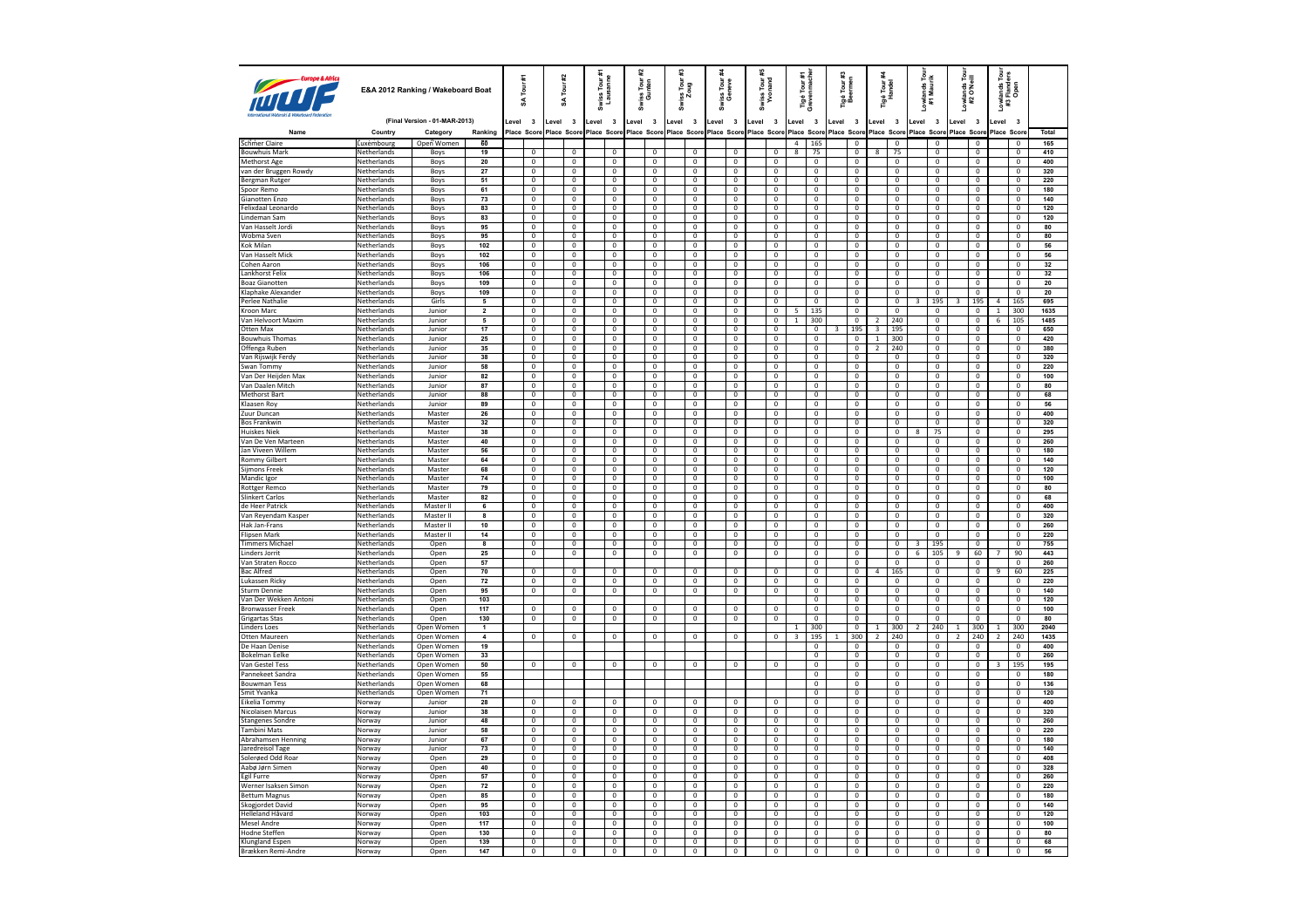| <b>ANTI CURDE &amp; A</b>                   |                            | E&A 2012 Ranking / Wakeboard Boat |                         |         | £<br>Tour<br>z                | #2<br>Īоuг<br>S |                                           | <i>r</i> iss Tour #1<br>Lausanne |                                  | #2      | Swiss Tour:<br>Gunten            | ¥           | Swiss Tour :<br>Zoug                      | iss Tour<br>Geneve                        | Swiss Tour#<br>Yvonand           |                         | Tigé Tour :<br>Grevenmac         | Tigé Tour #:<br>Beermen |                                           |                         | Tigé Tour <del>:</del><br>Handel          | Lowlands Tour<br>#1 Maurik |                                           | Lowlands Tour<br>#2 O'Neill |                                           |                         | Lowlands Tour<br>#3 Flanders<br>Open      |                   |
|---------------------------------------------|----------------------------|-----------------------------------|-------------------------|---------|-------------------------------|-----------------|-------------------------------------------|----------------------------------|----------------------------------|---------|----------------------------------|-------------|-------------------------------------------|-------------------------------------------|----------------------------------|-------------------------|----------------------------------|-------------------------|-------------------------------------------|-------------------------|-------------------------------------------|----------------------------|-------------------------------------------|-----------------------------|-------------------------------------------|-------------------------|-------------------------------------------|-------------------|
|                                             |                            | (Final Version - 01-MAR-2013)     |                         | Level 3 |                               | Level           | $\overline{\mathbf{3}}$                   | Level 3                          |                                  | Level 3 |                                  | Level       | $\overline{\mathbf{3}}$                   | evel.<br>$\overline{\mathbf{3}}$          | Level<br>$\overline{\mathbf{3}}$ | Level                   | $\overline{\mathbf{3}}$          | Level                   | $\overline{\mathbf{3}}$                   | Level                   | $\overline{\mathbf{3}}$                   | Level                      | $\overline{\mathbf{3}}$                   | Level                       | $\overline{\mathbf{3}}$                   | Level                   | $\overline{\mathbf{3}}$                   |                   |
| Name                                        | Country                    | Category                          | Ranking                 |         | Place Score                   | Place Score     |                                           | Place Score                      |                                  |         | Place Score                      | Place Score |                                           | Place Score Place Score                   |                                  |                         | Place Score                      | <b>Place Score</b>      |                                           |                         | Place Score                               | Place Score                |                                           | Place Scor                  |                                           | Place Scor              |                                           | Total             |
| Schmer Claire                               | Luxembourg                 | Open Women                        | 60                      |         |                               |                 |                                           |                                  |                                  |         |                                  |             |                                           |                                           |                                  | $\overline{a}$          | 165                              |                         | $^{\circ}$                                |                         | $\mathbf{0}$                              |                            | $\mathbf{0}$                              |                             | $\mathbf{0}$                              |                         | $\mathbf 0$                               | 165               |
| <b>Bouwhuis Mark</b>                        | Netherlands                | Boys                              | 19                      |         | $\mathbf 0$                   |                 | $\mathbf 0$                               |                                  | $\mathbf 0$                      |         | $\mathbf 0$                      |             | $\mathbf 0$                               | 0                                         | $\,0\,$                          | 8                       | 75                               |                         | $\mathbf 0$                               | 8                       | 75                                        |                            | $\mathbf{0}$                              |                             | $\mathbf 0$                               |                         | $\mathbf 0$                               | 410               |
| Methorst Age                                | Netherlands                | Boys                              | 20                      |         | $\overline{0}$                |                 | $\overline{\mathbf{0}}$                   |                                  | $\mathbf{0}$                     |         | $\mathbf{0}$                     |             | $\overline{0}$                            | $\mathbf 0$                               | $\mathbf 0$                      |                         | $\mathbf 0$                      |                         | $\overline{0}$                            |                         | $\mathbf{0}$                              |                            | $\mathbf{0}$                              |                             | $\overline{0}$                            |                         | $\mathbf{0}$                              | 400               |
| van der Bruggen Rowdy                       | Netherlands                | Boys                              | ${\bf 27}$              |         | $\mathbf 0$                   |                 | $\mathbf 0$                               |                                  | $\mathbf{0}$                     |         | $\mathbf 0$                      |             | $\mathbf{0}$                              | 0                                         | $\,0\,$                          |                         | $\mathbf 0$                      |                         | $\mathbf 0$                               |                         | $\mathbf 0$                               |                            | $\mathbf 0$                               |                             | $\mathbf 0$                               |                         | $\mathbf 0$                               | 320               |
| Bergman Rutger                              | Netherlands<br>Netherlands | Boys                              | 51<br>61                |         | $\overline{0}$<br>$\mathbf 0$ |                 | $\overline{0}$<br>$\overline{\mathbf{0}}$ |                                  | $\overline{0}$<br>$\overline{0}$ |         | $\overline{0}$<br>$\overline{0}$ |             | $\overline{0}$<br>$\overline{\mathbf{0}}$ | $\overline{0}$<br>$\overline{\mathbf{0}}$ | $\overline{0}$<br>$\overline{0}$ |                         | $\overline{0}$<br>$\bf 0$        |                         | $\overline{0}$<br>0                       |                         | $\overline{0}$<br>$\overline{\mathbf{0}}$ |                            | $\overline{0}$<br>$\overline{\mathbf{0}}$ |                             | $\overline{0}$<br>$\overline{\mathbf{0}}$ |                         | $\overline{0}$<br>$\overline{\mathbf{0}}$ | 220<br>180        |
| Spoor Remo<br>Gianotten Enzo                | Netherlands                | Boys<br>Boys                      | 73                      |         | $\overline{0}$                |                 | $\overline{0}$                            |                                  | $\overline{0}$                   |         | $\overline{0}$                   |             | $\overline{0}$                            | $\overline{0}$                            | $\mathsf 0$                      |                         | $\mathbf 0$                      |                         | $\overline{0}$                            |                         | $\mathsf 0$                               |                            | $\Omega$                                  |                             | $\overline{0}$                            |                         | $\overline{0}$                            | 140               |
| Felixdaal Leonardo                          | Netherlands                | Boys                              | 83                      |         | $\overline{0}$                |                 | $\mathbf 0$                               |                                  | $\overline{0}$                   |         | $\overline{0}$                   |             | $\overline{0}$                            | $\overline{0}$                            | $\mathbf 0$                      |                         | $\overline{0}$                   |                         | 0                                         |                         | $\mathbf 0$                               |                            | $\mathbf 0$                               |                             | $\overline{0}$                            |                         | $\mathbf 0$                               | 120               |
| Lindeman Sam                                | Netherlands                | Boys                              | 83                      |         | $\pmb{0}$                     |                 | $\mathbf 0$                               |                                  | $\overline{0}$                   |         | $\overline{0}$                   |             | $\overline{0}$                            | $\overline{0}$                            | $\mathbf{0}$                     |                         | $\mathbf{0}$                     |                         | $\overline{0}$                            |                         | $\overline{0}$                            |                            | $\Omega$                                  |                             | $\overline{0}$                            |                         | $\Omega$                                  | 120               |
| Van Hasselt Jordi                           | Netherlands                | Boys                              | 95                      |         | $\mathbf 0$                   |                 | $\pmb{0}$                                 |                                  | $\mathbf 0$                      |         | $\mathbf 0$                      |             | $\mathbf 0$                               | $\mathbf 0$                               | $\mathbf 0$                      |                         | $\mathbf 0$                      |                         | 0                                         |                         | $\mathbf 0$                               |                            | $\mathbf 0$                               |                             | $\mathbf 0$                               |                         | $\mathbf 0$                               | 80                |
| Wobma Sven                                  | Netherlands                | Boys                              | 95                      |         | $\overline{0}$                |                 | $\Omega$                                  |                                  | $\mathbf{0}$                     |         | $\mathbf 0$                      |             | $\overline{0}$                            | $\mathbf 0$                               | $\,0\,$                          |                         | 0                                |                         | $\mathbf 0$                               |                         | 0                                         |                            | $\mathbf 0$                               |                             | $\mathbf 0$                               |                         | $\overline{0}$                            | 80                |
| Kok Milan                                   | Netherlands                | Boys                              | 102                     |         | $\mathbf 0$                   |                 | $\mathbf 0$                               |                                  | $\mathbf 0$                      |         | $\overline{0}$                   |             | $\overline{0}$                            | $\mathbf 0$                               | $\mathbf 0$                      |                         | $\mathbf 0$                      |                         | $\overline{0}$                            |                         | $\mathbf{0}$                              |                            | $\mathbf 0$                               |                             | $\mathbf 0$                               |                         | $\mathbf 0$                               | 56                |
| Van Hasselt Mick                            | Netherlands                | Boys                              | 102                     |         | $\overline{0}$                |                 | 0                                         |                                  | $\mathbf{0}$                     |         | $\,0\,$                          |             | $\mathbf{0}$                              | $^{\circ}$                                | $\mathbf{0}$                     |                         | $^{\circ}$                       |                         | $\mathbf{0}$                              |                         | $\mathbf{0}$                              |                            | $\Omega$                                  |                             | $\mathbf{0}$                              |                         | $^{\circ}$                                | 56                |
| Cohen Aaron                                 | Netherlands                | Boys                              | 106                     |         | $\overline{0}$                |                 | $\overline{\mathbf{0}}$                   |                                  | $\overline{0}$                   |         | $\overline{0}$                   |             | $\overline{0}$                            | $\overline{0}$                            | $\overline{0}$                   |                         | $\overline{0}$                   |                         | $\overline{0}$                            |                         | $\overline{0}$                            |                            | $\overline{0}$                            |                             | $\overline{0}$                            |                         | $\overline{0}$                            | 32                |
| Lankhorst Felix                             | Netherlands                | Boys                              | 106                     |         | $\mathbf 0$                   |                 | $\Omega$                                  |                                  | $\mathbf 0$                      |         | $\mathbf 0$                      |             | $\mathbf 0$                               | $\mathbf 0$                               | $\mathbf 0$                      |                         | $\mathbf 0$                      |                         | $\mathbf 0$                               |                         | $\mathbf 0$                               |                            | $\Omega$                                  |                             | $\mathbf 0$                               |                         | $\mathbf 0$                               | 32                |
| <b>Boaz Gianotten</b>                       | Netherlands                | Boys                              | 109                     |         | $\overline{0}$                |                 | $\overline{0}$                            |                                  | $\overline{0}$                   |         | $\overline{0}$                   |             | $\overline{0}$                            | $\overline{0}$                            | $\overline{0}$                   |                         | $\overline{0}$                   |                         | $\overline{0}$                            |                         | $\overline{0}$                            |                            | $\overline{0}$                            |                             | $\overline{0}$                            |                         | $\overline{0}$                            | 20                |
| Klaphake Alexander<br>Perlee Nathalie       | Netherlands<br>Netherlands | Boys<br>Girls                     | 109<br>5                |         | $\mathbf 0$<br>$\overline{0}$ |                 | $\mathbf 0$<br>$\mathbf 0$                |                                  | $\mathbf 0$<br>$\mathbf{0}$      |         | $\mathbf 0$<br>$\overline{0}$    |             | $\overline{0}$<br>$\overline{0}$          | $\mathbf 0$<br>$\overline{0}$             | $\mathbf{0}$<br>$\overline{0}$   |                         | $\mathbf 0$<br>$\overline{0}$    |                         | $\mathbf{0}$<br>$\overline{0}$            |                         | $\mathbf{0}$<br>$\overline{0}$            | $\overline{\mathbf{3}}$    | $\Omega$<br>195                           | 3                           | $\mathbf{0}$<br>195                       | $\overline{4}$          | $\overline{0}$<br>165                     | ${\bf 20}$<br>695 |
| Kroon Marc                                  | Netherlands                | Junior                            | $\mathbf 2$             |         | $\mathbf 0$                   |                 | $\mathbf 0$                               |                                  | $\mathbb O$                      |         | $\mathbf 0$                      |             | $\mathbf 0$                               | $\mathbf 0$                               | $\mathsf 0$                      | 5                       | 135                              |                         | $\mathbf 0$                               |                         | $\mathbf{0}$                              |                            | $\mathbf 0$                               |                             | $\mathbf 0$                               | $\mathbf{1}$            | 300                                       | 1635              |
| Van Helvoort Maxim                          | Netherlands                | Junior                            | $\overline{5}$          |         | $\overline{0}$                |                 | $\overline{0}$                            |                                  | $\overline{0}$                   |         | $\overline{0}$                   |             | $\overline{0}$                            | $\mathbf{0}$                              | $\overline{0}$                   | $\overline{1}$          | 300                              |                         | $\overline{0}$                            | $\overline{2}$          | 240                                       |                            | $\mathbf 0$                               |                             | $\overline{0}$                            | 6                       | 105                                       | 1485              |
| Otten Max                                   | Netherlands                | Junior                            | $17\,$                  |         | $\mathbf 0$                   |                 | $\mathbf 0$                               |                                  | $\mathbf{0}$                     |         | $\mathbf 0$                      |             | $\mathbb O$                               | $\mathbf 0$                               | $\mathsf 0$                      |                         | $\mathbf 0$                      | 3                       | 195                                       | $\overline{\mathbf{3}}$ | 195                                       |                            | $\mathbf 0$                               |                             | $\mathbf 0$                               |                         | $\overline{0}$                            | 650               |
| <b>Bouwhuis Thomas</b>                      | Netherlands                | Junior                            | 25                      |         | $\overline{0}$                |                 | $\overline{0}$                            |                                  | $\overline{0}$                   |         | $\overline{0}$                   |             | $\overline{0}$                            | $\overline{0}$                            | $\overline{0}$                   |                         | $\overline{0}$                   |                         | $\overline{0}$                            | $\overline{1}$          | 300                                       |                            | $\overline{0}$                            |                             | $\overline{0}$                            |                         | $\overline{0}$                            | 420               |
| Offenga Ruben                               | Netherlands                | Junior                            | 35                      |         | $\mathbf 0$                   |                 | $\overline{\mathbf{0}}$                   |                                  | $\overline{0}$                   |         | $\overline{0}$                   |             | $\overline{\mathbf{0}}$                   | $\overline{\mathbf{0}}$                   | $\overline{0}$                   |                         | $\overline{\mathbf{0}}$          |                         | 0                                         | $\overline{2}$          | 240                                       |                            | $\overline{\mathbf{0}}$                   |                             | $\overline{\mathbf{0}}$                   |                         | $\overline{\mathbf{0}}$                   | 380               |
| Van Rijswijk Ferdy                          | Netherlands                | Junior                            | 38                      |         | $\overline{0}$                |                 | $\overline{0}$                            |                                  | $\overline{0}$                   |         | $\overline{0}$                   |             | $\overline{0}$                            | $\overline{0}$                            | $\mathbf 0$                      |                         | $\mathbf 0$                      |                         | $\overline{0}$                            |                         | $\mathsf 0$                               |                            | $\Omega$                                  |                             | $\pmb{0}$                                 |                         | $\overline{0}$                            | 320               |
| Swan Tommv                                  | Netherlands                | Junior                            | 58                      |         | $\overline{0}$                |                 | $\mathbf 0$                               |                                  | $\overline{0}$                   |         | $\overline{0}$                   |             | $\overline{0}$                            | $\overline{0}$                            | $\overline{0}$                   |                         | $\overline{0}$                   |                         | 0                                         |                         | $\mathbf 0$                               |                            | $\mathbf{0}$                              |                             | $\overline{0}$                            |                         | $\mathbf 0$                               | 220               |
| Van Der Heiiden Max                         | Netherlands                | Junior                            | 82                      |         | $\pmb{0}$                     |                 | $\mathbf 0$                               |                                  | $\overline{0}$                   |         | $\overline{0}$                   |             | $\overline{0}$                            | $\overline{0}$                            | $\overline{0}$                   |                         | $\overline{0}$                   |                         | $\overline{0}$                            |                         | $\overline{0}$                            |                            | $\Omega$                                  |                             | $\overline{0}$                            |                         | $\mathbf{0}$                              | 100               |
| Van Daalen Mitch                            | Netherlands                | Junior                            | 87                      |         | $\mathbf 0$                   |                 | $\pmb{0}$                                 |                                  | $\mathbf 0$                      |         | $\mathbf 0$                      |             | $\mathbf 0$                               | $\mathbf 0$                               | $\mathbf 0$                      |                         | $\mathbf 0$                      |                         | 0                                         |                         | $\mathbf 0$                               |                            | $\mathbf 0$                               |                             | $\mathbf 0$                               |                         | $\mathbf 0$                               | 80                |
| Methorst Bart                               | Netherlands                | Junior                            | 88                      |         | $\overline{0}$                |                 | $\Omega$                                  |                                  | $\overline{0}$                   |         | $\overline{0}$                   |             | $\overline{0}$                            | $\overline{0}$                            | $\mathbf 0$                      |                         | 0                                |                         | $\overline{0}$                            |                         | $\mathbf 0$                               |                            | $\mathbf 0$                               |                             | $\mathbf 0$                               |                         | $\overline{0}$                            | 68                |
| Klaasen Roy                                 | Netherlands                | Junior                            | 89                      |         | $\mathbf 0$                   |                 | $\mathbf 0$                               |                                  | $\mathbf 0$                      |         | $\overline{0}$                   |             | $\overline{0}$                            | $\mathbf{0}$                              | $\mathbf 0$                      |                         | $\mathbf 0$                      |                         | $\overline{0}$                            |                         | $\mathbf{0}$                              |                            | $\mathbf{0}$                              |                             | $\mathbf{0}$                              |                         | $\mathbf 0$                               | 56                |
| Zuur Duncan                                 | Netherlands                | Master                            | 26                      |         | $\mathbf 0$                   |                 | 0                                         |                                  | $\overline{0}$                   |         | $\mathbf 0$                      |             | $\overline{0}$                            | $^{\circ}$                                | $\mathbf{0}$                     |                         | $^{\circ}$                       |                         | $\mathbf{0}$                              |                         | $\mathbf{0}$                              |                            | $\Omega$                                  |                             | $\mathbf 0$                               |                         | $^{\circ}$                                | 400               |
| <b>Bos Frankwin</b><br><b>Huiskes Niek</b>  | Netherlands                | Master                            | 32<br>38                |         | $\overline{0}$                |                 | $\overline{\mathbf{0}}$<br>$\Omega$       |                                  | $\overline{0}$                   |         | $\overline{0}$                   |             | $\overline{0}$<br>$\mathbf 0$             | $\overline{0}$<br>$\mathbf 0$             | $\overline{0}$                   |                         | $\overline{\mathbf{0}}$          |                         | $\overline{0}$                            |                         | $\overline{0}$                            |                            | $\overline{0}$<br>75                      |                             | $\overline{0}$                            |                         | $\overline{0}$<br>$\mathbf 0$             | 320<br>295        |
| Van De Ven Marteen                          | Netherlands<br>Netherlands | Master<br>Master                  | 40                      |         | $\mathbf 0$<br>$\overline{0}$ |                 | $\overline{0}$                            |                                  | $\mathbf 0$<br>$\overline{0}$    |         | $\mathbf 0$<br>$\overline{0}$    |             | $\overline{0}$                            | $\overline{0}$                            | $\,0\,$<br>$\overline{0}$        |                         | $\mathbf 0$<br>$\overline{0}$    |                         | $\bf 0$<br>$\overline{0}$                 |                         | $\mathbf 0$<br>$\overline{0}$             | $\bf{8}$                   | $\overline{0}$                            |                             | $\mathbf 0$<br>$\overline{0}$             |                         | $\overline{0}$                            | 260               |
| Jan Viveen Willem                           | Netherlands                | Master                            | 56                      |         | $\mathbf 0$                   |                 | $\mathbf 0$                               |                                  | $\mathbf 0$                      |         | $\mathbf 0$                      |             | $\overline{0}$                            | $\overline{0}$                            | $\mathbf 0$                      |                         | $\mathbf 0$                      |                         | $\overline{0}$                            |                         | $\overline{0}$                            |                            | $\overline{0}$                            |                             | $\overline{0}$                            |                         | $\overline{0}$                            | 180               |
| <b>Rommy Gilbert</b>                        | Netherlands                | Master                            | 64                      |         | $\overline{0}$                |                 | $\overline{0}$                            |                                  | $\overline{0}$                   |         | $\overline{0}$                   |             | $\overline{0}$                            | $\overline{0}$                            | $\overline{0}$                   |                         | $\overline{0}$                   |                         | $\overline{0}$                            |                         | $\overline{0}$                            |                            | $\overline{0}$                            |                             | $\overline{0}$                            |                         | $\overline{0}$                            | 140               |
| Sijmons Freek                               | Netherlands                | Master                            | 68                      |         | $\mathbf 0$                   |                 | $\mathbf 0$                               |                                  | $\mathbb O$                      |         | $\mathbf 0$                      |             | $\mathbf 0$                               | $\mathbf 0$                               | $\mathbf 0$                      |                         | $\mathbf 0$                      |                         | $\mathbf 0$                               |                         | $\mathbf 0$                               |                            | $\overline{0}$                            |                             | $\mathbf 0$                               |                         | $\mathbf 0$                               | 120               |
| Mandic leor                                 | Netherlands                | Master                            | 74                      |         | $\overline{0}$                |                 | $\overline{0}$                            |                                  | $\overline{0}$                   |         | $\overline{0}$                   |             | $\overline{0}$                            | $\overline{0}$                            | $\overline{0}$                   |                         | $\overline{0}$                   |                         | $\overline{0}$                            |                         | $\overline{0}$                            |                            | $\overline{0}$                            |                             | $\overline{0}$                            |                         | $\overline{0}$                            | 100               |
| Rottger Remco                               | Netherlands                | Master                            | 79                      |         | $\mathbf 0$                   |                 | $\mathbf 0$                               |                                  | $\mathbf 0$                      |         | $\mathbf 0$                      |             | $\mathbf 0$                               | $\mathbf 0$                               | $\mathbf 0$                      |                         | $\mathbf 0$                      |                         | $\mathbf 0$                               |                         | $\overline{0}$                            |                            | $\overline{0}$                            |                             | $\mathbf 0$                               |                         | $\mathbf 0$                               | 80                |
| <b>Slinkert Carlos</b>                      | Netherlands                | Master                            | 82                      |         | $\overline{0}$                |                 | $\overline{0}$                            |                                  | $\overline{0}$                   |         | $\overline{0}$                   |             | $\overline{0}$                            | $\overline{0}$                            | $\overline{0}$                   |                         | $\overline{0}$                   |                         | $\overline{0}$                            |                         | $\overline{0}$                            |                            | $\overline{0}$                            |                             | $\overline{0}$                            |                         | $\overline{0}$                            | 68                |
| de Heer Patrick                             | Netherlands                | Master II                         | $\overline{\mathbf{6}}$ |         | $\overline{\mathbf{0}}$       |                 | $\overline{\mathbf{0}}$                   |                                  | $\overline{0}$                   |         | $\overline{0}$                   |             | $\overline{\mathbf{0}}$                   | $\overline{\mathbf{0}}$                   | $\overline{0}$                   |                         | $\overline{\mathbf{0}}$          |                         | 0                                         |                         | $\overline{\mathbf{0}}$                   |                            | $\overline{\mathbf{0}}$                   |                             | $\overline{\mathbf{0}}$                   |                         | $\overline{\mathbf{0}}$                   | 400               |
| Van Revendam Kasper                         | Netherlands                | Master II                         | $\mathbf{a}$            |         | $\overline{0}$                |                 | $\overline{0}$                            |                                  | $\overline{0}$                   |         | $\overline{0}$                   |             | $\overline{0}$                            | $\overline{0}$                            | $\mathbf 0$                      |                         | $\overline{0}$                   |                         | $\overline{0}$                            |                         | $\mathbf 0$                               |                            | $\Omega$                                  |                             | $\pmb{0}$                                 |                         | $\overline{0}$                            | 320               |
| Hak Jan-Frans                               | Netherlands                | Master II                         | 10                      |         | $\overline{0}$                |                 | $\overline{0}$                            |                                  | $\overline{0}$                   |         | $\overline{0}$                   |             | $\overline{0}$                            | $\overline{0}$                            | $\overline{0}$                   |                         | $\overline{0}$                   |                         | $\overline{\mathbf{0}}$                   |                         | $\overline{\mathbf{0}}$                   |                            | $\overline{0}$                            |                             | $\overline{0}$                            |                         | $\overline{0}$                            | 260               |
| <b>Flinsen Mark</b>                         | Netherlands                | Master II                         | 14                      |         | $\pmb{0}$                     |                 | $\overline{0}$                            |                                  | $\overline{0}$                   |         | $\overline{0}$                   |             | $\overline{0}$                            | $\overline{0}$                            | $\overline{0}$                   |                         | $\overline{0}$                   |                         | $\overline{0}$                            |                         | $\overline{0}$                            |                            | $\overline{0}$                            |                             | $\overline{0}$                            |                         | $\overline{0}$                            | 220               |
| <b>Timmers Michael</b>                      | Netherlands                | Open                              | 8<br>25                 |         | $\mathbf 0$                   |                 | $\bf 0$                                   |                                  | $\mathbf 0$                      |         | $\mathbf 0$                      |             | $\mathbf 0$                               | $\mathbf 0$                               | $\mathbf 0$                      |                         | $\mathbf 0$                      |                         | $\overline{\text{o}}$                     |                         | $\mathbf 0$                               |                            | 195                                       |                             | $\mathbf 0$                               |                         | $\mathbf 0$                               | 755               |
| Linders Jorrit<br>Van Straten Rocco         | Netherlands<br>Netherlands | Open<br>Open                      | 57                      |         | $\overline{0}$                |                 | $\overline{0}$                            |                                  | $\overline{0}$                   |         | $\overline{0}$                   |             | $\overline{0}$                            | $\mathbf 0$                               | $\mathbf 0$                      |                         | 0<br>$\mathbf 0$                 |                         | $\mathbf 0$<br>$\overline{\mathbf{0}}$    |                         | $\mathbf 0$<br>$\overline{0}$             | $\sqrt{6}$                 | 105<br>$\overline{0}$                     | $\overline{9}$              | 60<br>$\overline{0}$                      | 7                       | 90<br>$\mathbf 0$                         | 443<br>260        |
| <b>Bac Alfred</b>                           | Netherlands                | Open                              | 70                      |         | 0                             |                 | 0                                         |                                  | $\overline{0}$                   |         | 0                                |             | $\mathbf{0}$                              | $\mathbf 0$                               | $^{\circ}$                       |                         | $^{\circ}$                       |                         | $\mathbf 0$                               | 4                       | 165                                       |                            | $\Omega$                                  |                             | 0                                         | 9                       | 60                                        | 225               |
| Lukassen Ricky                              | Netherlands                | Open                              | 72                      |         | $\overline{0}$                |                 | $\overline{\mathbf{0}}$                   |                                  | $\overline{0}$                   |         | $\overline{0}$                   |             | $\overline{0}$                            | $\overline{0}$                            | $\overline{0}$                   |                         | $\overline{0}$                   |                         | $\overline{0}$                            |                         | $\overline{0}$                            |                            | $\overline{0}$                            |                             | $\overline{0}$                            |                         | $\overline{0}$                            | 220               |
| Sturm Dennie                                | Netherlands                | Open                              | 95                      |         | $\mathbf 0$                   |                 | $\mathbf 0$                               |                                  | $\overline{0}$                   |         | $\mathbf 0$                      |             | $\overline{0}$                            | $\mathbf 0$                               | $\mathbf 0$                      |                         | $\mathbf 0$                      |                         | $\mathbf 0$                               |                         | $\mathbf 0$                               |                            | $\Omega$                                  |                             | $\,0\,$                                   |                         | $\mathbf 0$                               | 140               |
| Van Der Wekken Antoni                       | Netherlands                | Open                              | 103                     |         |                               |                 |                                           |                                  |                                  |         |                                  |             |                                           |                                           |                                  |                         | $\overline{0}$                   |                         | $\overline{0}$                            |                         | $\overline{0}$                            |                            | $\overline{0}$                            |                             | $\overline{0}$                            |                         | $\overline{0}$                            | 120               |
| Bronwasser Freek                            | Netherlands                | Open                              | 117                     |         | $\overline{0}$                |                 | $\overline{0}$                            |                                  | $\overline{0}$                   |         | $\overline{0}$                   |             | $\overline{0}$                            | $\overline{0}$                            | $\overline{0}$                   |                         | $\overline{0}$                   |                         | $\overline{0}$                            |                         | $\overline{0}$                            |                            | $\overline{0}$                            |                             | $\overline{0}$                            |                         | $\overline{0}$                            | 100               |
| Grigartas Stas                              | Netherlands                | Open                              | 130                     |         | $\overline{0}$                |                 | $\overline{0}$                            |                                  | $\overline{0}$                   |         | $\overline{0}$                   |             | $\overline{0}$                            | $\overline{0}$                            | $\overline{0}$                   |                         | $\overline{0}$                   |                         | $\overline{0}$                            |                         | $\overline{0}$                            |                            | $\overline{0}$                            |                             | $\overline{0}$                            |                         | $\overline{0}$                            | 80                |
| Linders Loes                                | Netherlands                | Open Women                        | $\overline{1}$          |         |                               |                 |                                           |                                  |                                  |         |                                  |             |                                           |                                           |                                  | $\mathbf{1}$            | 300                              |                         | $\mathbf 0$                               | $\mathbf{1}$            | 300                                       | $\overline{2}$             | 240                                       | 1                           | 300                                       | 1                       | 300                                       | 2040              |
| <b>Otten Maureen</b>                        | Netherlands                | Open Women                        | $\overline{4}$          |         | $\overline{0}$                |                 | $\overline{0}$                            |                                  | $\overline{0}$                   |         | $\overline{0}$                   |             | $\overline{0}$                            | $\overline{0}$                            | $\overline{0}$                   | $\overline{\mathbf{3}}$ | 195                              | $\mathbf{1}$            | 300                                       | $\overline{2}$          | 240                                       |                            | $\overline{0}$                            | $\overline{2}$              | 240                                       | $\overline{2}$          | 240                                       | 1435              |
| De Haan Denise                              | Netherlands                | Open Women                        | 19                      |         |                               |                 |                                           |                                  |                                  |         |                                  |             |                                           |                                           |                                  |                         | $\overline{0}$                   |                         | $\overline{0}$                            |                         | $\overline{0}$                            |                            | $\overline{0}$                            |                             | $\mathbf 0$                               |                         | $\overline{0}$                            | 400               |
| <b>Bokelman Eelke</b>                       | Netherlands                | Open Women                        | 33                      |         |                               |                 |                                           |                                  |                                  |         |                                  |             |                                           |                                           |                                  |                         | $\overline{0}$                   |                         | $\overline{0}$                            |                         | $\overline{0}$                            |                            | $\overline{0}$                            |                             | $\overline{0}$                            |                         | $\overline{0}$                            | 260               |
| Van Gestel Tess                             | Netherlands                | Open Women                        | 50                      |         | $\bf 0$                       |                 | $\overline{0}$                            |                                  | $\overline{0}$                   |         | $\overline{0}$                   |             | $\overline{0}$                            | $\overline{0}$                            | $\overline{0}$                   |                         | $\overline{0}$                   |                         | $\overline{\mathbf{0}}$                   |                         | $\overline{0}$                            |                            | $\overline{0}$                            |                             | $\overline{0}$                            | $\overline{\mathbf{3}}$ | 195                                       | 195               |
| Pannekeet Sandra<br><b>Bouwman Tess</b>     | Netherlands<br>Netherlands | Open Women<br>Open Women          | 55<br>68                |         |                               |                 |                                           |                                  |                                  |         |                                  |             |                                           |                                           |                                  |                         | $\overline{0}$                   |                         | $\overline{0}$                            |                         | $\overline{0}$                            |                            | $\Omega$<br>$\overline{0}$                |                             | $\overline{\mathbf{0}}$                   |                         | $\overline{0}$<br>$\overline{0}$          | 180<br>136        |
| Smit Yvanka                                 | Netherlands                | Open Women                        | 71                      |         |                               |                 |                                           |                                  |                                  |         |                                  |             |                                           |                                           |                                  |                         | $\overline{0}$<br>$\overline{0}$ |                         | $\overline{\mathbf{0}}$<br>$\overline{0}$ |                         | $\overline{\mathbf{0}}$<br>$\overline{0}$ |                            | $\Omega$                                  |                             | $\overline{0}$<br>$\overline{0}$          |                         | $\overline{0}$                            | 120               |
| Eikelia Tommy                               | Norway                     | Junior                            | 28                      |         | $\overline{0}$                |                 | $\overline{0}$                            |                                  | $\overline{0}$                   |         | $\overline{0}$                   |             | $\overline{0}$                            | $\mathbf 0$                               | $\overline{0}$                   |                         | $\mathbf 0$                      |                         | $\overline{0}$                            |                         | $\mathbf 0$                               |                            | $\mathbf 0$                               |                             | $\mathbf 0$                               |                         | $\mathbf 0$                               | 400               |
| Nicolaisen Marcus                           | Norway                     | Junior                            | 38                      |         | $\overline{0}$                |                 | $\Omega$                                  |                                  | $\overline{0}$                   |         | $\overline{0}$                   |             | $\overline{0}$                            | $\mathbf 0$                               | $\overline{0}$                   |                         | 0                                |                         | $\mathbf 0$                               |                         | $\mathbf 0$                               |                            | $\mathbf 0$                               |                             | $\mathbf 0$                               |                         | $\overline{0}$                            | 320               |
| <b>Stangenes Sondre</b>                     | Norway                     | Junior                            | 48                      |         | $\mathbf 0$                   |                 | $\mathbf 0$                               |                                  | $\mathbf 0$                      |         | $\overline{0}$                   |             | $\mathbf 0$                               | $\overline{0}$                            | $\mathbb O$                      |                         | $\mathbf 0$                      |                         | $\overline{0}$                            |                         | $\mathbf 0$                               |                            | $\overline{0}$                            |                             | $\overline{0}$                            |                         | $\mathbf 0$                               | 260               |
| Tambini Mats                                | Norway                     | Junior                            | 58                      |         | $\mathbf 0$                   |                 | 0                                         |                                  | $\overline{0}$                   |         | $\mathbf 0$                      |             | $\overline{0}$                            | $^{\circ}$                                | $^{\circ}$                       |                         | $^{\circ}$                       |                         | $\mathbf 0$                               |                         | $\overline{0}$                            |                            | $\Omega$                                  |                             | $\mathbf 0$                               |                         | $^{\circ}$                                | 220               |
| Abrahamsen Henning                          | Norway                     | Junior                            | 67                      |         | $\overline{0}$                |                 | $\overline{0}$                            |                                  | $\overline{0}$                   |         | $\overline{0}$                   |             | $\overline{0}$                            | $\overline{0}$                            | $\overline{0}$                   |                         | $\overline{0}$                   |                         | $\overline{0}$                            |                         | $\overline{0}$                            |                            | $\overline{0}$                            |                             | $\overline{0}$                            |                         | $\overline{0}$                            | 180               |
| Jaredreisol Tage                            | Norway                     | Junior                            | 73                      |         | $\mathbf 0$                   |                 | $\Omega$                                  |                                  | $\mathbf 0$                      |         | $\mathfrak o$                    |             | $\overline{0}$                            | $\mathbf 0$                               | $\mathbf 0$                      |                         | $\mathbf 0$                      |                         | $\overline{0}$                            |                         | $\mathbf 0$                               |                            | $\Omega$                                  |                             | $\mathbf 0$                               |                         | $\overline{0}$                            | 140               |
| Solerøed Odd Roa                            | Norway                     | Open                              | 29                      |         | $\overline{0}$                |                 | $\overline{0}$                            |                                  | $\overline{0}$                   |         | $\overline{\mathfrak{o}}$        |             | $\overline{0}$                            | $\overline{0}$                            | $\overline{0}$                   |                         | $\overline{0}$                   |                         | $\overline{0}$                            |                         | $\overline{0}$                            |                            | $\overline{0}$                            |                             | $\overline{0}$                            |                         | $\overline{0}$                            | 408               |
| Aabø Jørn Simen                             | Norway                     | Open                              | 40                      |         | $\overline{0}$                |                 | $\overline{0}$                            |                                  | $\overline{0}$                   |         | $\overline{0}$                   |             | $\overline{0}$                            | $\overline{0}$                            | $\overline{0}$                   |                         | $\overline{0}$                   |                         | $\overline{0}$                            |                         | $\overline{0}$                            |                            | $\overline{0}$                            |                             | $\overline{0}$                            |                         | $\overline{0}$                            | 328               |
| Egil Furre                                  | Norway                     | Open                              | 57                      |         | $\overline{0}$                |                 | $\overline{0}$                            |                                  | $\overline{0}$                   |         | $\overline{0}$                   |             | $\overline{0}$                            | $\overline{0}$                            | $\overline{0}$                   |                         | $\overline{0}$                   |                         | $\overline{0}$                            |                         | $\overline{0}$                            |                            | $\overline{0}$                            |                             | $\overline{0}$                            |                         | $\overline{0}$                            | 260               |
| Werner Isaksen Simon                        | Norway                     | Open                              | 72                      |         | $\mathbf 0$                   |                 | $\overline{0}$                            |                                  | $\mathbf 0$                      |         | $\mathbf 0$                      |             | $\mathbf 0$                               | $\mathbf 0$                               | $\mathbf 0$                      |                         | $\mathbf 0$                      |                         | $\mathbf 0$                               |                         | $\mathbf 0$                               |                            | $\overline{0}$                            |                             | $\mathbf 0$                               |                         | $\mathbf 0$                               | 220               |
| <b>Bettum Magnus</b>                        | <b>Norway</b>              | Open                              | 85                      |         | $\overline{0}$                |                 | $\overline{0}$                            |                                  | $\overline{0}$                   |         | $\overline{0}$                   |             | $\overline{0}$                            | $\overline{0}$                            | $\overline{0}$                   |                         | $\overline{0}$                   |                         | $\overline{0}$                            |                         | $\overline{0}$                            |                            | $\overline{0}$                            |                             | $\overline{0}$                            |                         | $\overline{0}$                            | 180               |
| Skogjordet David<br><b>Helleland Håvard</b> | Norway                     | Open                              | 95<br>103               |         | $\mathbf 0$<br>$\overline{0}$ |                 | $\mathbf 0$<br>$\overline{0}$             |                                  | $\mathbf 0$<br>$\overline{0}$    |         | $\mathbf 0$<br>$\overline{0}$    |             | $\mathbf 0$<br>$\overline{0}$             | $\mathbf 0$<br>$\overline{0}$             | $\mathbf 0$<br>$\overline{0}$    |                         | $\mathbf 0$<br>$\overline{0}$    |                         | $\mathbf 0$<br>$\overline{0}$             |                         | $\overline{0}$<br>$\overline{0}$          |                            | $\overline{0}$<br>$\overline{0}$          |                             | $\mathbf 0$<br>$\overline{0}$             |                         | $\mathbf 0$<br>$\overline{0}$             | 140<br>120        |
| Mesel Andre                                 | Norway<br>Norway           | Open<br>Open                      | $\overline{117}$        |         | $\overline{0}$                |                 | $\overline{0}$                            |                                  | $\overline{0}$                   |         | $\overline{0}$                   |             | $\overline{0}$                            | $\overline{0}$                            | $\overline{0}$                   |                         | $\overline{0}$                   |                         | $\overline{\mathbf{0}}$                   |                         | $\overline{0}$                            |                            | $\overline{0}$                            |                             | $\overline{0}$                            |                         | $\overline{0}$                            | 100               |
| Hodne Steffen                               | Norway                     | Open                              | 130                     |         | $\overline{0}$                |                 | $\overline{0}$                            |                                  | $\overline{0}$                   |         | $\overline{0}$                   |             | $\overline{0}$                            | $\overline{0}$                            | $\overline{0}$                   |                         | $\overline{0}$                   |                         | $\overline{0}$                            |                         | $\overline{0}$                            |                            | $\overline{0}$                            |                             | $\overline{\mathbf{0}}$                   |                         | $\overline{0}$                            | 80                |
| Klungland Espen                             | Norway                     | Open                              | 139                     |         | $\overline{0}$                |                 | $\overline{0}$                            |                                  | $\overline{0}$                   |         | $\overline{0}$                   |             | $\overline{0}$                            | $\overline{0}$                            | $\overline{0}$                   |                         | $\overline{0}$                   |                         | $\overline{0}$                            |                         | $\overline{0}$                            |                            | $\overline{0}$                            |                             | $\overline{0}$                            |                         | $\overline{0}$                            | 68                |
| Brækken Remi-Andre                          | Norway                     | Open                              | 147                     |         | $\overline{0}$                |                 | $\overline{0}$                            |                                  | $\overline{0}$                   |         | $\overline{0}$                   |             | $\overline{0}$                            | $\overline{0}$                            | $\overline{0}$                   |                         | $\overline{0}$                   |                         | $\overline{0}$                            |                         | $\overline{0}$                            |                            | $\overline{0}$                            |                             | $\overline{0}$                            |                         | $\overline{0}$                            | 56                |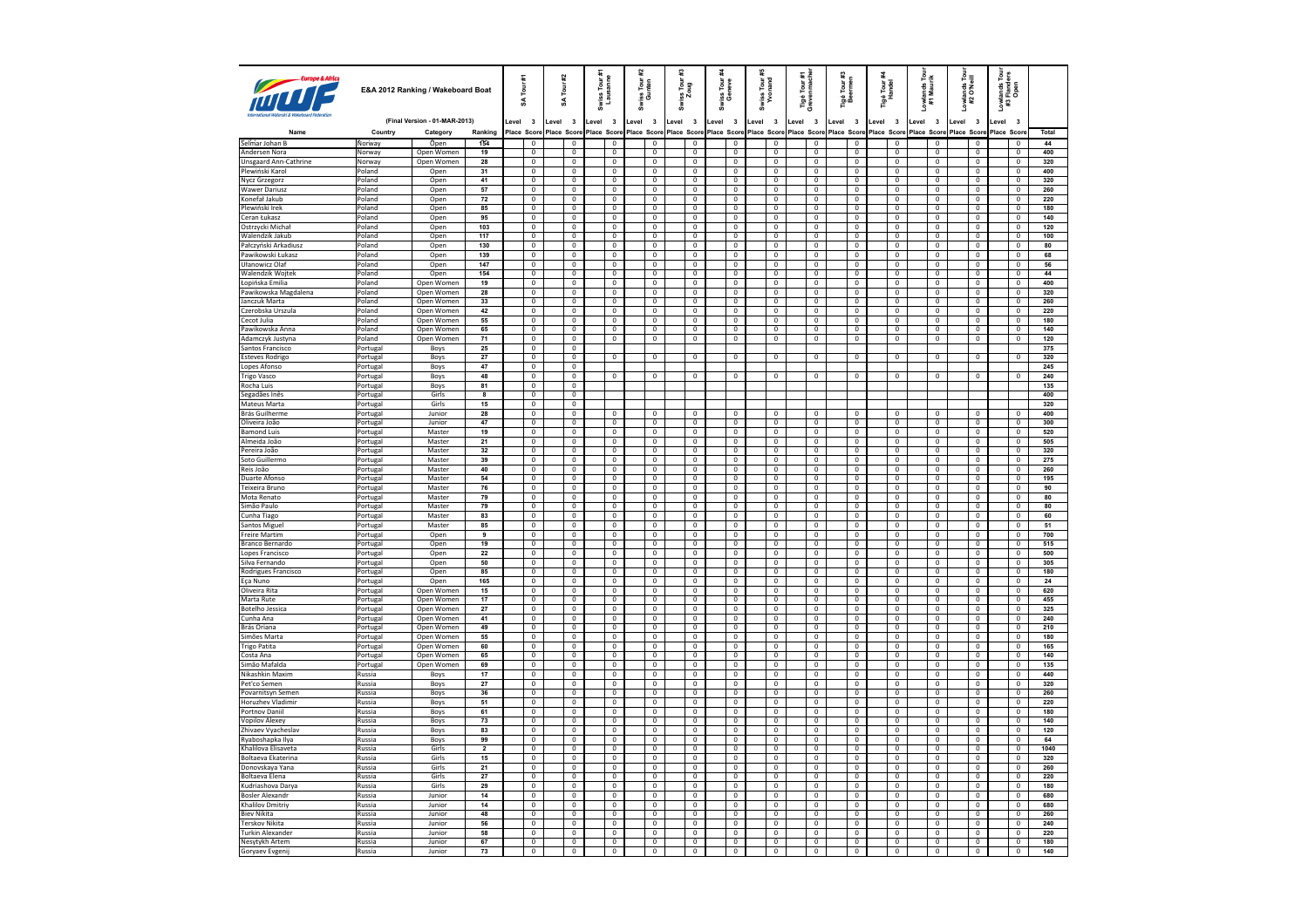| Europe & Airica                       | E&A 2012 Ranking / Wakeboard Boat |                               | Tour #1<br>¥            |        |                                  | Tour #2<br>S | Swiss Tour #<br>Lausanne         |             | 잁<br>Tour<br>nten<br>និ          | క్ష కె | #3<br>Swiss Tour:<br>Zoug                 | riss Tour<br>Geneve<br>ñ.        |             | Swiss Tour #<br>Yvonand          |             | ié Tour #1<br>∕enmache<br>Tigé<br>Greve | Tigé Tour #3<br>Beermen          |                                  | Tigé Tour <del>A</del><br>Handel | Lowlands Tour<br>#1 Maurik       | Lowlands Tour<br>#2 O'Neill      | <i>r</i> lands Tour<br>: Flanders<br>Open<br>#3 |      |                                  |            |
|---------------------------------------|-----------------------------------|-------------------------------|-------------------------|--------|----------------------------------|--------------|----------------------------------|-------------|----------------------------------|--------|-------------------------------------------|----------------------------------|-------------|----------------------------------|-------------|-----------------------------------------|----------------------------------|----------------------------------|----------------------------------|----------------------------------|----------------------------------|-------------------------------------------------|------|----------------------------------|------------|
|                                       |                                   | (Final Version - 01-MAR-2013) |                         | evel 3 |                                  | Level        | $\overline{\mathbf{3}}$          | Level 3     |                                  | Level  | $\overline{\mathbf{3}}$                   | $\overline{\mathbf{3}}$<br>Level | Level       | $\overline{\mathbf{3}}$          | Level 3     |                                         | $\overline{\mathbf{3}}$<br>Level | Level 3                          | Level                            | $\overline{\mathbf{3}}$          | Level<br>$\overline{\mathbf{3}}$ | $\overline{\mathbf{3}}$<br>Level                | evel | $\overline{\mathbf{3}}$          |            |
| Name                                  | Country                           | Category                      | Ranking                 |        | Place Score                      |              | Place Score                      | Place Score |                                  |        | Place Score                               | Place Score                      | Place Score |                                  | Place Score |                                         | Place Scon                       | Place Score                      |                                  | Place Score                      | Place Score                      | Place Score                                     |      | Place Scor                       | Total      |
| Selmar Johan B                        | Norway                            | Open                          | 154                     |        | $\mathbf 0$                      |              | $\mathbf 0$                      |             | $\mathbf 0$                      |        | $\mathbf 0$                               | 0                                |             | $\mathbf 0$                      |             | $\mathbf 0$                             | $\mathbf 0$                      | $\mathbf 0$                      |                                  | $\bf 0$                          | $\mathbf 0$                      | $\mathbf 0$                                     |      | $\mathbf 0$                      | 44         |
| Andersen Nora                         | Norway                            | Open Womer                    | 19                      |        | $\mathbf 0$                      |              | $\mathbf{0}$                     |             | $\mathbf{0}$                     |        | 0                                         | $\mathbf{0}$                     |             | $^{\circ}$                       |             | $\mathbf{0}$                            | $\mathbf 0$                      | $\mathbf{0}$                     |                                  | $^{\circ}$                       | $\Omega$                         | $\mathbf 0$                                     |      | $\overline{0}$                   | 400        |
| Unsgaard Ann-Cathrine                 | Norway                            | Open Women                    | 28                      |        | $\overline{0}$                   |              | $\overline{\mathbf{0}}$          |             | $\overline{0}$<br>$\Omega$       |        | $\overline{0}$                            | $\overline{0}$                   |             | $\overline{0}$                   |             | $\pmb{0}$                               | $\overline{0}$                   | $\overline{0}$<br>$\Omega$       |                                  | $\overline{0}$                   | $\overline{0}$<br>$\Omega$       | $\overline{0}$                                  |      | $\overline{0}$                   | 320        |
| Plewiński Karol<br>Nycz Grzegorz      | Poland<br>Poland                  | Open<br>Open                  | 31<br>41                |        | $\overline{0}$<br>$\overline{0}$ |              | $\mathbf 0$<br>$\overline{0}$    |             | $\overline{0}$                   |        | $\,0\,$<br>$\overline{0}$                 | $\mathbf 0$<br>$\overline{0}$    |             | $\,0\,$<br>$\overline{0}$        |             | $\mathbf 0$<br>$\overline{0}$           | $\mathbf 0$<br>$\overline{0}$    | $\overline{0}$                   |                                  | $\mathbf 0$<br>$\overline{0}$    | $\mathbf{0}$                     | $\mathbf 0$<br>$\overline{0}$                   |      | $\mathsf 0$<br>$\overline{0}$    | 400<br>320 |
| <b>Wawer Dariusz</b>                  | Poland                            | Open                          | 57                      |        | $\mathbf 0$                      |              | $\mathbf 0$                      |             | $\mathbf 0$                      |        | $\,0\,$                                   | $\mathbf 0$                      |             | $\,0\,$                          |             | $\mathbf 0$                             | $\mathbf 0$                      | $\mathbf 0$                      |                                  | $\mathbf 0$                      | $\mathbf{0}$                     | $\mathbf 0$                                     |      | $\mathbf 0$                      | 260        |
| Konefał Jakub                         | Poland                            | Open                          | 72                      |        | $\overline{0}$                   |              | $\overline{0}$                   |             | $\overline{\mathbf{0}}$          |        | $\overline{0}$                            | $\overline{0}$                   |             | $\mathbf{0}$                     |             | $\mathbf 0$                             | $\overline{0}$                   | $\overline{0}$                   |                                  | $\mathbf{0}$                     | $\overline{0}$                   | $\mathbf 0$                                     |      | $\mathbf{0}$                     | 220        |
| Plewiński Irek                        | Poland                            | Open                          | 85                      |        | $\mathbf{0}$                     |              | $\Omega$                         |             | $\mathbf{0}$                     |        | $\mathbf 0$                               | $\mathbf{0}$                     |             | $\mathbf{0}$                     |             | $\mathbf{0}$                            | $\mathbf{0}$                     | $\mathbf{0}$                     |                                  | $\mathbf{0}$                     | $\mathbf{0}$                     | $\mathbf 0$                                     |      | $^{\circ}$                       | 180        |
| Ceran Łukasz                          | Poland                            | Open                          | 95                      |        | $\overline{0}$                   |              | $\overline{0}$                   |             | $\overline{0}$                   |        | $\overline{0}$                            | $\overline{0}$                   |             | $\overline{0}$                   |             | $\overline{0}$                          | $\overline{0}$                   | $\overline{0}$                   |                                  | $\overline{0}$                   | $\mathbf{0}$                     | $\overline{0}$                                  |      | $\mathbf 0$                      | 140        |
| Ostrzycki Micha                       | Poland                            | Open                          | 103                     |        | $\mathbf 0$                      |              | $\mathbf 0$                      |             | $\mathbb O$                      |        | $\mathbf 0$                               | $\mathbf 0$                      |             | $\mathbf 0$                      |             | $\mathbf 0$                             | $\mathbf 0$                      | $\mathbf 0$                      |                                  | $\mathbf 0$                      | $\mathbb O$                      | $\mathbf 0$                                     |      | $\mathbf 0$                      | 120        |
| Walendzik Jakub                       | Poland                            | Open                          | 117                     |        | $\overline{0}$                   |              | $\overline{0}$                   |             | $\overline{0}$                   |        | $\overline{0}$                            | $\overline{0}$                   |             | $^{\circ}$                       |             | $\overline{0}$                          | $\overline{0}$                   | $\overline{0}$                   |                                  | $\overline{0}$                   | $\overline{0}$                   | $\overline{\mathbf{0}}$                         |      | $\overline{0}$                   | 100        |
| Pałczyński Arkadiusz                  | Poland<br>Poland                  | Open                          | 130<br>139              |        | $\overline{0}$<br>$\overline{0}$ |              | $\overline{0}$<br>$\overline{0}$ |             | $\overline{0}$<br>$\overline{0}$ |        | $\overline{0}$<br>$\overline{0}$          | $\overline{0}$<br>$\overline{0}$ |             | $\mathbf 0$<br>$\Omega$          |             | $\overline{0}$<br>$\overline{0}$        | $\overline{0}$<br>$\overline{0}$ | $\overline{0}$<br>$\overline{0}$ |                                  | $\overline{0}$<br>$\overline{0}$ | $\mathbf 0$<br>$\Omega$          | $\overline{0}$<br>$\overline{0}$                |      | $\overline{0}$<br>$\Omega$       | 80<br>68   |
| Pawikowski Łukasz<br>Ułanowicz Olaf   | Poland                            | Open<br>Open                  | 147                     |        | $\overline{0}$                   |              | $\overline{\mathbf{0}}$          |             | $\overline{\mathbf{0}}$          |        | $\pmb{0}$                                 | 0                                |             | $\pmb{0}$                        |             | $\mathbf 0$                             | $\mathbf 0$                      | $\pmb{0}$                        |                                  | $\pmb{0}$                        | $\mathbf 0$                      | $\mathbf 0$                                     |      | $\pmb{0}$                        | 56         |
| <b>Walendzik Woitek</b>               | Poland                            | Open                          | 154                     |        | $\overline{0}$                   |              | $\Omega$                         |             | $\mathbf{0}$                     |        | $\mathbf{0}$                              | $\overline{0}$                   |             | $^{\circ}$                       |             | $\overline{0}$                          | $\mathbf 0$                      | $\overline{0}$                   |                                  | $\mathbf{0}$                     | $\Omega$                         | $\overline{0}$                                  |      | $\Omega$                         | 44         |
| Łopińska Emilia                       | Poland                            | Open Women                    | 19                      |        | $\overline{0}$                   |              | $\mathbf 0$                      |             | $\overline{0}$                   |        | $\overline{0}$                            | $\overline{0}$                   |             | $\mathbf 0$                      |             | $\mathbf 0$                             | $\overline{0}$                   | $\overline{\mathbf{0}}$          |                                  | $\mathbf{0}$                     | $\mathbf{0}$                     | $\mathbf 0$                                     |      | $\mathbf 0$                      | 400        |
| Pawikowska Magdalena                  | Poland                            | Open Women                    | 28                      |        | $\overline{0}$                   |              | $\mathbf 0$                      |             | $\mathbf{0}$                     |        | $\mathbf{0}$                              | $\mathbf{0}$                     |             | $\mathbf{0}$                     |             | $\overline{0}$                          | $\mathbf{0}$                     | $\overline{0}$                   |                                  | $\overline{0}$                   | $\mathbf{0}$                     | $\mathbf{0}$                                    |      | $^{\circ}$                       | 320        |
| Janczuk Marta                         | Poland                            | Open Women                    | 33                      |        | $\overline{0}$                   |              | $\mathbf 0$                      |             | $\mathbf 0$                      |        | $\,0\,$                                   | $\mathbf 0$                      |             | $\mathbf 0$                      |             | $\mathbf 0$                             | $\mathbf 0$                      | $\mathbf 0$                      |                                  | $\mathbf 0$                      | $\mathbf 0$                      | $\mathbf 0$                                     |      | $\mathbf 0$                      | 260        |
| Czerobska Urszula                     | Poland                            | Open Women                    | 42                      |        | $\overline{\mathbf{0}}$          |              | 0                                |             | $\mathbf 0$                      |        | $\bf{0}$                                  | $\overline{0}$                   |             | $\mathbf 0$                      |             | $\mathbf 0$                             | $\bf{0}$                         | $\overline{0}$                   |                                  | $\bf{0}$                         | $\overline{0}$                   | $\bf{0}$                                        |      | $\mathbf{0}$                     | 220        |
| Cecot Julia                           | Poland                            | Open Women                    | 55                      |        | $\overline{0}$                   |              | $\overline{0}$                   |             | $\overline{0}$                   |        | $\overline{0}$                            | $\overline{0}$                   |             | $\overline{0}$                   |             | $\overline{0}$                          | $\overline{0}$                   | $\overline{0}$                   |                                  | $\overline{0}$                   | $\overline{0}$                   | $\overline{0}$                                  |      | $\overline{0}$                   | 180        |
| Pawikowska Anna                       | Poland                            | Open Women                    | 65                      |        | $\overline{0}$                   |              | $\mathbf 0$                      |             | $\mathbf{0}$                     |        | $\mathbf 0$                               | $\mathbf 0$                      |             | $\mathbf{0}$                     |             | $\mathbf{0}$                            | $\mathbf 0$                      | $\mathbf 0$                      |                                  | $\mathbf{0}$                     | $\mathbf{0}$                     | $\mathbf{0}$                                    |      | $\mathbf 0$                      | 140        |
| Adamczyk Justyna<br>Santos Francisco  | Poland<br>Portugal                | Open Women<br>Boys            | 71<br>25                |        | $\overline{0}$<br>$\mathbf 0$    |              | $\overline{0}$<br>$\mathbf 0$    |             | $\overline{0}$                   |        | $\overline{0}$                            | $\overline{0}$                   |             | $\mathbf{0}$                     |             | $\overline{0}$                          | $\overline{0}$                   | $\overline{0}$                   |                                  | $\overline{0}$                   | $\mathbf{0}$                     | $\overline{0}$                                  |      | $\mathbf{0}$                     | 120<br>375 |
| <b>Esteves Rodrigo</b>                | Portugal                          | Boys                          | 27                      |        | $\overline{0}$                   |              | $\overline{0}$                   |             | $\overline{0}$                   |        | $\overline{0}$                            | $\overline{0}$                   |             | $\mathbf{0}$                     |             | $\overline{0}$                          | $\overline{0}$                   | $\overline{0}$                   |                                  | $\overline{0}$                   | $\overline{0}$                   | $\mathbf{0}$                                    |      | $\overline{0}$                   | 320        |
| Lopes Afonso                          | Portugal                          | Boys                          | 47                      |        | $\mathbf 0$                      |              | $\mathbf{0}$                     |             |                                  |        |                                           |                                  |             |                                  |             |                                         |                                  |                                  |                                  |                                  |                                  |                                                 |      |                                  | 245        |
| <b>Trigo Vasco</b>                    | Portugal                          | Boys                          | 48                      |        | $\overline{0}$                   |              | $\overline{0}$                   |             | $\mathbf{0}$                     |        | $\mathbf{0}$                              | $\mathbf 0$                      |             | $^{\circ}$                       |             | $\mathbf{0}$                            | $\mathbf{0}$                     | $\mathbf{0}$                     |                                  | $^{\circ}$                       | 0                                | $^{\circ}$                                      |      | $^{\circ}$                       | 240        |
| Rocha Luis                            | Portugal                          | Boys                          | 81                      |        | $\overline{0}$                   |              | $\overline{0}$                   |             |                                  |        |                                           |                                  |             |                                  |             |                                         |                                  |                                  |                                  |                                  |                                  |                                                 |      |                                  | 135        |
| Segadães Inês                         | Portugal                          | Girls                         | $\overline{\mathbf{a}}$ |        | $\overline{0}$                   |              | $\overline{0}$                   |             |                                  |        |                                           |                                  |             |                                  |             |                                         |                                  |                                  |                                  |                                  |                                  |                                                 |      |                                  | 400        |
| Mateus Marta                          | Portugal                          | Girls                         | 15                      |        | $\overline{0}$                   |              | $\overline{0}$                   |             |                                  |        |                                           |                                  |             |                                  |             |                                         |                                  |                                  |                                  |                                  |                                  |                                                 |      |                                  | 320        |
| <b>Brás Guilherme</b>                 | Portugal                          | lunion                        | 28                      |        | $\overline{0}$                   |              | $\Omega$                         |             | $\Omega$                         |        | $^{\circ}$                                | $\mathbf 0$                      |             | $\Omega$                         |             | $\Omega$                                | $\Omega$                         | $\Omega$                         |                                  | $\Omega$                         | $\Omega$                         | $\mathbf 0$                                     |      | $\Omega$                         | 400        |
| Oliveira João<br><b>Bamond Luis</b>   | Portugal                          | Junior<br>Master              | 47<br>19                |        | $\mathbf 0$<br>$\overline{0}$    |              | $\mathbf 0$<br>$\overline{0}$    |             | $\overline{0}$<br>$\overline{0}$ |        | $\mathbf 0$<br>$\mathbf 0$                | 0<br>$\overline{0}$              |             | $\overline{0}$<br>$^{\circ}$     |             | $\mathbf 0$<br>$\mathbf{0}$             | $\mathbf 0$<br>$\mathbf{0}$      | $\mathbf 0$<br>$\overline{0}$    |                                  | $\mathbf 0$<br>$\overline{0}$    | $\mathbf{0}$<br>$\Omega$         | $\mathbf 0$<br>$\mathbf 0$                      |      | $\mathbf 0$<br>$\Omega$          | 300<br>520 |
| Almeida João                          | Portugal<br>Portugal              | Master                        | 21                      |        | $\overline{0}$                   |              | $\mathbf 0$                      |             | $\mathbb O$                      |        | $\mathbf 0$                               | $\mathbf 0$                      |             | $\mathbf 0$                      |             | $\mathbf 0$                             | $\mathbf 0$                      | $\overline{\mathbf{0}}$          |                                  | $\mathbf 0$                      | $\mathbf 0$                      | $\mathbf 0$                                     |      | $\mathbf 0$                      | 505        |
| Pereira João                          | Portugal                          | Master                        | 32                      |        | $\overline{0}$                   |              | $^{\circ}$                       |             | $\overline{0}$                   |        | $\overline{0}$                            | $\mathbf{0}$                     |             | $\mathbf{0}$                     |             | $^{\circ}$                              | $^{\circ}$                       | $\overline{0}$                   |                                  | $\overline{0}$                   | $\mathbf{0}$                     | $\overline{0}$                                  |      | $^{\circ}$                       | 320        |
| Soto Guillermo                        | Portugal                          | Master                        | 39                      |        | $\overline{0}$                   |              | $\overline{0}$                   |             | $\overline{0}$                   |        | $\overline{0}$                            | $\overline{0}$                   |             | $\overline{0}$                   |             | $\overline{0}$                          | $\overline{\mathbf{0}}$          | $\overline{\mathbf{0}}$          |                                  | $\overline{0}$                   | $\overline{0}$                   | $\overline{0}$                                  |      | $\overline{0}$                   | 275        |
| Reis João                             | Portugal                          | Master                        | 40                      |        | $\mathbf 0$                      |              | $\mathbf 0$                      |             | $\mathbf 0$                      |        | $\,0\,$                                   | $\mathbf 0$                      |             | $\,0\,$                          |             | $\mathbf 0$                             | $\mathbf 0$                      | $\bf 0$                          |                                  | $\mathbf 0$                      | $\overline{0}$                   | $\,0\,$                                         |      | $\mathbf 0$                      | 260        |
| <b>Duarte Afonso</b>                  | Portugal                          | Master                        | 54                      |        | $\overline{0}$                   |              | $\overline{0}$                   |             | $\overline{0}$                   |        | $\overline{0}$                            | $\overline{0}$                   |             | $\overline{0}$                   |             | $\overline{0}$                          | $\overline{0}$                   | $\overline{0}$                   |                                  | $\overline{0}$                   | $\overline{0}$                   | $\overline{0}$                                  |      | $\overline{0}$                   | 195        |
| Teixeira Bruno                        | Portugal                          | Master                        | 76                      |        | $\overline{0}$                   |              | $\overline{0}$                   |             | $\overline{0}$                   |        | $\mathbf 0$                               | $\overline{0}$                   |             | $\overline{0}$                   |             | $\overline{0}$                          | $\overline{0}$                   | $\overline{0}$                   |                                  | $\overline{0}$                   | $\overline{0}$                   | $\overline{0}$                                  |      | $\overline{0}$                   | 90         |
| Mota Renato                           | Portugal                          | Master                        | 79                      |        | $\overline{0}$                   |              | $\overline{0}$                   |             | $\overline{0}$                   |        | $\overline{0}$                            | $\overline{0}$                   |             | $\overline{0}$                   |             | $\overline{0}$                          | $\overline{0}$                   | $\overline{0}$                   |                                  | $\overline{0}$                   | $\overline{0}$                   | $\overline{0}$                                  |      | $\overline{0}$                   | 80         |
| Simão Paulo<br>Cunha Tiago            | Portugal                          | Master<br>Master              | 79<br>83                |        | $\mathbf 0$<br>$\overline{0}$    |              | $\mathbf 0$<br>$\overline{0}$    |             | $\mathbb O$<br>$\overline{0}$    |        | $\mathbf 0$<br>$\overline{0}$             | $\mathbf 0$<br>$\overline{0}$    |             | $\mathbf 0$<br>$\overline{0}$    |             | $\mathbf 0$<br>$\overline{0}$           | $\mathbf 0$<br>$\overline{0}$    | $\mathbf 0$<br>$\overline{0}$    |                                  | $\mathbf 0$<br>$\overline{0}$    | $\overline{0}$<br>$\overline{0}$ | $\mathbf 0$<br>$\overline{0}$                   |      | $\mathsf 0$<br>$\overline{0}$    | 80<br>60   |
| Santos Miguel                         | Portugal<br>Portugal              | Master                        | 85                      |        | $\overline{0}$                   |              | $\overline{0}$                   |             | $\overline{0}$                   |        | $\overline{0}$                            | $\overline{0}$                   |             | $\overline{\mathbf{0}}$          |             | $\overline{0}$                          | $\overline{\mathbf{0}}$          | $\overline{0}$                   |                                  | $\overline{0}$                   | $\overline{0}$                   | $\overline{0}$                                  |      | $\overline{0}$                   | 51         |
| <b>Freire Martim</b>                  | Portugal                          | Open                          | $\overline{\mathbf{g}}$ |        | $\overline{0}$                   |              | $\overline{0}$                   |             | $\overline{0}$                   |        | $\overline{0}$                            | $\overline{0}$                   |             | $\overline{0}$                   |             | $\overline{0}$                          | $\overline{0}$                   | $\overline{0}$                   |                                  | $\overline{0}$                   | $\overline{0}$                   | $\overline{0}$                                  |      | $\overline{0}$                   | 700        |
| Branco Bernardo                       | Portugal                          | Open                          | 19                      |        | $\overline{0}$                   |              | $\overline{0}$                   |             | $\overline{0}$                   |        | $\overline{0}$                            | $\overline{\mathbf{0}}$          |             | $\overline{0}$                   |             | $\pmb{0}$                               | $\overline{\mathbf{0}}$          | $\pmb{0}$                        |                                  | $\overline{0}$                   | $\overline{0}$                   | $\overline{0}$                                  |      | $\overline{\mathbf{0}}$          | 515        |
| Lopes Francisco                       | Portugal                          | Open                          | 22                      |        | $\overline{0}$                   |              | $\overline{0}$                   |             | $\overline{0}$                   |        | $\overline{0}$                            | $\overline{0}$                   |             | $\overline{0}$                   |             | $\overline{0}$                          | $\overline{0}$                   | $\overline{0}$                   |                                  | $\overline{0}$                   | $\Omega$                         | $\pmb{0}$                                       |      | $\overline{0}$                   | 500        |
| Silva Fernando                        | Portugal                          | Open                          | 50                      |        | $\overline{0}$                   |              | $\overline{0}$                   |             | $\overline{0}$                   |        | $\overline{0}$                            | $\overline{0}$                   |             | $\overline{0}$                   |             | $\overline{0}$                          | $\overline{0}$                   | $\overline{0}$                   |                                  | $\overline{0}$                   | $\overline{0}$                   | $\overline{0}$                                  |      | $\overline{0}$                   | 305        |
| Rodrigues Francisco                   | Portugal                          | Open                          | 85                      |        | $\overline{0}$                   |              | $\overline{0}$                   |             | $\Omega$                         |        | $\overline{0}$                            | $\mathbf 0$                      |             | $^{\circ}$                       |             | $\Omega$                                | $\overline{0}$                   | $\overline{0}$                   |                                  | $\Omega$                         | $\Omega$                         | $\overline{0}$                                  |      | $^{\circ}$                       | 180        |
| Eça Nuno                              | Portugal                          | Open                          | 165                     |        | $\mathbf 0$                      |              | $\mathbf 0$                      |             | $\overline{0}$                   |        | $\overline{0}$                            | $\mathbf 0$                      |             | $\mathbf 0$                      |             | $\mathbf 0$                             | $\mathbf 0$                      | $\overline{0}$                   |                                  | $\overline{0}$                   | $\mathbf 0$                      | $\mathbf 0$                                     |      | $\mathsf 0$                      | 24         |
| Oliveira Rita<br>Marta Rute           | Portugal<br>Portugal              | Open Women<br>Open Women      | 15<br>17                |        | $\mathbf 0$<br>$\overline{0}$    |              | $\overline{0}$<br>$\overline{0}$ |             | $\overline{0}$<br>$\overline{0}$ |        | $\mathbf 0$<br>$\overline{0}$             | $\overline{0}$<br>$\overline{0}$ |             | $\mathbf 0$<br>$\overline{0}$    |             | $\mathbf 0$<br>$\overline{0}$           | $\mathbf 0$<br>$\overline{0}$    | $\overline{0}$<br>$\overline{0}$ |                                  | $\mathbf 0$<br>$\overline{0}$    | $\Omega$<br>$\overline{0}$       | $\mathbf 0$<br>$\overline{0}$                   |      | $\overline{0}$<br>$\overline{0}$ | 620<br>455 |
| <b>Botelho Jessica</b>                | Portugal                          | Open Women                    | 27                      |        | $\overline{0}$                   |              | $\overline{0}$                   |             | $\Omega$                         |        | $\mathbb O$                               | $\overline{0}$                   |             | $\mathbf 0$                      |             | $\overline{0}$                          | $\overline{0}$                   | $\Omega$                         |                                  | $\Omega$                         | $\Omega$                         | $\mathbf 0$                                     |      | $\Omega$                         | 325        |
| Cunha Ana                             | Portugal                          | Open Women                    | 41                      |        | $\overline{0}$                   |              | $\overline{0}$                   |             | $\overline{0}$                   |        | $\overline{0}$                            | $\overline{0}$                   |             | $\overline{0}$                   |             | $\overline{0}$                          | $\overline{0}$                   | $\overline{0}$                   |                                  | $\overline{0}$                   | $\overline{0}$                   | $\overline{0}$                                  |      | $\overline{0}$                   | 240        |
| Brás Oriana                           | Portugal                          | Open Women                    | 49                      |        | $\mathbf 0$                      |              | $\mathbf 0$                      |             | $\mathbf 0$                      |        | $\mathbf 0$                               | $\mathbf 0$                      |             | $\mathbf 0$                      |             | $\mathbf 0$                             | $\mathbf 0$                      | $\mathbf 0$                      |                                  | $\mathbf 0$                      | $\mathbf 0$                      | $\mathbf 0$                                     |      | $\mathbf 0$                      | 210        |
| Simões Marta                          | Portugal                          | Open Women                    | 55                      |        | $\overline{0}$                   |              | $\overline{0}$                   |             | $\overline{0}$                   |        | $\overline{0}$                            | $\overline{0}$                   |             | $\overline{0}$                   |             | $\overline{0}$                          | $\overline{0}$                   | $\overline{0}$                   |                                  | $\overline{0}$                   | $\overline{0}$                   | $\overline{0}$                                  |      | $\overline{0}$                   | 180        |
| <b>Trigo Patita</b>                   | Portugal                          | Open Women                    | 60                      |        | $\overline{0}$                   |              | $\overline{0}$                   |             | $\overline{0}$                   |        | $\mathbf 0$                               | $\overline{0}$                   |             | $\overline{0}$                   |             | $\overline{0}$                          | $\overline{0}$                   | $\overline{0}$                   |                                  | $\Omega$                         | $\overline{0}$                   | $\overline{0}$                                  |      | $\overline{0}$                   | 165        |
| Costa Ana                             | Portugal                          | Open Women                    | 65                      |        | $\overline{0}$                   |              | $\overline{0}$                   |             | $\overline{0}$                   |        | $\overline{0}$                            | $\overline{0}$                   |             | $\overline{0}$                   |             | $\overline{0}$                          | $\overline{0}$                   | $\overline{0}$                   |                                  | $\overline{0}$                   | $\overline{0}$                   | $\overline{0}$                                  |      | $\overline{0}$                   | 140        |
| Simão Mafalda<br>Nikashkin Maxim      | Portugal                          | Open Women                    | 69<br>17                |        | $\mathbf 0$<br>$\overline{0}$    |              | $\mathbf 0$<br>$\overline{0}$    |             | $\mathbb O$<br>$\overline{0}$    |        | $\mathbf 0$<br>$\overline{0}$             | $\mathbf 0$<br>$\overline{0}$    |             | $\mathbf 0$<br>$\mathbf{0}$      |             | $\mathbf 0$<br>$\overline{0}$           | $\pmb{0}$<br>$\overline{0}$      | $\mathbf 0$<br>$\overline{0}$    |                                  | $\mathbf 0$<br>$^{\circ}$        | $\mathbf 0$<br>$\overline{0}$    | $\mathbf 0$<br>$\overline{0}$                   |      | $\mathbf 0$<br>$\overline{0}$    | 135<br>440 |
| Pet'co Semen                          | <b>Russia</b><br>Russia           | Boys<br>Boys                  | $\overline{27}$         |        | $\overline{0}$                   |              | $\overline{0}$                   |             | $\overline{0}$                   |        | $\overline{0}$                            | $\overline{0}$                   |             | $\overline{\mathbf{0}}$          |             | $\overline{0}$                          | $\overline{0}$                   | $\overline{0}$                   |                                  | $\overline{0}$                   | $\overline{0}$                   | $\overline{0}$                                  |      | $\overline{0}$                   | 320        |
| Povarnitsyn Semen                     | Russia                            | Boys                          | 36                      |        | $\overline{0}$                   |              | $\overline{0}$                   |             | $\overline{0}$                   |        | $\overline{0}$                            | $\overline{0}$                   |             | $\overline{0}$                   |             | $\overline{0}$                          | $\overline{0}$                   | $\overline{0}$                   |                                  | $\overline{0}$                   | $\overline{0}$                   | $\overline{0}$                                  |      | $\Omega$                         | 260        |
| Horuzhev Vladimir                     | Russia                            | Boys                          | 51                      |        | $\overline{0}$                   |              | $\overline{0}$                   |             | $\overline{0}$                   |        | $\overline{\mathbf{0}}$                   | $\overline{\mathbf{0}}$          |             | $\overline{0}$                   |             | $\boldsymbol{0}$                        | $\overline{\mathbf{0}}$          | $\overline{\mathbf{0}}$          |                                  | $\overline{\mathbf{0}}$          | $\overline{0}$                   | $\mathbf 0$                                     |      | $\pmb{0}$                        | 220        |
| <b>Portnov Daniil</b>                 | Russia                            | Boys                          | 61                      |        | $\overline{0}$                   |              | $\overline{0}$                   |             | $\overline{0}$                   |        | $\overline{0}$                            | $\overline{0}$                   |             | $^{\circ}$                       |             | $\overline{0}$                          | $\overline{0}$                   | $\overline{0}$                   |                                  | $\overline{0}$                   | $\Omega$                         | $\overline{0}$                                  |      | $\overline{0}$                   | 180        |
| <b>Vopilov Alexey</b>                 | Russia                            | Boys                          | 73                      |        | $\overline{0}$                   |              | $\overline{0}$                   |             | $\overline{0}$                   |        | $\overline{0}$                            | $\overline{0}$                   |             | $\overline{0}$                   |             | $\overline{0}$                          | $\overline{0}$                   | $\overline{0}$                   |                                  | $\overline{0}$                   | $\overline{0}$                   | $\overline{0}$                                  |      | $\mathbf 0$                      | 140        |
| Zhivaev Vyacheslav                    | Russia                            | Boys                          | 83                      |        | $\overline{0}$                   |              | $\overline{0}$                   |             | $\overline{0}$                   |        | $\overline{0}$                            | 0                                |             | $^{\circ}$                       |             | $\overline{0}$                          | $\overline{0}$                   | $\overline{0}$                   |                                  | $\overline{0}$                   | $\Omega$                         | $\overline{0}$                                  |      | $^{\circ}$                       | 120        |
| Ryaboshapka Ilya                      | Russia                            | Boys                          | 99                      |        | $\mathbf 0$                      |              | $\mathbf 0$                      |             | $\mathbb O$                      |        | $\mathbf 0$                               | $\mathbf 0$                      |             | $\mathbf 0$                      |             | $\mathbf 0$                             | $\mathbf 0$                      | $\mathbf 0$                      |                                  | $\mathbf 0$                      | $\mathbf 0$                      | $\mathbf 0$                                     |      | $\mathbf 0$                      | 64         |
| Khalilova Elisaveta                   | Russia                            | Girls                         | $\overline{ }$          |        | $\overline{0}$                   |              | $\mathbf 0$                      |             | $\mathbf 0$                      |        | $\bf{0}$                                  | $\mathbf 0$                      |             | $\mathbf 0$                      |             | $\mathbf 0$                             | 0                                | $\mathbf 0$                      |                                  | $\mathbf 0$                      | $\overline{0}$                   | 0                                               |      | $^{\circ}$                       | 1040       |
| Boltaeva Ekaterina<br>Donovskaya Yana | Russia<br>Russia                  | Girls<br>Girls                | 15<br>21                |        | $\overline{0}$<br>$\overline{0}$ |              | $\overline{0}$<br>$\overline{0}$ |             | $\overline{0}$<br>$\overline{0}$ |        | $\overline{0}$<br>$\overline{0}$          | $\overline{0}$<br>$\overline{0}$ |             | $\overline{0}$<br>$\overline{0}$ |             | $\overline{0}$<br>$\overline{0}$        | $\overline{0}$<br>$\overline{0}$ | $\overline{0}$<br>$\Omega$       |                                  | $\overline{0}$<br>$\overline{0}$ | $\overline{0}$<br>$\overline{0}$ | $\overline{0}$<br>$\overline{0}$                |      | $\overline{0}$<br>$\overline{0}$ | 320<br>260 |
| <b>Boltaeva Elena</b>                 | Russia                            | Girls                         | 27                      |        | $\overline{0}$                   |              | $\overline{0}$                   |             | $\overline{0}$                   |        | $\overline{0}$                            | $\overline{0}$                   |             | $\overline{0}$                   |             | $\overline{0}$                          | $\overline{0}$                   | $\overline{0}$                   |                                  | $\overline{0}$                   | $\overline{0}$                   | $\overline{0}$                                  |      | $\overline{0}$                   | 220        |
| Kudriashova Darya                     | Russia                            | Girls                         | 29                      |        | $\mathbf 0$                      |              | $\mathbf 0$                      |             | $\mathbb O$                      |        | $\mathbf 0$                               | $\mathbf 0$                      |             | $\mathbf 0$                      |             | $\mathbf 0$                             | $\mathbf 0$                      | $\mathbf 0$                      |                                  | $\mathbf 0$                      | $\overline{0}$                   | $\mathbf 0$                                     |      | $\mathbf 0$                      | 180        |
| <b>Bosler Alexandr</b>                | Russia                            | Junior                        | 14                      |        | $\overline{0}$                   |              | $\overline{0}$                   |             | $\overline{0}$                   |        | $\overline{0}$                            | $\overline{0}$                   |             | $\overline{0}$                   |             | $\overline{0}$                          | $\overline{0}$                   | $\overline{0}$                   |                                  | $\overline{0}$                   | $\overline{0}$                   | $\overline{0}$                                  |      | $\overline{0}$                   | 680        |
| <b>Khalilov Dmitriy</b>               | Russia                            | Junior                        | 14                      |        | $\mathbf 0$                      |              | $\mathbf 0$                      |             | $\overline{0}$                   |        | $\mathbf 0$                               | $\mathbf 0$                      |             | $\overline{0}$                   |             | $\overline{0}$                          | $\overline{0}$                   | $\overline{0}$                   |                                  | $\overline{0}$                   | $\overline{0}$                   | $\overline{0}$                                  |      | $\mathbf 0$                      | 680        |
| <b>Biev Nikita</b>                    | Russia                            | Junior                        | 48                      |        | $\overline{0}$                   |              | $\overline{0}$                   |             | $\overline{0}$                   |        | $\overline{0}$                            | $\overline{0}$                   |             | $\overline{0}$                   |             | $\overline{0}$                          | $\overline{0}$                   | $\overline{0}$                   |                                  | $\overline{0}$                   | $\overline{0}$                   | $\overline{0}$                                  |      | $\overline{0}$                   | 260        |
| <b>Terskov Nikita</b>                 | Russia                            | Junior                        | 56                      |        | $\overline{0}$                   |              | $\overline{0}$                   |             | $\overline{0}$                   |        | $\overline{0}$                            | $\overline{0}$                   |             | $\overline{0}$                   |             | $\overline{0}$                          | $\overline{0}$                   | $\overline{0}$                   |                                  | $\overline{0}$                   | $\overline{0}$                   | $\overline{0}$                                  |      | $\overline{0}$                   | 240        |
| <b>Turkin Alexander</b>               | Russia<br>Russia                  | lunior<br>Junior              | 58<br>67                |        | $\overline{0}$<br>$\overline{0}$ |              | $\overline{0}$<br>$\overline{0}$ |             | $\overline{0}$                   |        | $\overline{\mathfrak{o}}$                 | $\overline{0}$<br>$\overline{0}$ |             | $\overline{0}$<br>$\overline{0}$ |             | $\overline{0}$<br>$\overline{0}$        | $\overline{0}$<br>$\overline{0}$ | $\overline{0}$<br>$\overline{0}$ |                                  | $\overline{0}$<br>$\overline{0}$ | $\overline{0}$<br>$\overline{0}$ | $\overline{0}$<br>$\overline{0}$                |      | $\overline{0}$<br>$\overline{0}$ | 220<br>180 |
| Nesytykh Artem<br>Gorvaev Evgenii     | Russia                            | lunion                        | 73                      |        | $\overline{0}$                   |              | $\overline{0}$                   |             | $\overline{0}$<br>$\overline{0}$ |        | $\overline{\mathbf{0}}$<br>$\overline{0}$ | $\overline{0}$                   |             | $\overline{0}$                   |             | $\overline{0}$                          | $\overline{0}$                   | $\overline{0}$                   |                                  | $\overline{0}$                   | $\overline{0}$                   | $\overline{0}$                                  |      | $\overline{0}$                   | 140        |
|                                       |                                   |                               |                         |        |                                  |              |                                  |             |                                  |        |                                           |                                  |             |                                  |             |                                         |                                  |                                  |                                  |                                  |                                  |                                                 |      |                                  |            |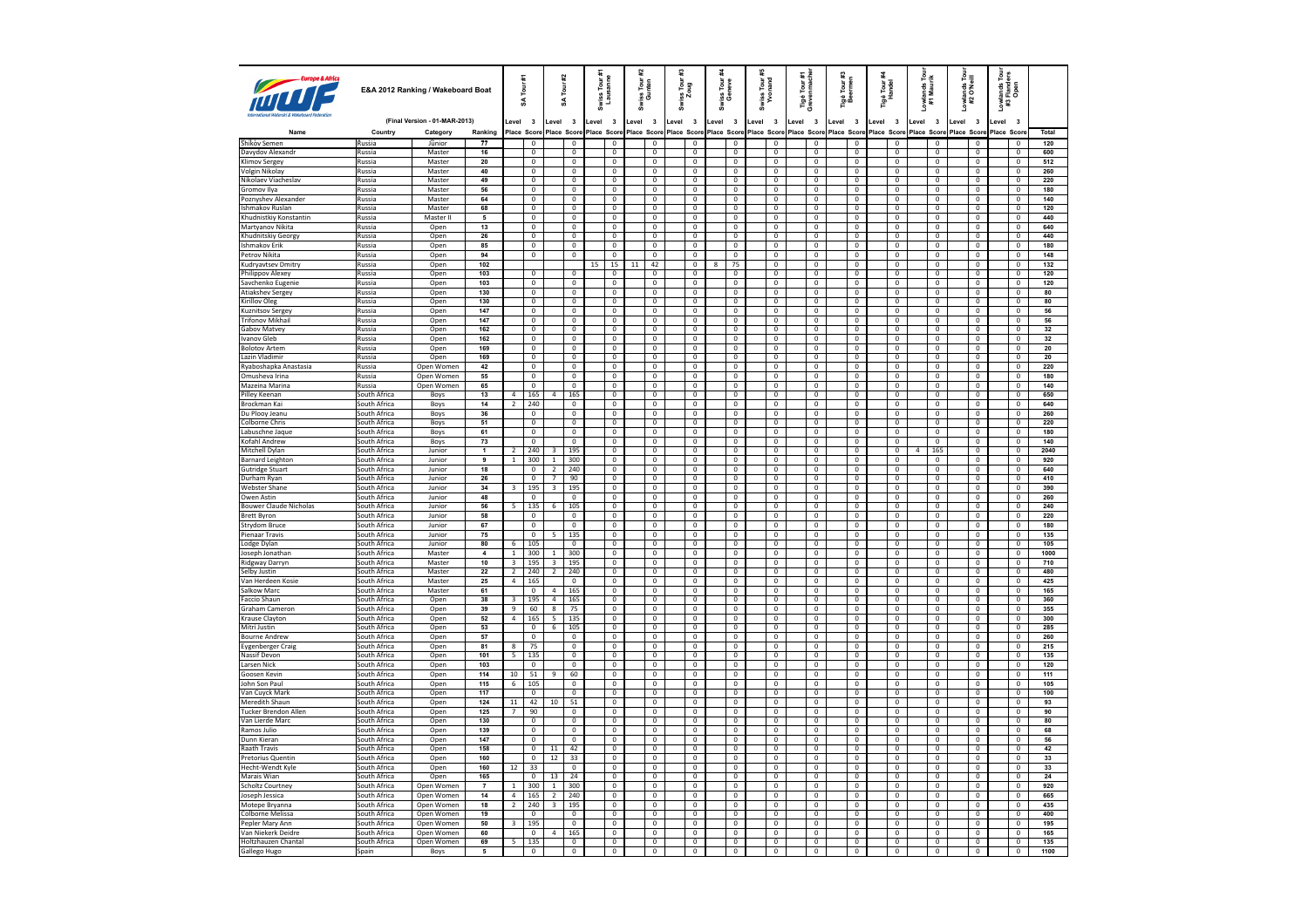| Europe & Airica                                     | E&A 2012 Ranking / Wakeboard Boat |                               | Tour #1<br>¥            |                          |                                  | #2<br>Tour<br>S                  |                                  | Swiss Tour #<br>Lausanne | Tour<br>nten<br>s a<br>និ               |        | iss Tour<br>Zoug<br>ă                       | Tour<br>neve<br>ទី ទី            | Swiss Tour #<br>Yvonand                 | é Tour #1<br>renmache<br><b>Pas</b><br>Greve | Tigé Tour #3<br>Beermen                |                                           | Tigé Tour i<br>Handel | Lowlands Tour<br>#1 Maurik       | Lowlands Tour<br>#2 O'Neill      | P <sub>o</sub><br>#3             | <i>r</i> lands Tou<br>i Flanders<br>Open |                                  |              |
|-----------------------------------------------------|-----------------------------------|-------------------------------|-------------------------|--------------------------|----------------------------------|----------------------------------|----------------------------------|--------------------------|-----------------------------------------|--------|---------------------------------------------|----------------------------------|-----------------------------------------|----------------------------------------------|----------------------------------------|-------------------------------------------|-----------------------|----------------------------------|----------------------------------|----------------------------------|------------------------------------------|----------------------------------|--------------|
|                                                     |                                   | (Final Version - 01-MAR-2013) |                         | evel 3                   |                                  | Level                            | $\overline{\mathbf{3}}$          | Level 3                  |                                         | Level  | $\overline{\mathbf{3}}$                     | $\overline{\mathbf{3}}$<br>Level | $\overline{\mathbf{3}}$<br>Level        | Level 3                                      | $\overline{\mathbf{3}}$<br>Level       | Level 3                                   | Level                 | $\overline{\mathbf{3}}$          | Level<br>$\overline{\mathbf{3}}$ | $\overline{\mathbf{3}}$<br>Level | evel                                     | $\overline{\mathbf{3}}$          |              |
| Name                                                | Country                           | Category                      | Ranking                 |                          | Place Score                      |                                  | Place Score                      |                          | Place Score                             |        | Place Score                                 | Place Score                      | Place Score                             | Place Score                                  | Place Scon                             | Place Score                               |                       | Place Score                      | Place Score                      | Place Score                      | Place Scor                               |                                  | Total        |
| Shikov Semen                                        | Russia                            | Jūnior                        | 77                      |                          | $\mathbf 0$                      |                                  | $\mathbf 0$                      |                          | $\mathbf 0$                             |        | $\mathbf 0$                                 | $\mathbf 0$                      | $\mathbf 0$                             | $\mathbf 0$                                  | $\mathbf 0$                            | $\mathbf 0$                               |                       | $\mathbf 0$                      | $\mathbf 0$                      | $\mathbf 0$                      |                                          | $\mathbf 0$                      | 120          |
| Davydov Alexandr                                    | Russia                            | Master                        | 16                      |                          | $\mathbf 0$                      |                                  | $\mathbf 0$                      |                          | $\mathbf{0}$                            |        | 0                                           | $\mathbf 0$                      | $^{\circ}$                              | $\mathbf{0}$                                 | $\mathbf 0$                            | $\mathbf{0}$                              |                       | $^{\circ}$                       | $\Omega$                         | $\mathbf 0$                      |                                          | $\overline{0}$                   | 600          |
| <b>Klimov Sergey</b>                                | Russia                            | Master                        | 20                      |                          | $\overline{0}$                   |                                  | $\overline{0}$                   |                          | $\overline{0}$<br>$\Omega$              |        | $\overline{0}$                              | $\overline{0}$                   | $\overline{0}$                          | $\overline{0}$                               | $\overline{0}$                         | $\overline{0}$<br>$\Omega$                |                       | $\overline{0}$                   | $\overline{0}$<br>$\Omega$       | $\overline{0}$                   |                                          | $\overline{0}$                   | 512          |
| Volgin Nikolay<br>Nikolaev Viacheslav               | Russia<br>Russia                  | Master<br>Master              | 40<br>49                |                          | $\mathbf 0$<br>$\overline{0}$    |                                  | $\mathbf 0$<br>$\overline{0}$    |                          | $\overline{0}$                          |        | $\,0\,$<br>$\overline{0}$                   | $\mathbf 0$<br>$\overline{0}$    | $\mathbf 0$<br>$\overline{0}$           | $\mathbf 0$<br>$\overline{0}$                | $\mathbf 0$<br>$\overline{0}$          | $\overline{0}$                            |                       | $\mathbf 0$<br>$\overline{0}$    | $\mathbf{0}$                     | $\mathbf 0$<br>$\overline{0}$    |                                          | $\mathsf 0$<br>$\overline{0}$    | 260<br>220   |
| Gromov Ilya                                         | Russia                            | Master                        | 56                      |                          | $\mathbf 0$                      |                                  | $\mathbf 0$                      |                          | $\mathbf 0$                             |        | $\,0\,$                                     | $\mathbf 0$                      | $\,0\,$                                 | $\mathbf 0$                                  | $\mathbf 0$                            | $\mathbf 0$                               |                       | $\mathbf 0$                      | $\mathbf{0}$                     | $\mathbf 0$                      |                                          | $\mathbf 0$                      | 180          |
| Poznyshev Alexander                                 | Russia                            | Master                        | 64                      |                          | $\overline{0}$                   |                                  | $\overline{0}$                   |                          | $\overline{\mathbf{0}}$                 |        | $\overline{0}$                              | $\overline{0}$                   | $\mathbf{0}$                            | $\mathbf 0$                                  | $\overline{0}$                         | $\overline{0}$                            |                       | $\mathbf{0}$                     | $\mathbf{0}$                     | $\mathbf 0$                      |                                          | $\mathbf{0}$                     | 140          |
| Ishmakov Ruslan                                     | Russia                            | Master                        | 68                      |                          | $\mathbf{0}$                     |                                  | $\Omega$                         |                          | $\mathbf{0}$                            |        | $\mathbf 0$                                 | $\mathbf{0}$                     | $\mathbf{0}$                            | $\mathbf{0}$                                 | $\mathbf{0}$                           | $\mathbf{0}$                              |                       | $\mathbf{0}$                     | $\mathbf{0}$                     | $\mathbf 0$                      |                                          | $^{\circ}$                       | 120          |
| Khudnistkiv Konstantin                              | Russia                            | Master II                     | 5                       |                          | $\overline{0}$                   |                                  | $\overline{0}$                   |                          | $\overline{0}$                          |        | $\overline{0}$                              | $\overline{0}$                   | $\overline{0}$                          | $\overline{0}$                               | $\overline{0}$                         | $\overline{0}$                            |                       | $\overline{0}$                   | $\mathbf{0}$                     | $\overline{0}$                   |                                          | $\mathbf 0$                      | 440          |
| Martyanov Nikita                                    | Russia                            | Open                          | 13                      |                          | $\mathbf 0$                      |                                  | $\mathbf 0$                      |                          | $\mathbb O$                             |        | $\mathbf 0$                                 | $\mathbf 0$                      | $\mathbf 0$                             | $\mathbf 0$                                  | $\mathbf 0$                            | $\mathbf 0$                               |                       | $\mathbf 0$                      | $\mathbf 0$                      | $\mathbf 0$                      |                                          | $\mathbf 0$                      | 640          |
| Khudnitskiy Georgy                                  | <b>Russia</b>                     | Open                          | 26                      |                          | $\overline{0}$                   |                                  | $\overline{0}$                   |                          | $\overline{0}$                          |        | $\overline{0}$                              | $\overline{0}$                   | $^{\circ}$                              | $\overline{0}$                               | $\overline{0}$                         | $\overline{0}$                            |                       | $\overline{0}$                   | $\overline{0}$                   | $\overline{\mathbf{0}}$          |                                          | $\overline{0}$                   | 440          |
| <b>Ishmakov Erik</b><br>Petrov Nikita               | Russia<br>Russia                  | Open<br>Open                  | 85<br>94                |                          | $\overline{0}$<br>$\overline{0}$ |                                  | $\overline{0}$<br>$\overline{0}$ |                          | $\overline{0}$<br>$\overline{0}$        |        | $\overline{0}$<br>$\overline{0}$            | $\overline{0}$<br>$\overline{0}$ | $\pmb{0}$<br>$\Omega$                   | $\overline{0}$<br>$\overline{0}$             | $\overline{0}$<br>$\overline{0}$       | $\overline{0}$<br>$\overline{0}$          |                       | $\overline{0}$<br>$\overline{0}$ | $\mathbf 0$<br>$\overline{0}$    | $\overline{0}$<br>$\overline{0}$ |                                          | $\overline{0}$<br>$\Omega$       | 180<br>148   |
| Kudryavtsev Dmitry                                  | Russia                            | Open                          | 102                     |                          |                                  |                                  |                                  | 15                       | 15                                      | $11\,$ | 42                                          | 0                                | 75                                      | $\mathbf 0$                                  | $\mathbf 0$                            | 0                                         |                       | $\pmb{0}$                        | $\mathbf 0$                      | $\mathbf 0$                      |                                          | $\pmb{0}$                        | 132          |
| Philippov Alexey                                    | Russia                            | Open                          | 103                     |                          | $\overline{0}$                   |                                  | $\Omega$                         |                          | $\mathbf{0}$                            |        | $\mathbf{0}$                                | $\overline{0}$                   | $\mathbf 0$                             | $\mathbf 0$                                  | $\mathbf 0$                            | $\overline{0}$                            |                       | $\mathbf{0}$                     | $\Omega$                         | $\overline{0}$                   |                                          | $\Omega$                         | 120          |
| Savchenko Eugenie                                   | Russia                            | Open                          | 103                     |                          | $\overline{0}$                   |                                  | $\mathbf 0$                      |                          | $\mathbf{0}$                            |        | $\mathbf 0$                                 | $\mathbf 0$                      | $\mathbf 0$                             | $\mathbf 0$                                  | $\overline{0}$                         | $\overline{\mathbf{0}}$                   |                       | $\mathbf{0}$                     | $\mathbf 0$                      | $\mathbf 0$                      |                                          | $\mathbf 0$                      | 120          |
| Atiakshev Sergey                                    | Russia                            | Open                          | 130                     |                          | $\overline{0}$                   |                                  | $\mathbf 0$                      |                          | $\Omega$                                |        | $\mathbf{0}$                                | $\mathbf{0}$                     | $\mathbf{0}$                            | $\overline{0}$                               | $\mathbf{0}$                           | $\overline{0}$                            |                       | $\overline{0}$                   | $\mathbf{0}$                     | $\mathbf{0}$                     |                                          | $^{\circ}$                       | 80           |
| Kirillov Oleg                                       | Russia                            | Open                          | 130                     |                          | $\overline{0}$                   |                                  | $\mathbf 0$                      |                          | $\mathbf 0$                             |        | $\,0\,$                                     | $\mathbf 0$                      | $\mathbf 0$                             | $\mathbf 0$                                  | $\mathbf 0$                            | $\mathbf 0$                               |                       | $\mathbf 0$                      | $\mathbf 0$                      | $\mathbf 0$                      |                                          | $\mathbf 0$                      | 80           |
| Kuznitsov Sergey                                    | Russia                            | Open                          | 147                     |                          | $\overline{\mathbf{0}}$          |                                  | 0                                |                          | $\mathbf 0$                             |        | $\bf{0}$                                    | $\overline{0}$                   | $\bf{0}$                                | $\mathbf 0$                                  | $\bf{0}$                               | $\overline{0}$                            |                       | $\bf{0}$                         | $\overline{0}$                   | $\bf{0}$                         |                                          | $\mathbf{0}$                     | 56           |
| <b>Trifonov Mikhail</b>                             | Russia                            | Open                          | 147                     |                          | $\overline{0}$                   |                                  | $\overline{0}$                   |                          | $\overline{0}$                          |        | $\overline{0}$                              | $\overline{0}$                   | $\overline{0}$                          | $\overline{0}$                               | $\overline{0}$                         | $\overline{0}$                            |                       | $\overline{0}$                   | $\overline{0}$                   | $\overline{0}$                   |                                          | $\overline{0}$                   | 56           |
| Gabov Matvey<br>Ivanov Gleb                         | Russia<br>Russia                  | Open<br>Open                  | 162<br>162              |                          | $\overline{0}$<br>$\overline{0}$ |                                  | $\mathbf 0$<br>$\overline{0}$    |                          | $\mathbf{0}$<br>$\overline{\mathbf{0}}$ |        | $\mathbf 0$<br>$\overline{0}$               | $\mathbf 0$<br>$\overline{0}$    | $\mathbf 0$<br>$\mathbf{0}$             | $\mathbf{0}$<br>$\overline{0}$               | $\mathbf{0}$<br>$\overline{0}$         | $\mathbf 0$<br>$\overline{0}$             |                       | $\mathbf{0}$<br>$\overline{0}$   | $\overline{0}$<br>$\overline{0}$ | $\mathbf{0}$<br>$\overline{0}$   |                                          | $\mathbf{0}$<br>$\mathbf 0$      | $32\,$<br>32 |
| <b>Bolotov Artem</b>                                | Russia                            | Open                          | 169                     |                          | $\mathbf 0$                      |                                  | $\mathbf 0$                      |                          | $\mathbf 0$                             |        | $\mathbf 0$                                 | $\mathbf 0$                      | $\mathbf 0$                             | $\mathbf 0$                                  | $\mathbf 0$                            | $\mathbf 0$                               |                       | $\mathbf 0$                      | $\overline{0}$                   | $\mathbf 0$                      |                                          | $\mathbf 0$                      | 20           |
| Lazin Vladimir                                      | <b>Russia</b>                     | Open                          | 169                     |                          | $\overline{0}$                   |                                  | $\overline{0}$                   |                          | $\overline{0}$                          |        | $\overline{0}$                              | $\overline{0}$                   | $\mathbf{0}$                            | $\overline{0}$                               | $\overline{0}$                         | $\overline{0}$                            |                       | $\overline{0}$                   | $\overline{0}$                   | $\mathbf{0}$                     |                                          | $\overline{0}$                   | 20           |
| Ryaboshapka Anastasia                               | Russia                            | Open Women                    | 42                      |                          | $\mathbf{0}$                     |                                  | $\mathbf 0$                      |                          | $\overline{0}$                          |        | $\,0\,$                                     | $\mathbf 0$                      | $\mathbf{0}$                            | $\mathbf{0}$                                 | $\mathbf{0}$                           | $\mathbf{0}$                              |                       | $\mathbf{0}$                     | $\mathbf{0}$                     | $\mathbf{0}$                     |                                          | $\mathbf 0$                      | 220          |
| Omusheva Irina                                      | Russia                            | Open Women                    | 55                      |                          | $\overline{0}$                   |                                  | $\overline{0}$                   |                          | $\overline{0}$                          |        | $\overline{0}$                              | $\mathbf{0}$                     | $\mathbf{0}$                            | $\mathbf{0}$                                 | $\mathbf{0}$                           | $\overline{0}$                            |                       | $\overline{0}$                   | $\mathbf{0}$                     | $\overline{0}$                   |                                          | $\overline{0}$                   | 180          |
| Mazeina Marina                                      | Russia                            | Open Women                    | 65                      |                          | $\overline{0}$                   |                                  | $\overline{0}$                   |                          | $\overline{0}$                          |        | $\overline{0}$                              | $\overline{0}$                   | $\overline{\mathbf{0}}$                 | $\overline{0}$                               | $\overline{\mathbf{0}}$                | $\overline{\mathbf{0}}$                   |                       | $\overline{0}$                   | $\overline{0}$                   | $\overline{0}$                   |                                          | $\overline{\mathbf{0}}$          | 140          |
| Pilley Keenan                                       | South Africa                      | Boys                          | 13                      | $\overline{4}$           | 165                              | $\overline{a}$                   | 165                              |                          | $\overline{0}$                          |        | $\overline{0}$                              | $\overline{0}$                   | $\mathbf 0$                             | $\overline{0}$                               | $\overline{0}$                         | $\overline{0}$                            |                       | $\overline{0}$                   | $\overline{0}$                   | $\pmb{0}$                        |                                          | $\overline{0}$                   | 650          |
| Brockman Kai                                        | South Africa                      | Boys                          | 14                      | $\overline{2}$           | 240                              |                                  | $\mathbf{0}$                     |                          | $\overline{0}$                          |        | $\overline{0}$                              | $\overline{0}$                   | $\overline{0}$                          | $\mathbf{0}$                                 | $\overline{\mathbf{0}}$                | $\overline{\mathbf{0}}$                   |                       | $\overline{0}$                   | $\mathbf{0}$                     | $\overline{0}$                   |                                          | $\mathbf 0$                      | 640          |
| Du Plooy Jeanu                                      | South Africa                      | Boys                          | 36                      |                          | $\overline{0}$                   |                                  | $\Omega$                         |                          | $\overline{0}$                          |        | $\mathbf{0}$                                | $\overline{0}$                   | $\Omega$                                | $\Omega$                                     | $\Omega$                               | $\overline{0}$                            |                       | $\Omega$                         | $\Omega$                         | $\mathbf{0}$                     |                                          | $\Omega$                         | 260          |
| Colborne Chris<br>Labuschne Jaque                   | South Africa<br>South Africa      | Boys                          | 51<br>61                |                          | $\mathbf 0$<br>$\overline{0}$    |                                  | $\mathbf 0$<br>$\overline{0}$    |                          | $\mathbf 0$<br>$\overline{0}$           |        | $\mathbf 0$<br>$\,0\,$                      | 0<br>$\overline{0}$              | $\mathbf 0$<br>$\mathbf 0$              | $\mathbf 0$<br>$^{\circ}$                    | $\mathbf 0$<br>$\mathbf 0$             | $\overline{\mathbf{0}}$<br>$\overline{0}$ |                       | $\mathbf 0$<br>$\overline{0}$    | $\mathbf 0$<br>$\Omega$          | $\mathbf 0$<br>$\mathbf 0$       |                                          | $\mathbf 0$<br>$\overline{0}$    | 220<br>180   |
| Kofahl Andrew                                       | South Africa                      | Boys<br>Boys                  | 73                      |                          | $\overline{0}$                   |                                  | $\mathbf 0$                      |                          | $\mathbb O$                             |        | $\mathbf 0$                                 | $\mathbf 0$                      | $\mathbf 0$                             | $\mathbf 0$                                  | $\mathbf 0$                            | $\overline{\mathbf{0}}$                   |                       | $\overline{0}$                   | $\overline{0}$                   | $\mathbf 0$                      |                                          | $\mathbf 0$                      | 140          |
| Mitchell Dylan                                      | South Africa                      | Junior                        | $\mathbf{1}$            | $\overline{2}$           | 240                              | 3                                | 195                              |                          | $\overline{0}$                          |        | $\overline{0}$                              | $\mathbf 0$                      | $\mathbf{0}$                            | $^{\circ}$                                   | $^{\circ}$                             | $\overline{0}$                            |                       | $\overline{0}$                   | 165<br>4                         | $\overline{0}$                   |                                          | $^{\circ}$                       | 2040         |
| <b>Barnard Leighton</b>                             | South Africa                      | Junior                        | 9                       | $\mathbf{1}$             | 300                              | $\overline{1}$                   | 300                              |                          | $\overline{0}$                          |        | $\overline{0}$                              | $\overline{0}$                   | $\overline{0}$                          | $\overline{0}$                               | $\overline{\mathbf{0}}$                | $\overline{\mathbf{0}}$                   |                       | $\overline{0}$                   | $\overline{0}$                   | $\overline{0}$                   |                                          | $\overline{0}$                   | 920          |
| <b>Gutridge Stuart</b>                              | South Africa                      | Junior                        | 18                      |                          | $\mathbf 0$                      | $\overline{2}$                   | 240                              |                          | $\mathbf 0$                             |        | $\,0\,$                                     | $\mathbf 0$                      | $\,0\,$                                 | $\mathbf 0$                                  | $\mathbf 0$                            | $\bf 0$                                   |                       | $\mathbf 0$                      | $\overline{0}$                   | $\mathbf 0$                      |                                          | $\mathbf 0$                      | 640          |
| Durham Rvan                                         | South Africa                      | Junior                        | 26                      |                          | $\overline{0}$                   | $\overline{\phantom{a}}$         | 90                               |                          | $\overline{0}$                          |        | $\overline{0}$                              | $\overline{0}$                   | $\overline{0}$                          | $\overline{0}$                               | $\overline{0}$                         | $\overline{0}$                            |                       | $\overline{0}$                   | $\overline{0}$                   | $\overline{0}$                   |                                          | $\overline{0}$                   | 410          |
| <b>Webster Shane</b>                                | South Africa                      | Junior                        | 34                      | $\overline{3}$           | 195                              | $\overline{\mathbf{3}}$          | 195                              |                          | $\overline{0}$                          |        | $\mathbf 0$                                 | $\overline{0}$                   | $\overline{0}$                          | $\overline{0}$                               | $\overline{0}$                         | $\overline{0}$                            |                       | $\overline{0}$                   | $\overline{0}$                   | $\overline{0}$                   |                                          | $\overline{0}$                   | 390          |
| Owen Astin                                          | South Africa                      | Junior                        | 48                      |                          | $\overline{0}$                   |                                  | $\overline{0}$                   |                          | $\overline{0}$                          |        | $\overline{0}$                              | $\overline{0}$                   | $\overline{0}$                          | $\overline{0}$                               | $\overline{0}$                         | $\overline{0}$                            |                       | $\overline{0}$                   | $\overline{0}$                   | $\overline{0}$                   |                                          | $\overline{0}$                   | 260          |
| <b>Bouwer Claude Nicholas</b><br><b>Brett Byron</b> | South Africa<br>South Africa      | Junior                        | 56<br>58                | 5                        | 135<br>$\overline{0}$            | 6                                | 105<br>$\overline{0}$            |                          | $\mathbb O$<br>$\overline{0}$           |        | $\mathbf 0$<br>$\overline{0}$               | $\mathbf 0$<br>$\overline{0}$    | $\mathbf 0$<br>$\overline{0}$           | $\mathbf 0$<br>$\overline{0}$                | $\mathbf 0$<br>$\overline{0}$          | $\mathbf 0$<br>$\overline{0}$             |                       | $\mathbf 0$<br>$\overline{0}$    | $\overline{0}$<br>$\overline{0}$ | $\mathbf 0$<br>$\overline{0}$    |                                          | $\mathsf 0$<br>$\overline{0}$    | 240<br>220   |
| <b>Strydom Bruce</b>                                | South Africa                      | Junior<br>Junior              | 67                      |                          | $\overline{0}$                   |                                  | $\overline{0}$                   |                          | $\overline{0}$                          |        | $\overline{0}$                              | $\overline{0}$                   | $\overline{\mathbf{0}}$                 | $\overline{0}$                               | $\overline{\mathbf{0}}$                | $\overline{0}$                            |                       | $\overline{0}$                   | $\overline{0}$                   | $\overline{0}$                   |                                          | $\overline{0}$                   | 180          |
| Pienaar Travis                                      | South Africa                      | Junior                        | 75                      |                          | $\overline{0}$                   | -5                               | 135                              |                          | $\overline{0}$                          |        | $\overline{0}$                              | $\overline{0}$                   | $\overline{0}$                          | $\overline{0}$                               | $\overline{0}$                         | $\overline{0}$                            |                       | $\overline{0}$                   | $\overline{0}$                   | $\overline{0}$                   |                                          | $\overline{0}$                   | 135          |
| Lodge Dylan                                         | South Africa                      | Junior                        | 80                      | $6\overline{6}$          | 105                              |                                  | $\overline{0}$                   |                          | $\overline{0}$                          |        | $\overline{0}$                              | $\overline{\mathbf{0}}$          | $\overline{0}$                          | $\overline{0}$                               | $\overline{\mathbf{0}}$                | $\pmb{0}$                                 |                       | $\overline{0}$                   | $\overline{0}$                   | $\overline{0}$                   |                                          | $\overline{\mathbf{0}}$          | 105          |
| Joseph Jonathar                                     | South Africa                      | Master                        | $\overline{\mathbf{4}}$ | $\overline{1}$           | 300                              | $\overline{1}$                   | 300                              |                          | $\overline{0}$                          |        | $\overline{0}$                              | $\overline{0}$                   | $\overline{0}$                          | $\overline{0}$                               | $\overline{0}$                         | $\overline{0}$                            |                       | $\overline{0}$                   | $\Omega$                         | $\pmb{0}$                        |                                          | $\overline{0}$                   | 1000         |
| Ridgway Darryn                                      | South Africa                      | Master                        | 10                      | $\overline{3}$           | 195                              | $\overline{\mathbf{3}}$          | 195                              |                          | $\overline{0}$                          |        | $\overline{0}$                              | $\overline{0}$                   | $\overline{0}$                          | $\overline{0}$                               | $\overline{0}$                         | $\overline{0}$                            |                       | $\overline{0}$                   | $\overline{0}$                   | $\overline{0}$                   |                                          | $\overline{0}$                   | 710          |
| Selby Justin                                        | South Africa                      | Master                        | 22                      | $\overline{2}$           | 240                              | $\overline{2}$                   | 240                              |                          | $\overline{0}$                          |        | $\overline{0}$                              | $\mathbf 0$                      | $^{\circ}$                              | $\Omega$                                     | $\overline{0}$                         | $\overline{0}$                            |                       | $\Omega$                         | $\Omega$                         | $\overline{0}$                   |                                          | $^{\circ}$                       | 480          |
| Van Herdeen Kosie                                   | South Africa                      | Master                        | 25                      | 4                        | 165                              |                                  | $\mathbf 0$                      |                          | $\mathbb O$                             |        | $\mathbf 0$                                 | $\mathbf 0$                      | $\mathbf 0$                             | $\mathbf 0$                                  | $\mathbf 0$                            | $\mathbf 0$                               |                       | $\mathbf 0$                      | $\mathbf 0$                      | $\mathbf 0$                      |                                          | $\mathbf 0$                      | 425          |
| Salkow Marc<br><b>Faccio Shaun</b>                  | South Africa<br>South Africa      | Master<br>Open                | 61<br>38                | $\overline{\mathbf{3}}$  | $^{\circ}$<br>195                | $\overline{4}$<br>$\overline{4}$ | 165<br>165                       |                          | $\overline{0}$<br>$\overline{0}$        |        | $\,0\,$<br>$\overline{0}$                   | $\overline{0}$<br>$\overline{0}$ | $\mathbf 0$<br>$\overline{0}$           | $\mathbf 0$<br>$\overline{0}$                | $\mathbf 0$<br>$\overline{\mathbf{0}}$ | $\overline{0}$<br>$\overline{0}$          |                       | $\mathbf 0$<br>$\overline{0}$    | $\Omega$<br>$\overline{0}$       | $\mathbf 0$<br>$\overline{0}$    |                                          | $\overline{0}$<br>$\overline{0}$ | 165<br>360   |
| Graham Cameron                                      | South Africa                      | Open                          | 39                      | $\overline{9}$           | 60                               | $_{8}$                           | 75                               |                          | $\overline{0}$                          |        | $\mathbf 0$                                 | $\mathbf 0$                      | $\mathbf 0$                             | $\overline{0}$                               | $\overline{0}$                         | $\Omega$                                  |                       | $\Omega$                         | $\Omega$                         | $\mathbf 0$                      |                                          | $\Omega$                         | 355          |
| Krause Clavton                                      | South Africa                      | Open                          | 52                      | 4                        | 165                              | $\overline{\phantom{a}}$         | 135                              |                          | $\overline{0}$                          |        | $\overline{0}$                              | $\overline{0}$                   | $\overline{0}$                          | $\overline{0}$                               | $\overline{0}$                         | $\overline{0}$                            |                       | $\overline{0}$                   | $\overline{0}$                   | $\overline{0}$                   |                                          | $\overline{0}$                   | 300          |
| Mitri Justin                                        | South Africa                      | Open                          | 53                      |                          | $\mathbf 0$                      | $\sqrt{6}$                       | 105                              |                          | $\mathbf 0$                             |        | $\,0\,$                                     | $\mathbf 0$                      | $\mathbf 0$                             | $\mathbf 0$                                  | $\mathbf 0$                            | $\mathbf 0$                               |                       | $\mathbf 0$                      | $\mathbf 0$                      | $\mathbf 0$                      |                                          | $\mathbf 0$                      | 285          |
| <b>Bourne Andrew</b>                                | South Africa                      | Open                          | 57                      |                          | $\overline{0}$                   |                                  | $\overline{0}$                   |                          | $\overline{0}$                          |        | $\overline{0}$                              | $\overline{0}$                   | $\overline{0}$                          | $\overline{0}$                               | $\overline{0}$                         | $\overline{0}$                            |                       | $\overline{0}$                   | $\overline{0}$                   | $\overline{0}$                   |                                          | $\overline{0}$                   | 260          |
| <b>Eygenberger Craig</b>                            | South Africa                      | Open                          | 81                      | 8                        | 75                               |                                  | $\overline{0}$                   |                          | $\overline{0}$                          |        | $\mathbf 0$                                 | $\overline{0}$                   | $\overline{0}$                          | $\overline{0}$                               | $\overline{0}$                         | $\overline{0}$                            |                       | $\overline{0}$                   | $\overline{0}$                   | $\overline{0}$                   |                                          | $\overline{0}$                   | 215          |
| Nassif Devon                                        | South Africa                      | Open                          | 101                     | $5 -$                    | 135                              |                                  | $\overline{0}$                   |                          | $\overline{0}$                          |        | $\overline{0}$                              | $\overline{0}$                   | $\overline{0}$                          | $\overline{0}$                               | $\overline{0}$                         | $\overline{0}$                            |                       | $\overline{0}$                   | $\overline{0}$                   | $\overline{0}$                   |                                          | $\overline{0}$                   | 135          |
| Larsen Nick                                         | South Africa                      | Open                          | 103                     | 10                       | $\mathbf 0$<br>$\overline{51}$   |                                  | $\mathbf 0$<br>60                |                          | $\mathbb O$<br>$\overline{0}$           |        | $\mathbf 0$<br>$\overline{0}$               | $\mathbf 0$<br>$\overline{0}$    | $\mathbf 0$                             | $\mathbf 0$<br>$\overline{0}$                | $\pmb{0}$<br>$\overline{0}$            | $\mathbf 0$<br>$\overline{0}$             |                       | $\mathbf 0$                      | $\mathbf 0$<br>$\overline{0}$    | $\mathbf 0$                      |                                          | $\mathbf 0$<br>$\overline{0}$    | 120          |
| Goosen Kevin<br>John Son Paul                       | South Africa<br>South Africa      | Open<br>Open                  | 114<br>$\overline{115}$ | $6\overline{6}$          | 105                              | 9                                | $\overline{0}$                   |                          | $\overline{0}$                          |        | $\overline{0}$                              | $\overline{0}$                   | $\mathbf{0}$<br>$\overline{\mathbf{0}}$ | $\overline{0}$                               | $\overline{0}$                         | $\overline{0}$                            |                       | $^{\circ}$<br>$\overline{0}$     | $\overline{0}$                   | $\overline{0}$<br>$\overline{0}$ |                                          | $\overline{0}$                   | 111<br>105   |
| Van Cuvck Mark                                      | South Africa                      | Open                          | 117                     |                          | $\overline{0}$                   |                                  | $\overline{0}$                   |                          | $\overline{0}$                          |        | $\overline{0}$                              | $\overline{0}$                   | $\overline{0}$                          | $\overline{0}$                               | $\overline{0}$                         | $\overline{0}$                            |                       | $\overline{0}$                   | $\overline{0}$                   | $\overline{0}$                   |                                          | $\Omega$                         | 100          |
| Meredith Shaun                                      | South Africa                      | Open                          | 124                     | 11                       | 42                               | 10                               | 51                               |                          | $\overline{0}$                          |        | $\overline{\mathbf{0}}$                     | $\mathbf 0$                      | $\overline{0}$                          | $\boldsymbol{0}$                             | $\pmb{0}$                              | $\overline{\mathbf{0}}$                   |                       | $\overline{0}$                   | $\overline{0}$                   | $\mathbf 0$                      |                                          | $\overline{0}$                   | 93           |
| <b>Tucker Brendon Allen</b>                         | South Africa                      | Open                          | 125                     | $\overline{7}$           | 90                               |                                  | $\overline{0}$                   |                          | $\overline{0}$                          |        | $\overline{0}$                              | $\overline{0}$                   | $^{\circ}$                              | $\overline{0}$                               | $\overline{0}$                         | $\overline{0}$                            |                       | $\overline{0}$                   | $\Omega$                         | $\overline{0}$                   |                                          | $\overline{0}$                   | 90           |
| Van Lierde Marc                                     | South Africa                      | Open                          | 130                     |                          | $\overline{0}$                   |                                  | $\overline{0}$                   |                          | $\overline{0}$                          |        | $\overline{0}$                              | $\overline{0}$                   | $\overline{0}$                          | $\overline{0}$                               | $\overline{0}$                         | $\overline{0}$                            |                       | $\overline{0}$                   | $\overline{0}$                   | $\overline{0}$                   |                                          | $\mathbf 0$                      | 80           |
| Ramos Julio                                         | South Africa                      | Open                          | 139                     |                          | $\overline{0}$                   |                                  | $\overline{0}$                   |                          | $\overline{0}$                          |        | $\overline{0}$                              | 0                                | $^{\circ}$                              | $\overline{0}$                               | $\overline{0}$                         | $\overline{0}$                            |                       | $\overline{0}$                   | $\Omega$                         | $\overline{0}$                   |                                          | $^{\circ}$                       | 68           |
| Dunn Kieran                                         | South Africa                      | Open                          | 147                     |                          | $\mathbf 0$                      |                                  | $\mathbf 0$                      |                          | $\mathbb O$                             |        | $\mathbf 0$                                 | $\mathbf 0$                      | $\mathbf 0$                             | $\mathbf 0$                                  | $\mathbf 0$                            | $\mathbf 0$                               |                       | $\mathbf 0$                      | $\mathbf 0$                      | $\mathbf 0$                      |                                          | $\mathsf 0$                      | 56           |
| Raath Travis                                        | South Africa                      | Open                          | 158                     |                          | $\mathbf 0$                      | 11                               | 42                               |                          | $\mathbf 0$                             |        | $\bf{0}$                                    | $\mathbf 0$                      | $\mathbf 0$                             | $\mathbf 0$                                  | 0                                      | $\mathbf 0$                               |                       | $\mathbf 0$                      | $\overline{0}$                   | 0                                |                                          | $^{\circ}$                       | 42           |
| Pretorius Quentin<br>Hecht-Wendt Kyle               | South Africa<br>South Africa      | Open<br>Open                  | 160<br>160              | 12                       | $\overline{0}$<br>33             | 12                               | 33<br>$\Omega$                   |                          | $\overline{0}$<br>$\overline{0}$        |        | $\overline{\mathfrak{o}}$<br>$\overline{0}$ | $\overline{0}$<br>$\overline{0}$ | $\overline{0}$<br>$\overline{0}$        | $\overline{0}$<br>$\overline{0}$             | $\overline{0}$<br>$\overline{0}$       | $\overline{0}$<br>$\overline{0}$          |                       | $\overline{0}$<br>$\overline{0}$ | $\overline{0}$<br>$\overline{0}$ | $\overline{0}$<br>$\overline{0}$ |                                          | $\overline{0}$<br>$\overline{0}$ | 33<br>33     |
| Marais Wian                                         | South Africa                      | Open                          | 165                     |                          | $\overline{0}$                   | 13                               | 24                               |                          | $\overline{0}$                          |        | $\overline{0}$                              | $\overline{0}$                   | $\overline{0}$                          | $\overline{0}$                               | $\overline{0}$                         | $\overline{0}$                            |                       | $\overline{0}$                   | $\overline{0}$                   | $\overline{0}$                   |                                          | $\overline{0}$                   | 24           |
| Scholtz Courtney                                    | South Africa                      | Open Women                    | $\overline{7}$          | $\overline{1}$           | 300                              | $\overline{1}$                   | 300                              |                          | $\mathbb O$                             |        | $\mathbf 0$                                 | $\mathbf 0$                      | $\mathbf 0$                             | $\mathbf 0$                                  | $\mathbf 0$                            | $\mathbf 0$                               |                       | $\mathbf 0$                      | $\overline{0}$                   | $\mathbf 0$                      |                                          | $\mathbf 0$                      | 920          |
| Joseph Jessica                                      | South Africa                      | Open Women                    | 14                      | 4                        | 165                              | $\overline{2}$                   | 240                              |                          | $\overline{0}$                          |        | $\overline{0}$                              | $\overline{0}$                   | $\overline{0}$                          | $\overline{0}$                               | $\overline{0}$                         | $\overline{0}$                            |                       | $\overline{0}$                   | $\overline{0}$                   | $\overline{0}$                   |                                          | $\overline{0}$                   | 665          |
| Motepe Bryanna                                      | South Africa                      | Open Women                    | 18                      | $\overline{2}$           | 240                              | $\overline{\mathbf{3}}$          | 195                              |                          | $\overline{0}$                          |        | $\mathbf 0$                                 | $\mathbf 0$                      | $\mathbf 0$                             | $\overline{0}$                               | $\overline{0}$                         | $\overline{0}$                            |                       | $\overline{0}$                   | $\overline{0}$                   | $\mathbf 0$                      |                                          | $\mathbf 0$                      | 435          |
| Colborne Melissa                                    | South Africa                      | Open Women                    | 19                      |                          | $\overline{0}$                   |                                  | $\overline{0}$                   |                          | $\overline{0}$                          |        | $\overline{0}$                              | $\overline{0}$                   | $\overline{0}$                          | $\overline{0}$                               | $\overline{0}$                         | $\overline{0}$                            |                       | $\overline{0}$                   | $\overline{0}$                   | $\overline{0}$                   |                                          | $\overline{0}$                   | 400          |
| Pepler Mary Ann                                     | South Africa                      | Open Women                    | 50                      | $\overline{\mathbf{3}}$  | 195                              |                                  | $\overline{0}$                   |                          | $\overline{0}$                          |        | $\overline{0}$                              | $\overline{0}$                   | $\overline{0}$                          | $\overline{0}$                               | $\overline{0}$                         | $\overline{0}$                            |                       | $\overline{0}$                   | $\overline{0}$                   | $\overline{0}$                   |                                          | $\overline{0}$                   | 195          |
| Van Niekerk Deidre                                  | South Africa                      | Open Women                    | 60                      |                          | $\overline{0}$                   | $\overline{4}$                   | 165                              |                          | $\overline{0}$                          |        | $\overline{0}$                              | $\overline{0}$                   | $\overline{0}$                          | $\overline{0}$                               | $\overline{0}$                         | $\overline{0}$                            |                       | $\overline{0}$                   | $\overline{0}$                   | $\overline{0}$                   |                                          | $\overline{0}$                   | 165          |
| Holtzhauzen Chantal<br>Gallego Hugo                 | South Africa<br>Snain             | Open Women<br><b>Boys</b>     | 69<br>5                 | $\overline{\phantom{0}}$ | 135<br>$\overline{0}$            |                                  | $\overline{0}$<br>$\overline{0}$ |                          | $\overline{0}$<br>$\overline{0}$        |        | $\overline{0}$<br>$\overline{0}$            | $\overline{0}$<br>$\overline{0}$ | $\overline{0}$<br>$\overline{0}$        | $\overline{0}$<br>$\overline{0}$             | $\overline{0}$<br>$\overline{0}$       | $\overline{0}$<br>$\overline{0}$          |                       | $\overline{0}$<br>$\overline{0}$ | $\overline{0}$<br>$\overline{0}$ | $\overline{0}$<br>$\overline{0}$ |                                          | $\overline{0}$<br>$\overline{0}$ | 135<br>1100  |
|                                                     |                                   |                               |                         |                          |                                  |                                  |                                  |                          |                                         |        |                                             |                                  |                                         |                                              |                                        |                                           |                       |                                  |                                  |                                  |                                          |                                  |              |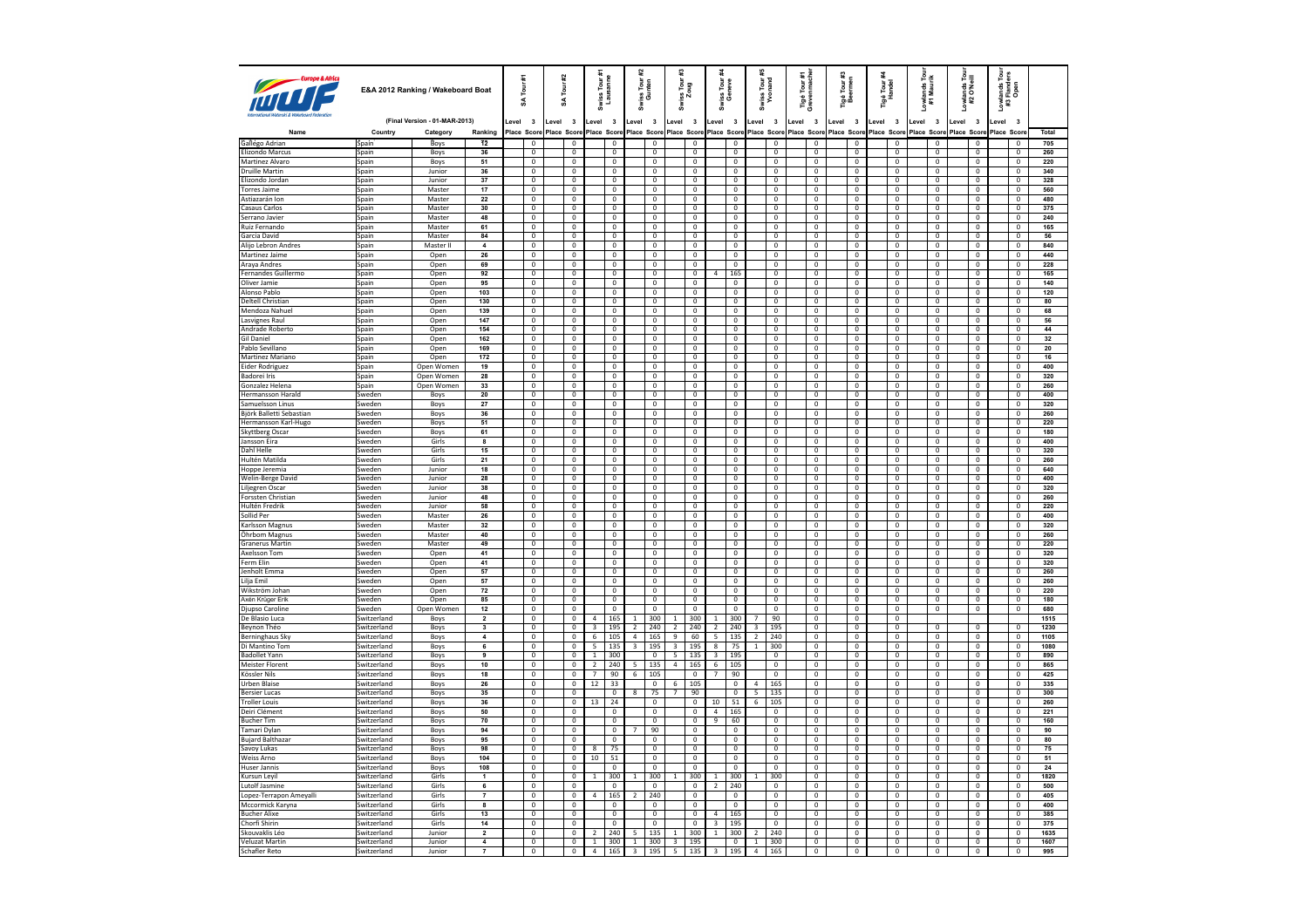| Europe & Africa                        | E&A 2012 Ranking / Wakeboard Boat |                               |                                           | Ħ<br>Tour<br>z |                                  | #2<br>Īоuг<br>S |                                     | Swiss Tour #1<br>Lausanne              |                                  | 뒱<br>Tour<br>Inten<br>ន្ធ<br>ឲិ |                                  | ≆<br>iss Tour:<br>Zoug   | iss Tour<br>Geneve                        |                          |                                  | Swiss Tour #<br>Yvonand      | Tigé Tour #1<br>Grevenmache      |             | Tigé Tour #3<br>Beermen          |                                        | Tigé Tour <del>:</del><br>Handel | Lowlands Tour<br>#1 Maurik       |             | Lowlands Tour<br>#2 O'Neill      | Lowlands Tou<br>#3 Flanders<br>Open |            |                                  |              |
|----------------------------------------|-----------------------------------|-------------------------------|-------------------------------------------|----------------|----------------------------------|-----------------|-------------------------------------|----------------------------------------|----------------------------------|---------------------------------|----------------------------------|--------------------------|-------------------------------------------|--------------------------|----------------------------------|------------------------------|----------------------------------|-------------|----------------------------------|----------------------------------------|----------------------------------|----------------------------------|-------------|----------------------------------|-------------------------------------|------------|----------------------------------|--------------|
|                                        |                                   | (Final Version - 01-MAR-2013) |                                           | _evel          | $\overline{\mathbf{3}}$          | Level           | $\overline{\mathbf{3}}$             | Level                                  | $\overline{\mathbf{3}}$          | Level                           | $\overline{\mathbf{3}}$          | Level                    | $\overline{\mathbf{3}}$                   | evel.                    | $\overline{\mathbf{3}}$          | Level                        | $\overline{\mathbf{3}}$          | Level 3     |                                  | Level 3                                | evel.                            | $\overline{\mathbf{3}}$          | Level 3     |                                  | Level 3                             | evel       | $\overline{\mathbf{3}}$          |              |
| Name                                   | Country                           | Category                      | Ranking                                   |                | Place Score                      |                 | Place Score                         |                                        | Place Score                      |                                 | Place Scor                       |                          | Place Score                               |                          | Place Score                      |                              | Place Score                      | Place Score |                                  | Place Score                            |                                  | Place Score                      | Place Score |                                  | <b>Place Scor</b>                   | Place Scor |                                  | Total        |
| Gallego Adrian                         | Spain                             | Boys                          | <b>12</b>                                 |                | 0                                |                 | $\mathbf 0$                         |                                        | $\mathbf 0$                      |                                 | $\mathbf{0}$                     |                          | $\mathbf 0$                               |                          | $^{\circ}$                       |                              | $^{\circ}$                       |             | $\mathbf{0}$                     | $^{\circ}$                             |                                  | $^{\circ}$                       |             | $^{\circ}$                       | $\mathbf{0}$                        |            | $\mathbf 0$                      | 705          |
| Elizondo Marcus<br>Martinez Alvaro     | Spain                             | Boys<br>Boys                  | 36<br>51                                  |                | $\,0\,$<br>$\overline{0}$        |                 | $\mathbf 0$<br>$\mathbf 0$          |                                        | $\mathbf{0}$<br>$\mathbf{0}$     |                                 | $\,0\,$<br>$\overline{0}$        |                          | $\mathbf 0$<br>$\overline{0}$             |                          | $\mathbf 0$<br>$^{\circ}$        |                              | $\mathbf 0$<br>$\mathbf{0}$      |             | $\mathbb O$<br>$\mathbf{0}$      | $\mathbf 0$<br>$\overline{\mathbf{0}}$ |                                  | $\mathbf 0$<br>$\overline{0}$    |             | $\mathbf{0}$<br>$\mathbf{0}$     | $\,0\,$<br>$\overline{0}$           |            | $\,0\,$<br>$\overline{0}$        | 260<br>220   |
| <b>Druille Martin</b>                  | Spain<br>Spain                    | Junior                        | 36                                        |                | $\mathsf 0$                      |                 | $\mathbf 0$                         |                                        | $\mathbf 0$                      |                                 | $\mathbf 0$                      |                          | $\mathbf 0$                               |                          | $\mathbf 0$                      |                              | $\mathbf{0}$                     |             | $\mathbf 0$                      | $\mathbf 0$                            |                                  | $\mathbf{0}$                     |             | $\mathbf 0$                      | $\mathbf 0$                         |            | $\,0\,$                          | 340          |
| Elizondo Jordan                        | <b>Spain</b>                      | Junior                        | 37                                        |                | $\overline{0}$                   |                 | $\overline{0}$                      |                                        | $\overline{0}$                   |                                 | $\overline{0}$                   |                          | $\overline{0}$                            |                          | $\overline{0}$                   |                              | $\overline{0}$                   |             | $\overline{0}$                   | $\overline{0}$                         |                                  | $\overline{0}$                   |             | $\mathbf{0}$                     | $\overline{0}$                      |            | $^{\circ}$                       | 328          |
| <b>Torres Jaime</b>                    | Spain                             | Master                        | 17                                        |                | 0                                |                 | $\overline{\mathbf{0}}$             |                                        | $\overline{0}$                   |                                 | $\mathbf 0$                      |                          | 0                                         |                          | $\overline{\mathbf{0}}$          |                              | $\overline{0}$                   |             | $\overline{\mathbf{0}}$          | $\overline{\mathbf{0}}$                |                                  | $\overline{0}$                   |             | $\overline{0}$                   | $\overline{\mathbf{0}}$             |            | $\overline{\mathbf{0}}$          | 560          |
| Astiazarán Ion                         | Spain                             | Master                        | 22                                        |                | $\overline{0}$                   |                 | $\mathbf 0$                         |                                        | $\overline{0}$                   |                                 | $\overline{0}$                   |                          | $\overline{0}$                            |                          | $\mathbf 0$                      |                              | $\Omega$                         |             | $\overline{0}$                   | $\overline{0}$                         |                                  | $\mathsf 0$                      |             | $\Omega$                         | $\overline{\mathbf{0}}$             |            | $\overline{0}$                   | 480          |
| Casaus Carlos                          | Spain                             | Master                        | 30                                        |                | 0                                |                 | $\mathbf 0$                         |                                        | $\overline{0}$                   |                                 | $\overline{0}$                   |                          | $\mathbf 0$                               |                          | $\mathbf 0$                      |                              | 0                                |             | $\overline{0}$                   | $\overline{\mathbf{0}}$                |                                  | $^{\circ}$                       |             | $\mathbf 0$                      | $\overline{\mathbf{0}}$             |            | $\mathbf 0$                      | 375          |
| Serrano Javier                         | Spain                             | Master                        | 48                                        |                | $\overline{0}$                   |                 | $\Omega$                            |                                        | $\Omega$                         |                                 | $\overline{0}$                   |                          | $\Omega$                                  |                          | $\Omega$                         |                              | $\Omega$                         |             | $\mathbf{0}$                     | $\overline{0}$                         |                                  | $\Omega$                         |             | $\Omega$                         | $\overline{0}$                      |            | $\Omega$                         | 240          |
| Ruiz Fernando                          | Spain                             | Master                        | 61                                        |                | 0                                |                 | $\pmb{0}$                           |                                        | $\mathbf 0$                      |                                 | $\overline{0}$                   |                          | $\mathbf 0$                               |                          | $\mathbf 0$                      |                              | $\mathbf 0$                      |             | $\mathbf 0$                      | $\mathbf 0$                            |                                  | $\mathbf 0$                      |             | 0                                | $\mathbf 0$                         |            | $\mathbf 0$                      | 165          |
| Garcia David                           | Spain                             | Master                        | 84                                        |                | $\overline{0}$                   |                 | 0                                   |                                        | $\mathbf 0$                      |                                 | $\mathbf 0$                      |                          | $\mathbf 0$                               |                          | $\mathbf 0$                      |                              | $^{\circ}$                       |             | $\mathbf{0}$                     | $\mathbf 0$                            |                                  | $\mathbf 0$                      |             | $\mathbf 0$                      | $\overline{0}$                      |            | $\Omega$                         | 56           |
| Alijo Lebron Andres                    | Spain                             | Master II                     | $\overline{4}$                            |                | 0                                |                 | $\mathbf 0$                         |                                        | $\mathbf 0$                      |                                 | $\mathbf 0$                      |                          | $\mathbf 0$                               |                          | $\mathbf 0$                      |                              | $\mathbf 0$                      |             | $\mathbf 0$                      | $\mathbf 0$                            |                                  | $\mathbf 0$                      |             | $\mathbf 0$                      | $\mathbf 0$                         |            | $\mathbf 0$                      | 840          |
| Martinez Jaime                         | Spain                             | Open                          | 26<br>69                                  |                | $\mathbf{0}$<br>0                |                 | $\mathbf{0}$<br>$\overline{0}$      |                                        | $\Omega$<br>$\overline{0}$       |                                 | $\mathbf{0}$<br>$\overline{0}$   |                          | $\Omega$<br>0                             |                          | $\mathbf{0}$<br>$\overline{0}$   |                              | $^{\circ}$<br>$\overline{0}$     |             | $\mathbf 0$<br>$\overline{0}$    | $\mathbf 0$<br>$\overline{\mathbf{0}}$ |                                  | $\mathbf{0}$<br>$\overline{0}$   |             | $\mathbf{0}$<br>$\overline{0}$   | $\mathbf 0$<br>$\overline{0}$       |            | $^{\circ}$<br>$\mathbf 0$        | 440<br>228   |
| Araya Andres<br>Fernandes Guillermo    | Spain<br>Spain                    | Open<br>Open                  | 92                                        |                | $\mathbf 0$                      |                 | $\mathbf 0$                         |                                        | $\mathbf 0$                      |                                 | $\mathbf 0$                      |                          | $\mathbf 0$                               | $\overline{a}$           | 165                              |                              | $\mathbf 0$                      |             | $\mathbf 0$                      | $\mathbf 0$                            |                                  | $\mathbf 0$                      |             | $\mathbf 0$                      | $\mathbf 0$                         |            | $\mathsf 0$                      | 165          |
| Oliver Jamie                           | Spain                             | Open                          | 95                                        |                | $\overline{0}$                   |                 | $\overline{0}$                      |                                        | $\overline{0}$                   |                                 | $\overline{0}$                   |                          | $\overline{0}$                            |                          | $\overline{0}$                   |                              | $\overline{0}$                   |             | $\overline{0}$                   | $\overline{0}$                         |                                  | $\overline{0}$                   |             | $\mathbf{0}$                     | $\overline{0}$                      |            | $\overline{0}$                   | 140          |
| Alonso Pablo                           | Spain                             | Open                          | 103                                       |                | $\mathbf 0$                      |                 | $\mathbf 0$                         |                                        | $\mathbf{0}$                     |                                 | $\mathbf 0$                      |                          | $\mathbf 0$                               |                          | $\mathbf{0}$                     |                              | $\mathbf{0}$                     |             | $\mathbf{0}$                     | $\mathbf{0}$                           |                                  | $\mathbf{0}$                     |             | $\mathbf{0}$                     | $\mathbf 0$                         |            | $\mathbf{0}$                     | 120          |
| Deltell Christian                      | Spain                             | Open                          | 130                                       |                | $\overline{0}$                   |                 | $\overline{0}$                      |                                        | $\mathbf{0}$                     |                                 | $\overline{0}$                   |                          | $\overline{0}$                            |                          | $\overline{0}$                   |                              | $\overline{0}$                   |             | $\overline{0}$                   | $\overline{0}$                         |                                  | $\overline{0}$                   |             | $\mathbf{0}$                     | $\overline{0}$                      |            | $\mathbf{0}$                     | 80           |
| Mendoza Nahuel                         | Spain                             | Open                          | 139                                       |                | $\mathbf 0$                      |                 | $\mathbf 0$                         |                                        | $\mathbf 0$                      |                                 | $\mathbf 0$                      |                          | $\mathbf 0$                               |                          | $\mathbf 0$                      |                              | $\mathsf 0$                      |             | $\mathbf 0$                      | $\mathbf 0$                            |                                  | $\mathsf 0$                      |             | $\mathbb O$                      | $\mathbf 0$                         |            | $\mathbf 0$                      | 68           |
| Lasvignes Raul                         | Spain                             | Open                          | 147                                       |                | $\overline{0}$                   |                 | $\mathbf 0$                         |                                        | $\overline{0}$                   |                                 | $\overline{0}$                   |                          | $\overline{0}$                            |                          | $\mathbf 0$                      |                              | $\overline{0}$                   |             | $\overline{0}$                   | $\overline{0}$                         |                                  | $\mathbf{0}$                     |             | $\overline{0}$                   | $\overline{0}$                      |            | $\overline{0}$                   | 56           |
| Andrade Roberto                        | Spain                             | Open                          | 154                                       |                | $\mathbf 0$                      |                 | $\mathbf 0$                         |                                        | $\mathbf{0}$                     |                                 | $\mathbf 0$                      |                          | $\mathbf 0$                               |                          | $\mathbf 0$                      |                              | $\mathbf{0}$                     |             | $\mathbf{0}$                     | $\mathbf 0$                            |                                  | $\mathbf{0}$                     |             | $\mathbf 0$                      | $\mathbf 0$                         |            | $\mathbf 0$                      | 44           |
| <b>Gil Daniel</b>                      | Spain                             | Open                          | 162                                       |                | $\overline{0}$                   |                 | $\overline{0}$                      |                                        | $\overline{0}$                   |                                 | $\overline{0}$                   |                          | $\overline{0}$                            |                          | $\overline{0}$                   |                              | $\overline{0}$                   |             | $\overline{0}$                   | $\overline{0}$                         |                                  | $\overline{0}$                   |             | $\overline{0}$                   | $\overline{0}$                      |            | $\overline{0}$                   | 32           |
| Pablo Sevillano                        | Spain                             | Open                          | 169                                       |                | 0                                |                 | $\overline{\mathbf{0}}$             |                                        | $\overline{0}$                   |                                 | $\overline{0}$                   |                          | 0                                         |                          | $\overline{\mathbf{0}}$          |                              | $\overline{0}$                   |             | $\overline{0}$                   | $\pmb{0}$                              |                                  | $\overline{0}$                   |             | $\overline{0}$                   | $\overline{0}$                      |            | $\mathbf 0$                      | 20           |
| Martinez Mariano                       | Spain                             | Open                          | 172                                       |                | $\overline{0}$                   |                 | $\Omega$                            |                                        | $\overline{0}$                   |                                 | $\overline{0}$                   |                          | $\overline{0}$                            |                          | $\mathbf 0$                      |                              | $\Omega$                         |             | $\overline{0}$                   | $\overline{0}$                         |                                  | $\Omega$                         |             | $\Omega$                         | $\overline{0}$                      |            | $\overline{0}$                   | 16           |
| Eider Rodriguez<br><b>Badorei Iris</b> | Spain                             | Open Women<br>Open Women      | 19<br>28                                  |                | 0<br>$\overline{0}$              |                 | $\overline{\mathbf{0}}$<br>$\Omega$ |                                        | $\overline{0}$<br>$\Omega$       |                                 | $\mathbf 0$<br>$\overline{0}$    |                          | 0<br>$\Omega$                             |                          | $\overline{0}$<br>$\Omega$       |                              | $\overline{0}$<br>$\Omega$       |             | $\overline{0}$<br>$\Omega$       | $\pmb{0}$<br>$\overline{0}$            |                                  | $\mathbf{0}$<br>$\Omega$         |             | $\mathbf{0}$<br>$\Omega$         | $\pmb{0}$<br>$\overline{0}$         |            | $\mathbf 0$<br>$\Omega$          | 400<br>320   |
| Gonzalez Helena                        | Spain<br>Spain                    | Open Women                    | 33                                        |                | 0                                |                 | $\pmb{0}$                           |                                        | $\mathbf 0$                      |                                 | $\overline{0}$                   |                          | $\mathbf 0$                               |                          | $\mathbf 0$                      |                              | $\mathbf 0$                      |             | $\mathbf 0$                      | $\mathbf 0$                            |                                  | $\mathbf 0$                      |             | 0                                | $\mathbf 0$                         |            | $\mathbf 0$                      | 260          |
| <b>Hermansson Harald</b>               | Sweden                            | Boys                          | 20                                        |                | $\overline{0}$                   |                 | $\mathbf 0$                         |                                        | $\mathbf{0}$                     |                                 | $\mathbf 0$                      |                          | $\overline{0}$                            |                          | $\mathbf 0$                      |                              | $^{\circ}$                       |             | $\overline{0}$                   | $\overline{0}$                         |                                  | $\mathbf 0$                      |             | $\Omega$                         | $\overline{0}$                      |            | $\Omega$                         | 400          |
| Samuelsson Linus                       | Sweden                            | Boys                          | 27                                        |                | 0                                |                 | $\mathbf 0$                         |                                        | $\mathbf 0$                      |                                 | $\mathbf 0$                      |                          | $\mathbf 0$                               |                          | $\overline{0}$                   |                              | 0                                |             | $\mathbf 0$                      | $\mathbf 0$                            |                                  | $\mathbf 0$                      |             | $\mathbf 0$                      | $\mathbf 0$                         |            | $\mathbf 0$                      | 320          |
| Björk Balletti Sebastian               | Sweden                            | Boys                          | 36                                        |                | $^{\circ}$                       |                 | $\mathbf{0}$                        |                                        | $\mathbf{0}$                     |                                 | $\mathsf 0$                      |                          | $\mathbf 0$                               |                          | $\mathbf{0}$                     |                              | $^{\circ}$                       |             | $\mathbf{0}$                     | $^{\circ}$                             |                                  | $\overline{0}$                   |             | $\mathbf{0}$                     | 0                                   |            | $^{\circ}$                       | 260          |
| Hermansson Karl-Hugo                   | Sweden                            | Boys                          | 51                                        |                | 0                                |                 | $\overline{0}$                      |                                        | $\overline{0}$                   |                                 | $\overline{0}$                   |                          | $\pmb{0}$                                 |                          | $\overline{0}$                   |                              | $\overline{0}$                   |             | $\overline{0}$                   | $\overline{0}$                         |                                  | $\overline{0}$                   |             | $\overline{0}$                   | $\overline{0}$                      |            | $\overline{0}$                   | 220          |
| Skyttberg Oscar                        | Sweden                            | Boys                          | 61                                        |                | $\mathbf 0$                      |                 | $\mathbf 0$                         |                                        | $\overline{0}$                   |                                 | $\mathbf 0$                      |                          | $\mathbf 0$                               |                          | $\bf 0$                          |                              | $\mathbf 0$                      |             | $\mathbf 0$                      | $\,0\,$                                |                                  | $\mathbf 0$                      |             | $\mathbf 0$                      | $\mathbf 0$                         |            | $\,0\,$                          | 180          |
| Jansson Eira                           | Sweden                            | Girls                         | 8                                         |                | $\overline{0}$                   |                 | $\overline{0}$                      |                                        | $\overline{0}$                   |                                 | $\overline{0}$                   |                          | $\overline{0}$                            |                          | $\overline{0}$                   |                              | $\overline{0}$                   |             | $\overline{0}$                   | $\overline{0}$                         |                                  | $\overline{0}$                   |             | $\overline{0}$                   | $\overline{0}$                      |            | $\overline{0}$                   | 400          |
| Dahl Helle                             | Sweden                            | Girls                         | 15                                        |                | $\overline{0}$                   |                 | $\overline{0}$                      |                                        | $\Omega$                         |                                 | $\overline{0}$                   |                          | $\overline{0}$                            |                          | $\overline{0}$                   |                              | $\overline{0}$                   |             | $\overline{0}$                   | $\overline{0}$                         |                                  | $\overline{0}$                   |             | $\overline{0}$                   | $\overline{0}$                      |            | $\overline{0}$                   | 320          |
| Hultén Matilda                         | Sweden                            | Girls                         | 21                                        |                | $\overline{0}$                   |                 | $\overline{0}$                      |                                        | $\overline{0}$                   |                                 | $\overline{0}$                   |                          | $\overline{0}$                            |                          | $\overline{0}$                   |                              | $\overline{0}$                   |             | $\overline{0}$                   | $\overline{0}$                         |                                  | $\overline{0}$                   |             | $\overline{0}$                   | $\overline{0}$                      |            | $\overline{0}$                   | 260          |
| Hoppe Jeremia                          | Sweden                            | Junior                        | 18                                        |                | $\mathsf 0$                      |                 | $\mathbf 0$                         |                                        | $\mathbf 0$                      |                                 | $\mathbf 0$                      |                          | $\overline{0}$                            |                          | $\mathbf 0$                      |                              | $\mathsf 0$                      |             | $\mathbf 0$                      | $\mathbf 0$                            |                                  | $\mathsf 0$                      |             | $\mathbf 0$                      | $\mathbf 0$                         |            | $\mathbf 0$                      | 640          |
| Welin-Berge David                      | Sweden                            | Junior                        | 28                                        |                | $\overline{0}$                   |                 | $\overline{0}$                      |                                        | $\overline{0}$                   |                                 | $\overline{0}$                   |                          | $\overline{0}$                            |                          | $\overline{0}$                   |                              | $\overline{0}$                   |             | $\overline{0}$                   | $\overline{0}$                         |                                  | $\overline{0}$                   |             | $\overline{0}$                   | $\overline{0}$                      |            | $\overline{0}$                   | 400          |
| Liljegren Oscar                        | Sweden                            | Junior                        | 38<br>48                                  |                | $\overline{0}$<br>$\overline{0}$ |                 | $\overline{0}$<br>$\overline{0}$    |                                        | $\overline{0}$<br>$\overline{0}$ |                                 | $\overline{0}$<br>$\overline{0}$ |                          | $\overline{0}$<br>$\overline{\mathbf{0}}$ |                          | $\overline{0}$<br>$\overline{0}$ |                              | $\overline{0}$<br>$\overline{0}$ |             | $\overline{0}$<br>$\overline{0}$ | $\overline{0}$<br>$\overline{0}$       |                                  | $\overline{0}$<br>$\overline{0}$ |             | $\overline{0}$<br>$\overline{0}$ | $\mathbf 0$<br>$\overline{0}$       |            | $\mathbf 0$<br>$\overline{0}$    | 320<br>260   |
| Forssten Christian<br>Hultén Fredrik   | Sweden<br>Sweden                  | Junior<br>Junior              | 58                                        |                | 0                                |                 | $\overline{\mathbf{0}}$             |                                        | $\overline{0}$                   |                                 | $\overline{\mathbf{0}}$          |                          | $\overline{\text{o}}$                     |                          | $\overline{\mathbf{0}}$          |                              | $\overline{0}$                   |             | $\overline{0}$                   | $\overline{\mathbf{0}}$                |                                  | $\overline{0}$                   |             | $\mathbf 0$                      | $\overline{0}$                      |            | $\overline{\mathbf{0}}$          | 220          |
| Sollid Per                             | Sweden                            | Master                        | 26                                        |                | $\overline{0}$                   |                 | $\Omega$                            |                                        | $\overline{0}$                   |                                 | $\overline{0}$                   |                          | $\overline{0}$                            |                          | $\Omega$                         |                              | $\Omega$                         |             | $\overline{0}$                   | $\overline{0}$                         |                                  | $\Omega$                         |             | $\Omega$                         | $\overline{0}$                      |            | $\overline{0}$                   | 400          |
| Karlsson Magnus                        | Sweden                            | Master                        | 32                                        |                | $\overline{\mathbf{0}}$          |                 | $\overline{0}$                      |                                        | $\overline{0}$                   |                                 | $\overline{\mathbf{0}}$          |                          | $\overline{\mathbf{0}}$                   |                          | $\overline{0}$                   |                              | $\overline{0}$                   |             | $\overline{0}$                   | $\overline{\mathbf{0}}$                |                                  | $\overline{0}$                   |             | $\overline{0}$                   | $\overline{\mathbf{0}}$             |            | $\overline{0}$                   | 320          |
| Öhrbom Magnus                          | Sweden                            | Master                        | 40                                        |                | $\overline{0}$                   |                 | $\Omega$                            |                                        | $\Omega$                         |                                 | $\overline{0}$                   |                          | $\Omega$                                  |                          | $\Omega$                         |                              | $\Omega$                         |             | $\overline{0}$                   | $\overline{0}$                         |                                  | $\Omega$                         |             | $\Omega$                         | $\overline{0}$                      |            | $\Omega$                         | 260          |
| Granerus Martin                        | Sweden                            | Master                        | 49                                        |                | $\overline{\text{o}}$            |                 | $\pmb{0}$                           |                                        | $\mathbf 0$                      |                                 | $\overline{\mathbf{0}}$          |                          | $\mathbf 0$                               |                          | $\mathbf 0$                      |                              | $\mathbf 0$                      |             | $\mathbf 0$                      | $\overline{\mathbf{0}}$                |                                  | $\overline{0}$                   |             | $\mathbf 0$                      | $\mathbf 0$                         |            | $\mathbf 0$                      | 220          |
| Axelsson Tom                           | Sweden                            | Open                          | 41                                        |                | $\,0\,$                          |                 | $\mathbf 0$                         |                                        | $\Omega$                         |                                 | $\mathbf 0$                      |                          | $\Omega$                                  |                          | $^{\circ}$                       |                              | $^{\circ}$                       |             | $\overline{0}$                   | $\overline{0}$                         |                                  | 0                                |             | $\Omega$                         | $\mathbf 0$                         |            | $\Omega$                         | 320          |
| Ferm Elin                              | Sweden                            | Open                          | 41                                        |                | 0                                |                 | $\mathbf 0$                         |                                        | $\overline{0}$                   |                                 | $\overline{\mathbf{0}}$          |                          | $\overline{0}$                            |                          | $\overline{0}$                   |                              | $\overline{0}$                   |             | $\overline{0}$                   | $\mathbf 0$                            |                                  | $\overline{0}$                   |             | $\overline{0}$                   | $\overline{0}$                      |            | $\mathbf 0$                      | 320          |
| Jenholt Emma                           | Sweden                            | Open                          | 57                                        |                | $\mathbf 0$                      |                 | 0                                   |                                        | $\mathbf{0}$                     |                                 | $\mathbf 0$                      |                          | $\mathbf{0}$                              |                          | $^{\circ}$                       |                              | $^{\circ}$                       |             | $\mathbf{0}$                     | $\overline{0}$                         |                                  | $\overline{0}$                   |             | $\mathbf{0}$                     | $\mathbf 0$                         |            | $^{\circ}$                       | 260          |
| Lilja Emil                             | Sweden                            | Open                          | 57                                        |                | $\overline{0}$                   |                 | $\overline{0}$                      |                                        | $\overline{0}$                   |                                 | $\overline{0}$                   |                          | $\overline{0}$                            |                          | $\overline{0}$                   |                              | $\overline{0}$                   |             | $\overline{0}$                   | $\overline{0}$                         |                                  | $\overline{0}$                   |             | $\overline{0}$                   | $\overline{0}$                      |            | $\overline{0}$                   | 260          |
| Wikström Johan                         | Sweden                            | Open                          | 72                                        |                | $\mathbf 0$                      |                 | $\mathbf 0$                         |                                        | $\overline{0}$                   |                                 | $\mathbf 0$                      |                          | $\mathbf 0$                               |                          | $\mathbf 0$                      |                              | $\mathbf 0$                      |             | $\mathbf 0$                      | $\,0\,$                                |                                  | $\mathbf 0$                      |             | $\overline{0}$                   | $\mathbf 0$                         |            | $\mathbf 0$                      | 220          |
| Axén Krüger Erik                       | Sweden                            | Open                          | 85                                        |                | $\overline{0}$                   |                 | $\overline{0}$                      |                                        | $\overline{0}$                   |                                 | $\overline{0}$                   |                          | $\overline{0}$                            |                          | $\overline{0}$                   |                              | $\overline{0}$                   |             | $\overline{0}$                   | $\overline{0}$                         |                                  | $\overline{0}$                   |             | $\overline{0}$                   | $\overline{0}$                      |            | $\overline{0}$                   | 180          |
| Djupso Caroline                        | Sweden                            | Open Women                    | 12                                        |                | $\overline{0}$                   |                 | $\Omega$                            |                                        | $\sqrt{2}$                       |                                 | $\Omega$                         |                          | $\Omega$                                  |                          | $\Omega$                         |                              | $\Omega$                         |             | $\Omega$                         | $\Omega$                               |                                  | $\Omega$                         |             | $\mathbf 0$                      | $\mathbf 0$                         |            | $\overline{0}$                   | 680          |
| De Blasio Luca<br>Beynon Théc          | Switzerland<br>Switzerland        | Boys<br>Boys                  | $\overline{2}$<br>$\overline{\mathbf{3}}$ |                | $\overline{0}$<br>$\mathbf 0$    |                 | $\overline{0}$<br>$\mathbf 0$       | $\tilde{4}$<br>$\overline{\mathbf{3}}$ | 165<br>195                       | $\mathbf{1}$<br>$\overline{2}$  | 300<br>240                       | 1<br>$\overline{2}$      | 300<br>240                                | 1<br>$\overline{2}$      | 300<br>240                       | 7<br>$\overline{\mathbf{3}}$ | 90<br>195                        |             | $\overline{0}$<br>$\mathbf 0$    | $\overline{0}$<br>$\mathbf 0$          |                                  | $\overline{0}$<br>$\mathbf 0$    |             | $\overline{0}$                   | $\mathbf 0$                         |            | $\overline{0}$                   | 1515<br>1230 |
| Berninghaus Sky                        | Switzerland                       | Boys                          | $\overline{4}$                            |                | $\overline{0}$                   |                 | $\overline{0}$                      | 6                                      | 105                              | 4                               | 165                              | $\overline{9}$           | 60                                        | $\overline{\phantom{a}}$ | 135                              | $\overline{2}$               | 240                              |             | $\overline{0}$                   | $\overline{0}$                         |                                  | $\overline{0}$                   |             | $\overline{0}$                   | $\overline{0}$                      |            | $\overline{0}$                   | 1105         |
| Di Mantino Tom                         | Switzerland                       | Boys                          | 6                                         |                | $\overline{0}$                   |                 | $\overline{0}$                      | $\overline{5}$                         | 135                              | $\overline{\mathbf{3}}$         | 195                              | $\overline{\mathbf{3}}$  | 195                                       | $\boldsymbol{8}$         | 75                               | $\mathbf{1}$                 | 300                              |             | $\overline{0}$                   | $\overline{0}$                         |                                  | $\overline{0}$                   |             | $\overline{0}$                   | $\mathbf 0$                         |            | $\mathbf 0$                      | 1080         |
| <b>Badollet Yann</b>                   | Switzerland                       | Boys                          | 9                                         |                | $\overline{0}$                   |                 | $\overline{0}$                      | $\overline{1}$                         | 300                              |                                 | $\overline{0}$                   | $\overline{5}$           | 135                                       | $\overline{\mathbf{3}}$  | 195                              |                              | $\overline{0}$                   |             | $\overline{0}$                   | $\overline{0}$                         |                                  | $\overline{0}$                   |             | $\overline{0}$                   | $\overline{0}$                      |            | $\overline{0}$                   | 890          |
| <b>Meister Florent</b>                 | Switzerland                       | Boys                          | 10                                        |                | $\overline{\mathbf{0}}$          |                 | $\overline{0}$                      | $\overline{2}$                         | 240                              | 5                               | 135                              | $\overline{4}$           | 165                                       | $\sqrt{6}$               | 105                              |                              | $\overline{0}$                   |             | $\overline{0}$                   | $\overline{\mathbf{0}}$                |                                  | $\overline{0}$                   |             | $\mathbf 0$                      | $\overline{0}$                      |            | $\overline{0}$                   | 865          |
| Kössler Nils                           | Switzerland                       | Boys                          | 18                                        |                | $\overline{0}$                   |                 | $\Omega$                            | $\overline{7}$                         | 90                               | $\sqrt{6}$                      | 105                              |                          | $\overline{0}$                            | $\overline{7}$           | 90                               |                              | $\Omega$                         |             | $\overline{0}$                   | $\overline{0}$                         |                                  | $\overline{0}$                   |             | $\overline{0}$                   | $\overline{0}$                      |            | $\overline{0}$                   | 425          |
| <b>Urben Blaise</b>                    | Switzerland                       | Boys                          | 26                                        |                | $\overline{\mathbf{0}}$          |                 | $\overline{0}$                      | $12\,$                                 | 33                               |                                 | $\overline{0}$                   | $6\overline{}$           | 105                                       |                          | $\overline{0}$                   | $\overline{4}$               | 165                              |             | $\overline{0}$                   | $\overline{\mathbf{0}}$                |                                  | $\overline{0}$                   |             | $\overline{0}$                   | $\overline{\mathbf{0}}$             |            | $\overline{0}$                   | 335          |
| <b>Bersier Lucas</b>                   | Switzerland                       | Boys                          | 35                                        |                | $\overline{0}$                   |                 | $\overline{0}$                      |                                        | $\Omega$                         | 8                               | 75                               | $\overline{7}$           | 90                                        |                          | $\sqrt{2}$                       | 5                            | 135                              |             | $\overline{0}$                   | $\overline{0}$                         |                                  | $\overline{0}$                   |             | $\overline{0}$                   | $\overline{\mathbf{0}}$             |            | $\Omega$                         | 300          |
| <b>Troller Louis</b>                   | Switzerland                       | Boys                          | 36                                        |                | $\overline{\mathbf{0}}$          |                 | $\pmb{0}$                           | 13                                     | 24                               |                                 | $\mathbf 0$                      |                          | 0                                         | 10                       | $\overline{51}$                  | $\sqrt{6}$                   | 105                              |             | $\mathbf 0$                      | $\overline{\mathbf{0}}$                |                                  | $\overline{0}$                   |             | $\overline{0}$                   | $\mathbf 0$                         |            | $\mathbf 0$                      | 260          |
| Deiri Clément                          | Switzerland                       | Boys                          | 50                                        |                | $\mathbf 0$                      |                 | $\overline{0}$                      |                                        | $\Omega$                         |                                 | $\mathbf 0$                      |                          | $\overline{0}$                            | $\overline{4}$           | 165                              |                              | $^{\circ}$                       |             | $\overline{0}$                   | $\overline{0}$                         |                                  | 0                                |             | $\mathbf 0$                      | $\mathbf 0$                         |            | $\overline{0}$                   | 221          |
| <b>Bucher Tim</b>                      | Switzerland                       | Boys                          | 70                                        |                | $\overline{0}$                   |                 | $\mathbf 0$                         |                                        | $\overline{0}$                   |                                 | $\overline{0}$                   |                          | $\mathbf 0$                               | $\overline{9}$           | 60                               |                              | $\overline{0}$                   |             | $\overline{0}$                   | $\mathbf 0$                            |                                  | $\overline{0}$                   |             | $\overline{0}$                   | $\mathbf 0$                         |            | $\,0\,$                          | 160          |
| Tamari Dylan                           | Switzerland                       | Boys                          | 94                                        |                | $\mathbf 0$                      |                 | $\overline{0}$                      |                                        | $\mathbf{0}$                     |                                 | 90                               |                          | $\mathbf 0$                               |                          | $\mathbf{0}$                     |                              | $^{\circ}$                       |             | $\mathbf{0}$                     | $\overline{0}$                         |                                  | $\overline{0}$                   |             | $\mathbf{0}$                     | $\mathbf 0$                         |            | $^{\circ}$                       | 90           |
| <b>Bujard Balthazar</b>                | Switzerland                       | Boys                          | 95<br>98                                  |                | $\overline{0}$                   |                 | $\overline{0}$                      | $_{8}$                                 | $\overline{0}$<br>75             |                                 | $\overline{0}$                   |                          | $\overline{0}$<br>$\overline{0}$          |                          | $\overline{0}$                   |                              | $\overline{0}$<br>$\overline{0}$ |             | $\overline{0}$<br>$\overline{0}$ | $\overline{0}$<br>$\overline{0}$       |                                  | $\overline{0}$                   |             | $\overline{0}$<br>$\Omega$       | $\overline{0}$                      |            | $\overline{0}$<br>$\overline{0}$ | 80           |
| Savoy Lukas<br><b>Weiss Arno</b>       | Switzerland<br>Switzerland        | Boys<br>Boys                  | 104                                       |                | $\mathbf 0$<br>$\overline{0}$    |                 | $\mathbf 0$<br>$\overline{0}$       | $10$                                   | 51                               |                                 | $\mathbf 0$<br>$\overline{0}$    |                          | $\overline{0}$                            |                          | $\overline{0}$<br>$\overline{0}$ |                              | $\overline{0}$                   |             | $\overline{0}$                   | $\overline{0}$                         |                                  | $\mathbf 0$<br>$\overline{0}$    |             | $\overline{0}$                   | $\mathbf 0$<br>$\overline{0}$       |            | $\overline{\mathfrak{o}}$        | 75<br>51     |
| Huser Jannis                           | Switzerland                       | Boys                          | 108                                       |                | $\overline{0}$                   |                 | $\overline{0}$                      |                                        | $\Omega$                         |                                 | $\Omega$                         |                          | $\Omega$                                  |                          | $\Omega$                         |                              | $\overline{0}$                   |             | $\Omega$                         | $\Omega$                               |                                  | $\overline{0}$                   |             | $\overline{0}$                   | $\overline{0}$                      |            | $\overline{0}$                   | 24           |
| Kursun Levil                           | Switzerland                       | Girls                         | $\mathbf{1}$                              |                | $\overline{0}$                   |                 | $\overline{0}$                      | $\mathbf{1}$                           | 300                              | 1                               | 300                              | 1                        | 300                                       | 1                        | 300                              | 1                            | 300                              |             | $\overline{0}$                   | $\overline{0}$                         |                                  | $\overline{0}$                   |             | $\overline{0}$                   | $\overline{0}$                      |            | $\overline{0}$                   | 1820         |
| Lutolf Jasmine                         | Switzerland                       | Girls                         | $6\overline{6}$                           |                | $\mathbf 0$                      |                 | $\mathbf 0$                         |                                        | $\overline{0}$                   |                                 | $\overline{0}$                   |                          | $\overline{0}$                            | $\overline{2}$           | 240                              |                              | $\mathbf 0$                      |             | $\mathbf 0$                      | $\mathbf 0$                            |                                  | $\mathbf 0$                      |             | $\overline{0}$                   | $\mathbf 0$                         |            | $\overline{0}$                   | 500          |
| Lopez-Terrapon Amevalli                | Switzerland                       | Girls                         | $\overline{7}$                            |                | $\overline{0}$                   |                 | $\overline{0}$                      | $\overline{4}$                         | 165                              | $\overline{2}$                  | 240                              |                          | $\overline{0}$                            |                          | $\overline{0}$                   |                              | $\overline{0}$                   |             | $\overline{0}$                   | $\overline{0}$                         |                                  | $\overline{0}$                   |             | $\overline{0}$                   | $\overline{0}$                      |            | $\overline{0}$                   | 405          |
| Mccormick Karyna                       | Switzerland                       | Girls                         | 8                                         |                | $\mathsf 0$                      |                 | $\overline{0}$                      |                                        | $\overline{0}$                   |                                 | $\mathbf 0$                      |                          | $\overline{0}$                            |                          | $\overline{0}$                   |                              | $\overline{0}$                   |             | $\overline{0}$                   | $\overline{0}$                         |                                  | $\overline{0}$                   |             | $\overline{0}$                   | $\mathbf 0$                         |            | $\mathbf 0$                      | 400          |
| <b>Bucher Alixe</b>                    | Switzerland                       | Girls                         | $\overline{13}$                           |                | $\overline{0}$                   |                 | $\overline{0}$                      |                                        | $\overline{0}$                   |                                 | $\overline{0}$                   |                          | $\overline{0}$                            | 4                        | 165                              |                              | $\overline{0}$                   |             | $\overline{0}$                   | $\overline{0}$                         |                                  | $\overline{0}$                   |             | $\overline{0}$                   | $\overline{0}$                      |            | $\overline{0}$                   | 385          |
| Chorfi Shirin                          | Switzerland                       | Girls                         | $\overline{14}$                           |                | $\overline{0}$                   |                 | $\overline{0}$                      |                                        | $\overline{0}$                   |                                 | $\overline{0}$                   |                          | $\overline{0}$                            | $\overline{\mathbf{3}}$  | 195                              |                              | $\overline{0}$                   |             | $\overline{0}$                   | $\overline{0}$                         |                                  | $\overline{0}$                   |             | $\overline{0}$                   | $\overline{0}$                      |            | $\overline{0}$                   | 375          |
| Skouvaklis Léc                         | Switzerland                       | Junior                        | $\overline{2}$                            |                | $\overline{0}$                   |                 | $\overline{0}$                      | $\overline{2}$                         | 240                              | 5                               | 135                              | $\mathbf{1}$             | 300                                       | $\overline{1}$           | 300                              | $\overline{2}$               | 240                              |             | $\overline{0}$                   | $\overline{0}$                         |                                  | $\overline{0}$                   |             | $\overline{0}$                   | $\overline{\mathbf{0}}$             |            | $\overline{0}$                   | 1635         |
| <b>Veluzat Martin</b>                  | Switzerland                       | Junior                        | $\overline{4}$                            |                | $\overline{0}$                   |                 | $\overline{0}$                      | $\overline{1}$                         | 300                              | $\overline{1}$                  | 300                              | $\overline{\mathbf{3}}$  | 195                                       |                          | $\overline{0}$                   | $\overline{1}$               | 300                              |             | $\overline{0}$                   | $\overline{0}$                         |                                  | $\overline{0}$                   |             | $\overline{0}$                   | $\overline{0}$                      |            | $\overline{0}$                   | 1607         |
| Schafler Reto                          | Switzerland                       | lunior                        | $\overline{7}$                            |                | $\overline{0}$                   |                 | $\overline{0}$                      | $\overline{4}$                         | 165                              | $\overline{\mathbf{3}}$         | 195                              | $\overline{\phantom{a}}$ | 135                                       | 3                        | 195                              | $\overline{4}$               | 165                              |             | $\overline{0}$                   | $\overline{0}$                         |                                  | $\overline{0}$                   |             | $\overline{0}$                   | $\overline{0}$                      |            | $\overline{0}$                   | 995          |